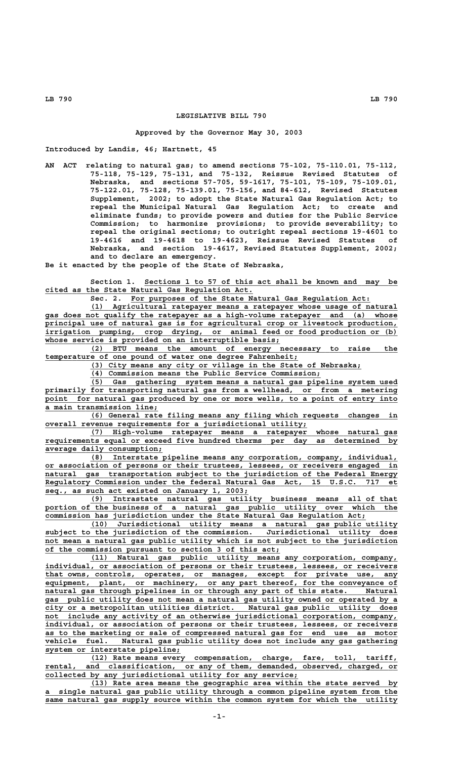# **LEGISLATIVE BILL 790**

## **Approved by the Governor May 30, 2003**

**Introduced by Landis, 46; Hartnett, 45**

**AN ACT relating to natural gas; to amend sections 75-102, 75-110.01, 75-112, 75-118, 75-129, 75-131, and 75-132, Reissue Revised Statutes of Nebraska, and sections 57-705, 59-1617, 75-101, 75-109, 75-109.01, 75-122.01, 75-128, 75-139.01, 75-156, and 84-612, Revised Statutes Supplement, 2002; to adopt the State Natural Gas Regulation Act; to repeal the Municipal Natural Gas Regulation Act; to create and eliminate funds; to provide powers and duties for the Public Service Commission; to harmonize provisions; to provide severability; to repeal the original sections; to outright repeal sections 19-4601 to 19-4616 and 19-4618 to 19-4623, Reissue Revised Statutes of Nebraska, and section 19-4617, Revised Statutes Supplement, 2002; and to declare an emergency.**

**Be it enacted by the people of the State of Nebraska,**

Section 1. Sections 1 to 57 of this act shall be known and may be  **\_\_\_\_\_\_\_\_\_\_\_\_\_\_\_\_\_\_\_\_\_\_\_\_\_\_\_\_\_\_\_\_\_\_\_\_\_\_\_\_\_\_\_\_\_\_ cited as the State Natural Gas Regulation Act.**

 **\_\_\_\_\_\_\_\_\_\_\_\_\_\_\_\_\_\_\_\_\_\_\_\_\_\_\_\_\_\_\_\_\_\_\_\_\_\_\_\_\_\_\_\_\_\_\_\_\_\_\_\_\_ Sec. 2. For purposes of the State Natural Gas Regulation Act:**

 **\_\_\_\_\_\_\_\_\_\_\_\_\_\_\_\_\_\_\_\_\_\_\_\_\_\_\_\_\_\_\_\_\_\_\_\_\_\_\_\_\_\_\_\_\_\_\_\_\_\_\_\_\_\_\_\_\_\_\_\_\_\_\_\_\_\_\_\_ (1) Agricultural ratepayer means a ratepayer whose usage of natural \_\_\_\_\_\_\_\_\_\_\_\_\_\_\_\_\_\_\_\_\_\_\_\_\_\_\_\_\_\_\_\_\_\_\_\_\_\_\_\_\_\_\_\_\_\_\_\_\_\_\_\_\_\_\_\_\_\_\_\_\_\_\_\_\_\_\_\_\_\_\_\_\_\_\_\_\_\_ gas does not qualify the ratepayer as a high-volume ratepayer and (a) whose \_\_\_\_\_\_\_\_\_\_\_\_\_\_\_\_\_\_\_\_\_\_\_\_\_\_\_\_\_\_\_\_\_\_\_\_\_\_\_\_\_\_\_\_\_\_\_\_\_\_\_\_\_\_\_\_\_\_\_\_\_\_\_\_\_\_\_\_\_\_\_\_\_\_\_\_\_\_ principal use of natural gas is for agricultural crop or livestock production,** irrigation pumping, crop drying, or animal feed or food production or (b)  **\_\_\_\_\_\_\_\_\_\_\_\_\_\_\_\_\_\_\_\_\_\_\_\_\_\_\_\_\_\_\_\_\_\_\_\_\_\_\_\_\_\_\_\_\_\_\_\_\_\_\_\_ whose service is provided on an interruptible basis;**

 **\_\_\_\_\_\_\_\_\_\_\_\_\_\_\_\_\_\_\_\_\_\_\_\_\_\_\_\_\_\_\_\_\_\_\_\_\_\_\_\_\_\_\_\_\_\_\_\_\_\_\_\_\_\_\_\_\_\_\_\_\_\_\_\_\_\_\_\_ (2) BTU means the amount of energy necessary to raise the** temperature of one pound of water one degree Fahrenheit;

 **\_\_\_\_\_\_\_\_\_\_\_\_\_\_\_\_\_\_\_\_\_\_\_\_\_\_\_\_\_\_\_\_\_\_\_\_\_\_\_\_\_\_\_\_\_\_\_\_\_\_\_\_\_\_\_\_\_\_\_\_ (3) City means any city or village in the State of Nebraska;**

 **\_\_\_\_\_\_\_\_\_\_\_\_\_\_\_\_\_\_\_\_\_\_\_\_\_\_\_\_\_\_\_\_\_\_\_\_\_\_\_\_\_\_\_\_\_\_\_\_\_\_\_ (4) Commission means the Public Service Commission;**

 **\_\_\_\_\_\_\_\_\_\_\_\_\_\_\_\_\_\_\_\_\_\_\_\_\_\_\_\_\_\_\_\_\_\_\_\_\_\_\_\_\_\_\_\_\_\_\_\_\_\_\_\_\_\_\_\_\_\_\_\_\_\_\_\_\_\_\_\_ (5) Gas gathering system means a natural gas pipeline system used \_\_\_\_\_\_\_\_\_\_\_\_\_\_\_\_\_\_\_\_\_\_\_\_\_\_\_\_\_\_\_\_\_\_\_\_\_\_\_\_\_\_\_\_\_\_\_\_\_\_\_\_\_\_\_\_\_\_\_\_\_\_\_\_\_\_\_\_\_\_\_\_\_\_\_\_\_\_ primarily for transporting natural gas from a wellhead, or from a metering** point for natural gas produced by one or more wells, to a point of entry into  **\_\_\_\_\_\_\_\_\_\_\_\_\_\_\_\_\_\_\_\_\_\_\_\_\_ a main transmission line;**

 **\_\_\_\_\_\_\_\_\_\_\_\_\_\_\_\_\_\_\_\_\_\_\_\_\_\_\_\_\_\_\_\_\_\_\_\_\_\_\_\_\_\_\_\_\_\_\_\_\_\_\_\_\_\_\_\_\_\_\_\_\_\_\_\_\_\_\_\_ (6) General rate filing means any filing which requests changes in**  $over all$  revenue requirements for a jurisdictional utility;

 **\_\_\_\_\_\_\_\_\_\_\_\_\_\_\_\_\_\_\_\_\_\_\_\_\_\_\_\_\_\_\_\_\_\_\_\_\_\_\_\_\_\_\_\_\_\_\_\_\_\_\_\_\_\_\_\_\_\_\_\_\_\_\_\_\_\_\_\_ (7) High-volume ratepayer means a ratepayer whose natural gas** requirements equal or exceed five hundred therms per day as determined by  **\_\_\_\_\_\_\_\_\_\_\_\_\_\_\_\_\_\_\_\_\_\_\_\_\_\_ average daily consumption;**

 **\_\_\_\_\_\_\_\_\_\_\_\_\_\_\_\_\_\_\_\_\_\_\_\_\_\_\_\_\_\_\_\_\_\_\_\_\_\_\_\_\_\_\_\_\_\_\_\_\_\_\_\_\_\_\_\_\_\_\_\_\_\_\_\_\_\_\_\_ (8) Interstate pipeline means any corporation, company, individual, \_\_\_\_\_\_\_\_\_\_\_\_\_\_\_\_\_\_\_\_\_\_\_\_\_\_\_\_\_\_\_\_\_\_\_\_\_\_\_\_\_\_\_\_\_\_\_\_\_\_\_\_\_\_\_\_\_\_\_\_\_\_\_\_\_\_\_\_\_\_\_\_\_\_\_\_\_\_ or association of persons or their trustees, lessees, or receivers engaged in \_\_\_\_\_\_\_\_\_\_\_\_\_\_\_\_\_\_\_\_\_\_\_\_\_\_\_\_\_\_\_\_\_\_\_\_\_\_\_\_\_\_\_\_\_\_\_\_\_\_\_\_\_\_\_\_\_\_\_\_\_\_\_\_\_\_\_\_\_\_\_\_\_\_\_\_\_\_ natural gas transportation subject to the jurisdiction of the Federal Energy \_\_\_\_\_\_\_\_\_\_\_\_\_\_\_\_\_\_\_\_\_\_\_\_\_\_\_\_\_\_\_\_\_\_\_\_\_\_\_\_\_\_\_\_\_\_\_\_\_\_\_\_\_\_\_\_\_\_\_\_\_\_\_\_\_\_\_\_\_\_\_\_\_\_\_\_\_\_ Regulatory Commission under the federal Natural Gas Act, 15 U.S.C. 717 et \_\_\_\_\_\_\_\_\_\_\_\_\_\_\_\_\_\_\_\_\_\_\_\_\_\_\_\_\_\_\_\_\_\_\_\_\_\_\_\_\_\_\_\_\_ seq., as such act existed on January 1, 2003;**

 **\_\_\_\_\_\_\_\_\_\_\_\_\_\_\_\_\_\_\_\_\_\_\_\_\_\_\_\_\_\_\_\_\_\_\_\_\_\_\_\_\_\_\_\_\_\_\_\_\_\_\_\_\_\_\_\_\_\_\_\_\_\_\_\_\_\_\_\_ (9) Intrastate natural gas utility business means all of that** portion of the business of a natural gas public utility over which the  **\_\_\_\_\_\_\_\_\_\_\_\_\_\_\_\_\_\_\_\_\_\_\_\_\_\_\_\_\_\_\_\_\_\_\_\_\_\_\_\_\_\_\_\_\_\_\_\_\_\_\_\_\_\_\_\_\_\_\_\_\_\_\_\_\_\_\_\_\_\_\_ commission has jurisdiction under the State Natural Gas Regulation Act;**

 **\_\_\_\_\_\_\_\_\_\_\_\_\_\_\_\_\_\_\_\_\_\_\_\_\_\_\_\_\_\_\_\_\_\_\_\_\_\_\_\_\_\_\_\_\_\_\_\_\_\_\_\_\_\_\_\_\_\_\_\_\_\_\_\_\_\_\_\_ (10) Jurisdictional utility means a natural gas public utility \_\_\_\_\_\_\_\_\_\_\_\_\_\_\_\_\_\_\_\_\_\_\_\_\_\_\_\_\_\_\_\_\_\_\_\_\_\_\_\_\_\_\_\_\_\_\_\_\_\_\_\_\_\_\_\_\_\_\_\_\_\_\_\_\_\_\_\_\_\_\_\_\_\_\_\_\_\_ subject to the jurisdiction of the commission. Jurisdictional utility does \_\_\_\_\_\_\_\_\_\_\_\_\_\_\_\_\_\_\_\_\_\_\_\_\_\_\_\_\_\_\_\_\_\_\_\_\_\_\_\_\_\_\_\_\_\_\_\_\_\_\_\_\_\_\_\_\_\_\_\_\_\_\_\_\_\_\_\_\_\_\_\_\_\_\_\_\_\_ not mean a natural gas public utility which is not subject to the jurisdiction \_\_\_\_\_\_\_\_\_\_\_\_\_\_\_\_\_\_\_\_\_\_\_\_\_\_\_\_\_\_\_\_\_\_\_\_\_\_\_\_\_\_\_\_\_\_\_\_\_\_\_\_ of the commission pursuant to section 3 of this act;**

 **\_\_\_\_\_\_\_\_\_\_\_\_\_\_\_\_\_\_\_\_\_\_\_\_\_\_\_\_\_\_\_\_\_\_\_\_\_\_\_\_\_\_\_\_\_\_\_\_\_\_\_\_\_\_\_\_\_\_\_\_\_\_\_\_\_\_\_\_ (11) Natural gas public utility means any corporation, company, \_\_\_\_\_\_\_\_\_\_\_\_\_\_\_\_\_\_\_\_\_\_\_\_\_\_\_\_\_\_\_\_\_\_\_\_\_\_\_\_\_\_\_\_\_\_\_\_\_\_\_\_\_\_\_\_\_\_\_\_\_\_\_\_\_\_\_\_\_\_\_\_\_\_\_\_\_\_ individual, or association of persons or their trustees, lessees, or receivers \_\_\_\_\_\_\_\_\_\_\_\_\_\_\_\_\_\_\_\_\_\_\_\_\_\_\_\_\_\_\_\_\_\_\_\_\_\_\_\_\_\_\_\_\_\_\_\_\_\_\_\_\_\_\_\_\_\_\_\_\_\_\_\_\_\_\_\_\_\_\_\_\_\_\_\_\_\_ that owns, controls, operates, or manages, except for private use, any \_\_\_\_\_\_\_\_\_\_\_\_\_\_\_\_\_\_\_\_\_\_\_\_\_\_\_\_\_\_\_\_\_\_\_\_\_\_\_\_\_\_\_\_\_\_\_\_\_\_\_\_\_\_\_\_\_\_\_\_\_\_\_\_\_\_\_\_\_\_\_\_\_\_\_\_\_\_ equipment, plant, or machinery, or any part thereof, for the conveyance of \_\_\_\_\_\_\_\_\_\_\_\_\_\_\_\_\_\_\_\_\_\_\_\_\_\_\_\_\_\_\_\_\_\_\_\_\_\_\_\_\_\_\_\_\_\_\_\_\_\_\_\_\_\_\_\_\_\_\_\_\_\_\_\_\_\_\_\_\_\_\_\_\_\_\_\_\_\_ natural gas through pipelines in or through any part of this state. Natural \_\_\_\_\_\_\_\_\_\_\_\_\_\_\_\_\_\_\_\_\_\_\_\_\_\_\_\_\_\_\_\_\_\_\_\_\_\_\_\_\_\_\_\_\_\_\_\_\_\_\_\_\_\_\_\_\_\_\_\_\_\_\_\_\_\_\_\_\_\_\_\_\_\_\_\_\_\_ gas public utility does not mean a natural gas utility owned or operated by a \_\_\_\_\_\_\_\_\_\_\_\_\_\_\_\_\_\_\_\_\_\_\_\_\_\_\_\_\_\_\_\_\_\_\_\_\_\_\_\_\_\_\_\_\_\_\_\_\_\_\_\_\_\_\_\_\_\_\_\_\_\_\_\_\_\_\_\_\_\_\_\_\_\_\_\_\_\_ city or a metropolitan utilities district. Natural gas public utility does \_\_\_\_\_\_\_\_\_\_\_\_\_\_\_\_\_\_\_\_\_\_\_\_\_\_\_\_\_\_\_\_\_\_\_\_\_\_\_\_\_\_\_\_\_\_\_\_\_\_\_\_\_\_\_\_\_\_\_\_\_\_\_\_\_\_\_\_\_\_\_\_\_\_\_\_\_\_ not include any activity of an otherwise jurisdictional corporation, company, \_\_\_\_\_\_\_\_\_\_\_\_\_\_\_\_\_\_\_\_\_\_\_\_\_\_\_\_\_\_\_\_\_\_\_\_\_\_\_\_\_\_\_\_\_\_\_\_\_\_\_\_\_\_\_\_\_\_\_\_\_\_\_\_\_\_\_\_\_\_\_\_\_\_\_\_\_\_ individual, or association of persons or their trustees, lessees, or receivers \_\_\_\_\_\_\_\_\_\_\_\_\_\_\_\_\_\_\_\_\_\_\_\_\_\_\_\_\_\_\_\_\_\_\_\_\_\_\_\_\_\_\_\_\_\_\_\_\_\_\_\_\_\_\_\_\_\_\_\_\_\_\_\_\_\_\_\_\_\_\_\_\_\_\_\_\_\_ as to the marketing or sale of compressed natural gas for end use as motor \_\_\_\_\_\_\_\_\_\_\_\_\_\_\_\_\_\_\_\_\_\_\_\_\_\_\_\_\_\_\_\_\_\_\_\_\_\_\_\_\_\_\_\_\_\_\_\_\_\_\_\_\_\_\_\_\_\_\_\_\_\_\_\_\_\_\_\_\_\_\_\_\_\_\_\_\_\_ vehicle fuel. Natural gas public utility does not include any gas gathering \_\_\_\_\_\_\_\_\_\_\_\_\_\_\_\_\_\_\_\_\_\_\_\_\_\_\_\_\_\_ system or interstate pipeline;**

 **\_\_\_\_\_\_\_\_\_\_\_\_\_\_\_\_\_\_\_\_\_\_\_\_\_\_\_\_\_\_\_\_\_\_\_\_\_\_\_\_\_\_\_\_\_\_\_\_\_\_\_\_\_\_\_\_\_\_\_\_\_\_\_\_\_\_\_\_ (12) Rate means every compensation, charge, fare, toll, tariff, \_\_\_\_\_\_\_\_\_\_\_\_\_\_\_\_\_\_\_\_\_\_\_\_\_\_\_\_\_\_\_\_\_\_\_\_\_\_\_\_\_\_\_\_\_\_\_\_\_\_\_\_\_\_\_\_\_\_\_\_\_\_\_\_\_\_\_\_\_\_\_\_\_\_\_\_\_\_ rental, and classification, or any of them, demanded, observed, charged, or \_\_\_\_\_\_\_\_\_\_\_\_\_\_\_\_\_\_\_\_\_\_\_\_\_\_\_\_\_\_\_\_\_\_\_\_\_\_\_\_\_\_\_\_\_\_\_\_\_\_\_\_\_\_\_\_ collected by any jurisdictional utility for any service;**

 **\_\_\_\_\_\_\_\_\_\_\_\_\_\_\_\_\_\_\_\_\_\_\_\_\_\_\_\_\_\_\_\_\_\_\_\_\_\_\_\_\_\_\_\_\_\_\_\_\_\_\_\_\_\_\_\_\_\_\_\_\_\_\_\_\_\_\_\_ (13) Rate area means the geographic area within the state served by \_\_\_\_\_\_\_\_\_\_\_\_\_\_\_\_\_\_\_\_\_\_\_\_\_\_\_\_\_\_\_\_\_\_\_\_\_\_\_\_\_\_\_\_\_\_\_\_\_\_\_\_\_\_\_\_\_\_\_\_\_\_\_\_\_\_\_\_\_\_\_\_\_\_\_\_\_\_ a single natural gas public utility through a common pipeline system from the** same natural gas supply source within the common system for which the utility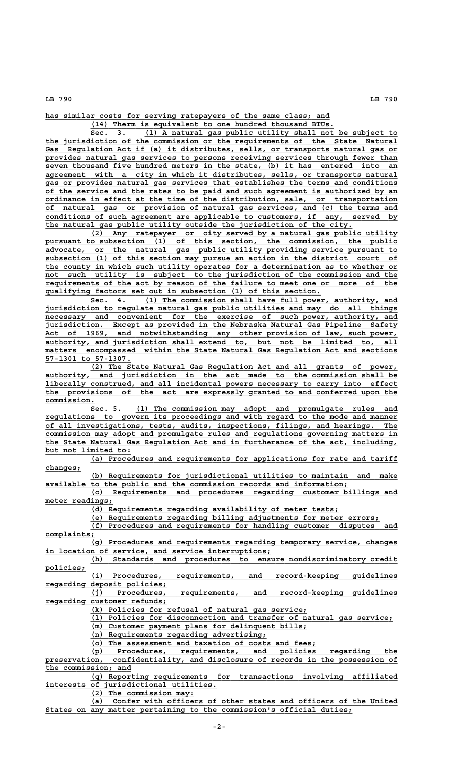**\_\_\_\_\_\_\_\_\_\_\_\_\_\_\_\_\_\_\_\_\_\_\_\_\_\_\_\_\_\_\_\_\_\_\_\_\_\_\_\_\_\_\_\_\_\_\_\_\_\_\_\_\_\_\_\_\_\_\_\_\_\_\_ has similar costs for serving ratepayers of the same class; and**

 **\_\_\_\_\_\_\_\_\_\_\_\_\_\_\_\_\_\_\_\_\_\_\_\_\_\_\_\_\_\_\_\_\_\_\_\_\_\_\_\_\_\_\_\_\_\_\_\_\_\_\_\_\_\_ (14) Therm is equivalent to one hundred thousand BTUs.**

 **\_\_\_\_\_\_\_\_\_\_\_\_\_\_\_\_\_\_\_\_\_\_\_\_\_\_\_\_\_\_\_\_\_\_\_\_\_\_\_\_\_\_\_\_\_\_\_\_\_\_\_\_\_\_\_\_ Sec. 3. (1) A natural gas public utility shall not be subject to \_\_\_\_\_\_\_\_\_\_\_\_\_\_\_\_\_\_\_\_\_\_\_\_\_\_\_\_\_\_\_\_\_\_\_\_\_\_\_\_\_\_\_\_\_\_\_\_\_\_\_\_\_\_\_\_\_\_\_\_\_\_\_\_\_\_\_\_\_\_\_\_\_\_\_\_\_\_ the jurisdiction of the commission or the requirements of the State Natural \_\_\_\_\_\_\_\_\_\_\_\_\_\_\_\_\_\_\_\_\_\_\_\_\_\_\_\_\_\_\_\_\_\_\_\_\_\_\_\_\_\_\_\_\_\_\_\_\_\_\_\_\_\_\_\_\_\_\_\_\_\_\_\_\_\_\_\_\_\_\_\_\_\_\_\_\_\_ Gas Regulation Act if (a) it distributes, sells, or transports natural gas or \_\_\_\_\_\_\_\_\_\_\_\_\_\_\_\_\_\_\_\_\_\_\_\_\_\_\_\_\_\_\_\_\_\_\_\_\_\_\_\_\_\_\_\_\_\_\_\_\_\_\_\_\_\_\_\_\_\_\_\_\_\_\_\_\_\_\_\_\_\_\_\_\_\_\_\_\_\_ provides natural gas services to persons receiving services through fewer than \_\_\_\_\_\_\_\_\_\_\_\_\_\_\_\_\_\_\_\_\_\_\_\_\_\_\_\_\_\_\_\_\_\_\_\_\_\_\_\_\_\_\_\_\_\_\_\_\_\_\_\_\_\_\_\_\_\_\_\_\_\_\_\_\_\_\_\_\_\_\_\_\_\_\_\_\_\_ seven thousand five hundred meters in the state, (b) it has entered into an**  $agreement$  with a city in which it distributes, sells, or transports natural  **\_\_\_\_\_\_\_\_\_\_\_\_\_\_\_\_\_\_\_\_\_\_\_\_\_\_\_\_\_\_\_\_\_\_\_\_\_\_\_\_\_\_\_\_\_\_\_\_\_\_\_\_\_\_\_\_\_\_\_\_\_\_\_\_\_\_\_\_\_\_\_\_\_\_\_\_\_\_ gas or provides natural gas services that establishes the terms and conditions \_\_\_\_\_\_\_\_\_\_\_\_\_\_\_\_\_\_\_\_\_\_\_\_\_\_\_\_\_\_\_\_\_\_\_\_\_\_\_\_\_\_\_\_\_\_\_\_\_\_\_\_\_\_\_\_\_\_\_\_\_\_\_\_\_\_\_\_\_\_\_\_\_\_\_\_\_\_ of the service and the rates to be paid and such agreement is authorized by an \_\_\_\_\_\_\_\_\_\_\_\_\_\_\_\_\_\_\_\_\_\_\_\_\_\_\_\_\_\_\_\_\_\_\_\_\_\_\_\_\_\_\_\_\_\_\_\_\_\_\_\_\_\_\_\_\_\_\_\_\_\_\_\_\_\_\_\_\_\_\_\_\_\_\_\_\_\_ ordinance in effect at the time of the distribution, sale, or transportation \_\_\_\_\_\_\_\_\_\_\_\_\_\_\_\_\_\_\_\_\_\_\_\_\_\_\_\_\_\_\_\_\_\_\_\_\_\_\_\_\_\_\_\_\_\_\_\_\_\_\_\_\_\_\_\_\_\_\_\_\_\_\_\_\_\_\_\_\_\_\_\_\_\_\_\_\_\_ of natural gas or provision of natural gas services, and (c) the terms and \_\_\_\_\_\_\_\_\_\_\_\_\_\_\_\_\_\_\_\_\_\_\_\_\_\_\_\_\_\_\_\_\_\_\_\_\_\_\_\_\_\_\_\_\_\_\_\_\_\_\_\_\_\_\_\_\_\_\_\_\_\_\_\_\_\_\_\_\_\_\_\_\_\_\_\_\_\_ conditions of such agreement are applicable to customers, if any, served by \_\_\_\_\_\_\_\_\_\_\_\_\_\_\_\_\_\_\_\_\_\_\_\_\_\_\_\_\_\_\_\_\_\_\_\_\_\_\_\_\_\_\_\_\_\_\_\_\_\_\_\_\_\_\_\_\_\_\_\_\_\_\_\_\_\_\_\_ the natural gas public utility outside the jurisdiction of the city.**

 **\_\_\_\_\_\_\_\_\_\_\_\_\_\_\_\_\_\_\_\_\_\_\_\_\_\_\_\_\_\_\_\_\_\_\_\_\_\_\_\_\_\_\_\_\_\_\_\_\_\_\_\_\_\_\_\_\_\_\_\_\_\_\_\_\_\_\_\_ (2) Any ratepayer or city served by a natural gas public utility \_\_\_\_\_\_\_\_\_\_\_\_\_\_\_\_\_\_\_\_\_\_\_\_\_\_\_\_\_\_\_\_\_\_\_\_\_\_\_\_\_\_\_\_\_\_\_\_\_\_\_\_\_\_\_\_\_\_\_\_\_\_\_\_\_\_\_\_\_\_\_\_\_\_\_\_\_\_ pursuant to subsection (1) of this section, the commission, the public \_\_\_\_\_\_\_\_\_\_\_\_\_\_\_\_\_\_\_\_\_\_\_\_\_\_\_\_\_\_\_\_\_\_\_\_\_\_\_\_\_\_\_\_\_\_\_\_\_\_\_\_\_\_\_\_\_\_\_\_\_\_\_\_\_\_\_\_\_\_\_\_\_\_\_\_\_\_ advocate, or the natural gas public utility providing service pursuant to** subsection (1) of this section may pursue an action in the district court of the county in which such utility operates for a determination as to whether or not such utility is subject to the jurisdiction of the commission and the  **\_\_\_\_\_\_\_\_\_\_\_\_\_\_\_\_\_\_\_\_\_\_\_\_\_\_\_\_\_\_\_\_\_\_\_\_\_\_\_\_\_\_\_\_\_\_\_\_\_\_\_\_\_\_\_\_\_\_\_\_\_\_\_\_\_\_\_\_\_\_\_\_\_\_\_\_\_\_ requirements of the act by reason of the failure to meet one or more of the \_\_\_\_\_\_\_\_\_\_\_\_\_\_\_\_\_\_\_\_\_\_\_\_\_\_\_\_\_\_\_\_\_\_\_\_\_\_\_\_\_\_\_\_\_\_\_\_\_\_\_\_\_\_\_\_\_\_\_\_\_ qualifying factors set out in subsection (1) of this section.**

Sec. 4. (1) The commission shall have full power, authority, and  **\_\_\_\_\_\_\_\_\_\_\_\_\_\_\_\_\_\_\_\_\_\_\_\_\_\_\_\_\_\_\_\_\_\_\_\_\_\_\_\_\_\_\_\_\_\_\_\_\_\_\_\_\_\_\_\_\_\_\_\_\_\_\_\_\_\_\_\_\_\_\_\_\_\_\_\_\_\_ jurisdiction to regulate natural gas public utilities and may do all things**  $n$ ecessary and convenient for the exercise of such power, authority, and  **\_\_\_\_\_\_\_\_\_\_\_\_\_\_\_\_\_\_\_\_\_\_\_\_\_\_\_\_\_\_\_\_\_\_\_\_\_\_\_\_\_\_\_\_\_\_\_\_\_\_\_\_\_\_\_\_\_\_\_\_\_\_\_\_\_\_\_\_\_\_\_\_\_\_\_\_\_\_ jurisdiction. Except as provided in the Nebraska Natural Gas Pipeline Safety \_\_\_\_\_\_\_\_\_\_\_\_\_\_\_\_\_\_\_\_\_\_\_\_\_\_\_\_\_\_\_\_\_\_\_\_\_\_\_\_\_\_\_\_\_\_\_\_\_\_\_\_\_\_\_\_\_\_\_\_\_\_\_\_\_\_\_\_\_\_\_\_\_\_\_\_\_\_ Act of 1969, and notwithstanding any other provision of law, such power, \_\_\_\_\_\_\_\_\_\_\_\_\_\_\_\_\_\_\_\_\_\_\_\_\_\_\_\_\_\_\_\_\_\_\_\_\_\_\_\_\_\_\_\_\_\_\_\_\_\_\_\_\_\_\_\_\_\_\_\_\_\_\_\_\_\_\_\_\_\_\_\_\_\_\_\_\_\_ authority, and jurisdiction shall extend to, but not be limited to, all** matters encompassed within the State Natural Gas Regulation Act and sections  **\_\_\_\_\_\_\_\_\_\_\_\_\_\_\_\_\_\_\_ 57-1301 to 57-1307.**

 **\_\_\_\_\_\_\_\_\_\_\_\_\_\_\_\_\_\_\_\_\_\_\_\_\_\_\_\_\_\_\_\_\_\_\_\_\_\_\_\_\_\_\_\_\_\_\_\_\_\_\_\_\_\_\_\_\_\_\_\_\_\_\_\_\_\_\_\_ (2) The State Natural Gas Regulation Act and all grants of power, \_\_\_\_\_\_\_\_\_\_\_\_\_\_\_\_\_\_\_\_\_\_\_\_\_\_\_\_\_\_\_\_\_\_\_\_\_\_\_\_\_\_\_\_\_\_\_\_\_\_\_\_\_\_\_\_\_\_\_\_\_\_\_\_\_\_\_\_\_\_\_\_\_\_\_\_\_\_ authority, and jurisdiction in the act made to the commission shall be \_\_\_\_\_\_\_\_\_\_\_\_\_\_\_\_\_\_\_\_\_\_\_\_\_\_\_\_\_\_\_\_\_\_\_\_\_\_\_\_\_\_\_\_\_\_\_\_\_\_\_\_\_\_\_\_\_\_\_\_\_\_\_\_\_\_\_\_\_\_\_\_\_\_\_\_\_\_ liberally construed, and all incidental powers necessary to carry into effect \_\_\_\_\_\_\_\_\_\_\_\_\_\_\_\_\_\_\_\_\_\_\_\_\_\_\_\_\_\_\_\_\_\_\_\_\_\_\_\_\_\_\_\_\_\_\_\_\_\_\_\_\_\_\_\_\_\_\_\_\_\_\_\_\_\_\_\_\_\_\_\_\_\_\_\_\_\_ the provisions of the act are expressly granted to and conferred upon the commission. \_\_\_\_\_\_\_\_\_\_\_**

 **\_\_\_\_\_\_\_\_\_\_\_\_\_\_\_\_\_\_\_\_\_\_\_\_\_\_\_\_\_\_\_\_\_\_\_\_\_\_\_\_\_\_\_\_\_\_\_\_\_\_\_\_\_\_\_\_\_\_ Sec. 5. (1) The commission may adopt and promulgate rules and \_\_\_\_\_\_\_\_\_\_\_\_\_\_\_\_\_\_\_\_\_\_\_\_\_\_\_\_\_\_\_\_\_\_\_\_\_\_\_\_\_\_\_\_\_\_\_\_\_\_\_\_\_\_\_\_\_\_\_\_\_\_\_\_\_\_\_\_\_\_\_\_\_\_\_\_\_\_ regulations to govern its proceedings and with regard to the mode and manner \_\_\_\_\_\_\_\_\_\_\_\_\_\_\_\_\_\_\_\_\_\_\_\_\_\_\_\_\_\_\_\_\_\_\_\_\_\_\_\_\_\_\_\_\_\_\_\_\_\_\_\_\_\_\_\_\_\_\_\_\_\_\_\_\_\_\_\_\_\_\_\_\_\_\_\_\_\_ of all investigations, tests, audits, inspections, filings, and hearings. The \_\_\_\_\_\_\_\_\_\_\_\_\_\_\_\_\_\_\_\_\_\_\_\_\_\_\_\_\_\_\_\_\_\_\_\_\_\_\_\_\_\_\_\_\_\_\_\_\_\_\_\_\_\_\_\_\_\_\_\_\_\_\_\_\_\_\_\_\_\_\_\_\_\_\_\_\_\_ commission may adopt and promulgate rules and regulations governing matters in \_\_\_\_\_\_\_\_\_\_\_\_\_\_\_\_\_\_\_\_\_\_\_\_\_\_\_\_\_\_\_\_\_\_\_\_\_\_\_\_\_\_\_\_\_\_\_\_\_\_\_\_\_\_\_\_\_\_\_\_\_\_\_\_\_\_\_\_\_\_\_\_\_\_\_\_\_\_ the State Natural Gas Regulation Act and in furtherance of the act, including, \_\_\_\_\_\_\_\_\_\_\_\_\_\_\_\_\_\_\_ but not limited to:**

> **\_\_\_\_\_\_\_\_\_\_\_\_\_\_\_\_\_\_\_\_\_\_\_\_\_\_\_\_\_\_\_\_\_\_\_\_\_\_\_\_\_\_\_\_\_\_\_\_\_\_\_\_\_\_\_\_\_\_\_\_\_\_\_\_\_\_\_\_ (a) Procedures and requirements for applications for rate and tariff changes; \_\_\_\_\_\_\_\_**

> **\_\_\_\_\_\_\_\_\_\_\_\_\_\_\_\_\_\_\_\_\_\_\_\_\_\_\_\_\_\_\_\_\_\_\_\_\_\_\_\_\_\_\_\_\_\_\_\_\_\_\_\_\_\_\_\_\_\_\_\_\_\_\_\_\_\_\_\_ (b) Requirements for jurisdictional utilities to maintain and make** available to the public and the commission records and information;

> **\_\_\_\_\_\_\_\_\_\_\_\_\_\_\_\_\_\_\_\_\_\_\_\_\_\_\_\_\_\_\_\_\_\_\_\_\_\_\_\_\_\_\_\_\_\_\_\_\_\_\_\_\_\_\_\_\_\_\_\_\_\_\_\_\_\_\_\_ (c) Requirements and procedures regarding customer billings and meter readings; \_\_\_\_\_\_\_\_\_\_\_\_\_\_\_**

> > **\_\_\_\_\_\_\_\_\_\_\_\_\_\_\_\_\_\_\_\_\_\_\_\_\_\_\_\_\_\_\_\_\_\_\_\_\_\_\_\_\_\_\_\_\_\_\_\_\_\_\_\_\_\_\_ (d) Requirements regarding availability of meter tests;**

 **\_\_\_\_\_\_\_\_\_\_\_\_\_\_\_\_\_\_\_\_\_\_\_\_\_\_\_\_\_\_\_\_\_\_\_\_\_\_\_\_\_\_\_\_\_\_\_\_\_\_\_\_\_\_\_\_\_\_\_\_\_\_\_\_ (e) Requirements regarding billing adjustments for meter errors;**

 **\_\_\_\_\_\_\_\_\_\_\_\_\_\_\_\_\_\_\_\_\_\_\_\_\_\_\_\_\_\_\_\_\_\_\_\_\_\_\_\_\_\_\_\_\_\_\_\_\_\_\_\_\_\_\_\_\_\_\_\_\_\_\_\_\_\_\_\_ (f) Procedures and requirements for handling customer disputes and complaints; \_\_\_\_\_\_\_\_\_\_\_**

 **\_\_\_\_\_\_\_\_\_\_\_\_\_\_\_\_\_\_\_\_\_\_\_\_\_\_\_\_\_\_\_\_\_\_\_\_\_\_\_\_\_\_\_\_\_\_\_\_\_\_\_\_\_\_\_\_\_\_\_\_\_\_\_\_\_\_\_\_ (g) Procedures and requirements regarding temporary service, changes \_\_\_\_\_\_\_\_\_\_\_\_\_\_\_\_\_\_\_\_\_\_\_\_\_\_\_\_\_\_\_\_\_\_\_\_\_\_\_\_\_\_\_\_\_\_\_\_\_\_ in location of service, and service interruptions;**

 **\_\_\_\_\_\_\_\_\_\_\_\_\_\_\_\_\_\_\_\_\_\_\_\_\_\_\_\_\_\_\_\_\_\_\_\_\_\_\_\_\_\_\_\_\_\_\_\_\_\_\_\_\_\_\_\_\_\_\_\_\_\_\_\_\_\_\_\_ (h) Standards and procedures to ensure nondiscriminatory credit policies; \_\_\_\_\_\_\_\_\_**

 **\_\_\_\_\_\_\_\_\_\_\_\_\_\_\_\_\_\_\_\_\_\_\_\_\_\_\_\_\_\_\_\_\_\_\_\_\_\_\_\_\_\_\_\_\_\_\_\_\_\_\_\_\_\_\_\_\_\_\_\_\_\_\_\_\_\_\_\_ (i) Procedures, requirements, and record-keeping guidelines \_\_\_\_\_\_\_\_\_\_\_\_\_\_\_\_\_\_\_\_\_\_\_\_\_\_\_ regarding deposit policies;**

 **\_\_\_\_\_\_\_\_\_\_\_\_\_\_\_\_\_\_\_\_\_\_\_\_\_\_\_\_\_\_\_\_\_\_\_\_\_\_\_\_\_\_\_\_\_\_\_\_\_\_\_\_\_\_\_\_\_\_\_\_\_\_\_\_\_\_\_\_ (j) Procedures, requirements, and record-keeping guidelines \_\_\_\_\_\_\_\_\_\_\_\_\_\_\_\_\_\_\_\_\_\_\_\_\_\_\_ regarding customer refunds;**

 **\_\_\_\_\_\_\_\_\_\_\_\_\_\_\_\_\_\_\_\_\_\_\_\_\_\_\_\_\_\_\_\_\_\_\_\_\_\_\_\_\_\_\_\_\_\_\_\_ (k) Policies for refusal of natural gas service;**

 **\_\_\_\_\_\_\_\_\_\_\_\_\_\_\_\_\_\_\_\_\_\_\_\_\_\_\_\_\_\_\_\_\_\_\_\_\_\_\_\_\_\_\_\_\_\_\_\_\_\_\_\_\_\_\_\_\_\_\_\_\_\_\_\_\_\_\_ (l) Policies for disconnection and transfer of natural gas service;**

 **\_\_\_\_\_\_\_\_\_\_\_\_\_\_\_\_\_\_\_\_\_\_\_\_\_\_\_\_\_\_\_\_\_\_\_\_\_\_\_\_\_\_\_\_\_\_\_\_ (m) Customer payment plans for delinquent bills;**

 **\_\_\_\_\_\_\_\_\_\_\_\_\_\_\_\_\_\_\_\_\_\_\_\_\_\_\_\_\_\_\_\_\_\_\_\_\_\_\_ (n) Requirements regarding advertising;**

 **\_\_\_\_\_\_\_\_\_\_\_\_\_\_\_\_\_\_\_\_\_\_\_\_\_\_\_\_\_\_\_\_\_\_\_\_\_\_\_\_\_\_\_\_\_\_\_\_\_\_ (o) The assessment and taxation of costs and fees;**

 **\_\_\_\_\_\_\_\_\_\_\_\_\_\_\_\_\_\_\_\_\_\_\_\_\_\_\_\_\_\_\_\_\_\_\_\_\_\_\_\_\_\_\_\_\_\_\_\_\_\_\_\_\_\_\_\_\_\_\_\_\_\_\_\_\_\_\_\_ (p) Procedures, requirements, and policies regarding the \_\_\_\_\_\_\_\_\_\_\_\_\_\_\_\_\_\_\_\_\_\_\_\_\_\_\_\_\_\_\_\_\_\_\_\_\_\_\_\_\_\_\_\_\_\_\_\_\_\_\_\_\_\_\_\_\_\_\_\_\_\_\_\_\_\_\_\_\_\_\_\_\_\_\_\_\_\_ preservation, confidentiality, and disclosure of records in the possession of \_\_\_\_\_\_\_\_\_\_\_\_\_\_\_\_\_\_\_ the commission; and**

 **\_\_\_\_\_\_\_\_\_\_\_\_\_\_\_\_\_\_\_\_\_\_\_\_\_\_\_\_\_\_\_\_\_\_\_\_\_\_\_\_\_\_\_\_\_\_\_\_\_\_\_\_\_\_\_\_\_\_\_\_\_\_\_\_\_\_\_\_ (q) Reporting requirements for transactions involving affiliated \_\_\_\_\_\_\_\_\_\_\_\_\_\_\_\_\_\_\_\_\_\_\_\_\_\_\_\_\_\_\_\_\_\_\_\_\_\_ interests of jurisdictional utilities.**

 **\_\_\_\_\_\_\_\_\_\_\_\_\_\_\_\_\_\_\_\_\_\_\_ (2) The commission may:**

 **\_\_\_\_\_\_\_\_\_\_\_\_\_\_\_\_\_\_\_\_\_\_\_\_\_\_\_\_\_\_\_\_\_\_\_\_\_\_\_\_\_\_\_\_\_\_\_\_\_\_\_\_\_\_\_\_\_\_\_\_\_\_\_\_\_\_\_\_ (a) Confer with officers of other states and officers of the United \_\_\_\_\_\_\_\_\_\_\_\_\_\_\_\_\_\_\_\_\_\_\_\_\_\_\_\_\_\_\_\_\_\_\_\_\_\_\_\_\_\_\_\_\_\_\_\_\_\_\_\_\_\_\_\_\_\_\_\_\_\_\_\_\_\_\_\_ States on any matter pertaining to the commission's official duties;**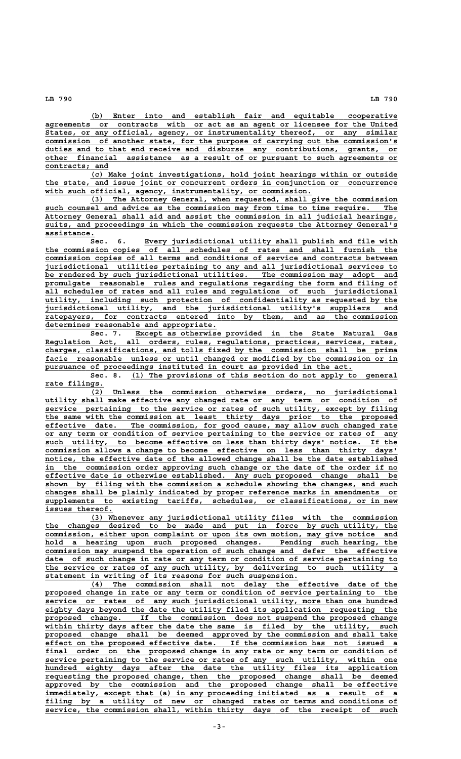**\_\_\_\_\_\_\_\_\_\_\_\_\_\_\_\_\_\_\_\_\_\_\_\_\_\_\_\_\_\_\_\_\_\_\_\_\_\_\_\_\_\_\_\_\_\_\_\_\_\_\_\_\_\_\_\_\_\_\_\_\_\_\_\_\_\_\_\_ (b) Enter into and establish fair and equitable cooperative \_\_\_\_\_\_\_\_\_\_\_\_\_\_\_\_\_\_\_\_\_\_\_\_\_\_\_\_\_\_\_\_\_\_\_\_\_\_\_\_\_\_\_\_\_\_\_\_\_\_\_\_\_\_\_\_\_\_\_\_\_\_\_\_\_\_\_\_\_\_\_\_\_\_\_\_\_\_ agreements or contracts with or act as an agent or licensee for the United \_\_\_\_\_\_\_\_\_\_\_\_\_\_\_\_\_\_\_\_\_\_\_\_\_\_\_\_\_\_\_\_\_\_\_\_\_\_\_\_\_\_\_\_\_\_\_\_\_\_\_\_\_\_\_\_\_\_\_\_\_\_\_\_\_\_\_\_\_\_\_\_\_\_\_\_\_\_ States, or any official, agency, or instrumentality thereof, or any similar \_\_\_\_\_\_\_\_\_\_\_\_\_\_\_\_\_\_\_\_\_\_\_\_\_\_\_\_\_\_\_\_\_\_\_\_\_\_\_\_\_\_\_\_\_\_\_\_\_\_\_\_\_\_\_\_\_\_\_\_\_\_\_\_\_\_\_\_\_\_\_\_\_\_\_\_\_\_ commission of another state, for the purpose of carrying out the commission's \_\_\_\_\_\_\_\_\_\_\_\_\_\_\_\_\_\_\_\_\_\_\_\_\_\_\_\_\_\_\_\_\_\_\_\_\_\_\_\_\_\_\_\_\_\_\_\_\_\_\_\_\_\_\_\_\_\_\_\_\_\_\_\_\_\_\_\_\_\_\_\_\_\_\_\_\_\_ duties and to that end receive and disburse any contributions, grants, or \_\_\_\_\_\_\_\_\_\_\_\_\_\_\_\_\_\_\_\_\_\_\_\_\_\_\_\_\_\_\_\_\_\_\_\_\_\_\_\_\_\_\_\_\_\_\_\_\_\_\_\_\_\_\_\_\_\_\_\_\_\_\_\_\_\_\_\_\_\_\_\_\_\_\_\_\_\_ other financial assistance as a result of or pursuant to such agreements or** contracts; and

 **\_\_\_\_\_\_\_\_\_\_\_\_\_\_\_\_\_\_\_\_\_\_\_\_\_\_\_\_\_\_\_\_\_\_\_\_\_\_\_\_\_\_\_\_\_\_\_\_\_\_\_\_\_\_\_\_\_\_\_\_\_\_\_\_\_\_\_\_ (c) Make joint investigations, hold joint hearings within or outside \_\_\_\_\_\_\_\_\_\_\_\_\_\_\_\_\_\_\_\_\_\_\_\_\_\_\_\_\_\_\_\_\_\_\_\_\_\_\_\_\_\_\_\_\_\_\_\_\_\_\_\_\_\_\_\_\_\_\_\_\_\_\_\_\_\_\_\_\_\_\_\_\_\_\_\_\_\_ the state, and issue joint or concurrent orders in conjunction or concurrence** with such official, agency, instrumentality, or commission.

 **\_\_\_\_\_\_\_\_\_\_\_\_\_\_\_\_\_\_\_\_\_\_\_\_\_\_\_\_\_\_\_\_\_\_\_\_\_\_\_\_\_\_\_\_\_\_\_\_\_\_\_\_\_\_\_\_\_\_\_\_\_\_\_\_\_\_\_\_ (3) The Attorney General, when requested, shall give the commission** such counsel and advice as the commission may from time to time require. The  **\_\_\_\_\_\_\_\_\_\_\_\_\_\_\_\_\_\_\_\_\_\_\_\_\_\_\_\_\_\_\_\_\_\_\_\_\_\_\_\_\_\_\_\_\_\_\_\_\_\_\_\_\_\_\_\_\_\_\_\_\_\_\_\_\_\_\_\_\_\_\_\_\_\_\_\_\_\_ Attorney General shall aid and assist the commission in all judicial hearings, \_\_\_\_\_\_\_\_\_\_\_\_\_\_\_\_\_\_\_\_\_\_\_\_\_\_\_\_\_\_\_\_\_\_\_\_\_\_\_\_\_\_\_\_\_\_\_\_\_\_\_\_\_\_\_\_\_\_\_\_\_\_\_\_\_\_\_\_\_\_\_\_\_\_\_\_\_\_ suits, and proceedings in which the commission requests the Attorney General's assistance. \_\_\_\_\_\_\_\_\_\_\_**

 **\_\_\_\_\_\_\_\_\_\_\_\_\_\_\_\_\_\_\_\_\_\_\_\_\_\_\_\_\_\_\_\_\_\_\_\_\_\_\_\_\_\_\_\_\_\_\_\_\_\_\_\_\_\_\_\_ Sec. 6. Every jurisdictional utility shall publish and file with \_\_\_\_\_\_\_\_\_\_\_\_\_\_\_\_\_\_\_\_\_\_\_\_\_\_\_\_\_\_\_\_\_\_\_\_\_\_\_\_\_\_\_\_\_\_\_\_\_\_\_\_\_\_\_\_\_\_\_\_\_\_\_\_\_\_\_\_\_\_\_\_\_\_\_\_\_\_ the commission copies of all schedules of rates and shall furnish the \_\_\_\_\_\_\_\_\_\_\_\_\_\_\_\_\_\_\_\_\_\_\_\_\_\_\_\_\_\_\_\_\_\_\_\_\_\_\_\_\_\_\_\_\_\_\_\_\_\_\_\_\_\_\_\_\_\_\_\_\_\_\_\_\_\_\_\_\_\_\_\_\_\_\_\_\_\_ commission copies of all terms and conditions of service and contracts between \_\_\_\_\_\_\_\_\_\_\_\_\_\_\_\_\_\_\_\_\_\_\_\_\_\_\_\_\_\_\_\_\_\_\_\_\_\_\_\_\_\_\_\_\_\_\_\_\_\_\_\_\_\_\_\_\_\_\_\_\_\_\_\_\_\_\_\_\_\_\_\_\_\_\_\_\_\_ jurisdictional utilities pertaining to any and all jurisdictional services to \_\_\_\_\_\_\_\_\_\_\_\_\_\_\_\_\_\_\_\_\_\_\_\_\_\_\_\_\_\_\_\_\_\_\_\_\_\_\_\_\_\_\_\_\_\_\_\_\_\_\_\_\_\_\_\_\_\_\_\_\_\_\_\_\_\_\_\_\_\_\_\_\_\_\_\_\_\_ be rendered by such jurisdictional utilities. The commission may adopt and \_\_\_\_\_\_\_\_\_\_\_\_\_\_\_\_\_\_\_\_\_\_\_\_\_\_\_\_\_\_\_\_\_\_\_\_\_\_\_\_\_\_\_\_\_\_\_\_\_\_\_\_\_\_\_\_\_\_\_\_\_\_\_\_\_\_\_\_\_\_\_\_\_\_\_\_\_\_ promulgate reasonable rules and regulations regarding the form and filing of \_\_\_\_\_\_\_\_\_\_\_\_\_\_\_\_\_\_\_\_\_\_\_\_\_\_\_\_\_\_\_\_\_\_\_\_\_\_\_\_\_\_\_\_\_\_\_\_\_\_\_\_\_\_\_\_\_\_\_\_\_\_\_\_\_\_\_\_\_\_\_\_\_\_\_\_\_\_ all schedules of rates and all rules and regulations of such jurisdictional**  $utility,$  including such protection of confidentiality as requested by the  **\_\_\_\_\_\_\_\_\_\_\_\_\_\_\_\_\_\_\_\_\_\_\_\_\_\_\_\_\_\_\_\_\_\_\_\_\_\_\_\_\_\_\_\_\_\_\_\_\_\_\_\_\_\_\_\_\_\_\_\_\_\_\_\_\_\_\_\_\_\_\_\_\_\_\_\_\_\_ jurisdictional utility, and the jurisdictional utility's suppliers and \_\_\_\_\_\_\_\_\_\_\_\_\_\_\_\_\_\_\_\_\_\_\_\_\_\_\_\_\_\_\_\_\_\_\_\_\_\_\_\_\_\_\_\_\_\_\_\_\_\_\_\_\_\_\_\_\_\_\_\_\_\_\_\_\_\_\_\_\_\_\_\_\_\_\_\_\_\_ ratepayers, for contracts entered into by them, and as the commission**

**determines reasonable and appropriate.**<br>Sec. 7. Except as otherwis  **\_\_\_\_\_\_\_\_\_\_\_\_\_\_\_\_\_\_\_\_\_\_\_\_\_\_\_\_\_\_\_\_\_\_\_\_\_\_\_\_\_\_\_\_\_\_\_\_\_\_\_\_\_\_\_\_\_\_ Sec. 7. Except as otherwise provided in the State Natural Gas \_\_\_\_\_\_\_\_\_\_\_\_\_\_\_\_\_\_\_\_\_\_\_\_\_\_\_\_\_\_\_\_\_\_\_\_\_\_\_\_\_\_\_\_\_\_\_\_\_\_\_\_\_\_\_\_\_\_\_\_\_\_\_\_\_\_\_\_\_\_\_\_\_\_\_\_\_\_ Regulation Act, all orders, rules, regulations, practices, services, rates, \_\_\_\_\_\_\_\_\_\_\_\_\_\_\_\_\_\_\_\_\_\_\_\_\_\_\_\_\_\_\_\_\_\_\_\_\_\_\_\_\_\_\_\_\_\_\_\_\_\_\_\_\_\_\_\_\_\_\_\_\_\_\_\_\_\_\_\_\_\_\_\_\_\_\_\_\_\_ charges, classifications, and tolls fixed by the commission shall be prima** facie reasonable unless or until changed or modified by the commission or in  **\_\_\_\_\_\_\_\_\_\_\_\_\_\_\_\_\_\_\_\_\_\_\_\_\_\_\_\_\_\_\_\_\_\_\_\_\_\_\_\_\_\_\_\_\_\_\_\_\_\_\_\_\_\_\_\_\_\_\_\_\_\_\_\_\_\_\_\_ pursuance of proceedings instituted in court as provided in the act.**

Sec. 8. (1) The provisions of this section do not apply to general  **rate filings. \_\_\_\_\_\_\_\_\_\_\_\_\_**

 **\_\_\_\_\_\_\_\_\_\_\_\_\_\_\_\_\_\_\_\_\_\_\_\_\_\_\_\_\_\_\_\_\_\_\_\_\_\_\_\_\_\_\_\_\_\_\_\_\_\_\_\_\_\_\_\_\_\_\_\_\_\_\_\_\_\_\_\_ (2) Unless the commission otherwise orders, no jurisdictional \_\_\_\_\_\_\_\_\_\_\_\_\_\_\_\_\_\_\_\_\_\_\_\_\_\_\_\_\_\_\_\_\_\_\_\_\_\_\_\_\_\_\_\_\_\_\_\_\_\_\_\_\_\_\_\_\_\_\_\_\_\_\_\_\_\_\_\_\_\_\_\_\_\_\_\_\_\_ utility shall make effective any changed rate or any term or condition of \_\_\_\_\_\_\_\_\_\_\_\_\_\_\_\_\_\_\_\_\_\_\_\_\_\_\_\_\_\_\_\_\_\_\_\_\_\_\_\_\_\_\_\_\_\_\_\_\_\_\_\_\_\_\_\_\_\_\_\_\_\_\_\_\_\_\_\_\_\_\_\_\_\_\_\_\_\_ service pertaining to the service or rates of such utility, except by filing \_\_\_\_\_\_\_\_\_\_\_\_\_\_\_\_\_\_\_\_\_\_\_\_\_\_\_\_\_\_\_\_\_\_\_\_\_\_\_\_\_\_\_\_\_\_\_\_\_\_\_\_\_\_\_\_\_\_\_\_\_\_\_\_\_\_\_\_\_\_\_\_\_\_\_\_\_\_ the same with the commission at least thirty days prior to the proposed \_\_\_\_\_\_\_\_\_\_\_\_\_\_\_\_\_\_\_\_\_\_\_\_\_\_\_\_\_\_\_\_\_\_\_\_\_\_\_\_\_\_\_\_\_\_\_\_\_\_\_\_\_\_\_\_\_\_\_\_\_\_\_\_\_\_\_\_\_\_\_\_\_\_\_\_\_\_ effective date. The commission, for good cause, may allow such changed rate \_\_\_\_\_\_\_\_\_\_\_\_\_\_\_\_\_\_\_\_\_\_\_\_\_\_\_\_\_\_\_\_\_\_\_\_\_\_\_\_\_\_\_\_\_\_\_\_\_\_\_\_\_\_\_\_\_\_\_\_\_\_\_\_\_\_\_\_\_\_\_\_\_\_\_\_\_\_ or any term or condition of service pertaining to the service or rates of any \_\_\_\_\_\_\_\_\_\_\_\_\_\_\_\_\_\_\_\_\_\_\_\_\_\_\_\_\_\_\_\_\_\_\_\_\_\_\_\_\_\_\_\_\_\_\_\_\_\_\_\_\_\_\_\_\_\_\_\_\_\_\_\_\_\_\_\_\_\_\_\_\_\_\_\_\_\_ such utility, to become effective on less than thirty days' notice. If the \_\_\_\_\_\_\_\_\_\_\_\_\_\_\_\_\_\_\_\_\_\_\_\_\_\_\_\_\_\_\_\_\_\_\_\_\_\_\_\_\_\_\_\_\_\_\_\_\_\_\_\_\_\_\_\_\_\_\_\_\_\_\_\_\_\_\_\_\_\_\_\_\_\_\_\_\_\_ commission allows a change to become effective on less than thirty days' \_\_\_\_\_\_\_\_\_\_\_\_\_\_\_\_\_\_\_\_\_\_\_\_\_\_\_\_\_\_\_\_\_\_\_\_\_\_\_\_\_\_\_\_\_\_\_\_\_\_\_\_\_\_\_\_\_\_\_\_\_\_\_\_\_\_\_\_\_\_\_\_\_\_\_\_\_\_ notice, the effective date of the allowed change shall be the date established \_\_\_\_\_\_\_\_\_\_\_\_\_\_\_\_\_\_\_\_\_\_\_\_\_\_\_\_\_\_\_\_\_\_\_\_\_\_\_\_\_\_\_\_\_\_\_\_\_\_\_\_\_\_\_\_\_\_\_\_\_\_\_\_\_\_\_\_\_\_\_\_\_\_\_\_\_\_ in the commission order approving such change or the date of the order if no \_\_\_\_\_\_\_\_\_\_\_\_\_\_\_\_\_\_\_\_\_\_\_\_\_\_\_\_\_\_\_\_\_\_\_\_\_\_\_\_\_\_\_\_\_\_\_\_\_\_\_\_\_\_\_\_\_\_\_\_\_\_\_\_\_\_\_\_\_\_\_\_\_\_\_\_\_\_ effective date is otherwise established. Any such proposed change shall be \_\_\_\_\_\_\_\_\_\_\_\_\_\_\_\_\_\_\_\_\_\_\_\_\_\_\_\_\_\_\_\_\_\_\_\_\_\_\_\_\_\_\_\_\_\_\_\_\_\_\_\_\_\_\_\_\_\_\_\_\_\_\_\_\_\_\_\_\_\_\_\_\_\_\_\_\_\_ shown by filing with the commission a schedule showing the changes, and such \_\_\_\_\_\_\_\_\_\_\_\_\_\_\_\_\_\_\_\_\_\_\_\_\_\_\_\_\_\_\_\_\_\_\_\_\_\_\_\_\_\_\_\_\_\_\_\_\_\_\_\_\_\_\_\_\_\_\_\_\_\_\_\_\_\_\_\_\_\_\_\_\_\_\_\_\_\_ changes shall be plainly indicated by proper reference marks in amendments or \_\_\_\_\_\_\_\_\_\_\_\_\_\_\_\_\_\_\_\_\_\_\_\_\_\_\_\_\_\_\_\_\_\_\_\_\_\_\_\_\_\_\_\_\_\_\_\_\_\_\_\_\_\_\_\_\_\_\_\_\_\_\_\_\_\_\_\_\_\_\_\_\_\_\_\_\_\_ supplements to existing tariffs, schedules, or classifications, or in new issues thereof. \_\_\_\_\_\_\_\_\_\_\_\_\_\_\_**

 **\_\_\_\_\_\_\_\_\_\_\_\_\_\_\_\_\_\_\_\_\_\_\_\_\_\_\_\_\_\_\_\_\_\_\_\_\_\_\_\_\_\_\_\_\_\_\_\_\_\_\_\_\_\_\_\_\_\_\_\_\_\_\_\_\_\_\_\_ (3) Whenever any jurisdictional utility files with the commission \_\_\_\_\_\_\_\_\_\_\_\_\_\_\_\_\_\_\_\_\_\_\_\_\_\_\_\_\_\_\_\_\_\_\_\_\_\_\_\_\_\_\_\_\_\_\_\_\_\_\_\_\_\_\_\_\_\_\_\_\_\_\_\_\_\_\_\_\_\_\_\_\_\_\_\_\_\_ the changes desired to be made and put in force by such utility, the \_\_\_\_\_\_\_\_\_\_\_\_\_\_\_\_\_\_\_\_\_\_\_\_\_\_\_\_\_\_\_\_\_\_\_\_\_\_\_\_\_\_\_\_\_\_\_\_\_\_\_\_\_\_\_\_\_\_\_\_\_\_\_\_\_\_\_\_\_\_\_\_\_\_\_\_\_\_ commission, either upon complaint or upon its own motion, may give notice and** hold a hearing upon such proposed changes. Pending such hearing, the  **\_\_\_\_\_\_\_\_\_\_\_\_\_\_\_\_\_\_\_\_\_\_\_\_\_\_\_\_\_\_\_\_\_\_\_\_\_\_\_\_\_\_\_\_\_\_\_\_\_\_\_\_\_\_\_\_\_\_\_\_\_\_\_\_\_\_\_\_\_\_\_\_\_\_\_\_\_\_ commission may suspend the operation of such change and defer the effective \_\_\_\_\_\_\_\_\_\_\_\_\_\_\_\_\_\_\_\_\_\_\_\_\_\_\_\_\_\_\_\_\_\_\_\_\_\_\_\_\_\_\_\_\_\_\_\_\_\_\_\_\_\_\_\_\_\_\_\_\_\_\_\_\_\_\_\_\_\_\_\_\_\_\_\_\_\_ date of such change in rate or any term or condition of service pertaining to \_\_\_\_\_\_\_\_\_\_\_\_\_\_\_\_\_\_\_\_\_\_\_\_\_\_\_\_\_\_\_\_\_\_\_\_\_\_\_\_\_\_\_\_\_\_\_\_\_\_\_\_\_\_\_\_\_\_\_\_\_\_\_\_\_\_\_\_\_\_\_\_\_\_\_\_\_\_ the service or rates of any such utility, by delivering to such utility a \_\_\_\_\_\_\_\_\_\_\_\_\_\_\_\_\_\_\_\_\_\_\_\_\_\_\_\_\_\_\_\_\_\_\_\_\_\_\_\_\_\_\_\_\_\_\_\_\_\_\_\_\_\_\_\_ statement in writing of its reasons for such suspension.**

 **\_\_\_\_\_\_\_\_\_\_\_\_\_\_\_\_\_\_\_\_\_\_\_\_\_\_\_\_\_\_\_\_\_\_\_\_\_\_\_\_\_\_\_\_\_\_\_\_\_\_\_\_\_\_\_\_\_\_\_\_\_\_\_\_\_\_\_\_ (4) The commission shall not delay the effective date of the \_\_\_\_\_\_\_\_\_\_\_\_\_\_\_\_\_\_\_\_\_\_\_\_\_\_\_\_\_\_\_\_\_\_\_\_\_\_\_\_\_\_\_\_\_\_\_\_\_\_\_\_\_\_\_\_\_\_\_\_\_\_\_\_\_\_\_\_\_\_\_\_\_\_\_\_\_\_ proposed change in rate or any term or condition of service pertaining to the \_\_\_\_\_\_\_\_\_\_\_\_\_\_\_\_\_\_\_\_\_\_\_\_\_\_\_\_\_\_\_\_\_\_\_\_\_\_\_\_\_\_\_\_\_\_\_\_\_\_\_\_\_\_\_\_\_\_\_\_\_\_\_\_\_\_\_\_\_\_\_\_\_\_\_\_\_\_ service or rates of any such jurisdictional utility, more than one hundred \_\_\_\_\_\_\_\_\_\_\_\_\_\_\_\_\_\_\_\_\_\_\_\_\_\_\_\_\_\_\_\_\_\_\_\_\_\_\_\_\_\_\_\_\_\_\_\_\_\_\_\_\_\_\_\_\_\_\_\_\_\_\_\_\_\_\_\_\_\_\_\_\_\_\_\_\_\_ eighty days beyond the date the utility filed its application requesting the \_\_\_\_\_\_\_\_\_\_\_\_\_\_\_\_\_\_\_\_\_\_\_\_\_\_\_\_\_\_\_\_\_\_\_\_\_\_\_\_\_\_\_\_\_\_\_\_\_\_\_\_\_\_\_\_\_\_\_\_\_\_\_\_\_\_\_\_\_\_\_\_\_\_\_\_\_\_ proposed change. If the commission does not suspend the proposed change \_\_\_\_\_\_\_\_\_\_\_\_\_\_\_\_\_\_\_\_\_\_\_\_\_\_\_\_\_\_\_\_\_\_\_\_\_\_\_\_\_\_\_\_\_\_\_\_\_\_\_\_\_\_\_\_\_\_\_\_\_\_\_\_\_\_\_\_\_\_\_\_\_\_\_\_\_\_ within thirty days after the date the same is filed by the utility, such** proposed change shall be deemed approved by the commission and shall take  **\_\_\_\_\_\_\_\_\_\_\_\_\_\_\_\_\_\_\_\_\_\_\_\_\_\_\_\_\_\_\_\_\_\_\_\_\_\_\_\_\_\_\_\_\_\_\_\_\_\_\_\_\_\_\_\_\_\_\_\_\_\_\_\_\_\_\_\_\_\_\_\_\_\_\_\_\_\_ effect on the proposed effective date. If the commission has not issued a \_\_\_\_\_\_\_\_\_\_\_\_\_\_\_\_\_\_\_\_\_\_\_\_\_\_\_\_\_\_\_\_\_\_\_\_\_\_\_\_\_\_\_\_\_\_\_\_\_\_\_\_\_\_\_\_\_\_\_\_\_\_\_\_\_\_\_\_\_\_\_\_\_\_\_\_\_\_ final order on the proposed change in any rate or any term or condition of**  $\text{service pertaining to the service or rates of any such utility, within one}$  **\_\_\_\_\_\_\_\_\_\_\_\_\_\_\_\_\_\_\_\_\_\_\_\_\_\_\_\_\_\_\_\_\_\_\_\_\_\_\_\_\_\_\_\_\_\_\_\_\_\_\_\_\_\_\_\_\_\_\_\_\_\_\_\_\_\_\_\_\_\_\_\_\_\_\_\_\_\_ hundred eighty days after the date the utility files its application \_\_\_\_\_\_\_\_\_\_\_\_\_\_\_\_\_\_\_\_\_\_\_\_\_\_\_\_\_\_\_\_\_\_\_\_\_\_\_\_\_\_\_\_\_\_\_\_\_\_\_\_\_\_\_\_\_\_\_\_\_\_\_\_\_\_\_\_\_\_\_\_\_\_\_\_\_\_ requesting the proposed change, then the proposed change shall be deemed \_\_\_\_\_\_\_\_\_\_\_\_\_\_\_\_\_\_\_\_\_\_\_\_\_\_\_\_\_\_\_\_\_\_\_\_\_\_\_\_\_\_\_\_\_\_\_\_\_\_\_\_\_\_\_\_\_\_\_\_\_\_\_\_\_\_\_\_\_\_\_\_\_\_\_\_\_\_ approved by the commission and the proposed change shall be effective \_\_\_\_\_\_\_\_\_\_\_\_\_\_\_\_\_\_\_\_\_\_\_\_\_\_\_\_\_\_\_\_\_\_\_\_\_\_\_\_\_\_\_\_\_\_\_\_\_\_\_\_\_\_\_\_\_\_\_\_\_\_\_\_\_\_\_\_\_\_\_\_\_\_\_\_\_\_ immediately, except that (a) in any proceeding initiated as a result of a \_\_\_\_\_\_\_\_\_\_\_\_\_\_\_\_\_\_\_\_\_\_\_\_\_\_\_\_\_\_\_\_\_\_\_\_\_\_\_\_\_\_\_\_\_\_\_\_\_\_\_\_\_\_\_\_\_\_\_\_\_\_\_\_\_\_\_\_\_\_\_\_\_\_\_\_\_\_ filing by a utility of new or changed rates or terms and conditions of \_\_\_\_\_\_\_\_\_\_\_\_\_\_\_\_\_\_\_\_\_\_\_\_\_\_\_\_\_\_\_\_\_\_\_\_\_\_\_\_\_\_\_\_\_\_\_\_\_\_\_\_\_\_\_\_\_\_\_\_\_\_\_\_\_\_\_\_\_\_\_\_\_\_\_\_\_\_ service, the commission shall, within thirty days of the receipt of such**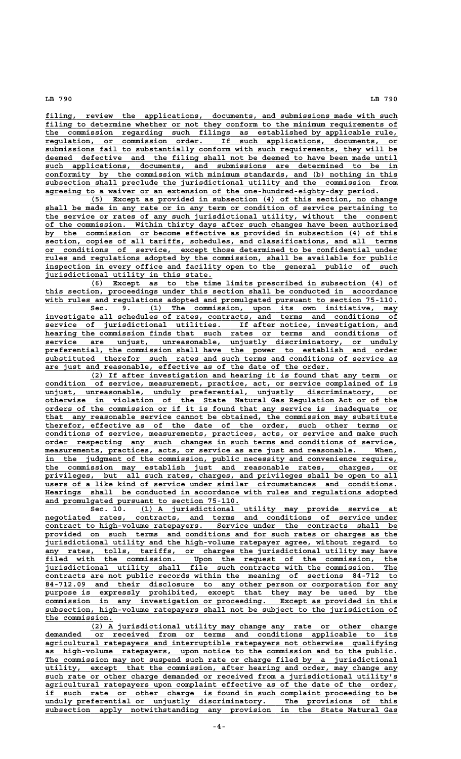**\_\_\_\_\_\_\_\_\_\_\_\_\_\_\_\_\_\_\_\_\_\_\_\_\_\_\_\_\_\_\_\_\_\_\_\_\_\_\_\_\_\_\_\_\_\_\_\_\_\_\_\_\_\_\_\_\_\_\_\_\_\_\_\_\_\_\_\_\_\_\_\_\_\_\_\_\_\_ filing, review the applications, documents, and submissions made with such** filing to determine whether or not they conform to the minimum requirements of  **\_\_\_\_\_\_\_\_\_\_\_\_\_\_\_\_\_\_\_\_\_\_\_\_\_\_\_\_\_\_\_\_\_\_\_\_\_\_\_\_\_\_\_\_\_\_\_\_\_\_\_\_\_\_\_\_\_\_\_\_\_\_\_\_\_\_\_\_\_\_\_\_\_\_\_\_\_\_ the commission regarding such filings as established by applicable rule, \_\_\_\_\_\_\_\_\_\_\_\_\_\_\_\_\_\_\_\_\_\_\_\_\_\_\_\_\_\_\_\_\_\_\_\_\_\_\_\_\_\_\_\_\_\_\_\_\_\_\_\_\_\_\_\_\_\_\_\_\_\_\_\_\_\_\_\_\_\_\_\_\_\_\_\_\_\_ regulation, or commission order. If such applications, documents, or \_\_\_\_\_\_\_\_\_\_\_\_\_\_\_\_\_\_\_\_\_\_\_\_\_\_\_\_\_\_\_\_\_\_\_\_\_\_\_\_\_\_\_\_\_\_\_\_\_\_\_\_\_\_\_\_\_\_\_\_\_\_\_\_\_\_\_\_\_\_\_\_\_\_\_\_\_\_ submissions fail to substantially conform with such requirements, they will be \_\_\_\_\_\_\_\_\_\_\_\_\_\_\_\_\_\_\_\_\_\_\_\_\_\_\_\_\_\_\_\_\_\_\_\_\_\_\_\_\_\_\_\_\_\_\_\_\_\_\_\_\_\_\_\_\_\_\_\_\_\_\_\_\_\_\_\_\_\_\_\_\_\_\_\_\_\_ deemed defective and the filing shall not be deemed to have been made until \_\_\_\_\_\_\_\_\_\_\_\_\_\_\_\_\_\_\_\_\_\_\_\_\_\_\_\_\_\_\_\_\_\_\_\_\_\_\_\_\_\_\_\_\_\_\_\_\_\_\_\_\_\_\_\_\_\_\_\_\_\_\_\_\_\_\_\_\_\_\_\_\_\_\_\_\_\_ such applications, documents, and submissions are determined to be in \_\_\_\_\_\_\_\_\_\_\_\_\_\_\_\_\_\_\_\_\_\_\_\_\_\_\_\_\_\_\_\_\_\_\_\_\_\_\_\_\_\_\_\_\_\_\_\_\_\_\_\_\_\_\_\_\_\_\_\_\_\_\_\_\_\_\_\_\_\_\_\_\_\_\_\_\_\_ conformity by the commission with minimum standards, and (b) nothing in this \_\_\_\_\_\_\_\_\_\_\_\_\_\_\_\_\_\_\_\_\_\_\_\_\_\_\_\_\_\_\_\_\_\_\_\_\_\_\_\_\_\_\_\_\_\_\_\_\_\_\_\_\_\_\_\_\_\_\_\_\_\_\_\_\_\_\_\_\_\_\_\_\_\_\_\_\_\_ subsection shall preclude the jurisdictional utility and the commission from \_\_\_\_\_\_\_\_\_\_\_\_\_\_\_\_\_\_\_\_\_\_\_\_\_\_\_\_\_\_\_\_\_\_\_\_\_\_\_\_\_\_\_\_\_\_\_\_\_\_\_\_\_\_\_\_\_\_\_\_\_\_\_\_\_\_\_\_\_\_\_\_\_\_ agreeing to a waiver or an extension of the one-hundred-eighty-day period.**

 **\_\_\_\_\_\_\_\_\_\_\_\_\_\_\_\_\_\_\_\_\_\_\_\_\_\_\_\_\_\_\_\_\_\_\_\_\_\_\_\_\_\_\_\_\_\_\_\_\_\_\_\_\_\_\_\_\_\_\_\_\_\_\_\_\_\_\_\_ (5) Except as provided in subsection (4) of this section, no change** shall be made in any rate or in any term or condition of service pertaining to  **\_\_\_\_\_\_\_\_\_\_\_\_\_\_\_\_\_\_\_\_\_\_\_\_\_\_\_\_\_\_\_\_\_\_\_\_\_\_\_\_\_\_\_\_\_\_\_\_\_\_\_\_\_\_\_\_\_\_\_\_\_\_\_\_\_\_\_\_\_\_\_\_\_\_\_\_\_\_ the service or rates of any such jurisdictional utility, without the consent \_\_\_\_\_\_\_\_\_\_\_\_\_\_\_\_\_\_\_\_\_\_\_\_\_\_\_\_\_\_\_\_\_\_\_\_\_\_\_\_\_\_\_\_\_\_\_\_\_\_\_\_\_\_\_\_\_\_\_\_\_\_\_\_\_\_\_\_\_\_\_\_\_\_\_\_\_\_ of the commission. Within thirty days after such changes have been authorized** by the commission or become effective as provided in subsection (4) of this  **\_\_\_\_\_\_\_\_\_\_\_\_\_\_\_\_\_\_\_\_\_\_\_\_\_\_\_\_\_\_\_\_\_\_\_\_\_\_\_\_\_\_\_\_\_\_\_\_\_\_\_\_\_\_\_\_\_\_\_\_\_\_\_\_\_\_\_\_\_\_\_\_\_\_\_\_\_\_ section, copies of all tariffs, schedules, and classifications, and all terms \_\_\_\_\_\_\_\_\_\_\_\_\_\_\_\_\_\_\_\_\_\_\_\_\_\_\_\_\_\_\_\_\_\_\_\_\_\_\_\_\_\_\_\_\_\_\_\_\_\_\_\_\_\_\_\_\_\_\_\_\_\_\_\_\_\_\_\_\_\_\_\_\_\_\_\_\_\_ or conditions of service, except those determined to be confidential under \_\_\_\_\_\_\_\_\_\_\_\_\_\_\_\_\_\_\_\_\_\_\_\_\_\_\_\_\_\_\_\_\_\_\_\_\_\_\_\_\_\_\_\_\_\_\_\_\_\_\_\_\_\_\_\_\_\_\_\_\_\_\_\_\_\_\_\_\_\_\_\_\_\_\_\_\_\_ rules and regulations adopted by the commission, shall be available for public \_\_\_\_\_\_\_\_\_\_\_\_\_\_\_\_\_\_\_\_\_\_\_\_\_\_\_\_\_\_\_\_\_\_\_\_\_\_\_\_\_\_\_\_\_\_\_\_\_\_\_\_\_\_\_\_\_\_\_\_\_\_\_\_\_\_\_\_\_\_\_\_\_\_\_\_\_\_ inspection in every office and facility open to the general public of such \_\_\_\_\_\_\_\_\_\_\_\_\_\_\_\_\_\_\_\_\_\_\_\_\_\_\_\_\_\_\_\_\_\_\_\_\_ jurisdictional utility in this state.**

 **\_\_\_\_\_\_\_\_\_\_\_\_\_\_\_\_\_\_\_\_\_\_\_\_\_\_\_\_\_\_\_\_\_\_\_\_\_\_\_\_\_\_\_\_\_\_\_\_\_\_\_\_\_\_\_\_\_\_\_\_\_\_\_\_\_\_\_\_ (6) Except as to the time limits prescribed in subsection (4) of \_\_\_\_\_\_\_\_\_\_\_\_\_\_\_\_\_\_\_\_\_\_\_\_\_\_\_\_\_\_\_\_\_\_\_\_\_\_\_\_\_\_\_\_\_\_\_\_\_\_\_\_\_\_\_\_\_\_\_\_\_\_\_\_\_\_\_\_\_\_\_\_\_\_\_\_\_\_ this section, proceedings under this section shall be conducted in accordance \_\_\_\_\_\_\_\_\_\_\_\_\_\_\_\_\_\_\_\_\_\_\_\_\_\_\_\_\_\_\_\_\_\_\_\_\_\_\_\_\_\_\_\_\_\_\_\_\_\_\_\_\_\_\_\_\_\_\_\_\_\_\_\_\_\_\_\_\_\_\_\_\_\_\_\_\_\_ with rules and regulations adopted and promulgated pursuant to section 75-110.**

 **\_\_\_\_\_\_\_\_\_\_\_\_\_\_\_\_\_\_\_\_\_\_\_\_\_\_\_\_\_\_\_\_\_\_\_\_\_\_\_\_\_\_\_\_\_\_\_\_\_\_\_\_\_\_\_ Sec. 9. (1) The commission, upon its own initiative, may \_\_\_\_\_\_\_\_\_\_\_\_\_\_\_\_\_\_\_\_\_\_\_\_\_\_\_\_\_\_\_\_\_\_\_\_\_\_\_\_\_\_\_\_\_\_\_\_\_\_\_\_\_\_\_\_\_\_\_\_\_\_\_\_\_\_\_\_\_\_\_\_\_\_\_\_\_\_ investigate all schedules of rates, contracts, and terms and conditions of \_\_\_\_\_\_\_\_\_\_\_\_\_\_\_\_\_\_\_\_\_\_\_\_\_\_\_\_\_\_\_\_\_\_\_\_\_\_\_\_\_\_\_\_\_\_\_\_\_\_\_\_\_\_\_\_\_\_\_\_\_\_\_\_\_\_\_\_\_\_\_\_\_\_\_\_\_\_ service of jurisdictional utilities. If after notice, investigation, and \_\_\_\_\_\_\_\_\_\_\_\_\_\_\_\_\_\_\_\_\_\_\_\_\_\_\_\_\_\_\_\_\_\_\_\_\_\_\_\_\_\_\_\_\_\_\_\_\_\_\_\_\_\_\_\_\_\_\_\_\_\_\_\_\_\_\_\_\_\_\_\_\_\_\_\_\_\_ hearing the commission finds that such rates or terms and conditions of \_\_\_\_\_\_\_\_\_\_\_\_\_\_\_\_\_\_\_\_\_\_\_\_\_\_\_\_\_\_\_\_\_\_\_\_\_\_\_\_\_\_\_\_\_\_\_\_\_\_\_\_\_\_\_\_\_\_\_\_\_\_\_\_\_\_\_\_\_\_\_\_\_\_\_\_\_\_ service are unjust, unreasonable, unjustly discriminatory, or unduly \_\_\_\_\_\_\_\_\_\_\_\_\_\_\_\_\_\_\_\_\_\_\_\_\_\_\_\_\_\_\_\_\_\_\_\_\_\_\_\_\_\_\_\_\_\_\_\_\_\_\_\_\_\_\_\_\_\_\_\_\_\_\_\_\_\_\_\_\_\_\_\_\_\_\_\_\_\_ preferential, the commission shall have the power to establish and order \_\_\_\_\_\_\_\_\_\_\_\_\_\_\_\_\_\_\_\_\_\_\_\_\_\_\_\_\_\_\_\_\_\_\_\_\_\_\_\_\_\_\_\_\_\_\_\_\_\_\_\_\_\_\_\_\_\_\_\_\_\_\_\_\_\_\_\_\_\_\_\_\_\_\_\_\_\_ substituted therefor such rates and such terms and conditions of service as \_\_\_\_\_\_\_\_\_\_\_\_\_\_\_\_\_\_\_\_\_\_\_\_\_\_\_\_\_\_\_\_\_\_\_\_\_\_\_\_\_\_\_\_\_\_\_\_\_\_\_\_\_\_\_\_\_\_\_\_\_\_\_ are just and reasonable, effective as of the date of the order.**

 **\_\_\_\_\_\_\_\_\_\_\_\_\_\_\_\_\_\_\_\_\_\_\_\_\_\_\_\_\_\_\_\_\_\_\_\_\_\_\_\_\_\_\_\_\_\_\_\_\_\_\_\_\_\_\_\_\_\_\_\_\_\_\_\_\_\_\_\_ (2) If after investigation and hearing it is found that any term or \_\_\_\_\_\_\_\_\_\_\_\_\_\_\_\_\_\_\_\_\_\_\_\_\_\_\_\_\_\_\_\_\_\_\_\_\_\_\_\_\_\_\_\_\_\_\_\_\_\_\_\_\_\_\_\_\_\_\_\_\_\_\_\_\_\_\_\_\_\_\_\_\_\_\_\_\_\_ condition of service, measurement, practice, act, or service complained of is \_\_\_\_\_\_\_\_\_\_\_\_\_\_\_\_\_\_\_\_\_\_\_\_\_\_\_\_\_\_\_\_\_\_\_\_\_\_\_\_\_\_\_\_\_\_\_\_\_\_\_\_\_\_\_\_\_\_\_\_\_\_\_\_\_\_\_\_\_\_\_\_\_\_\_\_\_\_ unjust, unreasonable, unduly preferential, unjustly discriminatory, or \_\_\_\_\_\_\_\_\_\_\_\_\_\_\_\_\_\_\_\_\_\_\_\_\_\_\_\_\_\_\_\_\_\_\_\_\_\_\_\_\_\_\_\_\_\_\_\_\_\_\_\_\_\_\_\_\_\_\_\_\_\_\_\_\_\_\_\_\_\_\_\_\_\_\_\_\_\_ otherwise in violation of the State Natural Gas Regulation Act or of the \_\_\_\_\_\_\_\_\_\_\_\_\_\_\_\_\_\_\_\_\_\_\_\_\_\_\_\_\_\_\_\_\_\_\_\_\_\_\_\_\_\_\_\_\_\_\_\_\_\_\_\_\_\_\_\_\_\_\_\_\_\_\_\_\_\_\_\_\_\_\_\_\_\_\_\_\_\_ orders of the commission or if it is found that any service is inadequate or \_\_\_\_\_\_\_\_\_\_\_\_\_\_\_\_\_\_\_\_\_\_\_\_\_\_\_\_\_\_\_\_\_\_\_\_\_\_\_\_\_\_\_\_\_\_\_\_\_\_\_\_\_\_\_\_\_\_\_\_\_\_\_\_\_\_\_\_\_\_\_\_\_\_\_\_\_\_ that any reasonable service cannot be obtained, the commission may substitute** therefor, effective as of the date of the order, such other terms or  **\_\_\_\_\_\_\_\_\_\_\_\_\_\_\_\_\_\_\_\_\_\_\_\_\_\_\_\_\_\_\_\_\_\_\_\_\_\_\_\_\_\_\_\_\_\_\_\_\_\_\_\_\_\_\_\_\_\_\_\_\_\_\_\_\_\_\_\_\_\_\_\_\_\_\_\_\_\_ conditions of service, measurements, practices, acts, or service and make such \_\_\_\_\_\_\_\_\_\_\_\_\_\_\_\_\_\_\_\_\_\_\_\_\_\_\_\_\_\_\_\_\_\_\_\_\_\_\_\_\_\_\_\_\_\_\_\_\_\_\_\_\_\_\_\_\_\_\_\_\_\_\_\_\_\_\_\_\_\_\_\_\_\_\_\_\_\_ order respecting any such changes in such terms and conditions of service,**  $$  **\_\_\_\_\_\_\_\_\_\_\_\_\_\_\_\_\_\_\_\_\_\_\_\_\_\_\_\_\_\_\_\_\_\_\_\_\_\_\_\_\_\_\_\_\_\_\_\_\_\_\_\_\_\_\_\_\_\_\_\_\_\_\_\_\_\_\_\_\_\_\_\_\_\_\_\_\_\_ in the judgment of the commission, public necessity and convenience require, \_\_\_\_\_\_\_\_\_\_\_\_\_\_\_\_\_\_\_\_\_\_\_\_\_\_\_\_\_\_\_\_\_\_\_\_\_\_\_\_\_\_\_\_\_\_\_\_\_\_\_\_\_\_\_\_\_\_\_\_\_\_\_\_\_\_\_\_\_\_\_\_\_\_\_\_\_\_ the commission may establish just and reasonable rates, charges, or \_\_\_\_\_\_\_\_\_\_\_\_\_\_\_\_\_\_\_\_\_\_\_\_\_\_\_\_\_\_\_\_\_\_\_\_\_\_\_\_\_\_\_\_\_\_\_\_\_\_\_\_\_\_\_\_\_\_\_\_\_\_\_\_\_\_\_\_\_\_\_\_\_\_\_\_\_\_ privileges, but all such rates, charges, and privileges shall be open to all \_\_\_\_\_\_\_\_\_\_\_\_\_\_\_\_\_\_\_\_\_\_\_\_\_\_\_\_\_\_\_\_\_\_\_\_\_\_\_\_\_\_\_\_\_\_\_\_\_\_\_\_\_\_\_\_\_\_\_\_\_\_\_\_\_\_\_\_\_\_\_\_\_\_\_\_\_\_ users of a like kind of service under similar circumstances and conditions. \_\_\_\_\_\_\_\_\_\_\_\_\_\_\_\_\_\_\_\_\_\_\_\_\_\_\_\_\_\_\_\_\_\_\_\_\_\_\_\_\_\_\_\_\_\_\_\_\_\_\_\_\_\_\_\_\_\_\_\_\_\_\_\_\_\_\_\_\_\_\_\_\_\_\_\_\_\_ Hearings shall be conducted in accordance with rules and regulations adopted** and promulgated pursuant to section 75-110.

 **\_\_\_\_\_\_\_\_\_\_\_\_\_\_\_\_\_\_\_\_\_\_\_\_\_\_\_\_\_\_\_\_\_\_\_\_\_\_\_\_\_\_\_\_\_\_\_\_\_\_\_\_\_\_\_\_\_ Sec. 10. (1) A jurisdictional utility may provide service at \_\_\_\_\_\_\_\_\_\_\_\_\_\_\_\_\_\_\_\_\_\_\_\_\_\_\_\_\_\_\_\_\_\_\_\_\_\_\_\_\_\_\_\_\_\_\_\_\_\_\_\_\_\_\_\_\_\_\_\_\_\_\_\_\_\_\_\_\_\_\_\_\_\_\_\_\_\_ negotiated rates, contracts, and terms and conditions of service under \_\_\_\_\_\_\_\_\_\_\_\_\_\_\_\_\_\_\_\_\_\_\_\_\_\_\_\_\_\_\_\_\_\_\_\_\_\_\_\_\_\_\_\_\_\_\_\_\_\_\_\_\_\_\_\_\_\_\_\_\_\_\_\_\_\_\_\_\_\_\_\_\_\_\_\_\_\_ contract to high-volume ratepayers. Service under the contracts shall be** provided on such terms and conditions and for such rates or charges as the  **\_\_\_\_\_\_\_\_\_\_\_\_\_\_\_\_\_\_\_\_\_\_\_\_\_\_\_\_\_\_\_\_\_\_\_\_\_\_\_\_\_\_\_\_\_\_\_\_\_\_\_\_\_\_\_\_\_\_\_\_\_\_\_\_\_\_\_\_\_\_\_\_\_\_\_\_\_\_ jurisdictional utility and the high-volume ratepayer agree, without regard to \_\_\_\_\_\_\_\_\_\_\_\_\_\_\_\_\_\_\_\_\_\_\_\_\_\_\_\_\_\_\_\_\_\_\_\_\_\_\_\_\_\_\_\_\_\_\_\_\_\_\_\_\_\_\_\_\_\_\_\_\_\_\_\_\_\_\_\_\_\_\_\_\_\_\_\_\_\_ any rates, tolls, tariffs, or charges the jurisdictional utility may have \_\_\_\_\_\_\_\_\_\_\_\_\_\_\_\_\_\_\_\_\_\_\_\_\_\_\_\_\_\_\_\_\_\_\_\_\_\_\_\_\_\_\_\_\_\_\_\_\_\_\_\_\_\_\_\_\_\_\_\_\_\_\_\_\_\_\_\_\_\_\_\_\_\_\_\_\_\_ filed with the commission. Upon the request of the commission, the** filed with the commission. Upon the request of the commission, the jurisdictional utility shall file such contracts with the commission. The  **\_\_\_\_\_\_\_\_\_\_\_\_\_\_\_\_\_\_\_\_\_\_\_\_\_\_\_\_\_\_\_\_\_\_\_\_\_\_\_\_\_\_\_\_\_\_\_\_\_\_\_\_\_\_\_\_\_\_\_\_\_\_\_\_\_\_\_\_\_\_\_\_\_\_\_\_\_\_ contracts are not public records within the meaning of sections 84-712 to \_\_\_\_\_\_\_\_\_\_\_\_\_\_\_\_\_\_\_\_\_\_\_\_\_\_\_\_\_\_\_\_\_\_\_\_\_\_\_\_\_\_\_\_\_\_\_\_\_\_\_\_\_\_\_\_\_\_\_\_\_\_\_\_\_\_\_\_\_\_\_\_\_\_\_\_\_\_ 84-712.09 and their disclosure to any other person or corporation for any \_\_\_\_\_\_\_\_\_\_\_\_\_\_\_\_\_\_\_\_\_\_\_\_\_\_\_\_\_\_\_\_\_\_\_\_\_\_\_\_\_\_\_\_\_\_\_\_\_\_\_\_\_\_\_\_\_\_\_\_\_\_\_\_\_\_\_\_\_\_\_\_\_\_\_\_\_\_ purpose is expressly prohibited, except that they may be used by the \_\_\_\_\_\_\_\_\_\_\_\_\_\_\_\_\_\_\_\_\_\_\_\_\_\_\_\_\_\_\_\_\_\_\_\_\_\_\_\_\_\_\_\_\_\_\_\_\_\_\_\_\_\_\_\_\_\_\_\_\_\_\_\_\_\_\_\_\_\_\_\_\_\_\_\_\_\_ commission in any investigation or proceeding. Except as provided in this \_\_\_\_\_\_\_\_\_\_\_\_\_\_\_\_\_\_\_\_\_\_\_\_\_\_\_\_\_\_\_\_\_\_\_\_\_\_\_\_\_\_\_\_\_\_\_\_\_\_\_\_\_\_\_\_\_\_\_\_\_\_\_\_\_\_\_\_\_\_\_\_\_\_\_\_\_\_ subsection, high-volume ratepayers shall not be subject to the jurisdiction of the commission. \_\_\_\_\_\_\_\_\_\_\_\_\_\_\_**

 **\_\_\_\_\_\_\_\_\_\_\_\_\_\_\_\_\_\_\_\_\_\_\_\_\_\_\_\_\_\_\_\_\_\_\_\_\_\_\_\_\_\_\_\_\_\_\_\_\_\_\_\_\_\_\_\_\_\_\_\_\_\_\_\_\_\_\_\_ (2) A jurisdictional utility may change any rate or other charge \_\_\_\_\_\_\_\_\_\_\_\_\_\_\_\_\_\_\_\_\_\_\_\_\_\_\_\_\_\_\_\_\_\_\_\_\_\_\_\_\_\_\_\_\_\_\_\_\_\_\_\_\_\_\_\_\_\_\_\_\_\_\_\_\_\_\_\_\_\_\_\_\_\_\_\_\_\_ demanded or received from or terms and conditions applicable to its \_\_\_\_\_\_\_\_\_\_\_\_\_\_\_\_\_\_\_\_\_\_\_\_\_\_\_\_\_\_\_\_\_\_\_\_\_\_\_\_\_\_\_\_\_\_\_\_\_\_\_\_\_\_\_\_\_\_\_\_\_\_\_\_\_\_\_\_\_\_\_\_\_\_\_\_\_\_ agricultural ratepayers and interruptible ratepayers not otherwise qualifying \_\_\_\_\_\_\_\_\_\_\_\_\_\_\_\_\_\_\_\_\_\_\_\_\_\_\_\_\_\_\_\_\_\_\_\_\_\_\_\_\_\_\_\_\_\_\_\_\_\_\_\_\_\_\_\_\_\_\_\_\_\_\_\_\_\_\_\_\_\_\_\_\_\_\_\_\_\_ as high-volume ratepayers, upon notice to the commission and to the public. \_\_\_\_\_\_\_\_\_\_\_\_\_\_\_\_\_\_\_\_\_\_\_\_\_\_\_\_\_\_\_\_\_\_\_\_\_\_\_\_\_\_\_\_\_\_\_\_\_\_\_\_\_\_\_\_\_\_\_\_\_\_\_\_\_\_\_\_\_\_\_\_\_\_\_\_\_\_ The commission may not suspend such rate or charge filed by a jurisdictional \_\_\_\_\_\_\_\_\_\_\_\_\_\_\_\_\_\_\_\_\_\_\_\_\_\_\_\_\_\_\_\_\_\_\_\_\_\_\_\_\_\_\_\_\_\_\_\_\_\_\_\_\_\_\_\_\_\_\_\_\_\_\_\_\_\_\_\_\_\_\_\_\_\_\_\_\_\_ utility, except that the commission, after hearing and order, may change any** such rate or other charge demanded or received from a jurisdictional utility's  $\frac{1}{2}$   $\frac{1}{2}$   $\frac{1}{2}$   $\frac{1}{2}$   $\frac{1}{2}$   $\frac{1}{2}$   $\frac{1}{2}$   $\frac{1}{2}$   $\frac{1}{2}$   $\frac{1}{2}$   $\frac{1}{2}$   $\frac{1}{2}$   $\frac{1}{2}$   $\frac{1}{2}$   $\frac{1}{2}$   $\frac{1}{2}$   $\frac{1}{2}$   $\frac{1}{2}$   $\frac{1}{2}$   $\frac{1}{2}$   $\frac{1}{2}$   $\frac{1}{2}$   $\$  **\_\_\_\_\_\_\_\_\_\_\_\_\_\_\_\_\_\_\_\_\_\_\_\_\_\_\_\_\_\_\_\_\_\_\_\_\_\_\_\_\_\_\_\_\_\_\_\_\_\_\_\_\_\_\_\_\_\_\_\_\_\_\_\_\_\_\_\_\_\_\_\_\_\_\_\_\_\_ if such rate or other charge is found in such complaint proceeding to be \_\_\_\_\_\_\_\_\_\_\_\_\_\_\_\_\_\_\_\_\_\_\_\_\_\_\_\_\_\_\_\_\_\_\_\_\_\_\_\_\_\_\_\_\_\_\_\_\_\_\_\_\_\_\_\_\_\_\_\_\_\_\_\_\_\_\_\_\_\_\_\_\_\_\_\_\_\_ unduly preferential or unjustly discriminatory. The provisions of this \_\_\_\_\_\_\_\_\_\_\_\_\_\_\_\_\_\_\_\_\_\_\_\_\_\_\_\_\_\_\_\_\_\_\_\_\_\_\_\_\_\_\_\_\_\_\_\_\_\_\_\_\_\_\_\_\_\_\_\_\_\_\_\_\_\_\_\_\_\_\_\_\_\_\_\_\_\_ subsection apply notwithstanding any provision in the State Natural Gas**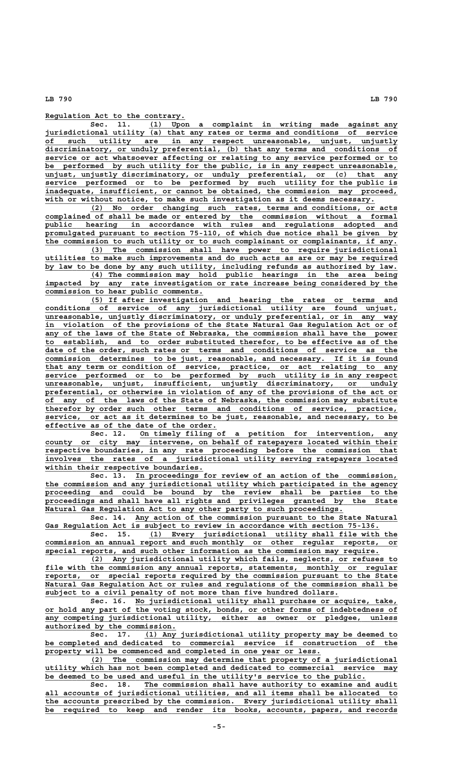**\_\_\_\_\_\_\_\_\_\_\_\_\_\_\_\_\_\_\_\_\_\_\_\_\_\_\_\_\_\_\_ Regulation Act to the contrary.**

 **\_\_\_\_\_\_\_\_\_\_\_\_\_\_\_\_\_\_\_\_\_\_\_\_\_\_\_\_\_\_\_\_\_\_\_\_\_\_\_\_\_\_\_\_\_\_\_\_\_\_\_\_\_\_\_ Sec. 11. (1) Upon a complaint in writing made against any \_\_\_\_\_\_\_\_\_\_\_\_\_\_\_\_\_\_\_\_\_\_\_\_\_\_\_\_\_\_\_\_\_\_\_\_\_\_\_\_\_\_\_\_\_\_\_\_\_\_\_\_\_\_\_\_\_\_\_\_\_\_\_\_\_\_\_\_\_\_\_\_\_\_\_\_\_\_ jurisdictional utility (a) that any rates or terms and conditions of service \_\_\_\_\_\_\_\_\_\_\_\_\_\_\_\_\_\_\_\_\_\_\_\_\_\_\_\_\_\_\_\_\_\_\_\_\_\_\_\_\_\_\_\_\_\_\_\_\_\_\_\_\_\_\_\_\_\_\_\_\_\_\_\_\_\_\_\_\_\_\_\_\_\_\_\_\_\_ of such utility are in any respect unreasonable, unjust, unjustly \_\_\_\_\_\_\_\_\_\_\_\_\_\_\_\_\_\_\_\_\_\_\_\_\_\_\_\_\_\_\_\_\_\_\_\_\_\_\_\_\_\_\_\_\_\_\_\_\_\_\_\_\_\_\_\_\_\_\_\_\_\_\_\_\_\_\_\_\_\_\_\_\_\_\_\_\_\_ discriminatory, or unduly preferential, (b) that any terms and conditions of \_\_\_\_\_\_\_\_\_\_\_\_\_\_\_\_\_\_\_\_\_\_\_\_\_\_\_\_\_\_\_\_\_\_\_\_\_\_\_\_\_\_\_\_\_\_\_\_\_\_\_\_\_\_\_\_\_\_\_\_\_\_\_\_\_\_\_\_\_\_\_\_\_\_\_\_\_\_ service or act whatsoever affecting or relating to any service performed or to \_\_\_\_\_\_\_\_\_\_\_\_\_\_\_\_\_\_\_\_\_\_\_\_\_\_\_\_\_\_\_\_\_\_\_\_\_\_\_\_\_\_\_\_\_\_\_\_\_\_\_\_\_\_\_\_\_\_\_\_\_\_\_\_\_\_\_\_\_\_\_\_\_\_\_\_\_\_ be performed by such utility for the public, is in any respect unreasonable, \_\_\_\_\_\_\_\_\_\_\_\_\_\_\_\_\_\_\_\_\_\_\_\_\_\_\_\_\_\_\_\_\_\_\_\_\_\_\_\_\_\_\_\_\_\_\_\_\_\_\_\_\_\_\_\_\_\_\_\_\_\_\_\_\_\_\_\_\_\_\_\_\_\_\_\_\_\_ unjust, unjustly discriminatory, or unduly preferential, or (c) that any \_\_\_\_\_\_\_\_\_\_\_\_\_\_\_\_\_\_\_\_\_\_\_\_\_\_\_\_\_\_\_\_\_\_\_\_\_\_\_\_\_\_\_\_\_\_\_\_\_\_\_\_\_\_\_\_\_\_\_\_\_\_\_\_\_\_\_\_\_\_\_\_\_\_\_\_\_\_ service performed or to be performed by such utility for the public is \_\_\_\_\_\_\_\_\_\_\_\_\_\_\_\_\_\_\_\_\_\_\_\_\_\_\_\_\_\_\_\_\_\_\_\_\_\_\_\_\_\_\_\_\_\_\_\_\_\_\_\_\_\_\_\_\_\_\_\_\_\_\_\_\_\_\_\_\_\_\_\_\_\_\_\_\_\_ inadequate, insufficient, or cannot be obtained, the commission may proceed,** with or without notice, to make such investigation as it deems necessary.

 **\_\_\_\_\_\_\_\_\_\_\_\_\_\_\_\_\_\_\_\_\_\_\_\_\_\_\_\_\_\_\_\_\_\_\_\_\_\_\_\_\_\_\_\_\_\_\_\_\_\_\_\_\_\_\_\_\_\_\_\_\_\_\_\_\_\_\_\_ (2) No order changing such rates, terms and conditions, or acts \_\_\_\_\_\_\_\_\_\_\_\_\_\_\_\_\_\_\_\_\_\_\_\_\_\_\_\_\_\_\_\_\_\_\_\_\_\_\_\_\_\_\_\_\_\_\_\_\_\_\_\_\_\_\_\_\_\_\_\_\_\_\_\_\_\_\_\_\_\_\_\_\_\_\_\_\_\_ complained of shall be made or entered by the commission without a formal \_\_\_\_\_\_\_\_\_\_\_\_\_\_\_\_\_\_\_\_\_\_\_\_\_\_\_\_\_\_\_\_\_\_\_\_\_\_\_\_\_\_\_\_\_\_\_\_\_\_\_\_\_\_\_\_\_\_\_\_\_\_\_\_\_\_\_\_\_\_\_\_\_\_\_\_\_\_ public hearing in accordance with rules and regulations adopted and \_\_\_\_\_\_\_\_\_\_\_\_\_\_\_\_\_\_\_\_\_\_\_\_\_\_\_\_\_\_\_\_\_\_\_\_\_\_\_\_\_\_\_\_\_\_\_\_\_\_\_\_\_\_\_\_\_\_\_\_\_\_\_\_\_\_\_\_\_\_\_\_\_\_\_\_\_\_ promulgated pursuant to section 75-110, of which due notice shall be given by \_\_\_\_\_\_\_\_\_\_\_\_\_\_\_\_\_\_\_\_\_\_\_\_\_\_\_\_\_\_\_\_\_\_\_\_\_\_\_\_\_\_\_\_\_\_\_\_\_\_\_\_\_\_\_\_\_\_\_\_\_\_\_\_\_\_\_\_\_\_\_\_\_\_\_\_\_\_ the commission to such utility or to such complainant or complainants, if any.**

 **\_\_\_\_\_\_\_\_\_\_\_\_\_\_\_\_\_\_\_\_\_\_\_\_\_\_\_\_\_\_\_\_\_\_\_\_\_\_\_\_\_\_\_\_\_\_\_\_\_\_\_\_\_\_\_\_\_\_\_\_\_\_\_\_\_\_\_\_ (3) The commission shall have power to require jurisdictional \_\_\_\_\_\_\_\_\_\_\_\_\_\_\_\_\_\_\_\_\_\_\_\_\_\_\_\_\_\_\_\_\_\_\_\_\_\_\_\_\_\_\_\_\_\_\_\_\_\_\_\_\_\_\_\_\_\_\_\_\_\_\_\_\_\_\_\_\_\_\_\_\_\_\_\_\_\_ utilities to make such improvements and do such acts as are or may be required** by law to be done by any such utility, including refunds as authorized by law.

 **\_\_\_\_\_\_\_\_\_\_\_\_\_\_\_\_\_\_\_\_\_\_\_\_\_\_\_\_\_\_\_\_\_\_\_\_\_\_\_\_\_\_\_\_\_\_\_\_\_\_\_\_\_\_\_\_\_\_\_\_\_\_\_\_\_\_\_\_ (4) The commission may hold public hearings in the area being \_\_\_\_\_\_\_\_\_\_\_\_\_\_\_\_\_\_\_\_\_\_\_\_\_\_\_\_\_\_\_\_\_\_\_\_\_\_\_\_\_\_\_\_\_\_\_\_\_\_\_\_\_\_\_\_\_\_\_\_\_\_\_\_\_\_\_\_\_\_\_\_\_\_\_\_\_\_ impacted by any rate investigation or rate increase being considered by the \_\_\_\_\_\_\_\_\_\_\_\_\_\_\_\_\_\_\_\_\_\_\_\_\_\_\_\_\_\_\_\_\_\_\_ commission to hear public comments.**

 **\_\_\_\_\_\_\_\_\_\_\_\_\_\_\_\_\_\_\_\_\_\_\_\_\_\_\_\_\_\_\_\_\_\_\_\_\_\_\_\_\_\_\_\_\_\_\_\_\_\_\_\_\_\_\_\_\_\_\_\_\_\_\_\_\_\_\_\_ (5) If after investigation and hearing the rates or terms and \_\_\_\_\_\_\_\_\_\_\_\_\_\_\_\_\_\_\_\_\_\_\_\_\_\_\_\_\_\_\_\_\_\_\_\_\_\_\_\_\_\_\_\_\_\_\_\_\_\_\_\_\_\_\_\_\_\_\_\_\_\_\_\_\_\_\_\_\_\_\_\_\_\_\_\_\_\_ conditions of service of any jurisdictional utility are found unjust, \_\_\_\_\_\_\_\_\_\_\_\_\_\_\_\_\_\_\_\_\_\_\_\_\_\_\_\_\_\_\_\_\_\_\_\_\_\_\_\_\_\_\_\_\_\_\_\_\_\_\_\_\_\_\_\_\_\_\_\_\_\_\_\_\_\_\_\_\_\_\_\_\_\_\_\_\_\_ unreasonable, unjustly discriminatory, or unduly preferential, or in any way \_\_\_\_\_\_\_\_\_\_\_\_\_\_\_\_\_\_\_\_\_\_\_\_\_\_\_\_\_\_\_\_\_\_\_\_\_\_\_\_\_\_\_\_\_\_\_\_\_\_\_\_\_\_\_\_\_\_\_\_\_\_\_\_\_\_\_\_\_\_\_\_\_\_\_\_\_\_ in violation of the provisions of the State Natural Gas Regulation Act or of** any of the laws of the State of Nebraska, the commission shall have the power  **\_\_\_\_\_\_\_\_\_\_\_\_\_\_\_\_\_\_\_\_\_\_\_\_\_\_\_\_\_\_\_\_\_\_\_\_\_\_\_\_\_\_\_\_\_\_\_\_\_\_\_\_\_\_\_\_\_\_\_\_\_\_\_\_\_\_\_\_\_\_\_\_\_\_\_\_\_\_ to establish, and to order substituted therefor, to be effective as of the** date of the order, such rates or terms and conditions of service as the  **\_\_\_\_\_\_\_\_\_\_\_\_\_\_\_\_\_\_\_\_\_\_\_\_\_\_\_\_\_\_\_\_\_\_\_\_\_\_\_\_\_\_\_\_\_\_\_\_\_\_\_\_\_\_\_\_\_\_\_\_\_\_\_\_\_\_\_\_\_\_\_\_\_\_\_\_\_\_ commission determines to be just, reasonable, and necessary. If it is found \_\_\_\_\_\_\_\_\_\_\_\_\_\_\_\_\_\_\_\_\_\_\_\_\_\_\_\_\_\_\_\_\_\_\_\_\_\_\_\_\_\_\_\_\_\_\_\_\_\_\_\_\_\_\_\_\_\_\_\_\_\_\_\_\_\_\_\_\_\_\_\_\_\_\_\_\_\_ that any term or condition of service, practice, or act relating to any \_\_\_\_\_\_\_\_\_\_\_\_\_\_\_\_\_\_\_\_\_\_\_\_\_\_\_\_\_\_\_\_\_\_\_\_\_\_\_\_\_\_\_\_\_\_\_\_\_\_\_\_\_\_\_\_\_\_\_\_\_\_\_\_\_\_\_\_\_\_\_\_\_\_\_\_\_\_ service performed or to be performed by such utility is in any respect \_\_\_\_\_\_\_\_\_\_\_\_\_\_\_\_\_\_\_\_\_\_\_\_\_\_\_\_\_\_\_\_\_\_\_\_\_\_\_\_\_\_\_\_\_\_\_\_\_\_\_\_\_\_\_\_\_\_\_\_\_\_\_\_\_\_\_\_\_\_\_\_\_\_\_\_\_\_ unreasonable, unjust, insufficient, unjustly discriminatory, or unduly \_\_\_\_\_\_\_\_\_\_\_\_\_\_\_\_\_\_\_\_\_\_\_\_\_\_\_\_\_\_\_\_\_\_\_\_\_\_\_\_\_\_\_\_\_\_\_\_\_\_\_\_\_\_\_\_\_\_\_\_\_\_\_\_\_\_\_\_\_\_\_\_\_\_\_\_\_\_ preferential, or otherwise in violation of any of the provisions of the act or \_\_\_\_\_\_\_\_\_\_\_\_\_\_\_\_\_\_\_\_\_\_\_\_\_\_\_\_\_\_\_\_\_\_\_\_\_\_\_\_\_\_\_\_\_\_\_\_\_\_\_\_\_\_\_\_\_\_\_\_\_\_\_\_\_\_\_\_\_\_\_\_\_\_\_\_\_\_ of any of the laws of the State of Nebraska, the commission may substitute \_\_\_\_\_\_\_\_\_\_\_\_\_\_\_\_\_\_\_\_\_\_\_\_\_\_\_\_\_\_\_\_\_\_\_\_\_\_\_\_\_\_\_\_\_\_\_\_\_\_\_\_\_\_\_\_\_\_\_\_\_\_\_\_\_\_\_\_\_\_\_\_\_\_\_\_\_\_ therefor by order such other terms and conditions of service, practice, \_\_\_\_\_\_\_\_\_\_\_\_\_\_\_\_\_\_\_\_\_\_\_\_\_\_\_\_\_\_\_\_\_\_\_\_\_\_\_\_\_\_\_\_\_\_\_\_\_\_\_\_\_\_\_\_\_\_\_\_\_\_\_\_\_\_\_\_\_\_\_\_\_\_\_\_\_\_ service, or act as it determines to be just, reasonable, and necessary, to be \_\_\_\_\_\_\_\_\_\_\_\_\_\_\_\_\_\_\_\_\_\_\_\_\_\_\_\_\_\_\_\_\_\_\_\_\_\_ effective as of the date of the order.**

 **\_\_\_\_\_\_\_\_\_\_\_\_\_\_\_\_\_\_\_\_\_\_\_\_\_\_\_\_\_\_\_\_\_\_\_\_\_\_\_\_\_\_\_\_\_\_\_\_\_\_\_\_\_\_\_\_\_ Sec. 12. On timely filing of a petition for intervention, any** county or city may intervene, on behalf of ratepayers located within their  **\_\_\_\_\_\_\_\_\_\_\_\_\_\_\_\_\_\_\_\_\_\_\_\_\_\_\_\_\_\_\_\_\_\_\_\_\_\_\_\_\_\_\_\_\_\_\_\_\_\_\_\_\_\_\_\_\_\_\_\_\_\_\_\_\_\_\_\_\_\_\_\_\_\_\_\_\_\_ respective boundaries, in any rate proceeding before the commission that \_\_\_\_\_\_\_\_\_\_\_\_\_\_\_\_\_\_\_\_\_\_\_\_\_\_\_\_\_\_\_\_\_\_\_\_\_\_\_\_\_\_\_\_\_\_\_\_\_\_\_\_\_\_\_\_\_\_\_\_\_\_\_\_\_\_\_\_\_\_\_\_\_\_\_\_\_\_ involves the rates of a jurisdictional utility serving ratepayers located \_\_\_\_\_\_\_\_\_\_\_\_\_\_\_\_\_\_\_\_\_\_\_\_\_\_\_\_\_\_\_\_\_\_\_ within their respective boundaries.**

 **\_\_\_\_\_\_\_\_\_\_\_\_\_\_\_\_\_\_\_\_\_\_\_\_\_\_\_\_\_\_\_\_\_\_\_\_\_\_\_\_\_\_\_\_\_\_\_\_\_\_\_\_\_\_\_\_\_\_ Sec. 13. In proceedings for review of an action of the commission, \_\_\_\_\_\_\_\_\_\_\_\_\_\_\_\_\_\_\_\_\_\_\_\_\_\_\_\_\_\_\_\_\_\_\_\_\_\_\_\_\_\_\_\_\_\_\_\_\_\_\_\_\_\_\_\_\_\_\_\_\_\_\_\_\_\_\_\_\_\_\_\_\_\_\_\_\_\_ the commission and any jurisdictional utility which participated in the agency** proceeding and could be bound by the review shall be parties to the  **\_\_\_\_\_\_\_\_\_\_\_\_\_\_\_\_\_\_\_\_\_\_\_\_\_\_\_\_\_\_\_\_\_\_\_\_\_\_\_\_\_\_\_\_\_\_\_\_\_\_\_\_\_\_\_\_\_\_\_\_\_\_\_\_\_\_\_\_\_\_\_\_\_\_\_\_\_\_ proceedings and shall have all rights and privileges granted by the State** Natural Gas Regulation Act to any other party to such proceedings.

Sec. 14. Any action of the commission pursuant to the State Natural  **\_\_\_\_\_\_\_\_\_\_\_\_\_\_\_\_\_\_\_\_\_\_\_\_\_\_\_\_\_\_\_\_\_\_\_\_\_\_\_\_\_\_\_\_\_\_\_\_\_\_\_\_\_\_\_\_\_\_\_\_\_\_\_\_\_\_\_\_\_\_\_\_\_\_ Gas Regulation Act is subject to review in accordance with section 75-136.**

 **\_\_\_\_\_\_\_\_\_\_\_\_\_\_\_\_\_\_\_\_\_\_\_\_\_\_\_\_\_\_\_\_\_\_\_\_\_\_\_\_\_\_\_\_\_\_\_\_\_\_\_\_\_\_\_ Sec. 15. (1) Every jurisdictional utility shall file with the \_\_\_\_\_\_\_\_\_\_\_\_\_\_\_\_\_\_\_\_\_\_\_\_\_\_\_\_\_\_\_\_\_\_\_\_\_\_\_\_\_\_\_\_\_\_\_\_\_\_\_\_\_\_\_\_\_\_\_\_\_\_\_\_\_\_\_\_\_\_\_\_\_\_\_\_\_\_ commission an annual report and such monthly or other regular reports, or \_\_\_\_\_\_\_\_\_\_\_\_\_\_\_\_\_\_\_\_\_\_\_\_\_\_\_\_\_\_\_\_\_\_\_\_\_\_\_\_\_\_\_\_\_\_\_\_\_\_\_\_\_\_\_\_\_\_\_\_\_\_\_\_\_\_\_\_\_\_\_\_\_\_ special reports, and such other information as the commission may require.**

 **\_\_\_\_\_\_\_\_\_\_\_\_\_\_\_\_\_\_\_\_\_\_\_\_\_\_\_\_\_\_\_\_\_\_\_\_\_\_\_\_\_\_\_\_\_\_\_\_\_\_\_\_\_\_\_\_\_\_\_\_\_\_\_\_\_\_\_\_ (2) Any jurisdictional utility which fails, neglects, or refuses to \_\_\_\_\_\_\_\_\_\_\_\_\_\_\_\_\_\_\_\_\_\_\_\_\_\_\_\_\_\_\_\_\_\_\_\_\_\_\_\_\_\_\_\_\_\_\_\_\_\_\_\_\_\_\_\_\_\_\_\_\_\_\_\_\_\_\_\_\_\_\_\_\_\_\_\_\_\_ file with the commission any annual reports, statements, monthly or regular \_\_\_\_\_\_\_\_\_\_\_\_\_\_\_\_\_\_\_\_\_\_\_\_\_\_\_\_\_\_\_\_\_\_\_\_\_\_\_\_\_\_\_\_\_\_\_\_\_\_\_\_\_\_\_\_\_\_\_\_\_\_\_\_\_\_\_\_\_\_\_\_\_\_\_\_\_\_ reports, or special reports required by the commission pursuant to the State** Natural Gas Regulation Act or rules and regulations of the commission shall be  **\_\_\_\_\_\_\_\_\_\_\_\_\_\_\_\_\_\_\_\_\_\_\_\_\_\_\_\_\_\_\_\_\_\_\_\_\_\_\_\_\_\_\_\_\_\_\_\_\_\_\_\_\_\_\_\_\_\_\_\_\_\_\_\_\_ subject to a civil penalty of not more than five hundred dollars.**

 **\_\_\_\_\_\_\_\_\_\_\_\_\_\_\_\_\_\_\_\_\_\_\_\_\_\_\_\_\_\_\_\_\_\_\_\_\_\_\_\_\_\_\_\_\_\_\_\_\_\_\_\_\_\_\_\_\_\_ Sec. 16. No jurisdictional utility shall purchase or acquire, take, \_\_\_\_\_\_\_\_\_\_\_\_\_\_\_\_\_\_\_\_\_\_\_\_\_\_\_\_\_\_\_\_\_\_\_\_\_\_\_\_\_\_\_\_\_\_\_\_\_\_\_\_\_\_\_\_\_\_\_\_\_\_\_\_\_\_\_\_\_\_\_\_\_\_\_\_\_\_ or hold any part of the voting stock, bonds, or other forms of indebtedness of \_\_\_\_\_\_\_\_\_\_\_\_\_\_\_\_\_\_\_\_\_\_\_\_\_\_\_\_\_\_\_\_\_\_\_\_\_\_\_\_\_\_\_\_\_\_\_\_\_\_\_\_\_\_\_\_\_\_\_\_\_\_\_\_\_\_\_\_\_\_\_\_\_\_\_\_\_\_ any competing jurisdictional utility, either as owner or pledgee, unless \_\_\_\_\_\_\_\_\_\_\_\_\_\_\_\_\_\_\_\_\_\_\_\_\_\_\_\_\_ authorized by the commission.**

Sec. 17. (1) Any jurisdictional utility property may be deemed to  **\_\_\_\_\_\_\_\_\_\_\_\_\_\_\_\_\_\_\_\_\_\_\_\_\_\_\_\_\_\_\_\_\_\_\_\_\_\_\_\_\_\_\_\_\_\_\_\_\_\_\_\_\_\_\_\_\_\_\_\_\_\_\_\_\_\_\_\_\_\_\_\_\_\_\_\_\_\_ be completed and dedicated to commercial service if construction of the \_\_\_\_\_\_\_\_\_\_\_\_\_\_\_\_\_\_\_\_\_\_\_\_\_\_\_\_\_\_\_\_\_\_\_\_\_\_\_\_\_\_\_\_\_\_\_\_\_\_\_\_\_\_\_\_\_\_\_\_\_ property will be commenced and completed in one year or less.**

 **\_\_\_\_\_\_\_\_\_\_\_\_\_\_\_\_\_\_\_\_\_\_\_\_\_\_\_\_\_\_\_\_\_\_\_\_\_\_\_\_\_\_\_\_\_\_\_\_\_\_\_\_\_\_\_\_\_\_\_\_\_\_\_\_\_\_\_\_ (2) The commission may determine that property of a jurisdictional \_\_\_\_\_\_\_\_\_\_\_\_\_\_\_\_\_\_\_\_\_\_\_\_\_\_\_\_\_\_\_\_\_\_\_\_\_\_\_\_\_\_\_\_\_\_\_\_\_\_\_\_\_\_\_\_\_\_\_\_\_\_\_\_\_\_\_\_\_\_\_\_\_\_\_\_\_\_ utility which has not been completed and dedicated to commercial service may \_\_\_\_\_\_\_\_\_\_\_\_\_\_\_\_\_\_\_\_\_\_\_\_\_\_\_\_\_\_\_\_\_\_\_\_\_\_\_\_\_\_\_\_\_\_\_\_\_\_\_\_\_\_\_\_\_\_\_\_\_\_\_\_\_\_\_\_\_\_\_ be deemed to be used and useful in the utility's service to the public.**

Sec. 18. The commission shall have authority to examine and audit  **\_\_\_\_\_\_\_\_\_\_\_\_\_\_\_\_\_\_\_\_\_\_\_\_\_\_\_\_\_\_\_\_\_\_\_\_\_\_\_\_\_\_\_\_\_\_\_\_\_\_\_\_\_\_\_\_\_\_\_\_\_\_\_\_\_\_\_\_\_\_\_\_\_\_\_\_\_\_ all accounts of jurisdictional utilities, and all items shall be allocated to \_\_\_\_\_\_\_\_\_\_\_\_\_\_\_\_\_\_\_\_\_\_\_\_\_\_\_\_\_\_\_\_\_\_\_\_\_\_\_\_\_\_\_\_\_\_\_\_\_\_\_\_\_\_\_\_\_\_\_\_\_\_\_\_\_\_\_\_\_\_\_\_\_\_\_\_\_\_ the accounts prescribed by the commission. Every jurisdictional utility shall \_\_\_\_\_\_\_\_\_\_\_\_\_\_\_\_\_\_\_\_\_\_\_\_\_\_\_\_\_\_\_\_\_\_\_\_\_\_\_\_\_\_\_\_\_\_\_\_\_\_\_\_\_\_\_\_\_\_\_\_\_\_\_\_\_\_\_\_\_\_\_\_\_\_\_\_\_\_ be required to keep and render its books, accounts, papers, and records**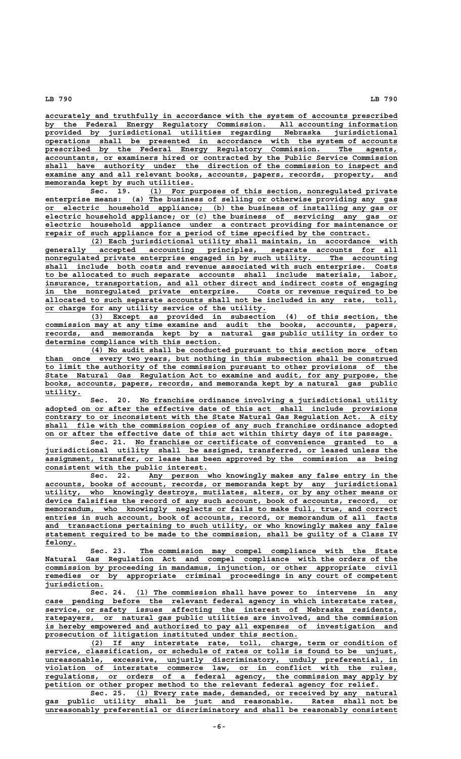**\_\_\_\_\_\_\_\_\_\_\_\_\_\_\_\_\_\_\_\_\_\_\_\_\_\_\_\_\_\_\_\_\_\_\_\_\_\_\_\_\_\_\_\_\_\_\_\_\_\_\_\_\_\_\_\_\_\_\_\_\_\_\_\_\_\_\_\_\_\_\_\_\_\_\_\_\_\_ accurately and truthfully in accordance with the system of accounts prescribed \_\_\_\_\_\_\_\_\_\_\_\_\_\_\_\_\_\_\_\_\_\_\_\_\_\_\_\_\_\_\_\_\_\_\_\_\_\_\_\_\_\_\_\_\_\_\_\_\_\_\_\_\_\_\_\_\_\_\_\_\_\_\_\_\_\_\_\_\_\_\_\_\_\_\_\_\_\_ by the Federal Energy Regulatory Commission. All accounting information \_\_\_\_\_\_\_\_\_\_\_\_\_\_\_\_\_\_\_\_\_\_\_\_\_\_\_\_\_\_\_\_\_\_\_\_\_\_\_\_\_\_\_\_\_\_\_\_\_\_\_\_\_\_\_\_\_\_\_\_\_\_\_\_\_\_\_\_\_\_\_\_\_\_\_\_\_\_ provided by jurisdictional utilities regarding Nebraska jurisdictional \_\_\_\_\_\_\_\_\_\_\_\_\_\_\_\_\_\_\_\_\_\_\_\_\_\_\_\_\_\_\_\_\_\_\_\_\_\_\_\_\_\_\_\_\_\_\_\_\_\_\_\_\_\_\_\_\_\_\_\_\_\_\_\_\_\_\_\_\_\_\_\_\_\_\_\_\_\_ operations shall be presented in accordance with the system of accounts \_\_\_\_\_\_\_\_\_\_\_\_\_\_\_\_\_\_\_\_\_\_\_\_\_\_\_\_\_\_\_\_\_\_\_\_\_\_\_\_\_\_\_\_\_\_\_\_\_\_\_\_\_\_\_\_\_\_\_\_\_\_\_\_\_\_\_\_\_\_\_\_\_\_\_\_\_\_ prescribed by the Federal Energy Regulatory Commission. The agents, \_\_\_\_\_\_\_\_\_\_\_\_\_\_\_\_\_\_\_\_\_\_\_\_\_\_\_\_\_\_\_\_\_\_\_\_\_\_\_\_\_\_\_\_\_\_\_\_\_\_\_\_\_\_\_\_\_\_\_\_\_\_\_\_\_\_\_\_\_\_\_\_\_\_\_\_\_\_ accountants, or examiners hired or contracted by the Public Service Commission \_\_\_\_\_\_\_\_\_\_\_\_\_\_\_\_\_\_\_\_\_\_\_\_\_\_\_\_\_\_\_\_\_\_\_\_\_\_\_\_\_\_\_\_\_\_\_\_\_\_\_\_\_\_\_\_\_\_\_\_\_\_\_\_\_\_\_\_\_\_\_\_\_\_\_\_\_\_ shall have authority under the direction of the commission to inspect and**  $\overline{\text{examine any and all relevant books, accounts, papers, records, property,}$  **\_\_\_\_\_\_\_\_\_\_\_\_\_\_\_\_\_\_\_\_\_\_\_\_\_\_\_\_\_\_\_\_\_ memoranda kept by such utilities.**

 **\_\_\_\_\_\_\_\_\_\_\_\_\_\_\_\_\_\_\_\_\_\_\_\_\_\_\_\_\_\_\_\_\_\_\_\_\_\_\_\_\_\_\_\_\_\_\_\_\_\_\_\_\_\_\_ Sec. 19. (1) For purposes of this section, nonregulated private \_\_\_\_\_\_\_\_\_\_\_\_\_\_\_\_\_\_\_\_\_\_\_\_\_\_\_\_\_\_\_\_\_\_\_\_\_\_\_\_\_\_\_\_\_\_\_\_\_\_\_\_\_\_\_\_\_\_\_\_\_\_\_\_\_\_\_\_\_\_\_\_\_\_\_\_\_\_ enterprise means: (a) The business of selling or otherwise providing any gas \_\_\_\_\_\_\_\_\_\_\_\_\_\_\_\_\_\_\_\_\_\_\_\_\_\_\_\_\_\_\_\_\_\_\_\_\_\_\_\_\_\_\_\_\_\_\_\_\_\_\_\_\_\_\_\_\_\_\_\_\_\_\_\_\_\_\_\_\_\_\_\_\_\_\_\_\_\_ or electric household appliance; (b) the business of installing any gas or \_\_\_\_\_\_\_\_\_\_\_\_\_\_\_\_\_\_\_\_\_\_\_\_\_\_\_\_\_\_\_\_\_\_\_\_\_\_\_\_\_\_\_\_\_\_\_\_\_\_\_\_\_\_\_\_\_\_\_\_\_\_\_\_\_\_\_\_\_\_\_\_\_\_\_\_\_\_ electric household appliance; or (c) the business of servicing any gas or \_\_\_\_\_\_\_\_\_\_\_\_\_\_\_\_\_\_\_\_\_\_\_\_\_\_\_\_\_\_\_\_\_\_\_\_\_\_\_\_\_\_\_\_\_\_\_\_\_\_\_\_\_\_\_\_\_\_\_\_\_\_\_\_\_\_\_\_\_\_\_\_\_\_\_\_\_\_ electric household appliance under a contract providing for maintenance or \_\_\_\_\_\_\_\_\_\_\_\_\_\_\_\_\_\_\_\_\_\_\_\_\_\_\_\_\_\_\_\_\_\_\_\_\_\_\_\_\_\_\_\_\_\_\_\_\_\_\_\_\_\_\_\_\_\_\_\_\_\_\_\_\_\_\_\_\_\_\_\_ repair of such appliance for a period of time specified by the contract.**

 **\_\_\_\_\_\_\_\_\_\_\_\_\_\_\_\_\_\_\_\_\_\_\_\_\_\_\_\_\_\_\_\_\_\_\_\_\_\_\_\_\_\_\_\_\_\_\_\_\_\_\_\_\_\_\_\_\_\_\_\_\_\_\_\_\_\_\_\_ (2) Each jurisdictional utility shall maintain, in accordance with \_\_\_\_\_\_\_\_\_\_\_\_\_\_\_\_\_\_\_\_\_\_\_\_\_\_\_\_\_\_\_\_\_\_\_\_\_\_\_\_\_\_\_\_\_\_\_\_\_\_\_\_\_\_\_\_\_\_\_\_\_\_\_\_\_\_\_\_\_\_\_\_\_\_\_\_\_\_ generally accepted accounting principles, separate accounts for all \_\_\_\_\_\_\_\_\_\_\_\_\_\_\_\_\_\_\_\_\_\_\_\_\_\_\_\_\_\_\_\_\_\_\_\_\_\_\_\_\_\_\_\_\_\_\_\_\_\_\_\_\_\_\_\_\_\_\_\_\_\_\_\_\_\_\_\_\_\_\_\_\_\_\_\_\_\_ nonregulated private enterprise engaged in by such utility. The accounting \_\_\_\_\_\_\_\_\_\_\_\_\_\_\_\_\_\_\_\_\_\_\_\_\_\_\_\_\_\_\_\_\_\_\_\_\_\_\_\_\_\_\_\_\_\_\_\_\_\_\_\_\_\_\_\_\_\_\_\_\_\_\_\_\_\_\_\_\_\_\_\_\_\_\_\_\_\_ shall include both costs and revenue associated with such enterprise. Costs \_\_\_\_\_\_\_\_\_\_\_\_\_\_\_\_\_\_\_\_\_\_\_\_\_\_\_\_\_\_\_\_\_\_\_\_\_\_\_\_\_\_\_\_\_\_\_\_\_\_\_\_\_\_\_\_\_\_\_\_\_\_\_\_\_\_\_\_\_\_\_\_\_\_\_\_\_\_ to be allocated to such separate accounts shall include materials, labor, \_\_\_\_\_\_\_\_\_\_\_\_\_\_\_\_\_\_\_\_\_\_\_\_\_\_\_\_\_\_\_\_\_\_\_\_\_\_\_\_\_\_\_\_\_\_\_\_\_\_\_\_\_\_\_\_\_\_\_\_\_\_\_\_\_\_\_\_\_\_\_\_\_\_\_\_\_\_ insurance, transportation, and all other direct and indirect costs of engaging \_\_\_\_\_\_\_\_\_\_\_\_\_\_\_\_\_\_\_\_\_\_\_\_\_\_\_\_\_\_\_\_\_\_\_\_\_\_\_\_\_\_\_\_\_\_\_\_\_\_\_\_\_\_\_\_\_\_\_\_\_\_\_\_\_\_\_\_\_\_\_\_\_\_\_\_\_\_ in the nonregulated private enterprise. Costs or revenue required to be \_\_\_\_\_\_\_\_\_\_\_\_\_\_\_\_\_\_\_\_\_\_\_\_\_\_\_\_\_\_\_\_\_\_\_\_\_\_\_\_\_\_\_\_\_\_\_\_\_\_\_\_\_\_\_\_\_\_\_\_\_\_\_\_\_\_\_\_\_\_\_\_\_\_\_\_\_\_ allocated to such separate accounts shall not be included in any rate, toll, \_\_\_\_\_\_\_\_\_\_\_\_\_\_\_\_\_\_\_\_\_\_\_\_\_\_\_\_\_\_\_\_\_\_\_\_\_\_\_\_\_\_\_\_\_\_\_\_\_ or charge for any utility service of the utility.**

 **\_\_\_\_\_\_\_\_\_\_\_\_\_\_\_\_\_\_\_\_\_\_\_\_\_\_\_\_\_\_\_\_\_\_\_\_\_\_\_\_\_\_\_\_\_\_\_\_\_\_\_\_\_\_\_\_\_\_\_\_\_\_\_\_\_\_\_\_ (3) Except as provided in subsection (4) of this section, the \_\_\_\_\_\_\_\_\_\_\_\_\_\_\_\_\_\_\_\_\_\_\_\_\_\_\_\_\_\_\_\_\_\_\_\_\_\_\_\_\_\_\_\_\_\_\_\_\_\_\_\_\_\_\_\_\_\_\_\_\_\_\_\_\_\_\_\_\_\_\_\_\_\_\_\_\_\_ commission may at any time examine and audit the books, accounts, papers, \_\_\_\_\_\_\_\_\_\_\_\_\_\_\_\_\_\_\_\_\_\_\_\_\_\_\_\_\_\_\_\_\_\_\_\_\_\_\_\_\_\_\_\_\_\_\_\_\_\_\_\_\_\_\_\_\_\_\_\_\_\_\_\_\_\_\_\_\_\_\_\_\_\_\_\_\_\_ records, and memoranda kept by a natural gas public utility in order to \_\_\_\_\_\_\_\_\_\_\_\_\_\_\_\_\_\_\_\_\_\_\_\_\_\_\_\_\_\_\_\_\_\_\_\_\_\_\_ determine compliance with this section.**

 **\_\_\_\_\_\_\_\_\_\_\_\_\_\_\_\_\_\_\_\_\_\_\_\_\_\_\_\_\_\_\_\_\_\_\_\_\_\_\_\_\_\_\_\_\_\_\_\_\_\_\_\_\_\_\_\_\_\_\_\_\_\_\_\_\_\_\_\_ (4) No audit shall be conducted pursuant to this section more often \_\_\_\_\_\_\_\_\_\_\_\_\_\_\_\_\_\_\_\_\_\_\_\_\_\_\_\_\_\_\_\_\_\_\_\_\_\_\_\_\_\_\_\_\_\_\_\_\_\_\_\_\_\_\_\_\_\_\_\_\_\_\_\_\_\_\_\_\_\_\_\_\_\_\_\_\_\_ than once every two years, but nothing in this subsection shall be construed \_\_\_\_\_\_\_\_\_\_\_\_\_\_\_\_\_\_\_\_\_\_\_\_\_\_\_\_\_\_\_\_\_\_\_\_\_\_\_\_\_\_\_\_\_\_\_\_\_\_\_\_\_\_\_\_\_\_\_\_\_\_\_\_\_\_\_\_\_\_\_\_\_\_\_\_\_\_ to limit the authority of the commission pursuant to other provisions of the \_\_\_\_\_\_\_\_\_\_\_\_\_\_\_\_\_\_\_\_\_\_\_\_\_\_\_\_\_\_\_\_\_\_\_\_\_\_\_\_\_\_\_\_\_\_\_\_\_\_\_\_\_\_\_\_\_\_\_\_\_\_\_\_\_\_\_\_\_\_\_\_\_\_\_\_\_\_ State Natural Gas Regulation Act to examine and audit, for any purpose, the \_\_\_\_\_\_\_\_\_\_\_\_\_\_\_\_\_\_\_\_\_\_\_\_\_\_\_\_\_\_\_\_\_\_\_\_\_\_\_\_\_\_\_\_\_\_\_\_\_\_\_\_\_\_\_\_\_\_\_\_\_\_\_\_\_\_\_\_\_\_\_\_\_\_\_\_\_\_ books, accounts, papers, records, and memoranda kept by a natural gas public utility. \_\_\_\_\_\_\_\_**

 **\_\_\_\_\_\_\_\_\_\_\_\_\_\_\_\_\_\_\_\_\_\_\_\_\_\_\_\_\_\_\_\_\_\_\_\_\_\_\_\_\_\_\_\_\_\_\_\_\_\_\_\_\_\_\_\_\_ Sec. 20. No franchise ordinance involving a jurisdictional utility \_\_\_\_\_\_\_\_\_\_\_\_\_\_\_\_\_\_\_\_\_\_\_\_\_\_\_\_\_\_\_\_\_\_\_\_\_\_\_\_\_\_\_\_\_\_\_\_\_\_\_\_\_\_\_\_\_\_\_\_\_\_\_\_\_\_\_\_\_\_\_\_\_\_\_\_\_\_ adopted on or after the effective date of this act shall include provisions \_\_\_\_\_\_\_\_\_\_\_\_\_\_\_\_\_\_\_\_\_\_\_\_\_\_\_\_\_\_\_\_\_\_\_\_\_\_\_\_\_\_\_\_\_\_\_\_\_\_\_\_\_\_\_\_\_\_\_\_\_\_\_\_\_\_\_\_\_\_\_\_\_\_\_\_\_\_ contrary to or inconsistent with the State Natural Gas Regulation Act. A city \_\_\_\_\_\_\_\_\_\_\_\_\_\_\_\_\_\_\_\_\_\_\_\_\_\_\_\_\_\_\_\_\_\_\_\_\_\_\_\_\_\_\_\_\_\_\_\_\_\_\_\_\_\_\_\_\_\_\_\_\_\_\_\_\_\_\_\_\_\_\_\_\_\_\_\_\_\_ shall file with the commission copies of any such franchise ordinance adopted \_\_\_\_\_\_\_\_\_\_\_\_\_\_\_\_\_\_\_\_\_\_\_\_\_\_\_\_\_\_\_\_\_\_\_\_\_\_\_\_\_\_\_\_\_\_\_\_\_\_\_\_\_\_\_\_\_\_\_\_\_\_\_\_\_\_\_\_\_\_\_\_\_\_\_\_\_ on or after the effective date of this act within thirty days of its passage.**

 **\_\_\_\_\_\_\_\_\_\_\_\_\_\_\_\_\_\_\_\_\_\_\_\_\_\_\_\_\_\_\_\_\_\_\_\_\_\_\_\_\_\_\_\_\_\_\_\_\_\_\_\_\_\_\_\_\_\_ Sec. 21. No franchise or certificate of convenience granted to a \_\_\_\_\_\_\_\_\_\_\_\_\_\_\_\_\_\_\_\_\_\_\_\_\_\_\_\_\_\_\_\_\_\_\_\_\_\_\_\_\_\_\_\_\_\_\_\_\_\_\_\_\_\_\_\_\_\_\_\_\_\_\_\_\_\_\_\_\_\_\_\_\_\_\_\_\_\_ jurisdictional utility shall be assigned, transferred, or leased unless the \_\_\_\_\_\_\_\_\_\_\_\_\_\_\_\_\_\_\_\_\_\_\_\_\_\_\_\_\_\_\_\_\_\_\_\_\_\_\_\_\_\_\_\_\_\_\_\_\_\_\_\_\_\_\_\_\_\_\_\_\_\_\_\_\_\_\_\_\_\_\_\_\_\_\_\_\_\_ assignment, transfer, or lease has been approved by the commission as being \_\_\_\_\_\_\_\_\_\_\_\_\_\_\_\_\_\_\_\_\_\_\_\_\_\_\_\_\_\_\_\_\_\_\_\_ consistent with the public interest.**

 **\_\_\_\_\_\_\_\_\_\_\_\_\_\_\_\_\_\_\_\_\_\_\_\_\_\_\_\_\_\_\_\_\_\_\_\_\_\_\_\_\_\_\_\_\_\_\_\_\_\_\_\_\_\_\_ Sec. 22. Any person who knowingly makes any false entry in the \_\_\_\_\_\_\_\_\_\_\_\_\_\_\_\_\_\_\_\_\_\_\_\_\_\_\_\_\_\_\_\_\_\_\_\_\_\_\_\_\_\_\_\_\_\_\_\_\_\_\_\_\_\_\_\_\_\_\_\_\_\_\_\_\_\_\_\_\_\_\_\_\_\_\_\_\_\_ accounts, books of account, records, or memoranda kept by any jurisdictional \_\_\_\_\_\_\_\_\_\_\_\_\_\_\_\_\_\_\_\_\_\_\_\_\_\_\_\_\_\_\_\_\_\_\_\_\_\_\_\_\_\_\_\_\_\_\_\_\_\_\_\_\_\_\_\_\_\_\_\_\_\_\_\_\_\_\_\_\_\_\_\_\_\_\_\_\_\_ utility, who knowingly destroys, mutilates, alters, or by any other means or** device falsifies the record of any such account, book of accounts, record, or  $m$ emorandum, who knowingly neglects or fails to make full, true, and correct entries in such account, book of accounts, record, or memorandum of all facts  **\_\_\_\_\_\_\_\_\_\_\_\_\_\_\_\_\_\_\_\_\_\_\_\_\_\_\_\_\_\_\_\_\_\_\_\_\_\_\_\_\_\_\_\_\_\_\_\_\_\_\_\_\_\_\_\_\_\_\_\_\_\_\_\_\_\_\_\_\_\_\_\_\_\_\_\_\_\_ and transactions pertaining to such utility, or who knowingly makes any false \_\_\_\_\_\_\_\_\_\_\_\_\_\_\_\_\_\_\_\_\_\_\_\_\_\_\_\_\_\_\_\_\_\_\_\_\_\_\_\_\_\_\_\_\_\_\_\_\_\_\_\_\_\_\_\_\_\_\_\_\_\_\_\_\_\_\_\_\_\_\_\_\_\_\_\_\_\_ statement required to be made to the commission, shall be guilty of a Class IV felony. \_\_\_\_\_\_\_**

 **\_\_\_\_\_\_\_\_\_\_\_\_\_\_\_\_\_\_\_\_\_\_\_\_\_\_\_\_\_\_\_\_\_\_\_\_\_\_\_\_\_\_\_\_\_\_\_\_\_\_\_\_\_\_\_\_\_ Sec. 23. The commission may compel compliance with the State \_\_\_\_\_\_\_\_\_\_\_\_\_\_\_\_\_\_\_\_\_\_\_\_\_\_\_\_\_\_\_\_\_\_\_\_\_\_\_\_\_\_\_\_\_\_\_\_\_\_\_\_\_\_\_\_\_\_\_\_\_\_\_\_\_\_\_\_\_\_\_\_\_\_\_\_\_\_ Natural Gas Regulation Act and compel compliance with the orders of the \_\_\_\_\_\_\_\_\_\_\_\_\_\_\_\_\_\_\_\_\_\_\_\_\_\_\_\_\_\_\_\_\_\_\_\_\_\_\_\_\_\_\_\_\_\_\_\_\_\_\_\_\_\_\_\_\_\_\_\_\_\_\_\_\_\_\_\_\_\_\_\_\_\_\_\_\_\_ commission by proceeding in mandamus, injunction, or other appropriate civil \_\_\_\_\_\_\_\_\_\_\_\_\_\_\_\_\_\_\_\_\_\_\_\_\_\_\_\_\_\_\_\_\_\_\_\_\_\_\_\_\_\_\_\_\_\_\_\_\_\_\_\_\_\_\_\_\_\_\_\_\_\_\_\_\_\_\_\_\_\_\_\_\_\_\_\_\_\_ remedies or by appropriate criminal proceedings in any court of competent jurisdiction. \_\_\_\_\_\_\_\_\_\_\_\_\_**

Sec. 24. (1) The commission shall have power to intervene in any  **\_\_\_\_\_\_\_\_\_\_\_\_\_\_\_\_\_\_\_\_\_\_\_\_\_\_\_\_\_\_\_\_\_\_\_\_\_\_\_\_\_\_\_\_\_\_\_\_\_\_\_\_\_\_\_\_\_\_\_\_\_\_\_\_\_\_\_\_\_\_\_\_\_\_\_\_\_\_ case pending before the relevant federal agency in which interstate rates, \_\_\_\_\_\_\_\_\_\_\_\_\_\_\_\_\_\_\_\_\_\_\_\_\_\_\_\_\_\_\_\_\_\_\_\_\_\_\_\_\_\_\_\_\_\_\_\_\_\_\_\_\_\_\_\_\_\_\_\_\_\_\_\_\_\_\_\_\_\_\_\_\_\_\_\_\_\_ service, or safety issues affecting the interest of Nebraska residents, \_\_\_\_\_\_\_\_\_\_\_\_\_\_\_\_\_\_\_\_\_\_\_\_\_\_\_\_\_\_\_\_\_\_\_\_\_\_\_\_\_\_\_\_\_\_\_\_\_\_\_\_\_\_\_\_\_\_\_\_\_\_\_\_\_\_\_\_\_\_\_\_\_\_\_\_\_\_ ratepayers, or natural gas public utilities are involved, and the commission \_\_\_\_\_\_\_\_\_\_\_\_\_\_\_\_\_\_\_\_\_\_\_\_\_\_\_\_\_\_\_\_\_\_\_\_\_\_\_\_\_\_\_\_\_\_\_\_\_\_\_\_\_\_\_\_\_\_\_\_\_\_\_\_\_\_\_\_\_\_\_\_\_\_\_\_\_\_ is hereby empowered and authorized to pay all expenses of investigation and \_\_\_\_\_\_\_\_\_\_\_\_\_\_\_\_\_\_\_\_\_\_\_\_\_\_\_\_\_\_\_\_\_\_\_\_\_\_\_\_\_\_\_\_\_\_\_\_\_\_\_\_\_\_\_\_ prosecution of litigation instituted under this section.**

 **\_\_\_\_\_\_\_\_\_\_\_\_\_\_\_\_\_\_\_\_\_\_\_\_\_\_\_\_\_\_\_\_\_\_\_\_\_\_\_\_\_\_\_\_\_\_\_\_\_\_\_\_\_\_\_\_\_\_\_\_\_\_\_\_\_\_\_\_ (2) If any interstate rate, toll, charge, term or condition of \_\_\_\_\_\_\_\_\_\_\_\_\_\_\_\_\_\_\_\_\_\_\_\_\_\_\_\_\_\_\_\_\_\_\_\_\_\_\_\_\_\_\_\_\_\_\_\_\_\_\_\_\_\_\_\_\_\_\_\_\_\_\_\_\_\_\_\_\_\_\_\_\_\_\_\_\_\_ service, classification, or schedule of rates or tolls is found to be unjust, \_\_\_\_\_\_\_\_\_\_\_\_\_\_\_\_\_\_\_\_\_\_\_\_\_\_\_\_\_\_\_\_\_\_\_\_\_\_\_\_\_\_\_\_\_\_\_\_\_\_\_\_\_\_\_\_\_\_\_\_\_\_\_\_\_\_\_\_\_\_\_\_\_\_\_\_\_\_ unreasonable, excessive, unjustly discriminatory, unduly preferential, in \_\_\_\_\_\_\_\_\_\_\_\_\_\_\_\_\_\_\_\_\_\_\_\_\_\_\_\_\_\_\_\_\_\_\_\_\_\_\_\_\_\_\_\_\_\_\_\_\_\_\_\_\_\_\_\_\_\_\_\_\_\_\_\_\_\_\_\_\_\_\_\_\_\_\_\_\_\_ violation of interstate commerce law, or in conflict with the rules, \_\_\_\_\_\_\_\_\_\_\_\_\_\_\_\_\_\_\_\_\_\_\_\_\_\_\_\_\_\_\_\_\_\_\_\_\_\_\_\_\_\_\_\_\_\_\_\_\_\_\_\_\_\_\_\_\_\_\_\_\_\_\_\_\_\_\_\_\_\_\_\_\_\_\_\_\_\_ regulations, or orders of a federal agency, the commission may apply by** petition or other proper method to the relevant federal agency for relief.

 **\_\_\_\_\_\_\_\_\_\_\_\_\_\_\_\_\_\_\_\_\_\_\_\_\_\_\_\_\_\_\_\_\_\_\_\_\_\_\_\_\_\_\_\_\_\_\_\_\_\_\_\_\_\_\_\_\_\_ Sec. 25. (1) Every rate made, demanded, or received by any natural \_\_\_\_\_\_\_\_\_\_\_\_\_\_\_\_\_\_\_\_\_\_\_\_\_\_\_\_\_\_\_\_\_\_\_\_\_\_\_\_\_\_\_\_\_\_\_\_\_\_\_\_\_\_\_\_\_\_\_\_\_\_\_\_\_\_\_\_\_\_\_\_\_\_\_\_\_\_ gas public utility shall be just and reasonable. Rates shall not be \_\_\_\_\_\_\_\_\_\_\_\_\_\_\_\_\_\_\_\_\_\_\_\_\_\_\_\_\_\_\_\_\_\_\_\_\_\_\_\_\_\_\_\_\_\_\_\_\_\_\_\_\_\_\_\_\_\_\_\_\_\_\_\_\_\_\_\_\_\_\_\_\_\_\_\_\_\_ unreasonably preferential or discriminatory and shall be reasonably consistent**

 **-6-**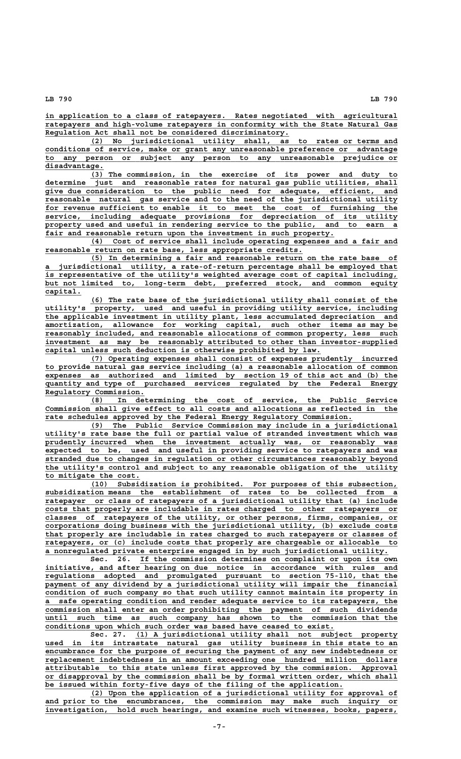**\_\_\_\_\_\_\_\_\_\_\_\_\_\_\_\_\_\_\_\_\_\_\_\_\_\_\_\_\_\_\_\_\_\_\_\_\_\_\_\_\_\_\_\_\_\_\_\_\_\_\_\_\_\_\_\_\_\_\_\_\_\_\_\_\_\_\_\_\_\_\_\_\_\_\_\_\_\_ in application to a class of ratepayers. Rates negotiated with agricultural \_\_\_\_\_\_\_\_\_\_\_\_\_\_\_\_\_\_\_\_\_\_\_\_\_\_\_\_\_\_\_\_\_\_\_\_\_\_\_\_\_\_\_\_\_\_\_\_\_\_\_\_\_\_\_\_\_\_\_\_\_\_\_\_\_\_\_\_\_\_\_\_\_\_\_\_\_\_ ratepayers and high-volume ratepayers in conformity with the State Natural Gas \_\_\_\_\_\_\_\_\_\_\_\_\_\_\_\_\_\_\_\_\_\_\_\_\_\_\_\_\_\_\_\_\_\_\_\_\_\_\_\_\_\_\_\_\_\_\_\_\_\_\_\_\_\_ Regulation Act shall not be considered discriminatory.**

 **\_\_\_\_\_\_\_\_\_\_\_\_\_\_\_\_\_\_\_\_\_\_\_\_\_\_\_\_\_\_\_\_\_\_\_\_\_\_\_\_\_\_\_\_\_\_\_\_\_\_\_\_\_\_\_\_\_\_\_\_\_\_\_\_\_\_\_\_ (2) No jurisdictional utility shall, as to rates or terms and \_\_\_\_\_\_\_\_\_\_\_\_\_\_\_\_\_\_\_\_\_\_\_\_\_\_\_\_\_\_\_\_\_\_\_\_\_\_\_\_\_\_\_\_\_\_\_\_\_\_\_\_\_\_\_\_\_\_\_\_\_\_\_\_\_\_\_\_\_\_\_\_\_\_\_\_\_\_ conditions of service, make or grant any unreasonable preference or advantage \_\_\_\_\_\_\_\_\_\_\_\_\_\_\_\_\_\_\_\_\_\_\_\_\_\_\_\_\_\_\_\_\_\_\_\_\_\_\_\_\_\_\_\_\_\_\_\_\_\_\_\_\_\_\_\_\_\_\_\_\_\_\_\_\_\_\_\_\_\_\_\_\_\_\_\_\_\_ to any person or subject any person to any unreasonable prejudice or disadvantage. \_\_\_\_\_\_\_\_\_\_\_\_\_**

 **\_\_\_\_\_\_\_\_\_\_\_\_\_\_\_\_\_\_\_\_\_\_\_\_\_\_\_\_\_\_\_\_\_\_\_\_\_\_\_\_\_\_\_\_\_\_\_\_\_\_\_\_\_\_\_\_\_\_\_\_\_\_\_\_\_\_\_\_ (3) The commission, in the exercise of its power and duty to \_\_\_\_\_\_\_\_\_\_\_\_\_\_\_\_\_\_\_\_\_\_\_\_\_\_\_\_\_\_\_\_\_\_\_\_\_\_\_\_\_\_\_\_\_\_\_\_\_\_\_\_\_\_\_\_\_\_\_\_\_\_\_\_\_\_\_\_\_\_\_\_\_\_\_\_\_\_ determine just and reasonable rates for natural gas public utilities, shall \_\_\_\_\_\_\_\_\_\_\_\_\_\_\_\_\_\_\_\_\_\_\_\_\_\_\_\_\_\_\_\_\_\_\_\_\_\_\_\_\_\_\_\_\_\_\_\_\_\_\_\_\_\_\_\_\_\_\_\_\_\_\_\_\_\_\_\_\_\_\_\_\_\_\_\_\_\_ give due consideration to the public need for adequate, efficient, and reasonable natural gas service and to the need of the jurisdictional utility \_\_\_\_\_\_\_\_\_\_\_\_\_\_\_\_\_\_\_\_\_\_\_\_\_\_\_\_\_\_\_\_\_\_\_\_\_\_\_\_\_\_\_\_\_\_\_\_\_\_\_\_\_\_\_\_\_\_\_\_\_\_\_\_\_\_\_\_\_\_\_\_\_\_\_\_\_\_ for revenue sufficient to enable it to meet the cost of furnishing the \_\_\_\_\_\_\_\_\_\_\_\_\_\_\_\_\_\_\_\_\_\_\_\_\_\_\_\_\_\_\_\_\_\_\_\_\_\_\_\_\_\_\_\_\_\_\_\_\_\_\_\_\_\_\_\_\_\_\_\_\_\_\_\_\_\_\_\_\_\_\_\_\_\_\_\_\_\_ service, including adequate provisions for depreciation of its utility \_\_\_\_\_\_\_\_\_\_\_\_\_\_\_\_\_\_\_\_\_\_\_\_\_\_\_\_\_\_\_\_\_\_\_\_\_\_\_\_\_\_\_\_\_\_\_\_\_\_\_\_\_\_\_\_\_\_\_\_\_\_\_\_\_\_\_\_\_\_\_\_\_\_\_\_\_\_ property used and useful in rendering service to the public, and to earn a** fair and reasonable return upon the investment in such property.

 **\_\_\_\_\_\_\_\_\_\_\_\_\_\_\_\_\_\_\_\_\_\_\_\_\_\_\_\_\_\_\_\_\_\_\_\_\_\_\_\_\_\_\_\_\_\_\_\_\_\_\_\_\_\_\_\_\_\_\_\_\_\_\_\_\_\_\_\_ (4) Cost of service shall include operating expenses and a fair and \_\_\_\_\_\_\_\_\_\_\_\_\_\_\_\_\_\_\_\_\_\_\_\_\_\_\_\_\_\_\_\_\_\_\_\_\_\_\_\_\_\_\_\_\_\_\_\_\_\_\_\_\_\_\_\_\_ reasonable return on rate base, less appropriate credits.**

 **\_\_\_\_\_\_\_\_\_\_\_\_\_\_\_\_\_\_\_\_\_\_\_\_\_\_\_\_\_\_\_\_\_\_\_\_\_\_\_\_\_\_\_\_\_\_\_\_\_\_\_\_\_\_\_\_\_\_\_\_\_\_\_\_\_\_\_\_ (5) In determining a fair and reasonable return on the rate base of \_\_\_\_\_\_\_\_\_\_\_\_\_\_\_\_\_\_\_\_\_\_\_\_\_\_\_\_\_\_\_\_\_\_\_\_\_\_\_\_\_\_\_\_\_\_\_\_\_\_\_\_\_\_\_\_\_\_\_\_\_\_\_\_\_\_\_\_\_\_\_\_\_\_\_\_\_\_ a jurisdictional utility, a rate-of-return percentage shall be employed that \_\_\_\_\_\_\_\_\_\_\_\_\_\_\_\_\_\_\_\_\_\_\_\_\_\_\_\_\_\_\_\_\_\_\_\_\_\_\_\_\_\_\_\_\_\_\_\_\_\_\_\_\_\_\_\_\_\_\_\_\_\_\_\_\_\_\_\_\_\_\_\_\_\_\_\_\_\_ is representative of the utility's weighted average cost of capital including, \_\_\_\_\_\_\_\_\_\_\_\_\_\_\_\_\_\_\_\_\_\_\_\_\_\_\_\_\_\_\_\_\_\_\_\_\_\_\_\_\_\_\_\_\_\_\_\_\_\_\_\_\_\_\_\_\_\_\_\_\_\_\_\_\_\_\_\_\_\_\_\_\_\_\_\_\_\_ but not limited to, long-term debt, preferred stock, and common equity capital. \_\_\_\_\_\_\_\_**

 **\_\_\_\_\_\_\_\_\_\_\_\_\_\_\_\_\_\_\_\_\_\_\_\_\_\_\_\_\_\_\_\_\_\_\_\_\_\_\_\_\_\_\_\_\_\_\_\_\_\_\_\_\_\_\_\_\_\_\_\_\_\_\_\_\_\_\_\_ (6) The rate base of the jurisdictional utility shall consist of the \_\_\_\_\_\_\_\_\_\_\_\_\_\_\_\_\_\_\_\_\_\_\_\_\_\_\_\_\_\_\_\_\_\_\_\_\_\_\_\_\_\_\_\_\_\_\_\_\_\_\_\_\_\_\_\_\_\_\_\_\_\_\_\_\_\_\_\_\_\_\_\_\_\_\_\_\_\_ utility's property, used and useful in providing utility service, including \_\_\_\_\_\_\_\_\_\_\_\_\_\_\_\_\_\_\_\_\_\_\_\_\_\_\_\_\_\_\_\_\_\_\_\_\_\_\_\_\_\_\_\_\_\_\_\_\_\_\_\_\_\_\_\_\_\_\_\_\_\_\_\_\_\_\_\_\_\_\_\_\_\_\_\_\_\_ the applicable investment in utility plant, less accumulated depreciation and \_\_\_\_\_\_\_\_\_\_\_\_\_\_\_\_\_\_\_\_\_\_\_\_\_\_\_\_\_\_\_\_\_\_\_\_\_\_\_\_\_\_\_\_\_\_\_\_\_\_\_\_\_\_\_\_\_\_\_\_\_\_\_\_\_\_\_\_\_\_\_\_\_\_\_\_\_\_ amortization, allowance for working capital, such other items as may be \_\_\_\_\_\_\_\_\_\_\_\_\_\_\_\_\_\_\_\_\_\_\_\_\_\_\_\_\_\_\_\_\_\_\_\_\_\_\_\_\_\_\_\_\_\_\_\_\_\_\_\_\_\_\_\_\_\_\_\_\_\_\_\_\_\_\_\_\_\_\_\_\_\_\_\_\_\_ reasonably included, and reasonable allocations of common property, less such \_\_\_\_\_\_\_\_\_\_\_\_\_\_\_\_\_\_\_\_\_\_\_\_\_\_\_\_\_\_\_\_\_\_\_\_\_\_\_\_\_\_\_\_\_\_\_\_\_\_\_\_\_\_\_\_\_\_\_\_\_\_\_\_\_\_\_\_\_\_\_\_\_\_\_\_\_\_ investment as may be reasonably attributed to other than investor-supplied \_\_\_\_\_\_\_\_\_\_\_\_\_\_\_\_\_\_\_\_\_\_\_\_\_\_\_\_\_\_\_\_\_\_\_\_\_\_\_\_\_\_\_\_\_\_\_\_\_\_\_\_\_\_\_\_\_\_\_\_\_ capital unless such deduction is otherwise prohibited by law.**

 **\_\_\_\_\_\_\_\_\_\_\_\_\_\_\_\_\_\_\_\_\_\_\_\_\_\_\_\_\_\_\_\_\_\_\_\_\_\_\_\_\_\_\_\_\_\_\_\_\_\_\_\_\_\_\_\_\_\_\_\_\_\_\_\_\_\_\_\_ (7) Operating expenses shall consist of expenses prudently incurred \_\_\_\_\_\_\_\_\_\_\_\_\_\_\_\_\_\_\_\_\_\_\_\_\_\_\_\_\_\_\_\_\_\_\_\_\_\_\_\_\_\_\_\_\_\_\_\_\_\_\_\_\_\_\_\_\_\_\_\_\_\_\_\_\_\_\_\_\_\_\_\_\_\_\_\_\_\_ to provide natural gas service including (a) a reasonable allocation of common \_\_\_\_\_\_\_\_\_\_\_\_\_\_\_\_\_\_\_\_\_\_\_\_\_\_\_\_\_\_\_\_\_\_\_\_\_\_\_\_\_\_\_\_\_\_\_\_\_\_\_\_\_\_\_\_\_\_\_\_\_\_\_\_\_\_\_\_\_\_\_\_\_\_\_\_\_\_ expenses as authorized and limited by section 19 of this act and (b) the \_\_\_\_\_\_\_\_\_\_\_\_\_\_\_\_\_\_\_\_\_\_\_\_\_\_\_\_\_\_\_\_\_\_\_\_\_\_\_\_\_\_\_\_\_\_\_\_\_\_\_\_\_\_\_\_\_\_\_\_\_\_\_\_\_\_\_\_\_\_\_\_\_\_\_\_\_\_ quantity and type of purchased services regulated by the Federal Energy Regulatory Commission. \_\_\_\_\_\_\_\_\_\_\_\_\_\_\_\_\_\_\_\_\_\_**

 **\_\_\_\_\_\_\_\_\_\_\_\_\_\_\_\_\_\_\_\_\_\_\_\_\_\_\_\_\_\_\_\_\_\_\_\_\_\_\_\_\_\_\_\_\_\_\_\_\_\_\_\_\_\_\_\_\_\_\_\_\_\_\_\_\_\_\_\_ (8) In determining the cost of service, the Public Service \_\_\_\_\_\_\_\_\_\_\_\_\_\_\_\_\_\_\_\_\_\_\_\_\_\_\_\_\_\_\_\_\_\_\_\_\_\_\_\_\_\_\_\_\_\_\_\_\_\_\_\_\_\_\_\_\_\_\_\_\_\_\_\_\_\_\_\_\_\_\_\_\_\_\_\_\_\_ Commission shall give effect to all costs and allocations as reflected in the** rate schedules approved by the Federal Energy Regulatory Commission.

 **\_\_\_\_\_\_\_\_\_\_\_\_\_\_\_\_\_\_\_\_\_\_\_\_\_\_\_\_\_\_\_\_\_\_\_\_\_\_\_\_\_\_\_\_\_\_\_\_\_\_\_\_\_\_\_\_\_\_\_\_\_\_\_\_\_\_\_\_ (9) The Public Service Commission may include in a jurisdictional \_\_\_\_\_\_\_\_\_\_\_\_\_\_\_\_\_\_\_\_\_\_\_\_\_\_\_\_\_\_\_\_\_\_\_\_\_\_\_\_\_\_\_\_\_\_\_\_\_\_\_\_\_\_\_\_\_\_\_\_\_\_\_\_\_\_\_\_\_\_\_\_\_\_\_\_\_\_ utility's rate base the full or partial value of stranded investment which was \_\_\_\_\_\_\_\_\_\_\_\_\_\_\_\_\_\_\_\_\_\_\_\_\_\_\_\_\_\_\_\_\_\_\_\_\_\_\_\_\_\_\_\_\_\_\_\_\_\_\_\_\_\_\_\_\_\_\_\_\_\_\_\_\_\_\_\_\_\_\_\_\_\_\_\_\_\_ prudently incurred when the investment actually was, or reasonably was \_\_\_\_\_\_\_\_\_\_\_\_\_\_\_\_\_\_\_\_\_\_\_\_\_\_\_\_\_\_\_\_\_\_\_\_\_\_\_\_\_\_\_\_\_\_\_\_\_\_\_\_\_\_\_\_\_\_\_\_\_\_\_\_\_\_\_\_\_\_\_\_\_\_\_\_\_\_ expected to be, used and useful in providing service to ratepayers and was \_\_\_\_\_\_\_\_\_\_\_\_\_\_\_\_\_\_\_\_\_\_\_\_\_\_\_\_\_\_\_\_\_\_\_\_\_\_\_\_\_\_\_\_\_\_\_\_\_\_\_\_\_\_\_\_\_\_\_\_\_\_\_\_\_\_\_\_\_\_\_\_\_\_\_\_\_\_ stranded due to changes in regulation or other circumstances reasonably beyond \_\_\_\_\_\_\_\_\_\_\_\_\_\_\_\_\_\_\_\_\_\_\_\_\_\_\_\_\_\_\_\_\_\_\_\_\_\_\_\_\_\_\_\_\_\_\_\_\_\_\_\_\_\_\_\_\_\_\_\_\_\_\_\_\_\_\_\_\_\_\_\_\_\_\_\_\_\_ the utility's control and subject to any reasonable obligation of the utility \_\_\_\_\_\_\_\_\_\_\_\_\_\_\_\_\_\_\_\_\_ to mitigate the cost.**

 **\_\_\_\_\_\_\_\_\_\_\_\_\_\_\_\_\_\_\_\_\_\_\_\_\_\_\_\_\_\_\_\_\_\_\_\_\_\_\_\_\_\_\_\_\_\_\_\_\_\_\_\_\_\_\_\_\_\_\_\_\_\_\_\_\_\_\_\_ (10) Subsidization is prohibited. For purposes of this subsection, \_\_\_\_\_\_\_\_\_\_\_\_\_\_\_\_\_\_\_\_\_\_\_\_\_\_\_\_\_\_\_\_\_\_\_\_\_\_\_\_\_\_\_\_\_\_\_\_\_\_\_\_\_\_\_\_\_\_\_\_\_\_\_\_\_\_\_\_\_\_\_\_\_\_\_\_\_\_ subsidization means the establishment of rates to be collected from a** ratepayer or class of ratepayers of a jurisdictional utility that (a) include  **\_\_\_\_\_\_\_\_\_\_\_\_\_\_\_\_\_\_\_\_\_\_\_\_\_\_\_\_\_\_\_\_\_\_\_\_\_\_\_\_\_\_\_\_\_\_\_\_\_\_\_\_\_\_\_\_\_\_\_\_\_\_\_\_\_\_\_\_\_\_\_\_\_\_\_\_\_\_ costs that properly are includable in rates charged to other ratepayers or \_\_\_\_\_\_\_\_\_\_\_\_\_\_\_\_\_\_\_\_\_\_\_\_\_\_\_\_\_\_\_\_\_\_\_\_\_\_\_\_\_\_\_\_\_\_\_\_\_\_\_\_\_\_\_\_\_\_\_\_\_\_\_\_\_\_\_\_\_\_\_\_\_\_\_\_\_\_ classes of ratepayers of the utility, or other persons, firms, companies, or \_\_\_\_\_\_\_\_\_\_\_\_\_\_\_\_\_\_\_\_\_\_\_\_\_\_\_\_\_\_\_\_\_\_\_\_\_\_\_\_\_\_\_\_\_\_\_\_\_\_\_\_\_\_\_\_\_\_\_\_\_\_\_\_\_\_\_\_\_\_\_\_\_\_\_\_\_\_ corporations doing business with the jurisdictional utility, (b) exclude costs \_\_\_\_\_\_\_\_\_\_\_\_\_\_\_\_\_\_\_\_\_\_\_\_\_\_\_\_\_\_\_\_\_\_\_\_\_\_\_\_\_\_\_\_\_\_\_\_\_\_\_\_\_\_\_\_\_\_\_\_\_\_\_\_\_\_\_\_\_\_\_\_\_\_\_\_\_\_ that properly are includable in rates charged to such ratepayers or classes of \_\_\_\_\_\_\_\_\_\_\_\_\_\_\_\_\_\_\_\_\_\_\_\_\_\_\_\_\_\_\_\_\_\_\_\_\_\_\_\_\_\_\_\_\_\_\_\_\_\_\_\_\_\_\_\_\_\_\_\_\_\_\_\_\_\_\_\_\_\_\_\_\_\_\_\_\_\_ ratepayers, or (c) include costs that properly are chargeable or allocable to \_\_\_\_\_\_\_\_\_\_\_\_\_\_\_\_\_\_\_\_\_\_\_\_\_\_\_\_\_\_\_\_\_\_\_\_\_\_\_\_\_\_\_\_\_\_\_\_\_\_\_\_\_\_\_\_\_\_\_\_\_\_\_\_\_\_\_\_\_\_\_\_\_\_\_\_ a nonregulated private enterprise engaged in by such jurisdictional utility.**

Sec. 26. If the commission determines on complaint or upon its own  **\_\_\_\_\_\_\_\_\_\_\_\_\_\_\_\_\_\_\_\_\_\_\_\_\_\_\_\_\_\_\_\_\_\_\_\_\_\_\_\_\_\_\_\_\_\_\_\_\_\_\_\_\_\_\_\_\_\_\_\_\_\_\_\_\_\_\_\_\_\_\_\_\_\_\_\_\_\_ initiative, and after hearing on due notice in accordance with rules and \_\_\_\_\_\_\_\_\_\_\_\_\_\_\_\_\_\_\_\_\_\_\_\_\_\_\_\_\_\_\_\_\_\_\_\_\_\_\_\_\_\_\_\_\_\_\_\_\_\_\_\_\_\_\_\_\_\_\_\_\_\_\_\_\_\_\_\_\_\_\_\_\_\_\_\_\_\_ regulations adopted and promulgated pursuant to section 75-110, that the** payment of any dividend by a jurisdictional utility will impair the financial  **\_\_\_\_\_\_\_\_\_\_\_\_\_\_\_\_\_\_\_\_\_\_\_\_\_\_\_\_\_\_\_\_\_\_\_\_\_\_\_\_\_\_\_\_\_\_\_\_\_\_\_\_\_\_\_\_\_\_\_\_\_\_\_\_\_\_\_\_\_\_\_\_\_\_\_\_\_\_ condition of such company so that such utility cannot maintain its property in \_\_\_\_\_\_\_\_\_\_\_\_\_\_\_\_\_\_\_\_\_\_\_\_\_\_\_\_\_\_\_\_\_\_\_\_\_\_\_\_\_\_\_\_\_\_\_\_\_\_\_\_\_\_\_\_\_\_\_\_\_\_\_\_\_\_\_\_\_\_\_\_\_\_\_\_\_\_ a safe operating condition and render adequate service to its ratepayers, the \_\_\_\_\_\_\_\_\_\_\_\_\_\_\_\_\_\_\_\_\_\_\_\_\_\_\_\_\_\_\_\_\_\_\_\_\_\_\_\_\_\_\_\_\_\_\_\_\_\_\_\_\_\_\_\_\_\_\_\_\_\_\_\_\_\_\_\_\_\_\_\_\_\_\_\_\_\_ commission shall enter an order prohibiting the payment of such dividends** until such time as such company has shown to the commission that the  **\_\_\_\_\_\_\_\_\_\_\_\_\_\_\_\_\_\_\_\_\_\_\_\_\_\_\_\_\_\_\_\_\_\_\_\_\_\_\_\_\_\_\_\_\_\_\_\_\_\_\_\_\_\_\_\_\_\_\_\_\_\_\_\_ conditions upon which such order was based have ceased to exist.**

Sec. 27. (1) A jurisdictional utility shall not subject property  **\_\_\_\_\_\_\_\_\_\_\_\_\_\_\_\_\_\_\_\_\_\_\_\_\_\_\_\_\_\_\_\_\_\_\_\_\_\_\_\_\_\_\_\_\_\_\_\_\_\_\_\_\_\_\_\_\_\_\_\_\_\_\_\_\_\_\_\_\_\_\_\_\_\_\_\_\_\_ used in its intrastate natural gas utility business in this state to an \_\_\_\_\_\_\_\_\_\_\_\_\_\_\_\_\_\_\_\_\_\_\_\_\_\_\_\_\_\_\_\_\_\_\_\_\_\_\_\_\_\_\_\_\_\_\_\_\_\_\_\_\_\_\_\_\_\_\_\_\_\_\_\_\_\_\_\_\_\_\_\_\_\_\_\_\_\_ encumbrance for the purpose of securing the payment of any new indebtedness or \_\_\_\_\_\_\_\_\_\_\_\_\_\_\_\_\_\_\_\_\_\_\_\_\_\_\_\_\_\_\_\_\_\_\_\_\_\_\_\_\_\_\_\_\_\_\_\_\_\_\_\_\_\_\_\_\_\_\_\_\_\_\_\_\_\_\_\_\_\_\_\_\_\_\_\_\_\_ replacement indebtedness in an amount exceeding one hundred million dollars \_\_\_\_\_\_\_\_\_\_\_\_\_\_\_\_\_\_\_\_\_\_\_\_\_\_\_\_\_\_\_\_\_\_\_\_\_\_\_\_\_\_\_\_\_\_\_\_\_\_\_\_\_\_\_\_\_\_\_\_\_\_\_\_\_\_\_\_\_\_\_\_\_\_\_\_\_\_ attributable to this state unless first approved by the commission. Approval \_\_\_\_\_\_\_\_\_\_\_\_\_\_\_\_\_\_\_\_\_\_\_\_\_\_\_\_\_\_\_\_\_\_\_\_\_\_\_\_\_\_\_\_\_\_\_\_\_\_\_\_\_\_\_\_\_\_\_\_\_\_\_\_\_\_\_\_\_\_\_\_\_\_\_\_\_\_ or disapproval by the commission shall be by formal written order, which shall \_\_\_\_\_\_\_\_\_\_\_\_\_\_\_\_\_\_\_\_\_\_\_\_\_\_\_\_\_\_\_\_\_\_\_\_\_\_\_\_\_\_\_\_\_\_\_\_\_\_\_\_\_\_\_\_\_\_\_\_\_\_\_\_\_\_ be issued within forty-five days of the filing of the application.**

 **\_\_\_\_\_\_\_\_\_\_\_\_\_\_\_\_\_\_\_\_\_\_\_\_\_\_\_\_\_\_\_\_\_\_\_\_\_\_\_\_\_\_\_\_\_\_\_\_\_\_\_\_\_\_\_\_\_\_\_\_\_\_\_\_\_\_\_\_ (2) Upon the application of a jurisdictional utility for approval of \_\_\_\_\_\_\_\_\_\_\_\_\_\_\_\_\_\_\_\_\_\_\_\_\_\_\_\_\_\_\_\_\_\_\_\_\_\_\_\_\_\_\_\_\_\_\_\_\_\_\_\_\_\_\_\_\_\_\_\_\_\_\_\_\_\_\_\_\_\_\_\_\_\_\_\_\_\_ and prior to the encumbrances, the commission may make such inquiry or \_\_\_\_\_\_\_\_\_\_\_\_\_\_\_\_\_\_\_\_\_\_\_\_\_\_\_\_\_\_\_\_\_\_\_\_\_\_\_\_\_\_\_\_\_\_\_\_\_\_\_\_\_\_\_\_\_\_\_\_\_\_\_\_\_\_\_\_\_\_\_\_\_\_\_\_\_\_ investigation, hold such hearings, and examine such witnesses, books, papers,**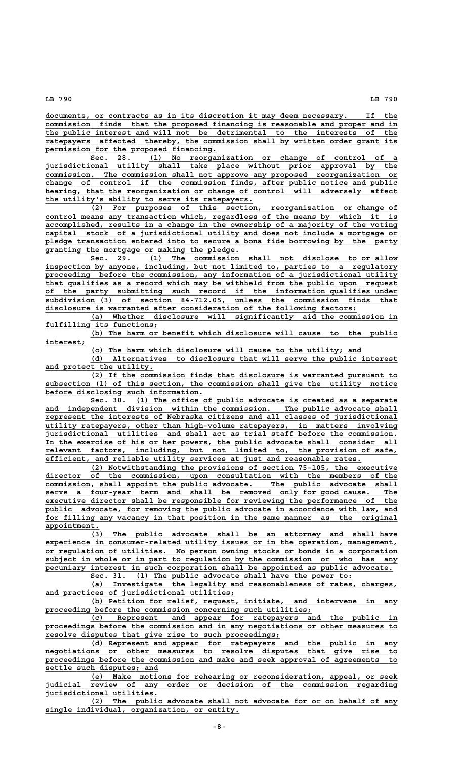**\_\_\_\_\_\_\_\_\_\_\_\_\_\_\_\_\_\_\_\_\_\_\_\_\_\_\_\_\_\_\_\_\_\_\_\_\_\_\_\_\_\_\_\_\_\_\_\_\_\_\_\_\_\_\_\_\_\_\_\_\_\_\_\_\_\_\_\_\_\_\_\_\_\_\_\_\_\_ documents, or contracts as in its discretion it may deem necessary. If the \_\_\_\_\_\_\_\_\_\_\_\_\_\_\_\_\_\_\_\_\_\_\_\_\_\_\_\_\_\_\_\_\_\_\_\_\_\_\_\_\_\_\_\_\_\_\_\_\_\_\_\_\_\_\_\_\_\_\_\_\_\_\_\_\_\_\_\_\_\_\_\_\_\_\_\_\_\_ commission finds that the proposed financing is reasonable and proper and in \_\_\_\_\_\_\_\_\_\_\_\_\_\_\_\_\_\_\_\_\_\_\_\_\_\_\_\_\_\_\_\_\_\_\_\_\_\_\_\_\_\_\_\_\_\_\_\_\_\_\_\_\_\_\_\_\_\_\_\_\_\_\_\_\_\_\_\_\_\_\_\_\_\_\_\_\_\_ the public interest and will not be detrimental to the interests of the \_\_\_\_\_\_\_\_\_\_\_\_\_\_\_\_\_\_\_\_\_\_\_\_\_\_\_\_\_\_\_\_\_\_\_\_\_\_\_\_\_\_\_\_\_\_\_\_\_\_\_\_\_\_\_\_\_\_\_\_\_\_\_\_\_\_\_\_\_\_\_\_\_\_\_\_\_\_ ratepayers affected thereby, the commission shall by written order grant its**

 **\_\_\_\_\_\_\_\_\_\_\_\_\_\_\_\_\_\_\_\_\_\_\_\_\_\_\_\_\_\_\_\_\_\_\_\_\_\_ permission for the proposed financing. \_\_\_\_\_\_\_\_\_\_\_\_\_\_\_\_\_\_\_\_\_\_\_\_\_\_\_\_\_\_\_\_\_\_\_\_\_\_\_\_\_\_\_\_\_\_\_\_\_\_\_\_\_\_\_ Sec. 28. (1) No reorganization or change of control of a \_\_\_\_\_\_\_\_\_\_\_\_\_\_\_\_\_\_\_\_\_\_\_\_\_\_\_\_\_\_\_\_\_\_\_\_\_\_\_\_\_\_\_\_\_\_\_\_\_\_\_\_\_\_\_\_\_\_\_\_\_\_\_\_\_\_\_\_\_\_\_\_\_\_\_\_\_\_ jurisdictional utility shall take place without prior approval by the \_\_\_\_\_\_\_\_\_\_\_\_\_\_\_\_\_\_\_\_\_\_\_\_\_\_\_\_\_\_\_\_\_\_\_\_\_\_\_\_\_\_\_\_\_\_\_\_\_\_\_\_\_\_\_\_\_\_\_\_\_\_\_\_\_\_\_\_\_\_\_\_\_\_\_\_\_\_ commission. The commission shall not approve any proposed reorganization or \_\_\_\_\_\_\_\_\_\_\_\_\_\_\_\_\_\_\_\_\_\_\_\_\_\_\_\_\_\_\_\_\_\_\_\_\_\_\_\_\_\_\_\_\_\_\_\_\_\_\_\_\_\_\_\_\_\_\_\_\_\_\_\_\_\_\_\_\_\_\_\_\_\_\_\_\_\_ change of control if the commission finds, after public notice and public** hearing, that the reorganization or change of control will adversely affect  **\_\_\_\_\_\_\_\_\_\_\_\_\_\_\_\_\_\_\_\_\_\_\_\_\_\_\_\_\_\_\_\_\_\_\_\_\_\_\_\_\_\_\_\_\_\_ the utility's ability to serve its ratepayers.**

 **\_\_\_\_\_\_\_\_\_\_\_\_\_\_\_\_\_\_\_\_\_\_\_\_\_\_\_\_\_\_\_\_\_\_\_\_\_\_\_\_\_\_\_\_\_\_\_\_\_\_\_\_\_\_\_\_\_\_\_\_\_\_\_\_\_\_\_\_ (2) For purposes of this section, reorganization or change of \_\_\_\_\_\_\_\_\_\_\_\_\_\_\_\_\_\_\_\_\_\_\_\_\_\_\_\_\_\_\_\_\_\_\_\_\_\_\_\_\_\_\_\_\_\_\_\_\_\_\_\_\_\_\_\_\_\_\_\_\_\_\_\_\_\_\_\_\_\_\_\_\_\_\_\_\_\_ control means any transaction which, regardless of the means by which it is \_\_\_\_\_\_\_\_\_\_\_\_\_\_\_\_\_\_\_\_\_\_\_\_\_\_\_\_\_\_\_\_\_\_\_\_\_\_\_\_\_\_\_\_\_\_\_\_\_\_\_\_\_\_\_\_\_\_\_\_\_\_\_\_\_\_\_\_\_\_\_\_\_\_\_\_\_\_ accomplished, results in a change in the ownership of a majority of the voting \_\_\_\_\_\_\_\_\_\_\_\_\_\_\_\_\_\_\_\_\_\_\_\_\_\_\_\_\_\_\_\_\_\_\_\_\_\_\_\_\_\_\_\_\_\_\_\_\_\_\_\_\_\_\_\_\_\_\_\_\_\_\_\_\_\_\_\_\_\_\_\_\_\_\_\_\_\_ capital stock of a jurisdictional utility and does not include a mortgage or** pledge transaction entered into to secure a bona fide borrowing by the party  **\_\_\_\_\_\_\_\_\_\_\_\_\_\_\_\_\_\_\_\_\_\_\_\_\_\_\_\_\_\_\_\_\_\_\_\_\_\_\_\_\_\_\_ granting the mortgage or making the pledge.**

 **\_\_\_\_\_\_\_\_\_\_\_\_\_\_\_\_\_\_\_\_\_\_\_\_\_\_\_\_\_\_\_\_\_\_\_\_\_\_\_\_\_\_\_\_\_\_\_\_\_\_\_\_\_\_\_ Sec. 29. (1) The commission shall not disclose to or allow \_\_\_\_\_\_\_\_\_\_\_\_\_\_\_\_\_\_\_\_\_\_\_\_\_\_\_\_\_\_\_\_\_\_\_\_\_\_\_\_\_\_\_\_\_\_\_\_\_\_\_\_\_\_\_\_\_\_\_\_\_\_\_\_\_\_\_\_\_\_\_\_\_\_\_\_\_\_ inspection by anyone, including, but not limited to, parties to a regulatory \_\_\_\_\_\_\_\_\_\_\_\_\_\_\_\_\_\_\_\_\_\_\_\_\_\_\_\_\_\_\_\_\_\_\_\_\_\_\_\_\_\_\_\_\_\_\_\_\_\_\_\_\_\_\_\_\_\_\_\_\_\_\_\_\_\_\_\_\_\_\_\_\_\_\_\_\_\_ proceeding before the commission, any information of a jurisdictional utility \_\_\_\_\_\_\_\_\_\_\_\_\_\_\_\_\_\_\_\_\_\_\_\_\_\_\_\_\_\_\_\_\_\_\_\_\_\_\_\_\_\_\_\_\_\_\_\_\_\_\_\_\_\_\_\_\_\_\_\_\_\_\_\_\_\_\_\_\_\_\_\_\_\_\_\_\_\_ that qualifies as a record which may be withheld from the public upon request \_\_\_\_\_\_\_\_\_\_\_\_\_\_\_\_\_\_\_\_\_\_\_\_\_\_\_\_\_\_\_\_\_\_\_\_\_\_\_\_\_\_\_\_\_\_\_\_\_\_\_\_\_\_\_\_\_\_\_\_\_\_\_\_\_\_\_\_\_\_\_\_\_\_\_\_\_\_ of the party submitting such record if the information qualifies under \_\_\_\_\_\_\_\_\_\_\_\_\_\_\_\_\_\_\_\_\_\_\_\_\_\_\_\_\_\_\_\_\_\_\_\_\_\_\_\_\_\_\_\_\_\_\_\_\_\_\_\_\_\_\_\_\_\_\_\_\_\_\_\_\_\_\_\_\_\_\_\_\_\_\_\_\_\_ subdivision (3) of section 84-712.05, unless the commission finds that \_\_\_\_\_\_\_\_\_\_\_\_\_\_\_\_\_\_\_\_\_\_\_\_\_\_\_\_\_\_\_\_\_\_\_\_\_\_\_\_\_\_\_\_\_\_\_\_\_\_\_\_\_\_\_\_\_\_\_\_\_\_\_\_\_\_\_\_\_ disclosure is warranted after consideration of the following factors:**

 **\_\_\_\_\_\_\_\_\_\_\_\_\_\_\_\_\_\_\_\_\_\_\_\_\_\_\_\_\_\_\_\_\_\_\_\_\_\_\_\_\_\_\_\_\_\_\_\_\_\_\_\_\_\_\_\_\_\_\_\_\_\_\_\_\_\_\_\_ (a) Whether disclosure will significantly aid the commission in \_\_\_\_\_\_\_\_\_\_\_\_\_\_\_\_\_\_\_\_\_\_\_\_\_ fulfilling its functions;**

 **\_\_\_\_\_\_\_\_\_\_\_\_\_\_\_\_\_\_\_\_\_\_\_\_\_\_\_\_\_\_\_\_\_\_\_\_\_\_\_\_\_\_\_\_\_\_\_\_\_\_\_\_\_\_\_\_\_\_\_\_\_\_\_\_\_\_\_\_ (b) The harm or benefit which disclosure will cause to the public interest; \_\_\_\_\_\_\_\_\_**

 **\_\_\_\_\_\_\_\_\_\_\_\_\_\_\_\_\_\_\_\_\_\_\_\_\_\_\_\_\_\_\_\_\_\_\_\_\_\_\_\_\_\_\_\_\_\_\_\_\_\_\_\_\_\_\_\_\_\_\_\_ (c) The harm which disclosure will cause to the utility; and**

 **\_\_\_\_\_\_\_\_\_\_\_\_\_\_\_\_\_\_\_\_\_\_\_\_\_\_\_\_\_\_\_\_\_\_\_\_\_\_\_\_\_\_\_\_\_\_\_\_\_\_\_\_\_\_\_\_\_\_\_\_\_\_\_\_\_\_\_\_ (d) Alternatives to disclosure that will serve the public interest** and protect the utility.

 **\_\_\_\_\_\_\_\_\_\_\_\_\_\_\_\_\_\_\_\_\_\_\_\_\_\_\_\_\_\_\_\_\_\_\_\_\_\_\_\_\_\_\_\_\_\_\_\_\_\_\_\_\_\_\_\_\_\_\_\_\_\_\_\_\_\_\_\_ (2) If the commission finds that disclosure is warranted pursuant to \_\_\_\_\_\_\_\_\_\_\_\_\_\_\_\_\_\_\_\_\_\_\_\_\_\_\_\_\_\_\_\_\_\_\_\_\_\_\_\_\_\_\_\_\_\_\_\_\_\_\_\_\_\_\_\_\_\_\_\_\_\_\_\_\_\_\_\_\_\_\_\_\_\_\_\_\_\_ subsection (1) of this section, the commission shall give the utility notice \_\_\_\_\_\_\_\_\_\_\_\_\_\_\_\_\_\_\_\_\_\_\_\_\_\_\_\_\_\_\_\_\_\_\_ before disclosing such information.**

Sec. 30. (1) The office of public advocate is created as a separate  **\_\_\_\_\_\_\_\_\_\_\_\_\_\_\_\_\_\_\_\_\_\_\_\_\_\_\_\_\_\_\_\_\_\_\_\_\_\_\_\_\_\_\_\_\_\_\_\_\_\_\_\_\_\_\_\_\_\_\_\_\_\_\_\_\_\_\_\_\_\_\_\_\_\_\_\_\_\_ and independent division within the commission. The public advocate shall \_\_\_\_\_\_\_\_\_\_\_\_\_\_\_\_\_\_\_\_\_\_\_\_\_\_\_\_\_\_\_\_\_\_\_\_\_\_\_\_\_\_\_\_\_\_\_\_\_\_\_\_\_\_\_\_\_\_\_\_\_\_\_\_\_\_\_\_\_\_\_\_\_\_\_\_\_\_ represent the interests of Nebraska citizens and all classes of jurisdictional \_\_\_\_\_\_\_\_\_\_\_\_\_\_\_\_\_\_\_\_\_\_\_\_\_\_\_\_\_\_\_\_\_\_\_\_\_\_\_\_\_\_\_\_\_\_\_\_\_\_\_\_\_\_\_\_\_\_\_\_\_\_\_\_\_\_\_\_\_\_\_\_\_\_\_\_\_\_ utility ratepayers, other than high-volume ratepayers, in matters involving \_\_\_\_\_\_\_\_\_\_\_\_\_\_\_\_\_\_\_\_\_\_\_\_\_\_\_\_\_\_\_\_\_\_\_\_\_\_\_\_\_\_\_\_\_\_\_\_\_\_\_\_\_\_\_\_\_\_\_\_\_\_\_\_\_\_\_\_\_\_\_\_\_\_\_\_\_\_ jurisdictional utilities and shall act as trial staff before the commission. \_\_\_\_\_\_\_\_\_\_\_\_\_\_\_\_\_\_\_\_\_\_\_\_\_\_\_\_\_\_\_\_\_\_\_\_\_\_\_\_\_\_\_\_\_\_\_\_\_\_\_\_\_\_\_\_\_\_\_\_\_\_\_\_\_\_\_\_\_\_\_\_\_\_\_\_\_\_ In the exercise of his or her powers, the public advocate shall consider all \_\_\_\_\_\_\_\_\_\_\_\_\_\_\_\_\_\_\_\_\_\_\_\_\_\_\_\_\_\_\_\_\_\_\_\_\_\_\_\_\_\_\_\_\_\_\_\_\_\_\_\_\_\_\_\_\_\_\_\_\_\_\_\_\_\_\_\_\_\_\_\_\_\_\_\_\_\_ relevant factors, including, but not limited to, the provision of safe, \_\_\_\_\_\_\_\_\_\_\_\_\_\_\_\_\_\_\_\_\_\_\_\_\_\_\_\_\_\_\_\_\_\_\_\_\_\_\_\_\_\_\_\_\_\_\_\_\_\_\_\_\_\_\_\_\_\_\_\_\_\_\_\_\_\_\_\_\_\_ efficient, and reliable utility services at just and reasonable rates.**

 **\_\_\_\_\_\_\_\_\_\_\_\_\_\_\_\_\_\_\_\_\_\_\_\_\_\_\_\_\_\_\_\_\_\_\_\_\_\_\_\_\_\_\_\_\_\_\_\_\_\_\_\_\_\_\_\_\_\_\_\_\_\_\_\_\_\_\_\_ (2) Notwithstanding the provisions of section 75-105, the executive \_\_\_\_\_\_\_\_\_\_\_\_\_\_\_\_\_\_\_\_\_\_\_\_\_\_\_\_\_\_\_\_\_\_\_\_\_\_\_\_\_\_\_\_\_\_\_\_\_\_\_\_\_\_\_\_\_\_\_\_\_\_\_\_\_\_\_\_\_\_\_\_\_\_\_\_\_\_ director of the commission, upon consultation with the members of the \_\_\_\_\_\_\_\_\_\_\_\_\_\_\_\_\_\_\_\_\_\_\_\_\_\_\_\_\_\_\_\_\_\_\_\_\_\_\_\_\_\_\_\_\_\_\_\_\_\_\_\_\_\_\_\_\_\_\_\_\_\_\_\_\_\_\_\_\_\_\_\_\_\_\_\_\_\_ commission, shall appoint the public advocate. The public advocate shall**  $serve$  a four-year term and shall be removed only for good cause. The  **\_\_\_\_\_\_\_\_\_\_\_\_\_\_\_\_\_\_\_\_\_\_\_\_\_\_\_\_\_\_\_\_\_\_\_\_\_\_\_\_\_\_\_\_\_\_\_\_\_\_\_\_\_\_\_\_\_\_\_\_\_\_\_\_\_\_\_\_\_\_\_\_\_\_\_\_\_\_ executive director shall be responsible for reviewing the performance of the \_\_\_\_\_\_\_\_\_\_\_\_\_\_\_\_\_\_\_\_\_\_\_\_\_\_\_\_\_\_\_\_\_\_\_\_\_\_\_\_\_\_\_\_\_\_\_\_\_\_\_\_\_\_\_\_\_\_\_\_\_\_\_\_\_\_\_\_\_\_\_\_\_\_\_\_\_\_ public advocate, for removing the public advocate in accordance with law, and** for filling any vacancy in that position in the same manner as the original

 **appointment. \_\_\_\_\_\_\_\_\_\_\_\_ \_\_\_\_\_\_\_\_\_\_\_\_\_\_\_\_\_\_\_\_\_\_\_\_\_\_\_\_\_\_\_\_\_\_\_\_\_\_\_\_\_\_\_\_\_\_\_\_\_\_\_\_\_\_\_\_\_\_\_\_\_\_\_\_\_\_\_\_ (3) The public advocate shall be an attorney and shall have \_\_\_\_\_\_\_\_\_\_\_\_\_\_\_\_\_\_\_\_\_\_\_\_\_\_\_\_\_\_\_\_\_\_\_\_\_\_\_\_\_\_\_\_\_\_\_\_\_\_\_\_\_\_\_\_\_\_\_\_\_\_\_\_\_\_\_\_\_\_\_\_\_\_\_\_\_\_ experience in consumer-related utility issues or in the operation, management, \_\_\_\_\_\_\_\_\_\_\_\_\_\_\_\_\_\_\_\_\_\_\_\_\_\_\_\_\_\_\_\_\_\_\_\_\_\_\_\_\_\_\_\_\_\_\_\_\_\_\_\_\_\_\_\_\_\_\_\_\_\_\_\_\_\_\_\_\_\_\_\_\_\_\_\_\_\_ or regulation of utilities. No person owning stocks or bonds in a corporation \_\_\_\_\_\_\_\_\_\_\_\_\_\_\_\_\_\_\_\_\_\_\_\_\_\_\_\_\_\_\_\_\_\_\_\_\_\_\_\_\_\_\_\_\_\_\_\_\_\_\_\_\_\_\_\_\_\_\_\_\_\_\_\_\_\_\_\_\_\_\_\_\_\_\_\_\_\_ subject in whole or in part to regulation by the commission or who has any** pecuniary interest in such corporation shall be appointed as public advocate.

Sec. 31. (1) The public advocate shall have the power to:

 **\_\_\_\_\_\_\_\_\_\_\_\_\_\_\_\_\_\_\_\_\_\_\_\_\_\_\_\_\_\_\_\_\_\_\_\_\_\_\_\_\_\_\_\_\_\_\_\_\_\_\_\_\_\_\_\_\_\_\_\_\_\_\_\_\_\_\_\_ (a) Investigate the legality and reasonableness of rates, charges, \_\_\_\_\_\_\_\_\_\_\_\_\_\_\_\_\_\_\_\_\_\_\_\_\_\_\_\_\_\_\_\_\_\_\_\_\_\_\_\_\_\_ and practices of jurisdictional utilities;**

 **\_\_\_\_\_\_\_\_\_\_\_\_\_\_\_\_\_\_\_\_\_\_\_\_\_\_\_\_\_\_\_\_\_\_\_\_\_\_\_\_\_\_\_\_\_\_\_\_\_\_\_\_\_\_\_\_\_\_\_\_\_\_\_\_\_\_\_\_ (b) Petition for relief, request, initiate, and intervene in any** proceeding before the commission concerning such utilities;

 **\_\_\_\_\_\_\_\_\_\_\_\_\_\_\_\_\_\_\_\_\_\_\_\_\_\_\_\_\_\_\_\_\_\_\_\_\_\_\_\_\_\_\_\_\_\_\_\_\_\_\_\_\_\_\_\_\_\_\_\_\_\_\_\_\_\_\_\_ (c) Represent and appear for ratepayers and the public in \_\_\_\_\_\_\_\_\_\_\_\_\_\_\_\_\_\_\_\_\_\_\_\_\_\_\_\_\_\_\_\_\_\_\_\_\_\_\_\_\_\_\_\_\_\_\_\_\_\_\_\_\_\_\_\_\_\_\_\_\_\_\_\_\_\_\_\_\_\_\_\_\_\_\_\_\_\_ proceedings before the commission and in any negotiations or other measures to \_\_\_\_\_\_\_\_\_\_\_\_\_\_\_\_\_\_\_\_\_\_\_\_\_\_\_\_\_\_\_\_\_\_\_\_\_\_\_\_\_\_\_\_\_\_\_\_\_\_\_\_ resolve disputes that give rise to such proceedings;**

 **\_\_\_\_\_\_\_\_\_\_\_\_\_\_\_\_\_\_\_\_\_\_\_\_\_\_\_\_\_\_\_\_\_\_\_\_\_\_\_\_\_\_\_\_\_\_\_\_\_\_\_\_\_\_\_\_\_\_\_\_\_\_\_\_\_\_\_\_ (d) Represent and appear for ratepayers and the public in any \_\_\_\_\_\_\_\_\_\_\_\_\_\_\_\_\_\_\_\_\_\_\_\_\_\_\_\_\_\_\_\_\_\_\_\_\_\_\_\_\_\_\_\_\_\_\_\_\_\_\_\_\_\_\_\_\_\_\_\_\_\_\_\_\_\_\_\_\_\_\_\_\_\_\_\_\_\_ negotiations or other measures to resolve disputes that give rise to \_\_\_\_\_\_\_\_\_\_\_\_\_\_\_\_\_\_\_\_\_\_\_\_\_\_\_\_\_\_\_\_\_\_\_\_\_\_\_\_\_\_\_\_\_\_\_\_\_\_\_\_\_\_\_\_\_\_\_\_\_\_\_\_\_\_\_\_\_\_\_\_\_\_\_\_\_\_ proceedings before the commission and make and seek approval of agreements to \_\_\_\_\_\_\_\_\_\_\_\_\_\_\_\_\_\_\_\_\_\_\_\_\_ settle such disputes; and**

 **\_\_\_\_\_\_\_\_\_\_\_\_\_\_\_\_\_\_\_\_\_\_\_\_\_\_\_\_\_\_\_\_\_\_\_\_\_\_\_\_\_\_\_\_\_\_\_\_\_\_\_\_\_\_\_\_\_\_\_\_\_\_\_\_\_\_\_\_ (e) Make motions for rehearing or reconsideration, appeal, or seek \_\_\_\_\_\_\_\_\_\_\_\_\_\_\_\_\_\_\_\_\_\_\_\_\_\_\_\_\_\_\_\_\_\_\_\_\_\_\_\_\_\_\_\_\_\_\_\_\_\_\_\_\_\_\_\_\_\_\_\_\_\_\_\_\_\_\_\_\_\_\_\_\_\_\_\_\_\_ judicial review of any order or decision of the commission regarding jurisdictional utilities. \_\_\_\_\_\_\_\_\_\_\_\_\_\_\_\_\_\_\_\_\_\_\_\_\_**

 **\_\_\_\_\_\_\_\_\_\_\_\_\_\_\_\_\_\_\_\_\_\_\_\_\_\_\_\_\_\_\_\_\_\_\_\_\_\_\_\_\_\_\_\_\_\_\_\_\_\_\_\_\_\_\_\_\_\_\_\_\_\_\_\_\_\_\_\_ (2) The public advocate shall not advocate for or on behalf of any \_\_\_\_\_\_\_\_\_\_\_\_\_\_\_\_\_\_\_\_\_\_\_\_\_\_\_\_\_\_\_\_\_\_\_\_\_\_\_\_\_\_\_ single individual, organization, or entity.**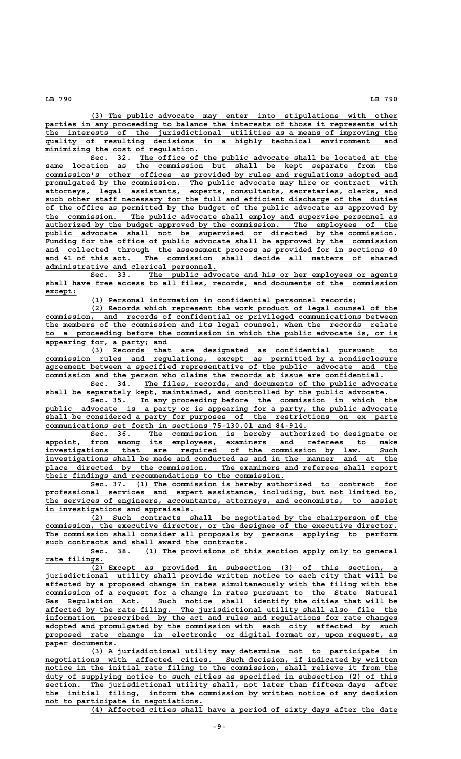**\_\_\_\_\_\_\_\_\_\_\_\_\_\_\_\_\_\_\_\_\_\_\_\_\_\_\_\_\_\_\_\_\_\_\_\_\_\_\_\_\_\_\_\_\_\_\_\_\_\_\_\_\_\_\_\_\_\_\_\_\_\_\_\_\_\_\_\_ (3) The public advocate may enter into stipulations with other** parties in any proceeding to balance the interests of those it represents with  **\_\_\_\_\_\_\_\_\_\_\_\_\_\_\_\_\_\_\_\_\_\_\_\_\_\_\_\_\_\_\_\_\_\_\_\_\_\_\_\_\_\_\_\_\_\_\_\_\_\_\_\_\_\_\_\_\_\_\_\_\_\_\_\_\_\_\_\_\_\_\_\_\_\_\_\_\_\_ the interests of the jurisdictional utilities as a means of improving the \_\_\_\_\_\_\_\_\_\_\_\_\_\_\_\_\_\_\_\_\_\_\_\_\_\_\_\_\_\_\_\_\_\_\_\_\_\_\_\_\_\_\_\_\_\_\_\_\_\_\_\_\_\_\_\_\_\_\_\_\_\_\_\_\_\_\_\_\_\_\_\_\_\_\_\_\_\_ quality of resulting decisions in a highly technical environment and \_\_\_\_\_\_\_\_\_\_\_\_\_\_\_\_\_\_\_\_\_\_\_\_\_\_\_\_\_\_\_\_\_\_ minimizing the cost of regulation.**

 **\_\_\_\_\_\_\_\_\_\_\_\_\_\_\_\_\_\_\_\_\_\_\_\_\_\_\_\_\_\_\_\_\_\_\_\_\_\_\_\_\_\_\_\_\_\_\_\_\_\_\_\_\_\_\_\_\_ Sec. 32. The office of the public advocate shall be located at the \_\_\_\_\_\_\_\_\_\_\_\_\_\_\_\_\_\_\_\_\_\_\_\_\_\_\_\_\_\_\_\_\_\_\_\_\_\_\_\_\_\_\_\_\_\_\_\_\_\_\_\_\_\_\_\_\_\_\_\_\_\_\_\_\_\_\_\_\_\_\_\_\_\_\_\_\_\_ same location as the commission but shall be kept separate from the \_\_\_\_\_\_\_\_\_\_\_\_\_\_\_\_\_\_\_\_\_\_\_\_\_\_\_\_\_\_\_\_\_\_\_\_\_\_\_\_\_\_\_\_\_\_\_\_\_\_\_\_\_\_\_\_\_\_\_\_\_\_\_\_\_\_\_\_\_\_\_\_\_\_\_\_\_\_ commission's other offices as provided by rules and regulations adopted and** promulgated by the commission. The public advocate may hire or contract with  **\_\_\_\_\_\_\_\_\_\_\_\_\_\_\_\_\_\_\_\_\_\_\_\_\_\_\_\_\_\_\_\_\_\_\_\_\_\_\_\_\_\_\_\_\_\_\_\_\_\_\_\_\_\_\_\_\_\_\_\_\_\_\_\_\_\_\_\_\_\_\_\_\_\_\_\_\_\_ attorneys, legal assistants, experts, consultants, secretaries, clerks, and \_\_\_\_\_\_\_\_\_\_\_\_\_\_\_\_\_\_\_\_\_\_\_\_\_\_\_\_\_\_\_\_\_\_\_\_\_\_\_\_\_\_\_\_\_\_\_\_\_\_\_\_\_\_\_\_\_\_\_\_\_\_\_\_\_\_\_\_\_\_\_\_\_\_\_\_\_\_ such other staff necessary for the full and efficient discharge of the duties \_\_\_\_\_\_\_\_\_\_\_\_\_\_\_\_\_\_\_\_\_\_\_\_\_\_\_\_\_\_\_\_\_\_\_\_\_\_\_\_\_\_\_\_\_\_\_\_\_\_\_\_\_\_\_\_\_\_\_\_\_\_\_\_\_\_\_\_\_\_\_\_\_\_\_\_\_\_ of the office as permitted by the budget of the public advocate as approved by \_\_\_\_\_\_\_\_\_\_\_\_\_\_\_\_\_\_\_\_\_\_\_\_\_\_\_\_\_\_\_\_\_\_\_\_\_\_\_\_\_\_\_\_\_\_\_\_\_\_\_\_\_\_\_\_\_\_\_\_\_\_\_\_\_\_\_\_\_\_\_\_\_\_\_\_\_\_ the commission. The public advocate shall employ and supervise personnel as** authorized by the budget approved by the commission. The employees of the public advocate shall not be supervised or directed by the commission. Funding for the office of public advocate shall be approved by the commission  **\_\_\_\_\_\_\_\_\_\_\_\_\_\_\_\_\_\_\_\_\_\_\_\_\_\_\_\_\_\_\_\_\_\_\_\_\_\_\_\_\_\_\_\_\_\_\_\_\_\_\_\_\_\_\_\_\_\_\_\_\_\_\_\_\_\_\_\_\_\_\_\_\_\_\_\_\_\_ and collected through the assessment process as provided for in sections 40 \_\_\_\_\_\_\_\_\_\_\_\_\_\_\_\_\_\_\_\_\_\_\_\_\_\_\_\_\_\_\_\_\_\_\_\_\_\_\_\_\_\_\_\_\_\_\_\_\_\_\_\_\_\_\_\_\_\_\_\_\_\_\_\_\_\_\_\_\_\_\_\_\_\_\_\_\_\_ and 41 of this act. The commission shall decide all matters of shared \_\_\_\_\_\_\_\_\_\_\_\_\_\_\_\_\_\_\_\_\_\_\_\_\_\_\_\_\_\_\_\_\_\_\_\_\_\_ administrative and clerical personnel.**

> Sec. 33. The public advocate and his or her employees or agents  **\_\_\_\_\_\_\_\_\_\_\_\_\_\_\_\_\_\_\_\_\_\_\_\_\_\_\_\_\_\_\_\_\_\_\_\_\_\_\_\_\_\_\_\_\_\_\_\_\_\_\_\_\_\_\_\_\_\_\_\_\_\_\_\_\_\_\_\_\_\_\_\_\_\_\_\_\_\_ shall have free access to all files, records, and documents of the commission except: \_\_\_\_\_\_\_**

 **\_\_\_\_\_\_\_\_\_\_\_\_\_\_\_\_\_\_\_\_\_\_\_\_\_\_\_\_\_\_\_\_\_\_\_\_\_\_\_\_\_\_\_\_\_\_\_\_\_\_\_\_\_\_\_\_\_\_\_ (1) Personal information in confidential personnel records;**

 **\_\_\_\_\_\_\_\_\_\_\_\_\_\_\_\_\_\_\_\_\_\_\_\_\_\_\_\_\_\_\_\_\_\_\_\_\_\_\_\_\_\_\_\_\_\_\_\_\_\_\_\_\_\_\_\_\_\_\_\_\_\_\_\_\_\_\_\_ (2) Records which represent the work product of legal counsel of the \_\_\_\_\_\_\_\_\_\_\_\_\_\_\_\_\_\_\_\_\_\_\_\_\_\_\_\_\_\_\_\_\_\_\_\_\_\_\_\_\_\_\_\_\_\_\_\_\_\_\_\_\_\_\_\_\_\_\_\_\_\_\_\_\_\_\_\_\_\_\_\_\_\_\_\_\_\_ commission, and records of confidential or privileged communications between \_\_\_\_\_\_\_\_\_\_\_\_\_\_\_\_\_\_\_\_\_\_\_\_\_\_\_\_\_\_\_\_\_\_\_\_\_\_\_\_\_\_\_\_\_\_\_\_\_\_\_\_\_\_\_\_\_\_\_\_\_\_\_\_\_\_\_\_\_\_\_\_\_\_\_\_\_\_ the members of the commission and its legal counsel, when the records relate \_\_\_\_\_\_\_\_\_\_\_\_\_\_\_\_\_\_\_\_\_\_\_\_\_\_\_\_\_\_\_\_\_\_\_\_\_\_\_\_\_\_\_\_\_\_\_\_\_\_\_\_\_\_\_\_\_\_\_\_\_\_\_\_\_\_\_\_\_\_\_\_\_\_\_\_\_\_ to a proceeding before the commission in which the public advocate is, or is \_\_\_\_\_\_\_\_\_\_\_\_\_\_\_\_\_\_\_\_\_\_\_\_\_\_\_ appearing for, a party; and**

 **\_\_\_\_\_\_\_\_\_\_\_\_\_\_\_\_\_\_\_\_\_\_\_\_\_\_\_\_\_\_\_\_\_\_\_\_\_\_\_\_\_\_\_\_\_\_\_\_\_\_\_\_\_\_\_\_\_\_\_\_\_\_\_\_\_\_\_\_ (3) Records that are designated as confidential pursuant to \_\_\_\_\_\_\_\_\_\_\_\_\_\_\_\_\_\_\_\_\_\_\_\_\_\_\_\_\_\_\_\_\_\_\_\_\_\_\_\_\_\_\_\_\_\_\_\_\_\_\_\_\_\_\_\_\_\_\_\_\_\_\_\_\_\_\_\_\_\_\_\_\_\_\_\_\_\_ commission rules and regulations, except as permitted by a nondisclosure \_\_\_\_\_\_\_\_\_\_\_\_\_\_\_\_\_\_\_\_\_\_\_\_\_\_\_\_\_\_\_\_\_\_\_\_\_\_\_\_\_\_\_\_\_\_\_\_\_\_\_\_\_\_\_\_\_\_\_\_\_\_\_\_\_\_\_\_\_\_\_\_\_\_\_\_\_\_ agreement between a specified representative of the public advocate and the \_\_\_\_\_\_\_\_\_\_\_\_\_\_\_\_\_\_\_\_\_\_\_\_\_\_\_\_\_\_\_\_\_\_\_\_\_\_\_\_\_\_\_\_\_\_\_\_\_\_\_\_\_\_\_\_\_\_\_\_\_\_\_\_\_\_\_\_\_\_\_\_\_\_\_ commission and the person who claims the records at issue are confidential.**

 **\_\_\_\_\_\_\_\_\_\_\_\_\_\_\_\_\_\_\_\_\_\_\_\_\_\_\_\_\_\_\_\_\_\_\_\_\_\_\_\_\_\_\_\_\_\_\_\_\_\_\_\_\_\_\_\_ Sec. 34. The files, records, and documents of the public advocate** shall be separately kept, maintained, and controlled by the public advocate.

 **\_\_\_\_\_\_\_\_\_\_\_\_\_\_\_\_\_\_\_\_\_\_\_\_\_\_\_\_\_\_\_\_\_\_\_\_\_\_\_\_\_\_\_\_\_\_\_\_\_\_\_\_\_\_\_\_\_ Sec. 35. In any proceeding before the commission in which the \_\_\_\_\_\_\_\_\_\_\_\_\_\_\_\_\_\_\_\_\_\_\_\_\_\_\_\_\_\_\_\_\_\_\_\_\_\_\_\_\_\_\_\_\_\_\_\_\_\_\_\_\_\_\_\_\_\_\_\_\_\_\_\_\_\_\_\_\_\_\_\_\_\_\_\_\_\_ public advocate is a party or is appearing for a party, the public advocate \_\_\_\_\_\_\_\_\_\_\_\_\_\_\_\_\_\_\_\_\_\_\_\_\_\_\_\_\_\_\_\_\_\_\_\_\_\_\_\_\_\_\_\_\_\_\_\_\_\_\_\_\_\_\_\_\_\_\_\_\_\_\_\_\_\_\_\_\_\_\_\_\_\_\_\_\_\_ shall be considered a party for purposes of the restrictions on ex parte \_\_\_\_\_\_\_\_\_\_\_\_\_\_\_\_\_\_\_\_\_\_\_\_\_\_\_\_\_\_\_\_\_\_\_\_\_\_\_\_\_\_\_\_\_\_\_\_\_\_\_\_\_\_\_\_\_\_ communications set forth in sections 75-130.01 and 84-914.**

 **\_\_\_\_\_\_\_\_\_\_\_\_\_\_\_\_\_\_\_\_\_\_\_\_\_\_\_\_\_\_\_\_\_\_\_\_\_\_\_\_\_\_\_\_\_\_\_\_\_\_\_\_\_\_\_ Sec. 36. The commission is hereby authorized to designate or \_\_\_\_\_\_\_\_\_\_\_\_\_\_\_\_\_\_\_\_\_\_\_\_\_\_\_\_\_\_\_\_\_\_\_\_\_\_\_\_\_\_\_\_\_\_\_\_\_\_\_\_\_\_\_\_\_\_\_\_\_\_\_\_\_\_\_\_\_\_\_\_\_\_\_\_\_\_ appoint, from among its employees, examiners and referees to make \_\_\_\_\_\_\_\_\_\_\_\_\_\_\_\_\_\_\_\_\_\_\_\_\_\_\_\_\_\_\_\_\_\_\_\_\_\_\_\_\_\_\_\_\_\_\_\_\_\_\_\_\_\_\_\_\_\_\_\_\_\_\_\_\_\_\_\_\_\_\_\_\_\_\_\_\_\_ investigations that are required of the commission by law. Such \_\_\_\_\_\_\_\_\_\_\_\_\_\_\_\_\_\_\_\_\_\_\_\_\_\_\_\_\_\_\_\_\_\_\_\_\_\_\_\_\_\_\_\_\_\_\_\_\_\_\_\_\_\_\_\_\_\_\_\_\_\_\_\_\_\_\_\_\_\_\_\_\_\_\_\_\_\_ investigations shall be made and conducted as and in the manner and at the \_\_\_\_\_\_\_\_\_\_\_\_\_\_\_\_\_\_\_\_\_\_\_\_\_\_\_\_\_\_\_\_\_\_\_\_\_\_\_\_\_\_\_\_\_\_\_\_\_\_\_\_\_\_\_\_\_\_\_\_\_\_\_\_\_\_\_\_\_\_\_\_\_\_\_\_\_\_ place directed by the commission. The examiners and referees shall report \_\_\_\_\_\_\_\_\_\_\_\_\_\_\_\_\_\_\_\_\_\_\_\_\_\_\_\_\_\_\_\_\_\_\_\_\_\_\_\_\_\_\_\_\_\_\_\_\_\_\_\_\_ their findings and recommendations to the commission.**

Sec. 37. (1) The commission is hereby authorized to contract for  **\_\_\_\_\_\_\_\_\_\_\_\_\_\_\_\_\_\_\_\_\_\_\_\_\_\_\_\_\_\_\_\_\_\_\_\_\_\_\_\_\_\_\_\_\_\_\_\_\_\_\_\_\_\_\_\_\_\_\_\_\_\_\_\_\_\_\_\_\_\_\_\_\_\_\_\_\_\_ professional services and expert assistance, including, but not limited to, \_\_\_\_\_\_\_\_\_\_\_\_\_\_\_\_\_\_\_\_\_\_\_\_\_\_\_\_\_\_\_\_\_\_\_\_\_\_\_\_\_\_\_\_\_\_\_\_\_\_\_\_\_\_\_\_\_\_\_\_\_\_\_\_\_\_\_\_\_\_\_\_\_\_\_\_\_\_ the services of engineers, accountants, attorneys, and economists, to assist \_\_\_\_\_\_\_\_\_\_\_\_\_\_\_\_\_\_\_\_\_\_\_\_\_\_\_\_\_\_\_\_\_ in investigations and appraisals.**

 **\_\_\_\_\_\_\_\_\_\_\_\_\_\_\_\_\_\_\_\_\_\_\_\_\_\_\_\_\_\_\_\_\_\_\_\_\_\_\_\_\_\_\_\_\_\_\_\_\_\_\_\_\_\_\_\_\_\_\_\_\_\_\_\_\_\_\_\_ (2) Such contracts shall be negotiated by the chairperson of the \_\_\_\_\_\_\_\_\_\_\_\_\_\_\_\_\_\_\_\_\_\_\_\_\_\_\_\_\_\_\_\_\_\_\_\_\_\_\_\_\_\_\_\_\_\_\_\_\_\_\_\_\_\_\_\_\_\_\_\_\_\_\_\_\_\_\_\_\_\_\_\_\_\_\_\_\_\_ commission, the executive director, or the designee of the executive director.** The commission shall consider all proposals by persons applying to perform  **\_\_\_\_\_\_\_\_\_\_\_\_\_\_\_\_\_\_\_\_\_\_\_\_\_\_\_\_\_\_\_\_\_\_\_\_\_\_\_\_\_\_\_\_\_ such contracts and shall award the contracts.**

Sec. 38. (1) The provisions of this section apply only to general  **rate filings. \_\_\_\_\_\_\_\_\_\_\_\_\_**

 **\_\_\_\_\_\_\_\_\_\_\_\_\_\_\_\_\_\_\_\_\_\_\_\_\_\_\_\_\_\_\_\_\_\_\_\_\_\_\_\_\_\_\_\_\_\_\_\_\_\_\_\_\_\_\_\_\_\_\_\_\_\_\_\_\_\_\_\_ (2) Except as provided in subsection (3) of this section, a \_\_\_\_\_\_\_\_\_\_\_\_\_\_\_\_\_\_\_\_\_\_\_\_\_\_\_\_\_\_\_\_\_\_\_\_\_\_\_\_\_\_\_\_\_\_\_\_\_\_\_\_\_\_\_\_\_\_\_\_\_\_\_\_\_\_\_\_\_\_\_\_\_\_\_\_\_\_ jurisdictional utility shall provide written notice to each city that will be \_\_\_\_\_\_\_\_\_\_\_\_\_\_\_\_\_\_\_\_\_\_\_\_\_\_\_\_\_\_\_\_\_\_\_\_\_\_\_\_\_\_\_\_\_\_\_\_\_\_\_\_\_\_\_\_\_\_\_\_\_\_\_\_\_\_\_\_\_\_\_\_\_\_\_\_\_\_ affected by a proposed change in rates simultaneously with the filing with the \_\_\_\_\_\_\_\_\_\_\_\_\_\_\_\_\_\_\_\_\_\_\_\_\_\_\_\_\_\_\_\_\_\_\_\_\_\_\_\_\_\_\_\_\_\_\_\_\_\_\_\_\_\_\_\_\_\_\_\_\_\_\_\_\_\_\_\_\_\_\_\_\_\_\_\_\_\_ commission of a request for a change in rates pursuant to the State Natural \_\_\_\_\_\_\_\_\_\_\_\_\_\_\_\_\_\_\_\_\_\_\_\_\_\_\_\_\_\_\_\_\_\_\_\_\_\_\_\_\_\_\_\_\_\_\_\_\_\_\_\_\_\_\_\_\_\_\_\_\_\_\_\_\_\_\_\_\_\_\_\_\_\_\_\_\_\_ Gas Regulation Act. Such notice shall identify the cities that will be \_\_\_\_\_\_\_\_\_\_\_\_\_\_\_\_\_\_\_\_\_\_\_\_\_\_\_\_\_\_\_\_\_\_\_\_\_\_\_\_\_\_\_\_\_\_\_\_\_\_\_\_\_\_\_\_\_\_\_\_\_\_\_\_\_\_\_\_\_\_\_\_\_\_\_\_\_\_ affected by the rate filing. The jurisdictional utility shall also file the \_\_\_\_\_\_\_\_\_\_\_\_\_\_\_\_\_\_\_\_\_\_\_\_\_\_\_\_\_\_\_\_\_\_\_\_\_\_\_\_\_\_\_\_\_\_\_\_\_\_\_\_\_\_\_\_\_\_\_\_\_\_\_\_\_\_\_\_\_\_\_\_\_\_\_\_\_\_ information prescribed by the act and rules and regulations for rate changes \_\_\_\_\_\_\_\_\_\_\_\_\_\_\_\_\_\_\_\_\_\_\_\_\_\_\_\_\_\_\_\_\_\_\_\_\_\_\_\_\_\_\_\_\_\_\_\_\_\_\_\_\_\_\_\_\_\_\_\_\_\_\_\_\_\_\_\_\_\_\_\_\_\_\_\_\_\_ adopted and promulgated by the commission with each city affected by such \_\_\_\_\_\_\_\_\_\_\_\_\_\_\_\_\_\_\_\_\_\_\_\_\_\_\_\_\_\_\_\_\_\_\_\_\_\_\_\_\_\_\_\_\_\_\_\_\_\_\_\_\_\_\_\_\_\_\_\_\_\_\_\_\_\_\_\_\_\_\_\_\_\_\_\_\_\_ proposed rate change in electronic or digital format or, upon request, as** paper documents.

 **\_\_\_\_\_\_\_\_\_\_\_\_\_\_\_\_\_\_\_\_\_\_\_\_\_\_\_\_\_\_\_\_\_\_\_\_\_\_\_\_\_\_\_\_\_\_\_\_\_\_\_\_\_\_\_\_\_\_\_\_\_\_\_\_\_\_\_\_ (3) A jurisdictional utility may determine not to participate in**  $negotiations$  with affected cities. Such decision, if indicated by written notice in the initial rate filing to the commission, shall relieve it from the duty of supplying notice to such cities as specified in subsection (2) of this  **\_\_\_\_\_\_\_\_\_\_\_\_\_\_\_\_\_\_\_\_\_\_\_\_\_\_\_\_\_\_\_\_\_\_\_\_\_\_\_\_\_\_\_\_\_\_\_\_\_\_\_\_\_\_\_\_\_\_\_\_\_\_\_\_\_\_\_\_\_\_\_\_\_\_\_\_\_\_ section. The jurisdictional utility shall, not later than fifteen days after \_\_\_\_\_\_\_\_\_\_\_\_\_\_\_\_\_\_\_\_\_\_\_\_\_\_\_\_\_\_\_\_\_\_\_\_\_\_\_\_\_\_\_\_\_\_\_\_\_\_\_\_\_\_\_\_\_\_\_\_\_\_\_\_\_\_\_\_\_\_\_\_\_\_\_\_\_\_ the initial filing, inform the commission by written notice of any decision \_\_\_\_\_\_\_\_\_\_\_\_\_\_\_\_\_\_\_\_\_\_\_\_\_\_\_\_\_\_\_\_\_\_\_ not to participate in negotiations.**

 **\_\_\_\_\_\_\_\_\_\_\_\_\_\_\_\_\_\_\_\_\_\_\_\_\_\_\_\_\_\_\_\_\_\_\_\_\_\_\_\_\_\_\_\_\_\_\_\_\_\_\_\_\_\_\_\_\_\_\_\_\_\_\_\_\_\_\_\_ (4) Affected cities shall have a period of sixty days after the date**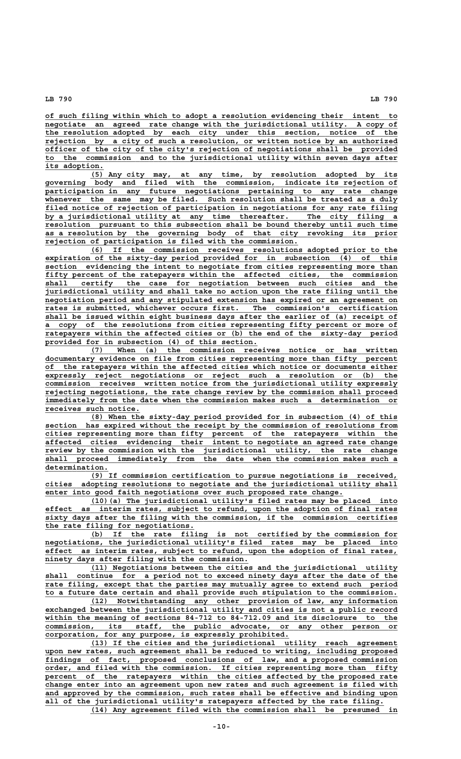**\_\_\_\_\_\_\_\_\_\_\_\_\_\_\_\_\_\_\_\_\_\_\_\_\_\_\_\_\_\_\_\_\_\_\_\_\_\_\_\_\_\_\_\_\_\_\_\_\_\_\_\_\_\_\_\_\_\_\_\_\_\_\_\_\_\_\_\_\_\_\_\_\_\_\_\_\_\_ of such filing within which to adopt a resolution evidencing their intent to**  $negotiate$  an agreed rate change with the jurisdictional utility. A copy of  **\_\_\_\_\_\_\_\_\_\_\_\_\_\_\_\_\_\_\_\_\_\_\_\_\_\_\_\_\_\_\_\_\_\_\_\_\_\_\_\_\_\_\_\_\_\_\_\_\_\_\_\_\_\_\_\_\_\_\_\_\_\_\_\_\_\_\_\_\_\_\_\_\_\_\_\_\_\_ the resolution adopted by each city under this section, notice of the** rejection by a city of such a resolution, or written notice by an authorized officer of the city of the city's rejection of negotiations shall be provided officer of the city of the city's rejection of negotiations shall be  **\_\_\_\_\_\_\_\_\_\_\_\_\_\_\_\_\_\_\_\_\_\_\_\_\_\_\_\_\_\_\_\_\_\_\_\_\_\_\_\_\_\_\_\_\_\_\_\_\_\_\_\_\_\_\_\_\_\_\_\_\_\_\_\_\_\_\_\_\_\_\_\_\_\_\_\_\_\_ to the commission and to the jurisdictional utility within seven days after its adoption. \_\_\_\_\_\_\_\_\_\_\_\_\_**

 **\_\_\_\_\_\_\_\_\_\_\_\_\_\_\_\_\_\_\_\_\_\_\_\_\_\_\_\_\_\_\_\_\_\_\_\_\_\_\_\_\_\_\_\_\_\_\_\_\_\_\_\_\_\_\_\_\_\_\_\_\_\_\_\_\_\_\_\_ (5) Any city may, at any time, by resolution adopted by its \_\_\_\_\_\_\_\_\_\_\_\_\_\_\_\_\_\_\_\_\_\_\_\_\_\_\_\_\_\_\_\_\_\_\_\_\_\_\_\_\_\_\_\_\_\_\_\_\_\_\_\_\_\_\_\_\_\_\_\_\_\_\_\_\_\_\_\_\_\_\_\_\_\_\_\_\_\_ governing body and filed with the commission, indicate its rejection of \_\_\_\_\_\_\_\_\_\_\_\_\_\_\_\_\_\_\_\_\_\_\_\_\_\_\_\_\_\_\_\_\_\_\_\_\_\_\_\_\_\_\_\_\_\_\_\_\_\_\_\_\_\_\_\_\_\_\_\_\_\_\_\_\_\_\_\_\_\_\_\_\_\_\_\_\_\_ participation in any future negotiations pertaining to any rate change \_\_\_\_\_\_\_\_\_\_\_\_\_\_\_\_\_\_\_\_\_\_\_\_\_\_\_\_\_\_\_\_\_\_\_\_\_\_\_\_\_\_\_\_\_\_\_\_\_\_\_\_\_\_\_\_\_\_\_\_\_\_\_\_\_\_\_\_\_\_\_\_\_\_\_\_\_\_ whenever the same may be filed. Such resolution shall be treated as a duly \_\_\_\_\_\_\_\_\_\_\_\_\_\_\_\_\_\_\_\_\_\_\_\_\_\_\_\_\_\_\_\_\_\_\_\_\_\_\_\_\_\_\_\_\_\_\_\_\_\_\_\_\_\_\_\_\_\_\_\_\_\_\_\_\_\_\_\_\_\_\_\_\_\_\_\_\_\_ filed notice of rejection of participation in negotiations for any rate filing \_\_\_\_\_\_\_\_\_\_\_\_\_\_\_\_\_\_\_\_\_\_\_\_\_\_\_\_\_\_\_\_\_\_\_\_\_\_\_\_\_\_\_\_\_\_\_\_\_\_\_\_\_\_\_\_\_\_\_\_\_\_\_\_\_\_\_\_\_\_\_\_\_\_\_\_\_\_ by a jurisdictional utility at any time thereafter. The city filing a \_\_\_\_\_\_\_\_\_\_\_\_\_\_\_\_\_\_\_\_\_\_\_\_\_\_\_\_\_\_\_\_\_\_\_\_\_\_\_\_\_\_\_\_\_\_\_\_\_\_\_\_\_\_\_\_\_\_\_\_\_\_\_\_\_\_\_\_\_\_\_\_\_\_\_\_\_\_ resolution pursuant to this subsection shall be bound thereby until such time \_\_\_\_\_\_\_\_\_\_\_\_\_\_\_\_\_\_\_\_\_\_\_\_\_\_\_\_\_\_\_\_\_\_\_\_\_\_\_\_\_\_\_\_\_\_\_\_\_\_\_\_\_\_\_\_\_\_\_\_\_\_\_\_\_\_\_\_\_\_\_\_\_\_\_\_\_\_ as a resolution by the governing body of that city revoking its prior \_\_\_\_\_\_\_\_\_\_\_\_\_\_\_\_\_\_\_\_\_\_\_\_\_\_\_\_\_\_\_\_\_\_\_\_\_\_\_\_\_\_\_\_\_\_\_\_\_\_\_\_\_\_\_\_ rejection of participation is filed with the commission.**

 **\_\_\_\_\_\_\_\_\_\_\_\_\_\_\_\_\_\_\_\_\_\_\_\_\_\_\_\_\_\_\_\_\_\_\_\_\_\_\_\_\_\_\_\_\_\_\_\_\_\_\_\_\_\_\_\_\_\_\_\_\_\_\_\_\_\_\_\_ (6) If the commission receives resolutions adopted prior to the \_\_\_\_\_\_\_\_\_\_\_\_\_\_\_\_\_\_\_\_\_\_\_\_\_\_\_\_\_\_\_\_\_\_\_\_\_\_\_\_\_\_\_\_\_\_\_\_\_\_\_\_\_\_\_\_\_\_\_\_\_\_\_\_\_\_\_\_\_\_\_\_\_\_\_\_\_\_ expiration of the sixty-day period provided for in subsection (4) of this \_\_\_\_\_\_\_\_\_\_\_\_\_\_\_\_\_\_\_\_\_\_\_\_\_\_\_\_\_\_\_\_\_\_\_\_\_\_\_\_\_\_\_\_\_\_\_\_\_\_\_\_\_\_\_\_\_\_\_\_\_\_\_\_\_\_\_\_\_\_\_\_\_\_\_\_\_\_ section evidencing the intent to negotiate from cities representing more than** fifty percent of the ratepayers within the affected cities, the commission shall certify the case for negotiation between such cities and the  **\_\_\_\_\_\_\_\_\_\_\_\_\_\_\_\_\_\_\_\_\_\_\_\_\_\_\_\_\_\_\_\_\_\_\_\_\_\_\_\_\_\_\_\_\_\_\_\_\_\_\_\_\_\_\_\_\_\_\_\_\_\_\_\_\_\_\_\_\_\_\_\_\_\_\_\_\_\_ shall certify the case for negotiation between such cities and the \_\_\_\_\_\_\_\_\_\_\_\_\_\_\_\_\_\_\_\_\_\_\_\_\_\_\_\_\_\_\_\_\_\_\_\_\_\_\_\_\_\_\_\_\_\_\_\_\_\_\_\_\_\_\_\_\_\_\_\_\_\_\_\_\_\_\_\_\_\_\_\_\_\_\_\_\_\_ jurisdictional utility and shall take no action upon the rate filing until the \_\_\_\_\_\_\_\_\_\_\_\_\_\_\_\_\_\_\_\_\_\_\_\_\_\_\_\_\_\_\_\_\_\_\_\_\_\_\_\_\_\_\_\_\_\_\_\_\_\_\_\_\_\_\_\_\_\_\_\_\_\_\_\_\_\_\_\_\_\_\_\_\_\_\_\_\_\_ negotiation period and any stipulated extension has expired or an agreement on \_\_\_\_\_\_\_\_\_\_\_\_\_\_\_\_\_\_\_\_\_\_\_\_\_\_\_\_\_\_\_\_\_\_\_\_\_\_\_\_\_\_\_\_\_\_\_\_\_\_\_\_\_\_\_\_\_\_\_\_\_\_\_\_\_\_\_\_\_\_\_\_\_\_\_\_\_\_ rates is submitted, whichever occurs first. The commission's certification \_\_\_\_\_\_\_\_\_\_\_\_\_\_\_\_\_\_\_\_\_\_\_\_\_\_\_\_\_\_\_\_\_\_\_\_\_\_\_\_\_\_\_\_\_\_\_\_\_\_\_\_\_\_\_\_\_\_\_\_\_\_\_\_\_\_\_\_\_\_\_\_\_\_\_\_\_\_ shall be issued within eight business days after the earlier of (a) receipt of \_\_\_\_\_\_\_\_\_\_\_\_\_\_\_\_\_\_\_\_\_\_\_\_\_\_\_\_\_\_\_\_\_\_\_\_\_\_\_\_\_\_\_\_\_\_\_\_\_\_\_\_\_\_\_\_\_\_\_\_\_\_\_\_\_\_\_\_\_\_\_\_\_\_\_\_\_\_ a copy of the resolutions from cities representing fifty percent or more of \_\_\_\_\_\_\_\_\_\_\_\_\_\_\_\_\_\_\_\_\_\_\_\_\_\_\_\_\_\_\_\_\_\_\_\_\_\_\_\_\_\_\_\_\_\_\_\_\_\_\_\_\_\_\_\_\_\_\_\_\_\_\_\_\_\_\_\_\_\_\_\_\_\_\_\_\_\_ ratepayers within the affected cities or (b) the end of the sixty-day period \_\_\_\_\_\_\_\_\_\_\_\_\_\_\_\_\_\_\_\_\_\_\_\_\_\_\_\_\_\_\_\_\_\_\_\_\_\_\_\_\_\_\_\_\_\_\_ provided for in subsection (4) of this section.**

 **\_\_\_\_\_\_\_\_\_\_\_\_\_\_\_\_\_\_\_\_\_\_\_\_\_\_\_\_\_\_\_\_\_\_\_\_\_\_\_\_\_\_\_\_\_\_\_\_\_\_\_\_\_\_\_\_\_\_\_\_\_\_\_\_\_\_\_\_ (7) When (a) the commission receives notice or has written \_\_\_\_\_\_\_\_\_\_\_\_\_\_\_\_\_\_\_\_\_\_\_\_\_\_\_\_\_\_\_\_\_\_\_\_\_\_\_\_\_\_\_\_\_\_\_\_\_\_\_\_\_\_\_\_\_\_\_\_\_\_\_\_\_\_\_\_\_\_\_\_\_\_\_\_\_\_ documentary evidence on file from cities representing more than fifty percent \_\_\_\_\_\_\_\_\_\_\_\_\_\_\_\_\_\_\_\_\_\_\_\_\_\_\_\_\_\_\_\_\_\_\_\_\_\_\_\_\_\_\_\_\_\_\_\_\_\_\_\_\_\_\_\_\_\_\_\_\_\_\_\_\_\_\_\_\_\_\_\_\_\_\_\_\_\_ of the ratepayers within the affected cities which notice or documents either \_\_\_\_\_\_\_\_\_\_\_\_\_\_\_\_\_\_\_\_\_\_\_\_\_\_\_\_\_\_\_\_\_\_\_\_\_\_\_\_\_\_\_\_\_\_\_\_\_\_\_\_\_\_\_\_\_\_\_\_\_\_\_\_\_\_\_\_\_\_\_\_\_\_\_\_\_\_ expressly reject negotiations or reject such a resolution or (b) the \_\_\_\_\_\_\_\_\_\_\_\_\_\_\_\_\_\_\_\_\_\_\_\_\_\_\_\_\_\_\_\_\_\_\_\_\_\_\_\_\_\_\_\_\_\_\_\_\_\_\_\_\_\_\_\_\_\_\_\_\_\_\_\_\_\_\_\_\_\_\_\_\_\_\_\_\_\_ commission receives written notice from the jurisdictional utility expressly \_\_\_\_\_\_\_\_\_\_\_\_\_\_\_\_\_\_\_\_\_\_\_\_\_\_\_\_\_\_\_\_\_\_\_\_\_\_\_\_\_\_\_\_\_\_\_\_\_\_\_\_\_\_\_\_\_\_\_\_\_\_\_\_\_\_\_\_\_\_\_\_\_\_\_\_\_\_ rejecting negotiations, the rate change review by the commission shall proceed \_\_\_\_\_\_\_\_\_\_\_\_\_\_\_\_\_\_\_\_\_\_\_\_\_\_\_\_\_\_\_\_\_\_\_\_\_\_\_\_\_\_\_\_\_\_\_\_\_\_\_\_\_\_\_\_\_\_\_\_\_\_\_\_\_\_\_\_\_\_\_\_\_\_\_\_\_\_ immediately from the date when the commission makes such a determination or \_\_\_\_\_\_\_\_\_\_\_\_\_\_\_\_\_\_\_\_\_ receives such notice.**

 **\_\_\_\_\_\_\_\_\_\_\_\_\_\_\_\_\_\_\_\_\_\_\_\_\_\_\_\_\_\_\_\_\_\_\_\_\_\_\_\_\_\_\_\_\_\_\_\_\_\_\_\_\_\_\_\_\_\_\_\_\_\_\_\_\_\_\_\_ (8) When the sixty-day period provided for in subsection (4) of this \_\_\_\_\_\_\_\_\_\_\_\_\_\_\_\_\_\_\_\_\_\_\_\_\_\_\_\_\_\_\_\_\_\_\_\_\_\_\_\_\_\_\_\_\_\_\_\_\_\_\_\_\_\_\_\_\_\_\_\_\_\_\_\_\_\_\_\_\_\_\_\_\_\_\_\_\_\_ section has expired without the receipt by the commission of resolutions from** cities representing more than fifty percent of the ratepayers within the  **\_\_\_\_\_\_\_\_\_\_\_\_\_\_\_\_\_\_\_\_\_\_\_\_\_\_\_\_\_\_\_\_\_\_\_\_\_\_\_\_\_\_\_\_\_\_\_\_\_\_\_\_\_\_\_\_\_\_\_\_\_\_\_\_\_\_\_\_\_\_\_\_\_\_\_\_\_\_ affected cities evidencing their intent to negotiate an agreed rate change \_\_\_\_\_\_\_\_\_\_\_\_\_\_\_\_\_\_\_\_\_\_\_\_\_\_\_\_\_\_\_\_\_\_\_\_\_\_\_\_\_\_\_\_\_\_\_\_\_\_\_\_\_\_\_\_\_\_\_\_\_\_\_\_\_\_\_\_\_\_\_\_\_\_\_\_\_\_ review by the commission with the jurisdictional utility, the rate change \_\_\_\_\_\_\_\_\_\_\_\_\_\_\_\_\_\_\_\_\_\_\_\_\_\_\_\_\_\_\_\_\_\_\_\_\_\_\_\_\_\_\_\_\_\_\_\_\_\_\_\_\_\_\_\_\_\_\_\_\_\_\_\_\_\_\_\_\_\_\_\_\_\_\_\_\_\_ shall proceed immediately from the date when the commission makes such a determination. \_\_\_\_\_\_\_\_\_\_\_\_\_\_**

 **\_\_\_\_\_\_\_\_\_\_\_\_\_\_\_\_\_\_\_\_\_\_\_\_\_\_\_\_\_\_\_\_\_\_\_\_\_\_\_\_\_\_\_\_\_\_\_\_\_\_\_\_\_\_\_\_\_\_\_\_\_\_\_\_\_\_\_\_ (9) If commission certification to pursue negotiations is received, \_\_\_\_\_\_\_\_\_\_\_\_\_\_\_\_\_\_\_\_\_\_\_\_\_\_\_\_\_\_\_\_\_\_\_\_\_\_\_\_\_\_\_\_\_\_\_\_\_\_\_\_\_\_\_\_\_\_\_\_\_\_\_\_\_\_\_\_\_\_\_\_\_\_\_\_\_\_ cities adopting resolutions to negotiate and the jurisdictional utility shall \_\_\_\_\_\_\_\_\_\_\_\_\_\_\_\_\_\_\_\_\_\_\_\_\_\_\_\_\_\_\_\_\_\_\_\_\_\_\_\_\_\_\_\_\_\_\_\_\_\_\_\_\_\_\_\_\_\_\_\_\_\_\_\_\_\_ enter into good faith negotiations over such proposed rate change.**

 **\_\_\_\_\_\_\_\_\_\_\_\_\_\_\_\_\_\_\_\_\_\_\_\_\_\_\_\_\_\_\_\_\_\_\_\_\_\_\_\_\_\_\_\_\_\_\_\_\_\_\_\_\_\_\_\_\_\_\_\_\_\_\_\_\_\_\_\_ (10)(a) The jurisdictional utility's filed rates may be placed into \_\_\_\_\_\_\_\_\_\_\_\_\_\_\_\_\_\_\_\_\_\_\_\_\_\_\_\_\_\_\_\_\_\_\_\_\_\_\_\_\_\_\_\_\_\_\_\_\_\_\_\_\_\_\_\_\_\_\_\_\_\_\_\_\_\_\_\_\_\_\_\_\_\_\_\_\_\_ effect as interim rates, subject to refund, upon the adoption of final rates**  $\substack{\text{sixty}}$  days after the filing with the commission, if the commission certifies **the rate filing for negotiations.**<br>(b) If the rate filing

 **\_\_\_\_\_\_\_\_\_\_\_\_\_\_\_\_\_\_\_\_\_\_\_\_\_\_\_\_\_\_\_\_\_\_\_\_\_\_\_\_\_\_\_\_\_\_\_\_\_\_\_\_\_\_\_\_\_\_\_\_\_\_\_\_\_\_\_\_ (b) If the rate filing is not certified by the commission for \_\_\_\_\_\_\_\_\_\_\_\_\_\_\_\_\_\_\_\_\_\_\_\_\_\_\_\_\_\_\_\_\_\_\_\_\_\_\_\_\_\_\_\_\_\_\_\_\_\_\_\_\_\_\_\_\_\_\_\_\_\_\_\_\_\_\_\_\_\_\_\_\_\_\_\_\_\_ negotiations, the jurisdictional utility's filed rates may be placed into \_\_\_\_\_\_\_\_\_\_\_\_\_\_\_\_\_\_\_\_\_\_\_\_\_\_\_\_\_\_\_\_\_\_\_\_\_\_\_\_\_\_\_\_\_\_\_\_\_\_\_\_\_\_\_\_\_\_\_\_\_\_\_\_\_\_\_\_\_\_\_\_\_\_\_\_\_\_ effect as interim rates, subject to refund, upon the adoption of final rates, \_\_\_\_\_\_\_\_\_\_\_\_\_\_\_\_\_\_\_\_\_\_\_\_\_\_\_\_\_\_\_\_\_\_\_\_\_\_\_\_\_\_\_\_\_ ninety days after filing with the commission.**

 **\_\_\_\_\_\_\_\_\_\_\_\_\_\_\_\_\_\_\_\_\_\_\_\_\_\_\_\_\_\_\_\_\_\_\_\_\_\_\_\_\_\_\_\_\_\_\_\_\_\_\_\_\_\_\_\_\_\_\_\_\_\_\_\_\_\_\_\_ (11) Negotiations between the cities and the jurisdictional utility**  $shall$  continue for a period not to exceed ninety days after the date of the rate filing, except that the parties may mutually agree to extend such period  **\_\_\_\_\_\_\_\_\_\_\_\_\_\_\_\_\_\_\_\_\_\_\_\_\_\_\_\_\_\_\_\_\_\_\_\_\_\_\_\_\_\_\_\_\_\_\_\_\_\_\_\_\_\_\_\_\_\_\_\_\_\_\_\_\_\_\_\_\_\_\_\_\_\_\_\_\_\_ to a future date certain and shall provide such stipulation to the commission.**

 **\_\_\_\_\_\_\_\_\_\_\_\_\_\_\_\_\_\_\_\_\_\_\_\_\_\_\_\_\_\_\_\_\_\_\_\_\_\_\_\_\_\_\_\_\_\_\_\_\_\_\_\_\_\_\_\_\_\_\_\_\_\_\_\_\_\_\_\_ (12) Notwithstanding any other provision of law, any information \_\_\_\_\_\_\_\_\_\_\_\_\_\_\_\_\_\_\_\_\_\_\_\_\_\_\_\_\_\_\_\_\_\_\_\_\_\_\_\_\_\_\_\_\_\_\_\_\_\_\_\_\_\_\_\_\_\_\_\_\_\_\_\_\_\_\_\_\_\_\_\_\_\_\_\_\_\_ exchanged between the jurisdictional utility and cities is not a public record** within the meaning of sections 84-712 to 84-712.09 and its disclosure to the  **\_\_\_\_\_\_\_\_\_\_\_\_\_\_\_\_\_\_\_\_\_\_\_\_\_\_\_\_\_\_\_\_\_\_\_\_\_\_\_\_\_\_\_\_\_\_\_\_\_\_\_\_\_\_\_\_\_\_\_\_\_\_\_\_\_\_\_\_\_\_\_\_\_\_\_\_\_\_ commission, its staff, the public advocate, or any other person or \_\_\_\_\_\_\_\_\_\_\_\_\_\_\_\_\_\_\_\_\_\_\_\_\_\_\_\_\_\_\_\_\_\_\_\_\_\_\_\_\_\_\_\_\_\_\_\_\_\_\_\_\_\_ corporation, for any purpose, is expressly prohibited.**

 **\_\_\_\_\_\_\_\_\_\_\_\_\_\_\_\_\_\_\_\_\_\_\_\_\_\_\_\_\_\_\_\_\_\_\_\_\_\_\_\_\_\_\_\_\_\_\_\_\_\_\_\_\_\_\_\_\_\_\_\_\_\_\_\_\_\_\_\_ (13) If the cities and the jurisdictional utility reach agreement \_\_\_\_\_\_\_\_\_\_\_\_\_\_\_\_\_\_\_\_\_\_\_\_\_\_\_\_\_\_\_\_\_\_\_\_\_\_\_\_\_\_\_\_\_\_\_\_\_\_\_\_\_\_\_\_\_\_\_\_\_\_\_\_\_\_\_\_\_\_\_\_\_\_\_\_\_\_ upon new rates, such agreement shall be reduced to writing, including proposed \_\_\_\_\_\_\_\_\_\_\_\_\_\_\_\_\_\_\_\_\_\_\_\_\_\_\_\_\_\_\_\_\_\_\_\_\_\_\_\_\_\_\_\_\_\_\_\_\_\_\_\_\_\_\_\_\_\_\_\_\_\_\_\_\_\_\_\_\_\_\_\_\_\_\_\_\_\_ findings of fact, proposed conclusions of law, and a proposed commission \_\_\_\_\_\_\_\_\_\_\_\_\_\_\_\_\_\_\_\_\_\_\_\_\_\_\_\_\_\_\_\_\_\_\_\_\_\_\_\_\_\_\_\_\_\_\_\_\_\_\_\_\_\_\_\_\_\_\_\_\_\_\_\_\_\_\_\_\_\_\_\_\_\_\_\_\_\_ order, and filed with the commission. If cities representing more than fifty** percent of the ratepayers within the cities affected by the proposed rate  **\_\_\_\_\_\_\_\_\_\_\_\_\_\_\_\_\_\_\_\_\_\_\_\_\_\_\_\_\_\_\_\_\_\_\_\_\_\_\_\_\_\_\_\_\_\_\_\_\_\_\_\_\_\_\_\_\_\_\_\_\_\_\_\_\_\_\_\_\_\_\_\_\_\_\_\_\_\_ change enter into an agreement upon new rates and such agreement is filed with \_\_\_\_\_\_\_\_\_\_\_\_\_\_\_\_\_\_\_\_\_\_\_\_\_\_\_\_\_\_\_\_\_\_\_\_\_\_\_\_\_\_\_\_\_\_\_\_\_\_\_\_\_\_\_\_\_\_\_\_\_\_\_\_\_\_\_\_\_\_\_\_\_\_\_\_\_\_ and approved by the commission, such rates shall be effective and binding upon \_\_\_\_\_\_\_\_\_\_\_\_\_\_\_\_\_\_\_\_\_\_\_\_\_\_\_\_\_\_\_\_\_\_\_\_\_\_\_\_\_\_\_\_\_\_\_\_\_\_\_\_\_\_\_\_\_\_\_\_\_\_\_\_\_\_\_\_\_\_\_\_\_\_\_ all of the jurisdictional utility's ratepayers affected by the rate filing. \_\_\_\_\_\_\_\_\_\_\_\_\_\_\_\_\_\_\_\_\_\_\_\_\_\_\_\_\_\_\_\_\_\_\_\_\_\_\_\_\_\_\_\_\_\_\_\_\_\_\_\_\_\_\_\_\_\_\_\_\_\_\_\_\_\_\_\_ (14) Any agreement filed with the commission shall be presumed in**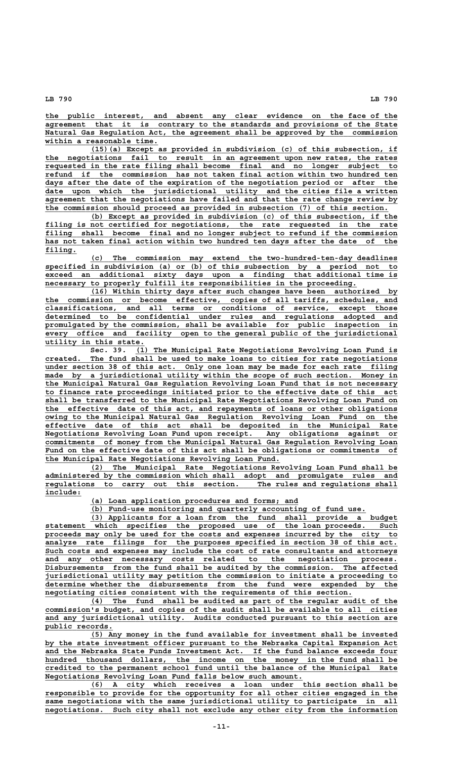**\_\_\_\_\_\_\_\_\_\_\_\_\_\_\_\_\_\_\_\_\_\_\_\_\_\_\_\_\_\_\_\_\_\_\_\_\_\_\_\_\_\_\_\_\_\_\_\_\_\_\_\_\_\_\_\_\_\_\_\_\_\_\_\_\_\_\_\_\_\_\_\_\_\_\_\_\_\_ the public interest, and absent any clear evidence on the face of the \_\_\_\_\_\_\_\_\_\_\_\_\_\_\_\_\_\_\_\_\_\_\_\_\_\_\_\_\_\_\_\_\_\_\_\_\_\_\_\_\_\_\_\_\_\_\_\_\_\_\_\_\_\_\_\_\_\_\_\_\_\_\_\_\_\_\_\_\_\_\_\_\_\_\_\_\_\_ agreement that it is contrary to the standards and provisions of the State**  $Natural$  Gas Regulation Act, the agreement shall be approved by the commission  **\_\_\_\_\_\_\_\_\_\_\_\_\_\_\_\_\_\_\_\_\_\_\_\_\_ within a reasonable time.**

 **\_\_\_\_\_\_\_\_\_\_\_\_\_\_\_\_\_\_\_\_\_\_\_\_\_\_\_\_\_\_\_\_\_\_\_\_\_\_\_\_\_\_\_\_\_\_\_\_\_\_\_\_\_\_\_\_\_\_\_\_\_\_\_\_\_\_\_\_ (15)(a) Except as provided in subdivision (c) of this subsection, if \_\_\_\_\_\_\_\_\_\_\_\_\_\_\_\_\_\_\_\_\_\_\_\_\_\_\_\_\_\_\_\_\_\_\_\_\_\_\_\_\_\_\_\_\_\_\_\_\_\_\_\_\_\_\_\_\_\_\_\_\_\_\_\_\_\_\_\_\_\_\_\_\_\_\_\_\_\_ the negotiations fail to result in an agreement upon new rates, the rates \_\_\_\_\_\_\_\_\_\_\_\_\_\_\_\_\_\_\_\_\_\_\_\_\_\_\_\_\_\_\_\_\_\_\_\_\_\_\_\_\_\_\_\_\_\_\_\_\_\_\_\_\_\_\_\_\_\_\_\_\_\_\_\_\_\_\_\_\_\_\_\_\_\_\_\_\_\_ requested in the rate filing shall become final and no longer subject to \_\_\_\_\_\_\_\_\_\_\_\_\_\_\_\_\_\_\_\_\_\_\_\_\_\_\_\_\_\_\_\_\_\_\_\_\_\_\_\_\_\_\_\_\_\_\_\_\_\_\_\_\_\_\_\_\_\_\_\_\_\_\_\_\_\_\_\_\_\_\_\_\_\_\_\_\_\_ refund if the commission has not taken final action within two hundred ten \_\_\_\_\_\_\_\_\_\_\_\_\_\_\_\_\_\_\_\_\_\_\_\_\_\_\_\_\_\_\_\_\_\_\_\_\_\_\_\_\_\_\_\_\_\_\_\_\_\_\_\_\_\_\_\_\_\_\_\_\_\_\_\_\_\_\_\_\_\_\_\_\_\_\_\_\_\_ days after the date of the expiration of the negotiation period or after the \_\_\_\_\_\_\_\_\_\_\_\_\_\_\_\_\_\_\_\_\_\_\_\_\_\_\_\_\_\_\_\_\_\_\_\_\_\_\_\_\_\_\_\_\_\_\_\_\_\_\_\_\_\_\_\_\_\_\_\_\_\_\_\_\_\_\_\_\_\_\_\_\_\_\_\_\_\_ date upon which the jurisdictional utility and the cities file a written \_\_\_\_\_\_\_\_\_\_\_\_\_\_\_\_\_\_\_\_\_\_\_\_\_\_\_\_\_\_\_\_\_\_\_\_\_\_\_\_\_\_\_\_\_\_\_\_\_\_\_\_\_\_\_\_\_\_\_\_\_\_\_\_\_\_\_\_\_\_\_\_\_\_\_\_\_\_ agreement that the negotiations have failed and that the rate change review by \_\_\_\_\_\_\_\_\_\_\_\_\_\_\_\_\_\_\_\_\_\_\_\_\_\_\_\_\_\_\_\_\_\_\_\_\_\_\_\_\_\_\_\_\_\_\_\_\_\_\_\_\_\_\_\_\_\_\_\_\_\_\_\_\_\_\_\_\_\_\_\_\_\_\_\_ the commission should proceed as provided in subsection (7) of this section.**

 **\_\_\_\_\_\_\_\_\_\_\_\_\_\_\_\_\_\_\_\_\_\_\_\_\_\_\_\_\_\_\_\_\_\_\_\_\_\_\_\_\_\_\_\_\_\_\_\_\_\_\_\_\_\_\_\_\_\_\_\_\_\_\_\_\_\_\_\_ (b) Except as provided in subdivision (c) of this subsection, if the \_\_\_\_\_\_\_\_\_\_\_\_\_\_\_\_\_\_\_\_\_\_\_\_\_\_\_\_\_\_\_\_\_\_\_\_\_\_\_\_\_\_\_\_\_\_\_\_\_\_\_\_\_\_\_\_\_\_\_\_\_\_\_\_\_\_\_\_\_\_\_\_\_\_\_\_\_\_ filing is not certified for negotiations, the rate requested in the rate \_\_\_\_\_\_\_\_\_\_\_\_\_\_\_\_\_\_\_\_\_\_\_\_\_\_\_\_\_\_\_\_\_\_\_\_\_\_\_\_\_\_\_\_\_\_\_\_\_\_\_\_\_\_\_\_\_\_\_\_\_\_\_\_\_\_\_\_\_\_\_\_\_\_\_\_\_\_ filing shall become final and no longer subject to refund if the commission \_\_\_\_\_\_\_\_\_\_\_\_\_\_\_\_\_\_\_\_\_\_\_\_\_\_\_\_\_\_\_\_\_\_\_\_\_\_\_\_\_\_\_\_\_\_\_\_\_\_\_\_\_\_\_\_\_\_\_\_\_\_\_\_\_\_\_\_\_\_\_\_\_\_\_\_\_\_ has not taken final action within two hundred ten days after the date of the** filing.

 **\_\_\_\_\_\_\_\_\_\_\_\_\_\_\_\_\_\_\_\_\_\_\_\_\_\_\_\_\_\_\_\_\_\_\_\_\_\_\_\_\_\_\_\_\_\_\_\_\_\_\_\_\_\_\_\_\_\_\_\_\_\_\_\_\_\_\_\_ (c) The commission may extend the two-hundred-ten-day deadlines \_\_\_\_\_\_\_\_\_\_\_\_\_\_\_\_\_\_\_\_\_\_\_\_\_\_\_\_\_\_\_\_\_\_\_\_\_\_\_\_\_\_\_\_\_\_\_\_\_\_\_\_\_\_\_\_\_\_\_\_\_\_\_\_\_\_\_\_\_\_\_\_\_\_\_\_\_\_ specified in subdivision (a) or (b) of this subsection by a period not to \_\_\_\_\_\_\_\_\_\_\_\_\_\_\_\_\_\_\_\_\_\_\_\_\_\_\_\_\_\_\_\_\_\_\_\_\_\_\_\_\_\_\_\_\_\_\_\_\_\_\_\_\_\_\_\_\_\_\_\_\_\_\_\_\_\_\_\_\_\_\_\_\_\_\_\_\_\_ exceed an additional sixty days upon a finding that additional time is \_\_\_\_\_\_\_\_\_\_\_\_\_\_\_\_\_\_\_\_\_\_\_\_\_\_\_\_\_\_\_\_\_\_\_\_\_\_\_\_\_\_\_\_\_\_\_\_\_\_\_\_\_\_\_\_\_\_\_\_\_\_\_\_\_\_\_\_\_ necessary to properly fulfill its responsibilities in the proceeding.**

 **\_\_\_\_\_\_\_\_\_\_\_\_\_\_\_\_\_\_\_\_\_\_\_\_\_\_\_\_\_\_\_\_\_\_\_\_\_\_\_\_\_\_\_\_\_\_\_\_\_\_\_\_\_\_\_\_\_\_\_\_\_\_\_\_\_\_\_\_ (16) Within thirty days after such changes have been authorized by \_\_\_\_\_\_\_\_\_\_\_\_\_\_\_\_\_\_\_\_\_\_\_\_\_\_\_\_\_\_\_\_\_\_\_\_\_\_\_\_\_\_\_\_\_\_\_\_\_\_\_\_\_\_\_\_\_\_\_\_\_\_\_\_\_\_\_\_\_\_\_\_\_\_\_\_\_\_ the commission or become effective, copies of all tariffs, schedules, and \_\_\_\_\_\_\_\_\_\_\_\_\_\_\_\_\_\_\_\_\_\_\_\_\_\_\_\_\_\_\_\_\_\_\_\_\_\_\_\_\_\_\_\_\_\_\_\_\_\_\_\_\_\_\_\_\_\_\_\_\_\_\_\_\_\_\_\_\_\_\_\_\_\_\_\_\_\_ classifications, and all terms or conditions of service, except those \_\_\_\_\_\_\_\_\_\_\_\_\_\_\_\_\_\_\_\_\_\_\_\_\_\_\_\_\_\_\_\_\_\_\_\_\_\_\_\_\_\_\_\_\_\_\_\_\_\_\_\_\_\_\_\_\_\_\_\_\_\_\_\_\_\_\_\_\_\_\_\_\_\_\_\_\_\_ determined to be confidential under rules and regulations adopted and \_\_\_\_\_\_\_\_\_\_\_\_\_\_\_\_\_\_\_\_\_\_\_\_\_\_\_\_\_\_\_\_\_\_\_\_\_\_\_\_\_\_\_\_\_\_\_\_\_\_\_\_\_\_\_\_\_\_\_\_\_\_\_\_\_\_\_\_\_\_\_\_\_\_\_\_\_\_ promulgated by the commission, shall be available for public inspection in \_\_\_\_\_\_\_\_\_\_\_\_\_\_\_\_\_\_\_\_\_\_\_\_\_\_\_\_\_\_\_\_\_\_\_\_\_\_\_\_\_\_\_\_\_\_\_\_\_\_\_\_\_\_\_\_\_\_\_\_\_\_\_\_\_\_\_\_\_\_\_\_\_\_\_\_\_\_ every office and facility open to the general public of the jurisdictional \_\_\_\_\_\_\_\_\_\_\_\_\_\_\_\_\_\_\_\_\_\_ utility in this state.**

 **\_\_\_\_\_\_\_\_\_\_\_\_\_\_\_\_\_\_\_\_\_\_\_\_\_\_\_\_\_\_\_\_\_\_\_\_\_\_\_\_\_\_\_\_\_\_\_\_\_\_\_\_\_\_\_\_\_\_ Sec. 39. (1) The Municipal Rate Negotiations Revolving Loan Fund is \_\_\_\_\_\_\_\_\_\_\_\_\_\_\_\_\_\_\_\_\_\_\_\_\_\_\_\_\_\_\_\_\_\_\_\_\_\_\_\_\_\_\_\_\_\_\_\_\_\_\_\_\_\_\_\_\_\_\_\_\_\_\_\_\_\_\_\_\_\_\_\_\_\_\_\_\_\_ created. The fund shall be used to make loans to cities for rate negotiations \_\_\_\_\_\_\_\_\_\_\_\_\_\_\_\_\_\_\_\_\_\_\_\_\_\_\_\_\_\_\_\_\_\_\_\_\_\_\_\_\_\_\_\_\_\_\_\_\_\_\_\_\_\_\_\_\_\_\_\_\_\_\_\_\_\_\_\_\_\_\_\_\_\_\_\_\_\_ under section 38 of this act. Only one loan may be made for each rate filing**  $\text{made}$  by a jurisdictional utility within the scope of such section. Money in  **\_\_\_\_\_\_\_\_\_\_\_\_\_\_\_\_\_\_\_\_\_\_\_\_\_\_\_\_\_\_\_\_\_\_\_\_\_\_\_\_\_\_\_\_\_\_\_\_\_\_\_\_\_\_\_\_\_\_\_\_\_\_\_\_\_\_\_\_\_\_\_\_\_\_\_\_\_\_ the Municipal Natural Gas Regulation Revolving Loan Fund that is not necessary \_\_\_\_\_\_\_\_\_\_\_\_\_\_\_\_\_\_\_\_\_\_\_\_\_\_\_\_\_\_\_\_\_\_\_\_\_\_\_\_\_\_\_\_\_\_\_\_\_\_\_\_\_\_\_\_\_\_\_\_\_\_\_\_\_\_\_\_\_\_\_\_\_\_\_\_\_\_ to finance rate proceedings initiated prior to the effective date of this act \_\_\_\_\_\_\_\_\_\_\_\_\_\_\_\_\_\_\_\_\_\_\_\_\_\_\_\_\_\_\_\_\_\_\_\_\_\_\_\_\_\_\_\_\_\_\_\_\_\_\_\_\_\_\_\_\_\_\_\_\_\_\_\_\_\_\_\_\_\_\_\_\_\_\_\_\_\_ shall be transferred to the Municipal Rate Negotiations Revolving Loan Fund on \_\_\_\_\_\_\_\_\_\_\_\_\_\_\_\_\_\_\_\_\_\_\_\_\_\_\_\_\_\_\_\_\_\_\_\_\_\_\_\_\_\_\_\_\_\_\_\_\_\_\_\_\_\_\_\_\_\_\_\_\_\_\_\_\_\_\_\_\_\_\_\_\_\_\_\_\_\_ the effective date of this act, and repayments of loans or other obligations \_\_\_\_\_\_\_\_\_\_\_\_\_\_\_\_\_\_\_\_\_\_\_\_\_\_\_\_\_\_\_\_\_\_\_\_\_\_\_\_\_\_\_\_\_\_\_\_\_\_\_\_\_\_\_\_\_\_\_\_\_\_\_\_\_\_\_\_\_\_\_\_\_\_\_\_\_\_ owing to the Municipal Natural Gas Regulation Revolving Loan Fund on the \_\_\_\_\_\_\_\_\_\_\_\_\_\_\_\_\_\_\_\_\_\_\_\_\_\_\_\_\_\_\_\_\_\_\_\_\_\_\_\_\_\_\_\_\_\_\_\_\_\_\_\_\_\_\_\_\_\_\_\_\_\_\_\_\_\_\_\_\_\_\_\_\_\_\_\_\_\_ effective date of this act shall be deposited in the Municipal Rate \_\_\_\_\_\_\_\_\_\_\_\_\_\_\_\_\_\_\_\_\_\_\_\_\_\_\_\_\_\_\_\_\_\_\_\_\_\_\_\_\_\_\_\_\_\_\_\_\_\_\_\_\_\_\_\_\_\_\_\_\_\_\_\_\_\_\_\_\_\_\_\_\_\_\_\_\_\_ Negotiations Revolving Loan Fund upon receipt. Any obligations against or \_\_\_\_\_\_\_\_\_\_\_\_\_\_\_\_\_\_\_\_\_\_\_\_\_\_\_\_\_\_\_\_\_\_\_\_\_\_\_\_\_\_\_\_\_\_\_\_\_\_\_\_\_\_\_\_\_\_\_\_\_\_\_\_\_\_\_\_\_\_\_\_\_\_\_\_\_\_ commitments of money from the Municipal Natural Gas Regulation Revolving Loan** Fund on the effective date of this act shall be obligations or commitments of  **\_\_\_\_\_\_\_\_\_\_\_\_\_\_\_\_\_\_\_\_\_\_\_\_\_\_\_\_\_\_\_\_\_\_\_\_\_\_\_\_\_\_\_\_\_\_\_\_\_\_\_\_ the Municipal Rate Negotiations Revolving Loan Fund.**

 **\_\_\_\_\_\_\_\_\_\_\_\_\_\_\_\_\_\_\_\_\_\_\_\_\_\_\_\_\_\_\_\_\_\_\_\_\_\_\_\_\_\_\_\_\_\_\_\_\_\_\_\_\_\_\_\_\_\_\_\_\_\_\_\_\_\_\_\_ (2) The Municipal Rate Negotiations Revolving Loan Fund shall be \_\_\_\_\_\_\_\_\_\_\_\_\_\_\_\_\_\_\_\_\_\_\_\_\_\_\_\_\_\_\_\_\_\_\_\_\_\_\_\_\_\_\_\_\_\_\_\_\_\_\_\_\_\_\_\_\_\_\_\_\_\_\_\_\_\_\_\_\_\_\_\_\_\_\_\_\_\_ administered by the commission which shall adopt and promulgate rules and \_\_\_\_\_\_\_\_\_\_\_\_\_\_\_\_\_\_\_\_\_\_\_\_\_\_\_\_\_\_\_\_\_\_\_\_\_\_\_\_\_\_\_\_\_\_\_\_\_\_\_\_\_\_\_\_\_\_\_\_\_\_\_\_\_\_\_\_\_\_\_\_\_\_\_\_\_\_ regulations to carry out this section. The rules and regulations shall include: \_\_\_\_\_\_\_\_**

 **\_\_\_\_\_\_\_\_\_\_\_\_\_\_\_\_\_\_\_\_\_\_\_\_\_\_\_\_\_\_\_\_\_\_\_\_\_\_\_\_\_\_\_\_\_\_ (a) Loan application procedures and forms; and**

 **\_\_\_\_\_\_\_\_\_\_\_\_\_\_\_\_\_\_\_\_\_\_\_\_\_\_\_\_\_\_\_\_\_\_\_\_\_\_\_\_\_\_\_\_\_\_\_\_\_\_\_\_\_\_\_\_\_\_\_\_\_ (b) Fund-use monitoring and quarterly accounting of fund use.**

 **\_\_\_\_\_\_\_\_\_\_\_\_\_\_\_\_\_\_\_\_\_\_\_\_\_\_\_\_\_\_\_\_\_\_\_\_\_\_\_\_\_\_\_\_\_\_\_\_\_\_\_\_\_\_\_\_\_\_\_\_\_\_\_\_\_\_\_\_ (3) Applicants for a loan from the fund shall provide a budget \_\_\_\_\_\_\_\_\_\_\_\_\_\_\_\_\_\_\_\_\_\_\_\_\_\_\_\_\_\_\_\_\_\_\_\_\_\_\_\_\_\_\_\_\_\_\_\_\_\_\_\_\_\_\_\_\_\_\_\_\_\_\_\_\_\_\_\_\_\_\_\_\_\_\_\_\_\_ statement which specifies the proposed use of the loan proceeds. Such \_\_\_\_\_\_\_\_\_\_\_\_\_\_\_\_\_\_\_\_\_\_\_\_\_\_\_\_\_\_\_\_\_\_\_\_\_\_\_\_\_\_\_\_\_\_\_\_\_\_\_\_\_\_\_\_\_\_\_\_\_\_\_\_\_\_\_\_\_\_\_\_\_\_\_\_\_\_ proceeds may only be used for the costs and expenses incurred by the city to** analyze rate filings for the purposes specified in section 38 of this act.  **\_\_\_\_\_\_\_\_\_\_\_\_\_\_\_\_\_\_\_\_\_\_\_\_\_\_\_\_\_\_\_\_\_\_\_\_\_\_\_\_\_\_\_\_\_\_\_\_\_\_\_\_\_\_\_\_\_\_\_\_\_\_\_\_\_\_\_\_\_\_\_\_\_\_\_\_\_\_ Such costs and expenses may include the cost of rate consultants and attorneys \_\_\_\_\_\_\_\_\_\_\_\_\_\_\_\_\_\_\_\_\_\_\_\_\_\_\_\_\_\_\_\_\_\_\_\_\_\_\_\_\_\_\_\_\_\_\_\_\_\_\_\_\_\_\_\_\_\_\_\_\_\_\_\_\_\_\_\_\_\_\_\_\_\_\_\_\_\_ and any other necessary costs related to the negotiation process. \_\_\_\_\_\_\_\_\_\_\_\_\_\_\_\_\_\_\_\_\_\_\_\_\_\_\_\_\_\_\_\_\_\_\_\_\_\_\_\_\_\_\_\_\_\_\_\_\_\_\_\_\_\_\_\_\_\_\_\_\_\_\_\_\_\_\_\_\_\_\_\_\_\_\_\_\_\_ Disbursements from the fund shall be audited by the commission. The affected \_\_\_\_\_\_\_\_\_\_\_\_\_\_\_\_\_\_\_\_\_\_\_\_\_\_\_\_\_\_\_\_\_\_\_\_\_\_\_\_\_\_\_\_\_\_\_\_\_\_\_\_\_\_\_\_\_\_\_\_\_\_\_\_\_\_\_\_\_\_\_\_\_\_\_\_\_\_ jurisdictional utility may petition the commission to initiate a proceeding to \_\_\_\_\_\_\_\_\_\_\_\_\_\_\_\_\_\_\_\_\_\_\_\_\_\_\_\_\_\_\_\_\_\_\_\_\_\_\_\_\_\_\_\_\_\_\_\_\_\_\_\_\_\_\_\_\_\_\_\_\_\_\_\_\_\_\_\_\_\_\_\_\_\_\_\_\_\_ determine whether the disbursements from the fund were expended by the \_\_\_\_\_\_\_\_\_\_\_\_\_\_\_\_\_\_\_\_\_\_\_\_\_\_\_\_\_\_\_\_\_\_\_\_\_\_\_\_\_\_\_\_\_\_\_\_\_\_\_\_\_\_\_\_\_\_\_\_\_\_\_\_\_\_\_\_ negotiating cities consistent with the requirements of this section.**

 **\_\_\_\_\_\_\_\_\_\_\_\_\_\_\_\_\_\_\_\_\_\_\_\_\_\_\_\_\_\_\_\_\_\_\_\_\_\_\_\_\_\_\_\_\_\_\_\_\_\_\_\_\_\_\_\_\_\_\_\_\_\_\_\_\_\_\_\_ (4) The fund shall be audited as part of the regular audit of the \_\_\_\_\_\_\_\_\_\_\_\_\_\_\_\_\_\_\_\_\_\_\_\_\_\_\_\_\_\_\_\_\_\_\_\_\_\_\_\_\_\_\_\_\_\_\_\_\_\_\_\_\_\_\_\_\_\_\_\_\_\_\_\_\_\_\_\_\_\_\_\_\_\_\_\_\_\_ commission's budget, and copies of the audit shall be available to all cities** and any jurisdictional utility. Audits conducted pursuant to this section are  **public records. \_\_\_\_\_\_\_\_\_\_\_\_\_\_\_**

 **\_\_\_\_\_\_\_\_\_\_\_\_\_\_\_\_\_\_\_\_\_\_\_\_\_\_\_\_\_\_\_\_\_\_\_\_\_\_\_\_\_\_\_\_\_\_\_\_\_\_\_\_\_\_\_\_\_\_\_\_\_\_\_\_\_\_\_\_ (5) Any money in the fund available for investment shall be invested** by the state investment officer pursuant to the Nebraska Capital Expansion Act and the Nebraska State Funds Investment Act. If the fund balance exceeds four hundred thousand dollars, the income on the money in the fund shall be  **\_\_\_\_\_\_\_\_\_\_\_\_\_\_\_\_\_\_\_\_\_\_\_\_\_\_\_\_\_\_\_\_\_\_\_\_\_\_\_\_\_\_\_\_\_\_\_\_\_\_\_\_\_\_\_\_\_\_\_\_\_\_\_\_\_\_\_\_\_\_\_\_\_\_\_\_\_\_ credited to the permanent school fund until the balance of the Municipal Rate \_\_\_\_\_\_\_\_\_\_\_\_\_\_\_\_\_\_\_\_\_\_\_\_\_\_\_\_\_\_\_\_\_\_\_\_\_\_\_\_\_\_\_\_\_\_\_\_\_\_\_\_\_\_\_\_\_ Negotiations Revolving Loan Fund falls below such amount.**

 **\_\_\_\_\_\_\_\_\_\_\_\_\_\_\_\_\_\_\_\_\_\_\_\_\_\_\_\_\_\_\_\_\_\_\_\_\_\_\_\_\_\_\_\_\_\_\_\_\_\_\_\_\_\_\_\_\_\_\_\_\_\_\_\_\_\_\_\_ (6) A city which receives a loan under this section shall be \_\_\_\_\_\_\_\_\_\_\_\_\_\_\_\_\_\_\_\_\_\_\_\_\_\_\_\_\_\_\_\_\_\_\_\_\_\_\_\_\_\_\_\_\_\_\_\_\_\_\_\_\_\_\_\_\_\_\_\_\_\_\_\_\_\_\_\_\_\_\_\_\_\_\_\_\_\_ responsible to provide for the opportunity for all other cities engaged in the** same negotiations with the same jurisdictional utility to participate in all  **\_\_\_\_\_\_\_\_\_\_\_\_\_\_\_\_\_\_\_\_\_\_\_\_\_\_\_\_\_\_\_\_\_\_\_\_\_\_\_\_\_\_\_\_\_\_\_\_\_\_\_\_\_\_\_\_\_\_\_\_\_\_\_\_\_\_\_\_\_\_\_\_\_\_\_\_\_\_ negotiations. Such city shall not exclude any other city from the information**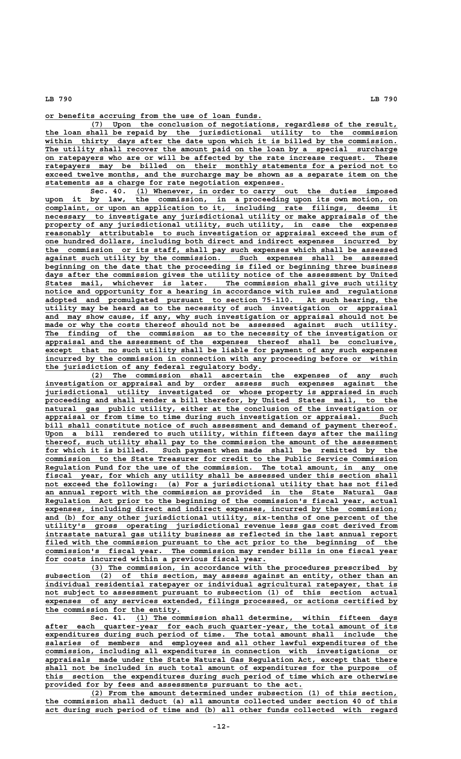**\_\_\_\_\_\_\_\_\_\_\_\_\_\_\_\_\_\_\_\_\_\_\_\_\_\_\_\_\_\_\_\_\_\_\_\_\_\_\_\_\_\_\_\_\_\_\_\_ or benefits accruing from the use of loan funds.**

 **\_\_\_\_\_\_\_\_\_\_\_\_\_\_\_\_\_\_\_\_\_\_\_\_\_\_\_\_\_\_\_\_\_\_\_\_\_\_\_\_\_\_\_\_\_\_\_\_\_\_\_\_\_\_\_\_\_\_\_\_\_\_\_\_\_\_\_\_ (7) Upon the conclusion of negotiations, regardless of the result, \_\_\_\_\_\_\_\_\_\_\_\_\_\_\_\_\_\_\_\_\_\_\_\_\_\_\_\_\_\_\_\_\_\_\_\_\_\_\_\_\_\_\_\_\_\_\_\_\_\_\_\_\_\_\_\_\_\_\_\_\_\_\_\_\_\_\_\_\_\_\_\_\_\_\_\_\_\_ the loan shall be repaid by the jurisdictional utility to the commission \_\_\_\_\_\_\_\_\_\_\_\_\_\_\_\_\_\_\_\_\_\_\_\_\_\_\_\_\_\_\_\_\_\_\_\_\_\_\_\_\_\_\_\_\_\_\_\_\_\_\_\_\_\_\_\_\_\_\_\_\_\_\_\_\_\_\_\_\_\_\_\_\_\_\_\_\_\_ within thirty days after the date upon which it is billed by the commission.** The utility shall recover the amount paid on the loan by a special surcharge  **\_\_\_\_\_\_\_\_\_\_\_\_\_\_\_\_\_\_\_\_\_\_\_\_\_\_\_\_\_\_\_\_\_\_\_\_\_\_\_\_\_\_\_\_\_\_\_\_\_\_\_\_\_\_\_\_\_\_\_\_\_\_\_\_\_\_\_\_\_\_\_\_\_\_\_\_\_\_ on ratepayers who are or will be affected by the rate increase request. These \_\_\_\_\_\_\_\_\_\_\_\_\_\_\_\_\_\_\_\_\_\_\_\_\_\_\_\_\_\_\_\_\_\_\_\_\_\_\_\_\_\_\_\_\_\_\_\_\_\_\_\_\_\_\_\_\_\_\_\_\_\_\_\_\_\_\_\_\_\_\_\_\_\_\_\_\_\_ ratepayers may be billed on their monthly statements for a period not to EXECUTE AND SECUTE AND SECUTE ALL SECURITIES**<br> **EXCEED THE SECUTE SECUTE IT SECURE SECURE SECURE SECURE 2019**<br> **EXCEED THE SECURE SECURE SECURE SECURE SECURE SECURE SECURE ITEM ON the \_\_\_\_\_\_\_\_\_\_\_\_\_\_\_\_\_\_\_\_\_\_\_\_\_\_\_\_\_\_\_\_\_\_\_\_\_\_\_\_\_\_\_\_\_\_\_\_\_\_\_\_\_ statements as a charge for rate negotiation expenses.**

Sec. 40. (1) Whenever, in order to carry out the duties imposed  **\_\_\_\_\_\_\_\_\_\_\_\_\_\_\_\_\_\_\_\_\_\_\_\_\_\_\_\_\_\_\_\_\_\_\_\_\_\_\_\_\_\_\_\_\_\_\_\_\_\_\_\_\_\_\_\_\_\_\_\_\_\_\_\_\_\_\_\_\_\_\_\_\_\_\_\_\_\_ upon it by law, the commission, in a proceeding upon its own motion, on \_\_\_\_\_\_\_\_\_\_\_\_\_\_\_\_\_\_\_\_\_\_\_\_\_\_\_\_\_\_\_\_\_\_\_\_\_\_\_\_\_\_\_\_\_\_\_\_\_\_\_\_\_\_\_\_\_\_\_\_\_\_\_\_\_\_\_\_\_\_\_\_\_\_\_\_\_\_ complaint, or upon an application to it, including rate filings, deems it**  $\overline{\text{necessary}}$  to investigate any jurisdictional utility or make appraisals of the  **\_\_\_\_\_\_\_\_\_\_\_\_\_\_\_\_\_\_\_\_\_\_\_\_\_\_\_\_\_\_\_\_\_\_\_\_\_\_\_\_\_\_\_\_\_\_\_\_\_\_\_\_\_\_\_\_\_\_\_\_\_\_\_\_\_\_\_\_\_\_\_\_\_\_\_\_\_\_ property of any jurisdictional utility, such utility, in case the expenses \_\_\_\_\_\_\_\_\_\_\_\_\_\_\_\_\_\_\_\_\_\_\_\_\_\_\_\_\_\_\_\_\_\_\_\_\_\_\_\_\_\_\_\_\_\_\_\_\_\_\_\_\_\_\_\_\_\_\_\_\_\_\_\_\_\_\_\_\_\_\_\_\_\_\_\_\_\_ reasonably attributable to such investigation or appraisal exceed the sum of \_\_\_\_\_\_\_\_\_\_\_\_\_\_\_\_\_\_\_\_\_\_\_\_\_\_\_\_\_\_\_\_\_\_\_\_\_\_\_\_\_\_\_\_\_\_\_\_\_\_\_\_\_\_\_\_\_\_\_\_\_\_\_\_\_\_\_\_\_\_\_\_\_\_\_\_\_\_ one hundred dollars, including both direct and indirect expenses incurred by \_\_\_\_\_\_\_\_\_\_\_\_\_\_\_\_\_\_\_\_\_\_\_\_\_\_\_\_\_\_\_\_\_\_\_\_\_\_\_\_\_\_\_\_\_\_\_\_\_\_\_\_\_\_\_\_\_\_\_\_\_\_\_\_\_\_\_\_\_\_\_\_\_\_\_\_\_\_ the commission or its staff, shall pay such expenses which shall be assessed \_\_\_\_\_\_\_\_\_\_\_\_\_\_\_\_\_\_\_\_\_\_\_\_\_\_\_\_\_\_\_\_\_\_\_\_\_\_\_\_\_\_\_\_\_\_\_\_\_\_\_\_\_\_\_\_\_\_\_\_\_\_\_\_\_\_\_\_\_\_\_\_\_\_\_\_\_\_ against such utility by the commission. Such expenses shall be assessed \_\_\_\_\_\_\_\_\_\_\_\_\_\_\_\_\_\_\_\_\_\_\_\_\_\_\_\_\_\_\_\_\_\_\_\_\_\_\_\_\_\_\_\_\_\_\_\_\_\_\_\_\_\_\_\_\_\_\_\_\_\_\_\_\_\_\_\_\_\_\_\_\_\_\_\_\_\_ beginning on the date that the proceeding is filed or beginning three business \_\_\_\_\_\_\_\_\_\_\_\_\_\_\_\_\_\_\_\_\_\_\_\_\_\_\_\_\_\_\_\_\_\_\_\_\_\_\_\_\_\_\_\_\_\_\_\_\_\_\_\_\_\_\_\_\_\_\_\_\_\_\_\_\_\_\_\_\_\_\_\_\_\_\_\_\_\_ days after the commission gives the utility notice of the assessment by United \_\_\_\_\_\_\_\_\_\_\_\_\_\_\_\_\_\_\_\_\_\_\_\_\_\_\_\_\_\_\_\_\_\_\_\_\_\_\_\_\_\_\_\_\_\_\_\_\_\_\_\_\_\_\_\_\_\_\_\_\_\_\_\_\_\_\_\_\_\_\_\_\_\_\_\_\_\_ States mail, whichever is later. The commission shall give such utility \_\_\_\_\_\_\_\_\_\_\_\_\_\_\_\_\_\_\_\_\_\_\_\_\_\_\_\_\_\_\_\_\_\_\_\_\_\_\_\_\_\_\_\_\_\_\_\_\_\_\_\_\_\_\_\_\_\_\_\_\_\_\_\_\_\_\_\_\_\_\_\_\_\_\_\_\_\_ notice and opportunity for a hearing in accordance with rules and regulations \_\_\_\_\_\_\_\_\_\_\_\_\_\_\_\_\_\_\_\_\_\_\_\_\_\_\_\_\_\_\_\_\_\_\_\_\_\_\_\_\_\_\_\_\_\_\_\_\_\_\_\_\_\_\_\_\_\_\_\_\_\_\_\_\_\_\_\_\_\_\_\_\_\_\_\_\_\_ adopted and promulgated pursuant to section 75-110. At such hearing, the \_\_\_\_\_\_\_\_\_\_\_\_\_\_\_\_\_\_\_\_\_\_\_\_\_\_\_\_\_\_\_\_\_\_\_\_\_\_\_\_\_\_\_\_\_\_\_\_\_\_\_\_\_\_\_\_\_\_\_\_\_\_\_\_\_\_\_\_\_\_\_\_\_\_\_\_\_\_ utility may be heard as to the necessity of such investigation or appraisal \_\_\_\_\_\_\_\_\_\_\_\_\_\_\_\_\_\_\_\_\_\_\_\_\_\_\_\_\_\_\_\_\_\_\_\_\_\_\_\_\_\_\_\_\_\_\_\_\_\_\_\_\_\_\_\_\_\_\_\_\_\_\_\_\_\_\_\_\_\_\_\_\_\_\_\_\_\_ and may show cause, if any, why such investigation or appraisal should not be** made or why the costs thereof should not be assessed against such utility.  **\_\_\_\_\_\_\_\_\_\_\_\_\_\_\_\_\_\_\_\_\_\_\_\_\_\_\_\_\_\_\_\_\_\_\_\_\_\_\_\_\_\_\_\_\_\_\_\_\_\_\_\_\_\_\_\_\_\_\_\_\_\_\_\_\_\_\_\_\_\_\_\_\_\_\_\_\_\_ The finding of the commission as to the necessity of the investigation or \_\_\_\_\_\_\_\_\_\_\_\_\_\_\_\_\_\_\_\_\_\_\_\_\_\_\_\_\_\_\_\_\_\_\_\_\_\_\_\_\_\_\_\_\_\_\_\_\_\_\_\_\_\_\_\_\_\_\_\_\_\_\_\_\_\_\_\_\_\_\_\_\_\_\_\_\_\_ appraisal and the assessment of the expenses thereof shall be conclusive,** except that no such utility shall be liable for payment of any such expenses  **\_\_\_\_\_\_\_\_\_\_\_\_\_\_\_\_\_\_\_\_\_\_\_\_\_\_\_\_\_\_\_\_\_\_\_\_\_\_\_\_\_\_\_\_\_\_\_\_\_\_\_\_\_\_\_\_\_\_\_\_\_\_\_\_\_\_\_\_\_\_\_\_\_\_\_\_\_\_ incurred by the commission in connection with any proceeding before or within \_\_\_\_\_\_\_\_\_\_\_\_\_\_\_\_\_\_\_\_\_\_\_\_\_\_\_\_\_\_\_\_\_\_\_\_\_\_\_\_\_\_\_\_\_\_\_\_ the jurisdiction of any federal regulatory body.**

 **\_\_\_\_\_\_\_\_\_\_\_\_\_\_\_\_\_\_\_\_\_\_\_\_\_\_\_\_\_\_\_\_\_\_\_\_\_\_\_\_\_\_\_\_\_\_\_\_\_\_\_\_\_\_\_\_\_\_\_\_\_\_\_\_\_\_\_\_ (2) The commission shall ascertain the expenses of any such \_\_\_\_\_\_\_\_\_\_\_\_\_\_\_\_\_\_\_\_\_\_\_\_\_\_\_\_\_\_\_\_\_\_\_\_\_\_\_\_\_\_\_\_\_\_\_\_\_\_\_\_\_\_\_\_\_\_\_\_\_\_\_\_\_\_\_\_\_\_\_\_\_\_\_\_\_\_ investigation or appraisal and by order assess such expenses against the \_\_\_\_\_\_\_\_\_\_\_\_\_\_\_\_\_\_\_\_\_\_\_\_\_\_\_\_\_\_\_\_\_\_\_\_\_\_\_\_\_\_\_\_\_\_\_\_\_\_\_\_\_\_\_\_\_\_\_\_\_\_\_\_\_\_\_\_\_\_\_\_\_\_\_\_\_\_ jurisdictional utility investigated or whose property is appraised in such \_\_\_\_\_\_\_\_\_\_\_\_\_\_\_\_\_\_\_\_\_\_\_\_\_\_\_\_\_\_\_\_\_\_\_\_\_\_\_\_\_\_\_\_\_\_\_\_\_\_\_\_\_\_\_\_\_\_\_\_\_\_\_\_\_\_\_\_\_\_\_\_\_\_\_\_\_\_ proceeding and shall render a bill therefor, by United States mail, to the**  $natural$  gas public utility, either at the conclusion of the investigation or  **\_\_\_\_\_\_\_\_\_\_\_\_\_\_\_\_\_\_\_\_\_\_\_\_\_\_\_\_\_\_\_\_\_\_\_\_\_\_\_\_\_\_\_\_\_\_\_\_\_\_\_\_\_\_\_\_\_\_\_\_\_\_\_\_\_\_\_\_\_\_\_\_\_\_\_\_\_\_ appraisal or from time to time during such investigation or appraisal. Such** bill shall constitute notice of such assessment and demand of payment thereof.  **\_\_\_\_\_\_\_\_\_\_\_\_\_\_\_\_\_\_\_\_\_\_\_\_\_\_\_\_\_\_\_\_\_\_\_\_\_\_\_\_\_\_\_\_\_\_\_\_\_\_\_\_\_\_\_\_\_\_\_\_\_\_\_\_\_\_\_\_\_\_\_\_\_\_\_\_\_\_ Upon a bill rendered to such utility, within fifteen days after the mailing \_\_\_\_\_\_\_\_\_\_\_\_\_\_\_\_\_\_\_\_\_\_\_\_\_\_\_\_\_\_\_\_\_\_\_\_\_\_\_\_\_\_\_\_\_\_\_\_\_\_\_\_\_\_\_\_\_\_\_\_\_\_\_\_\_\_\_\_\_\_\_\_\_\_\_\_\_\_ thereof, such utility shall pay to the commission the amount of the assessment \_\_\_\_\_\_\_\_\_\_\_\_\_\_\_\_\_\_\_\_\_\_\_\_\_\_\_\_\_\_\_\_\_\_\_\_\_\_\_\_\_\_\_\_\_\_\_\_\_\_\_\_\_\_\_\_\_\_\_\_\_\_\_\_\_\_\_\_\_\_\_\_\_\_\_\_\_\_ for which it is billed. Such payment when made shall be remitted by the \_\_\_\_\_\_\_\_\_\_\_\_\_\_\_\_\_\_\_\_\_\_\_\_\_\_\_\_\_\_\_\_\_\_\_\_\_\_\_\_\_\_\_\_\_\_\_\_\_\_\_\_\_\_\_\_\_\_\_\_\_\_\_\_\_\_\_\_\_\_\_\_\_\_\_\_\_\_ commission to the State Treasurer for credit to the Public Service Commission** Regulation Fund for the use of the commission. The total amount, in any one fiscal year, for which any utility shall be assessed under this section shall  **\_\_\_\_\_\_\_\_\_\_\_\_\_\_\_\_\_\_\_\_\_\_\_\_\_\_\_\_\_\_\_\_\_\_\_\_\_\_\_\_\_\_\_\_\_\_\_\_\_\_\_\_\_\_\_\_\_\_\_\_\_\_\_\_\_\_\_\_\_\_\_\_\_\_\_\_\_\_ not exceed the following: (a) For a jurisdictional utility that has not filed \_\_\_\_\_\_\_\_\_\_\_\_\_\_\_\_\_\_\_\_\_\_\_\_\_\_\_\_\_\_\_\_\_\_\_\_\_\_\_\_\_\_\_\_\_\_\_\_\_\_\_\_\_\_\_\_\_\_\_\_\_\_\_\_\_\_\_\_\_\_\_\_\_\_\_\_\_\_ an annual report with the commission as provided in the State Natural Gas**  $\overline{\text{Regular}~$  Act prior to the beginning of the commission's fiscal year, actual expenses, including direct and indirect expenses, incurred by the commission; and (b) for any other jurisdictional utility, six-tenths of one percent of the  **\_\_\_\_\_\_\_\_\_\_\_\_\_\_\_\_\_\_\_\_\_\_\_\_\_\_\_\_\_\_\_\_\_\_\_\_\_\_\_\_\_\_\_\_\_\_\_\_\_\_\_\_\_\_\_\_\_\_\_\_\_\_\_\_\_\_\_\_\_\_\_\_\_\_\_\_\_\_ utility's gross operating jurisdictional revenue less gas cost derived from \_\_\_\_\_\_\_\_\_\_\_\_\_\_\_\_\_\_\_\_\_\_\_\_\_\_\_\_\_\_\_\_\_\_\_\_\_\_\_\_\_\_\_\_\_\_\_\_\_\_\_\_\_\_\_\_\_\_\_\_\_\_\_\_\_\_\_\_\_\_\_\_\_\_\_\_\_\_ intrastate natural gas utility business as reflected in the last annual report \_\_\_\_\_\_\_\_\_\_\_\_\_\_\_\_\_\_\_\_\_\_\_\_\_\_\_\_\_\_\_\_\_\_\_\_\_\_\_\_\_\_\_\_\_\_\_\_\_\_\_\_\_\_\_\_\_\_\_\_\_\_\_\_\_\_\_\_\_\_\_\_\_\_\_\_\_\_ filed with the commission pursuant to the act prior to the beginning of the \_\_\_\_\_\_\_\_\_\_\_\_\_\_\_\_\_\_\_\_\_\_\_\_\_\_\_\_\_\_\_\_\_\_\_\_\_\_\_\_\_\_\_\_\_\_\_\_\_\_\_\_\_\_\_\_\_\_\_\_\_\_\_\_\_\_\_\_\_\_\_\_\_\_\_\_\_\_ commission's fiscal year. The commission may render bills in one fiscal year \_\_\_\_\_\_\_\_\_\_\_\_\_\_\_\_\_\_\_\_\_\_\_\_\_\_\_\_\_\_\_\_\_\_\_\_\_\_\_\_\_\_\_\_\_\_\_\_\_ for costs incurred within a previous fiscal year.**

> **\_\_\_\_\_\_\_\_\_\_\_\_\_\_\_\_\_\_\_\_\_\_\_\_\_\_\_\_\_\_\_\_\_\_\_\_\_\_\_\_\_\_\_\_\_\_\_\_\_\_\_\_\_\_\_\_\_\_\_\_\_\_\_\_\_\_\_\_ (3) The commission, in accordance with the procedures prescribed by \_\_\_\_\_\_\_\_\_\_\_\_\_\_\_\_\_\_\_\_\_\_\_\_\_\_\_\_\_\_\_\_\_\_\_\_\_\_\_\_\_\_\_\_\_\_\_\_\_\_\_\_\_\_\_\_\_\_\_\_\_\_\_\_\_\_\_\_\_\_\_\_\_\_\_\_\_\_ subsection (2) of this section, may assess against an entity, other than an \_\_\_\_\_\_\_\_\_\_\_\_\_\_\_\_\_\_\_\_\_\_\_\_\_\_\_\_\_\_\_\_\_\_\_\_\_\_\_\_\_\_\_\_\_\_\_\_\_\_\_\_\_\_\_\_\_\_\_\_\_\_\_\_\_\_\_\_\_\_\_\_\_\_\_\_\_\_ individual residential ratepayer or individual agricultural ratepayer, that is** not subject to assessment pursuant to subsection (1) of this section actual  **\_\_\_\_\_\_\_\_\_\_\_\_\_\_\_\_\_\_\_\_\_\_\_\_\_\_\_\_\_\_\_\_\_\_\_\_\_\_\_\_\_\_\_\_\_\_\_\_\_\_\_\_\_\_\_\_\_\_\_\_\_\_\_\_\_\_\_\_\_\_\_\_\_\_\_\_\_\_ expenses of any services extended, filings processed, or actions certified by \_\_\_\_\_\_\_\_\_\_\_\_\_\_\_\_\_\_\_\_\_\_\_\_\_\_\_\_\_\_ the commission for the entity.**

 **\_\_\_\_\_\_\_\_\_\_\_\_\_\_\_\_\_\_\_\_\_\_\_\_\_\_\_\_\_\_\_\_\_\_\_\_\_\_\_\_\_\_\_\_\_\_\_\_\_\_\_\_\_\_\_\_\_\_ Sec. 41. (1) The commission shall determine, within fifteen days \_\_\_\_\_\_\_\_\_\_\_\_\_\_\_\_\_\_\_\_\_\_\_\_\_\_\_\_\_\_\_\_\_\_\_\_\_\_\_\_\_\_\_\_\_\_\_\_\_\_\_\_\_\_\_\_\_\_\_\_\_\_\_\_\_\_\_\_\_\_\_\_\_\_\_\_\_\_ after each quarter-year for each such quarter-year, the total amount of its \_\_\_\_\_\_\_\_\_\_\_\_\_\_\_\_\_\_\_\_\_\_\_\_\_\_\_\_\_\_\_\_\_\_\_\_\_\_\_\_\_\_\_\_\_\_\_\_\_\_\_\_\_\_\_\_\_\_\_\_\_\_\_\_\_\_\_\_\_\_\_\_\_\_\_\_\_\_ expenditures during such period of time. The total amount shall include the \_\_\_\_\_\_\_\_\_\_\_\_\_\_\_\_\_\_\_\_\_\_\_\_\_\_\_\_\_\_\_\_\_\_\_\_\_\_\_\_\_\_\_\_\_\_\_\_\_\_\_\_\_\_\_\_\_\_\_\_\_\_\_\_\_\_\_\_\_\_\_\_\_\_\_\_\_\_ salaries of members and employees and all other lawful expenditures of the \_\_\_\_\_\_\_\_\_\_\_\_\_\_\_\_\_\_\_\_\_\_\_\_\_\_\_\_\_\_\_\_\_\_\_\_\_\_\_\_\_\_\_\_\_\_\_\_\_\_\_\_\_\_\_\_\_\_\_\_\_\_\_\_\_\_\_\_\_\_\_\_\_\_\_\_\_\_ commission, including all expenditures in connection with investigations or \_\_\_\_\_\_\_\_\_\_\_\_\_\_\_\_\_\_\_\_\_\_\_\_\_\_\_\_\_\_\_\_\_\_\_\_\_\_\_\_\_\_\_\_\_\_\_\_\_\_\_\_\_\_\_\_\_\_\_\_\_\_\_\_\_\_\_\_\_\_\_\_\_\_\_\_\_\_ appraisals made under the State Natural Gas Regulation Act, except that there \_\_\_\_\_\_\_\_\_\_\_\_\_\_\_\_\_\_\_\_\_\_\_\_\_\_\_\_\_\_\_\_\_\_\_\_\_\_\_\_\_\_\_\_\_\_\_\_\_\_\_\_\_\_\_\_\_\_\_\_\_\_\_\_\_\_\_\_\_\_\_\_\_\_\_\_\_\_ shall not be included in such total amount of expenditures for the purpose of \_\_\_\_\_\_\_\_\_\_\_\_\_\_\_\_\_\_\_\_\_\_\_\_\_\_\_\_\_\_\_\_\_\_\_\_\_\_\_\_\_\_\_\_\_\_\_\_\_\_\_\_\_\_\_\_\_\_\_\_\_\_\_\_\_\_\_\_\_\_\_\_\_\_\_\_\_\_ this section the expenditures during such period of time which are otherwise** provided for by fees and assessments pursuant to the act.

 **\_\_\_\_\_\_\_\_\_\_\_\_\_\_\_\_\_\_\_\_\_\_\_\_\_\_\_\_\_\_\_\_\_\_\_\_\_\_\_\_\_\_\_\_\_\_\_\_\_\_\_\_\_\_\_\_\_\_\_\_\_\_\_\_\_\_\_\_ (2) From the amount determined under subsection (1) of this section, \_\_\_\_\_\_\_\_\_\_\_\_\_\_\_\_\_\_\_\_\_\_\_\_\_\_\_\_\_\_\_\_\_\_\_\_\_\_\_\_\_\_\_\_\_\_\_\_\_\_\_\_\_\_\_\_\_\_\_\_\_\_\_\_\_\_\_\_\_\_\_\_\_\_\_\_\_\_ the commission shall deduct (a) all amounts collected under section 40 of this \_\_\_\_\_\_\_\_\_\_\_\_\_\_\_\_\_\_\_\_\_\_\_\_\_\_\_\_\_\_\_\_\_\_\_\_\_\_\_\_\_\_\_\_\_\_\_\_\_\_\_\_\_\_\_\_\_\_\_\_\_\_\_\_\_\_\_\_\_\_\_\_\_\_\_\_\_\_ act during such period of time and (b) all other funds collected with regard**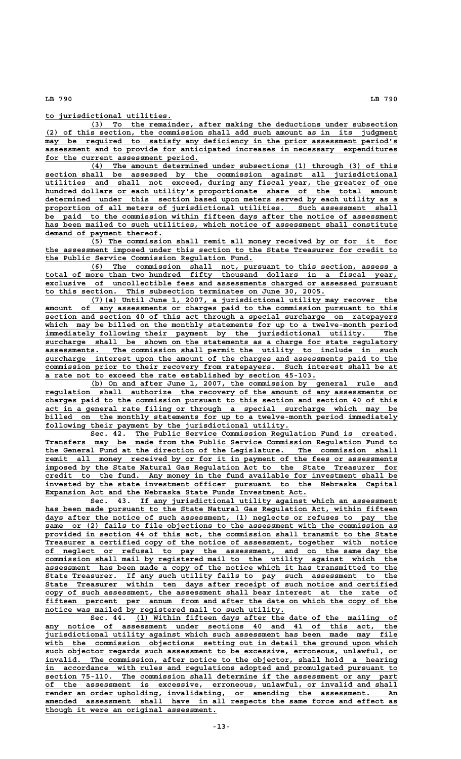**\_\_\_\_\_\_\_\_\_\_\_\_\_\_\_\_\_\_\_\_\_\_\_\_\_\_\_\_ to jurisdictional utilities.**

 **\_\_\_\_\_\_\_\_\_\_\_\_\_\_\_\_\_\_\_\_\_\_\_\_\_\_\_\_\_\_\_\_\_\_\_\_\_\_\_\_\_\_\_\_\_\_\_\_\_\_\_\_\_\_\_\_\_\_\_\_\_\_\_\_\_\_\_\_ (3) To the remainder, after making the deductions under subsection \_\_\_\_\_\_\_\_\_\_\_\_\_\_\_\_\_\_\_\_\_\_\_\_\_\_\_\_\_\_\_\_\_\_\_\_\_\_\_\_\_\_\_\_\_\_\_\_\_\_\_\_\_\_\_\_\_\_\_\_\_\_\_\_\_\_\_\_\_\_\_\_\_\_\_\_\_\_ (2) of this section, the commission shall add such amount as in its judgment**  $may$  be required to satisfy any deficiency in the prior assessment period's  **\_\_\_\_\_\_\_\_\_\_\_\_\_\_\_\_\_\_\_\_\_\_\_\_\_\_\_\_\_\_\_\_\_\_\_\_\_\_\_\_\_\_\_\_\_\_\_\_\_\_\_\_\_\_\_\_\_\_\_\_\_\_\_\_\_\_\_\_\_\_\_\_\_\_\_\_\_\_ assessment and to provide for anticipated increases in necessary expenditures** for the current assessment period.

 **\_\_\_\_\_\_\_\_\_\_\_\_\_\_\_\_\_\_\_\_\_\_\_\_\_\_\_\_\_\_\_\_\_\_\_\_\_\_\_\_\_\_\_\_\_\_\_\_\_\_\_\_\_\_\_\_\_\_\_\_\_\_\_\_\_\_\_\_ (4) The amount determined under subsections (1) through (3) of this \_\_\_\_\_\_\_\_\_\_\_\_\_\_\_\_\_\_\_\_\_\_\_\_\_\_\_\_\_\_\_\_\_\_\_\_\_\_\_\_\_\_\_\_\_\_\_\_\_\_\_\_\_\_\_\_\_\_\_\_\_\_\_\_\_\_\_\_\_\_\_\_\_\_\_\_\_\_ section shall be assessed by the commission against all jurisdictional \_\_\_\_\_\_\_\_\_\_\_\_\_\_\_\_\_\_\_\_\_\_\_\_\_\_\_\_\_\_\_\_\_\_\_\_\_\_\_\_\_\_\_\_\_\_\_\_\_\_\_\_\_\_\_\_\_\_\_\_\_\_\_\_\_\_\_\_\_\_\_\_\_\_\_\_\_\_ utilities and shall not exceed, during any fiscal year, the greater of one \_\_\_\_\_\_\_\_\_\_\_\_\_\_\_\_\_\_\_\_\_\_\_\_\_\_\_\_\_\_\_\_\_\_\_\_\_\_\_\_\_\_\_\_\_\_\_\_\_\_\_\_\_\_\_\_\_\_\_\_\_\_\_\_\_\_\_\_\_\_\_\_\_\_\_\_\_\_ hundred dollars or each utility's proportionate share of the total amount \_\_\_\_\_\_\_\_\_\_\_\_\_\_\_\_\_\_\_\_\_\_\_\_\_\_\_\_\_\_\_\_\_\_\_\_\_\_\_\_\_\_\_\_\_\_\_\_\_\_\_\_\_\_\_\_\_\_\_\_\_\_\_\_\_\_\_\_\_\_\_\_\_\_\_\_\_\_ determined under this section based upon meters served by each utility as a \_\_\_\_\_\_\_\_\_\_\_\_\_\_\_\_\_\_\_\_\_\_\_\_\_\_\_\_\_\_\_\_\_\_\_\_\_\_\_\_\_\_\_\_\_\_\_\_\_\_\_\_\_\_\_\_\_\_\_\_\_\_\_\_\_\_\_\_\_\_\_\_\_\_\_\_\_\_ proportion of all meters of jurisdictional utilities. Such assessment shall \_\_\_\_\_\_\_\_\_\_\_\_\_\_\_\_\_\_\_\_\_\_\_\_\_\_\_\_\_\_\_\_\_\_\_\_\_\_\_\_\_\_\_\_\_\_\_\_\_\_\_\_\_\_\_\_\_\_\_\_\_\_\_\_\_\_\_\_\_\_\_\_\_\_\_\_\_\_ be paid to the commission within fifteen days after the notice of assessment \_\_\_\_\_\_\_\_\_\_\_\_\_\_\_\_\_\_\_\_\_\_\_\_\_\_\_\_\_\_\_\_\_\_\_\_\_\_\_\_\_\_\_\_\_\_\_\_\_\_\_\_\_\_\_\_\_\_\_\_\_\_\_\_\_\_\_\_\_\_\_\_\_\_\_\_\_\_ has been mailed to such utilities, which notice of assessment shall constitute \_\_\_\_\_\_\_\_\_\_\_\_\_\_\_\_\_\_\_\_\_\_\_\_\_\_ demand of payment thereof.**

 **\_\_\_\_\_\_\_\_\_\_\_\_\_\_\_\_\_\_\_\_\_\_\_\_\_\_\_\_\_\_\_\_\_\_\_\_\_\_\_\_\_\_\_\_\_\_\_\_\_\_\_\_\_\_\_\_\_\_\_\_\_\_\_\_\_\_\_\_ (5) The commission shall remit all money received by or for it for \_\_\_\_\_\_\_\_\_\_\_\_\_\_\_\_\_\_\_\_\_\_\_\_\_\_\_\_\_\_\_\_\_\_\_\_\_\_\_\_\_\_\_\_\_\_\_\_\_\_\_\_\_\_\_\_\_\_\_\_\_\_\_\_\_\_\_\_\_\_\_\_\_\_\_\_\_\_ the assessment imposed under this section to the State Treasurer for credit to \_\_\_\_\_\_\_\_\_\_\_\_\_\_\_\_\_\_\_\_\_\_\_\_\_\_\_\_\_\_\_\_\_\_\_\_\_\_\_\_\_\_\_\_\_\_ the Public Service Commission Regulation Fund.**

 **\_\_\_\_\_\_\_\_\_\_\_\_\_\_\_\_\_\_\_\_\_\_\_\_\_\_\_\_\_\_\_\_\_\_\_\_\_\_\_\_\_\_\_\_\_\_\_\_\_\_\_\_\_\_\_\_\_\_\_\_\_\_\_\_\_\_\_\_ (6) The commission shall not, pursuant to this section, assess a \_\_\_\_\_\_\_\_\_\_\_\_\_\_\_\_\_\_\_\_\_\_\_\_\_\_\_\_\_\_\_\_\_\_\_\_\_\_\_\_\_\_\_\_\_\_\_\_\_\_\_\_\_\_\_\_\_\_\_\_\_\_\_\_\_\_\_\_\_\_\_\_\_\_\_\_\_\_ total of more than two hundred fifty thousand dollars in a fiscal year, \_\_\_\_\_\_\_\_\_\_\_\_\_\_\_\_\_\_\_\_\_\_\_\_\_\_\_\_\_\_\_\_\_\_\_\_\_\_\_\_\_\_\_\_\_\_\_\_\_\_\_\_\_\_\_\_\_\_\_\_\_\_\_\_\_\_\_\_\_\_\_\_\_\_\_\_\_\_ exclusive of uncollectible fees and assessments charged or assessed pursuant \_\_\_\_\_\_\_\_\_\_\_\_\_\_\_\_\_\_\_\_\_\_\_\_\_\_\_\_\_\_\_\_\_\_\_\_\_\_\_\_\_\_\_\_\_\_\_\_\_\_\_\_\_\_\_\_\_\_\_\_\_\_ to this section. This subsection terminates on June 30, 2005.**

 **\_\_\_\_\_\_\_\_\_\_\_\_\_\_\_\_\_\_\_\_\_\_\_\_\_\_\_\_\_\_\_\_\_\_\_\_\_\_\_\_\_\_\_\_\_\_\_\_\_\_\_\_\_\_\_\_\_\_\_\_\_\_\_\_\_\_\_\_ (7)(a) Until June 1, 2007, a jurisdictional utility may recover the \_\_\_\_\_\_\_\_\_\_\_\_\_\_\_\_\_\_\_\_\_\_\_\_\_\_\_\_\_\_\_\_\_\_\_\_\_\_\_\_\_\_\_\_\_\_\_\_\_\_\_\_\_\_\_\_\_\_\_\_\_\_\_\_\_\_\_\_\_\_\_\_\_\_\_\_\_\_ amount of any assessments or charges paid to the commission pursuant to this \_\_\_\_\_\_\_\_\_\_\_\_\_\_\_\_\_\_\_\_\_\_\_\_\_\_\_\_\_\_\_\_\_\_\_\_\_\_\_\_\_\_\_\_\_\_\_\_\_\_\_\_\_\_\_\_\_\_\_\_\_\_\_\_\_\_\_\_\_\_\_\_\_\_\_\_\_\_ section and section 40 of this act through a special surcharge on ratepayers \_\_\_\_\_\_\_\_\_\_\_\_\_\_\_\_\_\_\_\_\_\_\_\_\_\_\_\_\_\_\_\_\_\_\_\_\_\_\_\_\_\_\_\_\_\_\_\_\_\_\_\_\_\_\_\_\_\_\_\_\_\_\_\_\_\_\_\_\_\_\_\_\_\_\_\_\_\_ which may be billed on the monthly statements for up to a twelve-month period \_\_\_\_\_\_\_\_\_\_\_\_\_\_\_\_\_\_\_\_\_\_\_\_\_\_\_\_\_\_\_\_\_\_\_\_\_\_\_\_\_\_\_\_\_\_\_\_\_\_\_\_\_\_\_\_\_\_\_\_\_\_\_\_\_\_\_\_\_\_\_\_\_\_\_\_\_\_ immediately following their payment by the jurisdictional utility. The \_\_\_\_\_\_\_\_\_\_\_\_\_\_\_\_\_\_\_\_\_\_\_\_\_\_\_\_\_\_\_\_\_\_\_\_\_\_\_\_\_\_\_\_\_\_\_\_\_\_\_\_\_\_\_\_\_\_\_\_\_\_\_\_\_\_\_\_\_\_\_\_\_\_\_\_\_\_ surcharge shall be shown on the statements as a charge for state regulatory \_\_\_\_\_\_\_\_\_\_\_\_\_\_\_\_\_\_\_\_\_\_\_\_\_\_\_\_\_\_\_\_\_\_\_\_\_\_\_\_\_\_\_\_\_\_\_\_\_\_\_\_\_\_\_\_\_\_\_\_\_\_\_\_\_\_\_\_\_\_\_\_\_\_\_\_\_\_ assessments. The commission shall permit the utility to include in such \_\_\_\_\_\_\_\_\_\_\_\_\_\_\_\_\_\_\_\_\_\_\_\_\_\_\_\_\_\_\_\_\_\_\_\_\_\_\_\_\_\_\_\_\_\_\_\_\_\_\_\_\_\_\_\_\_\_\_\_\_\_\_\_\_\_\_\_\_\_\_\_\_\_\_\_\_\_ surcharge interest upon the amount of the charges and assessments paid to the \_\_\_\_\_\_\_\_\_\_\_\_\_\_\_\_\_\_\_\_\_\_\_\_\_\_\_\_\_\_\_\_\_\_\_\_\_\_\_\_\_\_\_\_\_\_\_\_\_\_\_\_\_\_\_\_\_\_\_\_\_\_\_\_\_\_\_\_\_\_\_\_\_\_\_\_\_\_ commission prior to their recovery from ratepayers. Such interest shall be at \_\_\_\_\_\_\_\_\_\_\_\_\_\_\_\_\_\_\_\_\_\_\_\_\_\_\_\_\_\_\_\_\_\_\_\_\_\_\_\_\_\_\_\_\_\_\_\_\_\_\_\_\_\_\_\_\_\_\_\_ a rate not to exceed the rate established by section 45-103.**

 **\_\_\_\_\_\_\_\_\_\_\_\_\_\_\_\_\_\_\_\_\_\_\_\_\_\_\_\_\_\_\_\_\_\_\_\_\_\_\_\_\_\_\_\_\_\_\_\_\_\_\_\_\_\_\_\_\_\_\_\_\_\_\_\_\_\_\_\_ (b) On and after June 1, 2007, the commission by general rule and \_\_\_\_\_\_\_\_\_\_\_\_\_\_\_\_\_\_\_\_\_\_\_\_\_\_\_\_\_\_\_\_\_\_\_\_\_\_\_\_\_\_\_\_\_\_\_\_\_\_\_\_\_\_\_\_\_\_\_\_\_\_\_\_\_\_\_\_\_\_\_\_\_\_\_\_\_\_ regulation shall authorize the recovery of the amount of any assessments or \_\_\_\_\_\_\_\_\_\_\_\_\_\_\_\_\_\_\_\_\_\_\_\_\_\_\_\_\_\_\_\_\_\_\_\_\_\_\_\_\_\_\_\_\_\_\_\_\_\_\_\_\_\_\_\_\_\_\_\_\_\_\_\_\_\_\_\_\_\_\_\_\_\_\_\_\_\_ charges paid to the commission pursuant to this section and section 40 of this \_\_\_\_\_\_\_\_\_\_\_\_\_\_\_\_\_\_\_\_\_\_\_\_\_\_\_\_\_\_\_\_\_\_\_\_\_\_\_\_\_\_\_\_\_\_\_\_\_\_\_\_\_\_\_\_\_\_\_\_\_\_\_\_\_\_\_\_\_\_\_\_\_\_\_\_\_\_ act in a general rate filing or through a special surcharge which may be \_\_\_\_\_\_\_\_\_\_\_\_\_\_\_\_\_\_\_\_\_\_\_\_\_\_\_\_\_\_\_\_\_\_\_\_\_\_\_\_\_\_\_\_\_\_\_\_\_\_\_\_\_\_\_\_\_\_\_\_\_\_\_\_\_\_\_\_\_\_\_\_\_\_\_\_\_\_ billed on the monthly statements for up to a twelve-month period immediately \_\_\_\_\_\_\_\_\_\_\_\_\_\_\_\_\_\_\_\_\_\_\_\_\_\_\_\_\_\_\_\_\_\_\_\_\_\_\_\_\_\_\_\_\_\_\_\_\_\_\_\_\_\_ following their payment by the jurisdictional utility.**

 **\_\_\_\_\_\_\_\_\_\_\_\_\_\_\_\_\_\_\_\_\_\_\_\_\_\_\_\_\_\_\_\_\_\_\_\_\_\_\_\_\_\_\_\_\_\_\_\_\_\_\_\_\_\_\_\_\_\_ Sec. 42. The Public Service Commission Regulation Fund is created. \_\_\_\_\_\_\_\_\_\_\_\_\_\_\_\_\_\_\_\_\_\_\_\_\_\_\_\_\_\_\_\_\_\_\_\_\_\_\_\_\_\_\_\_\_\_\_\_\_\_\_\_\_\_\_\_\_\_\_\_\_\_\_\_\_\_\_\_\_\_\_\_\_\_\_\_\_\_ Transfers may be made from the Public Service Commission Regulation Fund to \_\_\_\_\_\_\_\_\_\_\_\_\_\_\_\_\_\_\_\_\_\_\_\_\_\_\_\_\_\_\_\_\_\_\_\_\_\_\_\_\_\_\_\_\_\_\_\_\_\_\_\_\_\_\_\_\_\_\_\_\_\_\_\_\_\_\_\_\_\_\_\_\_\_\_\_\_\_ the General Fund at the direction of the Legislature. The commission shall \_\_\_\_\_\_\_\_\_\_\_\_\_\_\_\_\_\_\_\_\_\_\_\_\_\_\_\_\_\_\_\_\_\_\_\_\_\_\_\_\_\_\_\_\_\_\_\_\_\_\_\_\_\_\_\_\_\_\_\_\_\_\_\_\_\_\_\_\_\_\_\_\_\_\_\_\_\_ remit all money received by or for it in payment of the fees or assessments \_\_\_\_\_\_\_\_\_\_\_\_\_\_\_\_\_\_\_\_\_\_\_\_\_\_\_\_\_\_\_\_\_\_\_\_\_\_\_\_\_\_\_\_\_\_\_\_\_\_\_\_\_\_\_\_\_\_\_\_\_\_\_\_\_\_\_\_\_\_\_\_\_\_\_\_\_\_ imposed by the State Natural Gas Regulation Act to the State Treasurer for \_\_\_\_\_\_\_\_\_\_\_\_\_\_\_\_\_\_\_\_\_\_\_\_\_\_\_\_\_\_\_\_\_\_\_\_\_\_\_\_\_\_\_\_\_\_\_\_\_\_\_\_\_\_\_\_\_\_\_\_\_\_\_\_\_\_\_\_\_\_\_\_\_\_\_\_\_\_ credit to the fund. Any money in the fund available for investment shall be \_\_\_\_\_\_\_\_\_\_\_\_\_\_\_\_\_\_\_\_\_\_\_\_\_\_\_\_\_\_\_\_\_\_\_\_\_\_\_\_\_\_\_\_\_\_\_\_\_\_\_\_\_\_\_\_\_\_\_\_\_\_\_\_\_\_\_\_\_\_\_\_\_\_\_\_\_\_ invested by the state investment officer pursuant to the Nebraska Capital \_\_\_\_\_\_\_\_\_\_\_\_\_\_\_\_\_\_\_\_\_\_\_\_\_\_\_\_\_\_\_\_\_\_\_\_\_\_\_\_\_\_\_\_\_\_\_\_\_\_\_\_\_\_\_\_\_\_ Expansion Act and the Nebraska State Funds Investment Act.**

 **\_\_\_\_\_\_\_\_\_\_\_\_\_\_\_\_\_\_\_\_\_\_\_\_\_\_\_\_\_\_\_\_\_\_\_\_\_\_\_\_\_\_\_\_\_\_\_\_\_\_\_\_\_\_\_\_\_ Sec. 43. If any jurisdictional utility against which an assessment \_\_\_\_\_\_\_\_\_\_\_\_\_\_\_\_\_\_\_\_\_\_\_\_\_\_\_\_\_\_\_\_\_\_\_\_\_\_\_\_\_\_\_\_\_\_\_\_\_\_\_\_\_\_\_\_\_\_\_\_\_\_\_\_\_\_\_\_\_\_\_\_\_\_\_\_\_\_ has been made pursuant to the State Natural Gas Regulation Act, within fifteen** days after the notice of such assessment, (1) neglects or refuses to pay the  **\_\_\_\_\_\_\_\_\_\_\_\_\_\_\_\_\_\_\_\_\_\_\_\_\_\_\_\_\_\_\_\_\_\_\_\_\_\_\_\_\_\_\_\_\_\_\_\_\_\_\_\_\_\_\_\_\_\_\_\_\_\_\_\_\_\_\_\_\_\_\_\_\_\_\_\_\_\_ same or (2) fails to file objections to the assessment with the commission as** provided in section 44 of this act, the commission shall transmit to the State  **\_\_\_\_\_\_\_\_\_\_\_\_\_\_\_\_\_\_\_\_\_\_\_\_\_\_\_\_\_\_\_\_\_\_\_\_\_\_\_\_\_\_\_\_\_\_\_\_\_\_\_\_\_\_\_\_\_\_\_\_\_\_\_\_\_\_\_\_\_\_\_\_\_\_\_\_\_\_ Treasurer a certified copy of the notice of assessment, together with notice \_\_\_\_\_\_\_\_\_\_\_\_\_\_\_\_\_\_\_\_\_\_\_\_\_\_\_\_\_\_\_\_\_\_\_\_\_\_\_\_\_\_\_\_\_\_\_\_\_\_\_\_\_\_\_\_\_\_\_\_\_\_\_\_\_\_\_\_\_\_\_\_\_\_\_\_\_\_ of neglect or refusal to pay the assessment, and on the same day the \_\_\_\_\_\_\_\_\_\_\_\_\_\_\_\_\_\_\_\_\_\_\_\_\_\_\_\_\_\_\_\_\_\_\_\_\_\_\_\_\_\_\_\_\_\_\_\_\_\_\_\_\_\_\_\_\_\_\_\_\_\_\_\_\_\_\_\_\_\_\_\_\_\_\_\_\_\_ commission shall mail by registered mail to the utility against which the \_\_\_\_\_\_\_\_\_\_\_\_\_\_\_\_\_\_\_\_\_\_\_\_\_\_\_\_\_\_\_\_\_\_\_\_\_\_\_\_\_\_\_\_\_\_\_\_\_\_\_\_\_\_\_\_\_\_\_\_\_\_\_\_\_\_\_\_\_\_\_\_\_\_\_\_\_\_ assessment has been made a copy of the notice which it has transmitted to the \_\_\_\_\_\_\_\_\_\_\_\_\_\_\_\_\_\_\_\_\_\_\_\_\_\_\_\_\_\_\_\_\_\_\_\_\_\_\_\_\_\_\_\_\_\_\_\_\_\_\_\_\_\_\_\_\_\_\_\_\_\_\_\_\_\_\_\_\_\_\_\_\_\_\_\_\_\_ State Treasurer. If any such utility fails to pay such assessment to the \_\_\_\_\_\_\_\_\_\_\_\_\_\_\_\_\_\_\_\_\_\_\_\_\_\_\_\_\_\_\_\_\_\_\_\_\_\_\_\_\_\_\_\_\_\_\_\_\_\_\_\_\_\_\_\_\_\_\_\_\_\_\_\_\_\_\_\_\_\_\_\_\_\_\_\_\_\_ State Treasurer within ten days after receipt of such notice and certified \_\_\_\_\_\_\_\_\_\_\_\_\_\_\_\_\_\_\_\_\_\_\_\_\_\_\_\_\_\_\_\_\_\_\_\_\_\_\_\_\_\_\_\_\_\_\_\_\_\_\_\_\_\_\_\_\_\_\_\_\_\_\_\_\_\_\_\_\_\_\_\_\_\_\_\_\_\_ copy of such assessment, the assessment shall bear interest at the rate of \_\_\_\_\_\_\_\_\_\_\_\_\_\_\_\_\_\_\_\_\_\_\_\_\_\_\_\_\_\_\_\_\_\_\_\_\_\_\_\_\_\_\_\_\_\_\_\_\_\_\_\_\_\_\_\_\_\_\_\_\_\_\_\_\_\_\_\_\_\_\_\_\_\_\_\_\_\_ fifteen percent per annum from and after the date on which the copy of the \_\_\_\_\_\_\_\_\_\_\_\_\_\_\_\_\_\_\_\_\_\_\_\_\_\_\_\_\_\_\_\_\_\_\_\_\_\_\_\_\_\_\_\_\_\_\_\_\_\_\_\_\_ notice was mailed by registered mail to such utility.**

Sec. 44. (1) Within fifteen days after the date of the mailing of any notice of assessment under sections 40 and 41 of this act, the  **\_\_\_\_\_\_\_\_\_\_\_\_\_\_\_\_\_\_\_\_\_\_\_\_\_\_\_\_\_\_\_\_\_\_\_\_\_\_\_\_\_\_\_\_\_\_\_\_\_\_\_\_\_\_\_\_\_\_\_\_\_\_\_\_\_\_\_\_\_\_\_\_\_\_\_\_\_\_ jurisdictional utility against which such assessment has been made may file \_\_\_\_\_\_\_\_\_\_\_\_\_\_\_\_\_\_\_\_\_\_\_\_\_\_\_\_\_\_\_\_\_\_\_\_\_\_\_\_\_\_\_\_\_\_\_\_\_\_\_\_\_\_\_\_\_\_\_\_\_\_\_\_\_\_\_\_\_\_\_\_\_\_\_\_\_\_ with the commission objections setting out in detail the ground upon which \_\_\_\_\_\_\_\_\_\_\_\_\_\_\_\_\_\_\_\_\_\_\_\_\_\_\_\_\_\_\_\_\_\_\_\_\_\_\_\_\_\_\_\_\_\_\_\_\_\_\_\_\_\_\_\_\_\_\_\_\_\_\_\_\_\_\_\_\_\_\_\_\_\_\_\_\_\_ such objector regards such assessment to be excessive, erroneous, unlawful, or \_\_\_\_\_\_\_\_\_\_\_\_\_\_\_\_\_\_\_\_\_\_\_\_\_\_\_\_\_\_\_\_\_\_\_\_\_\_\_\_\_\_\_\_\_\_\_\_\_\_\_\_\_\_\_\_\_\_\_\_\_\_\_\_\_\_\_\_\_\_\_\_\_\_\_\_\_\_ invalid. The commission, after notice to the objector, shall hold a hearing \_\_\_\_\_\_\_\_\_\_\_\_\_\_\_\_\_\_\_\_\_\_\_\_\_\_\_\_\_\_\_\_\_\_\_\_\_\_\_\_\_\_\_\_\_\_\_\_\_\_\_\_\_\_\_\_\_\_\_\_\_\_\_\_\_\_\_\_\_\_\_\_\_\_\_\_\_\_ in accordance with rules and regulations adopted and promulgated pursuant to section 75-110. The commission shall determine if the assessment or any part \_\_\_\_\_\_\_\_\_\_\_\_\_\_\_\_\_\_\_\_\_\_\_\_\_\_\_\_\_\_\_\_\_\_\_\_\_\_\_\_\_\_\_\_\_\_\_\_\_\_\_\_\_\_\_\_\_\_\_\_\_\_\_\_\_\_\_\_\_\_\_\_\_\_\_\_\_\_ of the assessment is excessive, erroneous, unlawful, or invalid and shall \_\_\_\_\_\_\_\_\_\_\_\_\_\_\_\_\_\_\_\_\_\_\_\_\_\_\_\_\_\_\_\_\_\_\_\_\_\_\_\_\_\_\_\_\_\_\_\_\_\_\_\_\_\_\_\_\_\_\_\_\_\_\_\_\_\_\_\_\_\_\_\_\_\_\_\_\_\_ render an order upholding, invalidating, or amending the assessment. An \_\_\_\_\_\_\_\_\_\_\_\_\_\_\_\_\_\_\_\_\_\_\_\_\_\_\_\_\_\_\_\_\_\_\_\_\_\_\_\_\_\_\_\_\_\_\_\_\_\_\_\_\_\_\_\_\_\_\_\_\_\_\_\_\_\_\_\_\_\_\_\_\_\_\_\_\_\_ amended assessment shall have in all respects the same force and effect as \_\_\_\_\_\_\_\_\_\_\_\_\_\_\_\_\_\_\_\_\_\_\_\_\_\_\_\_\_\_\_\_\_\_\_\_\_\_ though it were an original assessment.**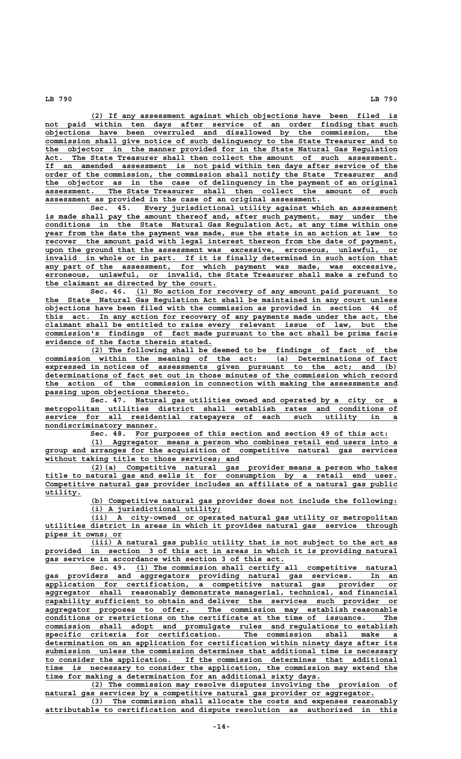**\_\_\_\_\_\_\_\_\_\_\_\_\_\_\_\_\_\_\_\_\_\_\_\_\_\_\_\_\_\_\_\_\_\_\_\_\_\_\_\_\_\_\_\_\_\_\_\_\_\_\_\_\_\_\_\_\_\_\_\_\_\_\_\_\_\_\_\_ (2) If any assessment against which objections have been filed is \_\_\_\_\_\_\_\_\_\_\_\_\_\_\_\_\_\_\_\_\_\_\_\_\_\_\_\_\_\_\_\_\_\_\_\_\_\_\_\_\_\_\_\_\_\_\_\_\_\_\_\_\_\_\_\_\_\_\_\_\_\_\_\_\_\_\_\_\_\_\_\_\_\_\_\_\_\_ not paid within ten days after service of an order finding that such \_\_\_\_\_\_\_\_\_\_\_\_\_\_\_\_\_\_\_\_\_\_\_\_\_\_\_\_\_\_\_\_\_\_\_\_\_\_\_\_\_\_\_\_\_\_\_\_\_\_\_\_\_\_\_\_\_\_\_\_\_\_\_\_\_\_\_\_\_\_\_\_\_\_\_\_\_\_ objections have been overruled and disallowed by the commission, the \_\_\_\_\_\_\_\_\_\_\_\_\_\_\_\_\_\_\_\_\_\_\_\_\_\_\_\_\_\_\_\_\_\_\_\_\_\_\_\_\_\_\_\_\_\_\_\_\_\_\_\_\_\_\_\_\_\_\_\_\_\_\_\_\_\_\_\_\_\_\_\_\_\_\_\_\_\_ commission shall give notice of such delinquency to the State Treasurer and to \_\_\_\_\_\_\_\_\_\_\_\_\_\_\_\_\_\_\_\_\_\_\_\_\_\_\_\_\_\_\_\_\_\_\_\_\_\_\_\_\_\_\_\_\_\_\_\_\_\_\_\_\_\_\_\_\_\_\_\_\_\_\_\_\_\_\_\_\_\_\_\_\_\_\_\_\_\_ the objector in the manner provided for in the State Natural Gas Regulation \_\_\_\_\_\_\_\_\_\_\_\_\_\_\_\_\_\_\_\_\_\_\_\_\_\_\_\_\_\_\_\_\_\_\_\_\_\_\_\_\_\_\_\_\_\_\_\_\_\_\_\_\_\_\_\_\_\_\_\_\_\_\_\_\_\_\_\_\_\_\_\_\_\_\_\_\_\_ Act. The State Treasurer shall then collect the amount of such assessment. \_\_\_\_\_\_\_\_\_\_\_\_\_\_\_\_\_\_\_\_\_\_\_\_\_\_\_\_\_\_\_\_\_\_\_\_\_\_\_\_\_\_\_\_\_\_\_\_\_\_\_\_\_\_\_\_\_\_\_\_\_\_\_\_\_\_\_\_\_\_\_\_\_\_\_\_\_\_ If an amended assessment is not paid within ten days after service of the \_\_\_\_\_\_\_\_\_\_\_\_\_\_\_\_\_\_\_\_\_\_\_\_\_\_\_\_\_\_\_\_\_\_\_\_\_\_\_\_\_\_\_\_\_\_\_\_\_\_\_\_\_\_\_\_\_\_\_\_\_\_\_\_\_\_\_\_\_\_\_\_\_\_\_\_\_\_ order of the commission, the commission shall notify the State Treasurer and \_\_\_\_\_\_\_\_\_\_\_\_\_\_\_\_\_\_\_\_\_\_\_\_\_\_\_\_\_\_\_\_\_\_\_\_\_\_\_\_\_\_\_\_\_\_\_\_\_\_\_\_\_\_\_\_\_\_\_\_\_\_\_\_\_\_\_\_\_\_\_\_\_\_\_\_\_\_ the objector as in the case of delinquency in the payment of an original \_\_\_\_\_\_\_\_\_\_\_\_\_\_\_\_\_\_\_\_\_\_\_\_\_\_\_\_\_\_\_\_\_\_\_\_\_\_\_\_\_\_\_\_\_\_\_\_\_\_\_\_\_\_\_\_\_\_\_\_\_\_\_\_\_\_\_\_\_\_\_\_\_\_\_\_\_\_ assessment. The State Treasurer shall then collect the amount of such \_\_\_\_\_\_\_\_\_\_\_\_\_\_\_\_\_\_\_\_\_\_\_\_\_\_\_\_\_\_\_\_\_\_\_\_\_\_\_\_\_\_\_\_\_\_\_\_\_\_\_\_\_\_\_\_\_\_\_\_\_ assessment as provided in the case of an original assessment.**

Sec. 45. Every jurisdictional utility against which an assessment is made shall pay the amount thereof and, after such payment, may under the  **\_\_\_\_\_\_\_\_\_\_\_\_\_\_\_\_\_\_\_\_\_\_\_\_\_\_\_\_\_\_\_\_\_\_\_\_\_\_\_\_\_\_\_\_\_\_\_\_\_\_\_\_\_\_\_\_\_\_\_\_\_\_\_\_\_\_\_\_\_\_\_\_\_\_\_\_\_\_ conditions in the State Natural Gas Regulation Act, at any time within one \_\_\_\_\_\_\_\_\_\_\_\_\_\_\_\_\_\_\_\_\_\_\_\_\_\_\_\_\_\_\_\_\_\_\_\_\_\_\_\_\_\_\_\_\_\_\_\_\_\_\_\_\_\_\_\_\_\_\_\_\_\_\_\_\_\_\_\_\_\_\_\_\_\_\_\_\_\_ year from the date the payment was made, sue the state in an action at law to \_\_\_\_\_\_\_\_\_\_\_\_\_\_\_\_\_\_\_\_\_\_\_\_\_\_\_\_\_\_\_\_\_\_\_\_\_\_\_\_\_\_\_\_\_\_\_\_\_\_\_\_\_\_\_\_\_\_\_\_\_\_\_\_\_\_\_\_\_\_\_\_\_\_\_\_\_\_ recover the amount paid with legal interest thereon from the date of payment,** upon the ground that the assessment was excessive, erroneous, unlawful, or  **\_\_\_\_\_\_\_\_\_\_\_\_\_\_\_\_\_\_\_\_\_\_\_\_\_\_\_\_\_\_\_\_\_\_\_\_\_\_\_\_\_\_\_\_\_\_\_\_\_\_\_\_\_\_\_\_\_\_\_\_\_\_\_\_\_\_\_\_\_\_\_\_\_\_\_\_\_\_ invalid in whole or in part. If it is finally determined in such action that \_\_\_\_\_\_\_\_\_\_\_\_\_\_\_\_\_\_\_\_\_\_\_\_\_\_\_\_\_\_\_\_\_\_\_\_\_\_\_\_\_\_\_\_\_\_\_\_\_\_\_\_\_\_\_\_\_\_\_\_\_\_\_\_\_\_\_\_\_\_\_\_\_\_\_\_\_\_ any part of the assessment, for which payment was made, was excessive, \_\_\_\_\_\_\_\_\_\_\_\_\_\_\_\_\_\_\_\_\_\_\_\_\_\_\_\_\_\_\_\_\_\_\_\_\_\_\_\_\_\_\_\_\_\_\_\_\_\_\_\_\_\_\_\_\_\_\_\_\_\_\_\_\_\_\_\_\_\_\_\_\_\_\_\_\_\_ erroneous, unlawful, or invalid, the State Treasurer shall make a refund to \_\_\_\_\_\_\_\_\_\_\_\_\_\_\_\_\_\_\_\_\_\_\_\_\_\_\_\_\_\_\_\_\_\_\_\_\_\_ the claimant as directed by the court.**

 **\_\_\_\_\_\_\_\_\_\_\_\_\_\_\_\_\_\_\_\_\_\_\_\_\_\_\_\_\_\_\_\_\_\_\_\_\_\_\_\_\_\_\_\_\_\_\_\_\_\_\_\_\_\_\_\_\_\_ Sec. 46. (1) No action for recovery of any amount paid pursuant to \_\_\_\_\_\_\_\_\_\_\_\_\_\_\_\_\_\_\_\_\_\_\_\_\_\_\_\_\_\_\_\_\_\_\_\_\_\_\_\_\_\_\_\_\_\_\_\_\_\_\_\_\_\_\_\_\_\_\_\_\_\_\_\_\_\_\_\_\_\_\_\_\_\_\_\_\_\_ the State Natural Gas Regulation Act shall be maintained in any court unless \_\_\_\_\_\_\_\_\_\_\_\_\_\_\_\_\_\_\_\_\_\_\_\_\_\_\_\_\_\_\_\_\_\_\_\_\_\_\_\_\_\_\_\_\_\_\_\_\_\_\_\_\_\_\_\_\_\_\_\_\_\_\_\_\_\_\_\_\_\_\_\_\_\_\_\_\_\_ objections have been filed with the commission as provided in section 44 of \_\_\_\_\_\_\_\_\_\_\_\_\_\_\_\_\_\_\_\_\_\_\_\_\_\_\_\_\_\_\_\_\_\_\_\_\_\_\_\_\_\_\_\_\_\_\_\_\_\_\_\_\_\_\_\_\_\_\_\_\_\_\_\_\_\_\_\_\_\_\_\_\_\_\_\_\_\_ this act. In any action for recovery of any payments made under the act, the \_\_\_\_\_\_\_\_\_\_\_\_\_\_\_\_\_\_\_\_\_\_\_\_\_\_\_\_\_\_\_\_\_\_\_\_\_\_\_\_\_\_\_\_\_\_\_\_\_\_\_\_\_\_\_\_\_\_\_\_\_\_\_\_\_\_\_\_\_\_\_\_\_\_\_\_\_\_ claimant shall be entitled to raise every relevant issue of law, but the \_\_\_\_\_\_\_\_\_\_\_\_\_\_\_\_\_\_\_\_\_\_\_\_\_\_\_\_\_\_\_\_\_\_\_\_\_\_\_\_\_\_\_\_\_\_\_\_\_\_\_\_\_\_\_\_\_\_\_\_\_\_\_\_\_\_\_\_\_\_\_\_\_\_\_\_\_\_ commission's findings of fact made pursuant to the act shall be prima facie \_\_\_\_\_\_\_\_\_\_\_\_\_\_\_\_\_\_\_\_\_\_\_\_\_\_\_\_\_\_\_\_\_\_\_\_\_ evidence of the facts therein stated.**

 **\_\_\_\_\_\_\_\_\_\_\_\_\_\_\_\_\_\_\_\_\_\_\_\_\_\_\_\_\_\_\_\_\_\_\_\_\_\_\_\_\_\_\_\_\_\_\_\_\_\_\_\_\_\_\_\_\_\_\_\_\_\_\_\_\_\_\_\_ (2) The following shall be deemed to be findings of fact of the \_\_\_\_\_\_\_\_\_\_\_\_\_\_\_\_\_\_\_\_\_\_\_\_\_\_\_\_\_\_\_\_\_\_\_\_\_\_\_\_\_\_\_\_\_\_\_\_\_\_\_\_\_\_\_\_\_\_\_\_\_\_\_\_\_\_\_\_\_\_\_\_\_\_\_\_\_\_ commission within the meaning of the act: (a) Determinations of fact \_\_\_\_\_\_\_\_\_\_\_\_\_\_\_\_\_\_\_\_\_\_\_\_\_\_\_\_\_\_\_\_\_\_\_\_\_\_\_\_\_\_\_\_\_\_\_\_\_\_\_\_\_\_\_\_\_\_\_\_\_\_\_\_\_\_\_\_\_\_\_\_\_\_\_\_\_\_ expressed in notices of assessments given pursuant to the act; and (b) \_\_\_\_\_\_\_\_\_\_\_\_\_\_\_\_\_\_\_\_\_\_\_\_\_\_\_\_\_\_\_\_\_\_\_\_\_\_\_\_\_\_\_\_\_\_\_\_\_\_\_\_\_\_\_\_\_\_\_\_\_\_\_\_\_\_\_\_\_\_\_\_\_\_\_\_\_\_ determinations of fact set out in those minutes of the commission which record \_\_\_\_\_\_\_\_\_\_\_\_\_\_\_\_\_\_\_\_\_\_\_\_\_\_\_\_\_\_\_\_\_\_\_\_\_\_\_\_\_\_\_\_\_\_\_\_\_\_\_\_\_\_\_\_\_\_\_\_\_\_\_\_\_\_\_\_\_\_\_\_\_\_\_\_\_\_ the action of the commission in connection with making the assessments and \_\_\_\_\_\_\_\_\_\_\_\_\_\_\_\_\_\_\_\_\_\_\_\_\_\_\_\_\_\_\_\_ passing upon objections thereto.**

Sec. 47. Natural gas utilities owned and operated by a city or a  **\_\_\_\_\_\_\_\_\_\_\_\_\_\_\_\_\_\_\_\_\_\_\_\_\_\_\_\_\_\_\_\_\_\_\_\_\_\_\_\_\_\_\_\_\_\_\_\_\_\_\_\_\_\_\_\_\_\_\_\_\_\_\_\_\_\_\_\_\_\_\_\_\_\_\_\_\_\_ metropolitan utilities district shall establish rates and conditions of \_\_\_\_\_\_\_\_\_\_\_\_\_\_\_\_\_\_\_\_\_\_\_\_\_\_\_\_\_\_\_\_\_\_\_\_\_\_\_\_\_\_\_\_\_\_\_\_\_\_\_\_\_\_\_\_\_\_\_\_\_\_\_\_\_\_\_\_\_\_\_\_\_\_\_\_\_\_ service for all residential ratepayers of each such utility in a nondiscriminatory manner. \_\_\_\_\_\_\_\_\_\_\_\_\_\_\_\_\_\_\_\_\_\_\_\_\_**

 **\_\_\_\_\_\_\_\_\_\_\_\_\_\_\_\_\_\_\_\_\_\_\_\_\_\_\_\_\_\_\_\_\_\_\_\_\_\_\_\_\_\_\_\_\_\_\_\_\_\_\_\_\_\_\_\_ Sec. 48. For purposes of this section and section 49 of this act:**

 **\_\_\_\_\_\_\_\_\_\_\_\_\_\_\_\_\_\_\_\_\_\_\_\_\_\_\_\_\_\_\_\_\_\_\_\_\_\_\_\_\_\_\_\_\_\_\_\_\_\_\_\_\_\_\_\_\_\_\_\_\_\_\_\_\_\_\_\_ (1) Aggregator means a person who combines retail end users into a \_\_\_\_\_\_\_\_\_\_\_\_\_\_\_\_\_\_\_\_\_\_\_\_\_\_\_\_\_\_\_\_\_\_\_\_\_\_\_\_\_\_\_\_\_\_\_\_\_\_\_\_\_\_\_\_\_\_\_\_\_\_\_\_\_\_\_\_\_\_\_\_\_\_\_\_\_\_ group and arranges for the acquisition of competitive natural gas services \_\_\_\_\_\_\_\_\_\_\_\_\_\_\_\_\_\_\_\_\_\_\_\_\_\_\_\_\_\_\_\_\_\_\_\_\_\_\_\_\_\_\_ without taking title to those services; and**

 **\_\_\_\_\_\_\_\_\_\_\_\_\_\_\_\_\_\_\_\_\_\_\_\_\_\_\_\_\_\_\_\_\_\_\_\_\_\_\_\_\_\_\_\_\_\_\_\_\_\_\_\_\_\_\_\_\_\_\_\_\_\_\_\_\_\_\_\_ (2)(a) Competitive natural gas provider means a person who takes \_\_\_\_\_\_\_\_\_\_\_\_\_\_\_\_\_\_\_\_\_\_\_\_\_\_\_\_\_\_\_\_\_\_\_\_\_\_\_\_\_\_\_\_\_\_\_\_\_\_\_\_\_\_\_\_\_\_\_\_\_\_\_\_\_\_\_\_\_\_\_\_\_\_\_\_\_\_ title to natural gas and sells it for consumption by a retail end user. \_\_\_\_\_\_\_\_\_\_\_\_\_\_\_\_\_\_\_\_\_\_\_\_\_\_\_\_\_\_\_\_\_\_\_\_\_\_\_\_\_\_\_\_\_\_\_\_\_\_\_\_\_\_\_\_\_\_\_\_\_\_\_\_\_\_\_\_\_\_\_\_\_\_\_\_\_\_ Competitive natural gas provider includes an affiliate of a natural gas public utility. \_\_\_\_\_\_\_\_**

 **\_\_\_\_\_\_\_\_\_\_\_\_\_\_\_\_\_\_\_\_\_\_\_\_\_\_\_\_\_\_\_\_\_\_\_\_\_\_\_\_\_\_\_\_\_\_\_\_\_\_\_\_\_\_\_\_\_\_\_\_\_\_\_\_\_\_\_\_ (b) Competitive natural gas provider does not include the following: \_\_\_\_\_\_\_\_\_\_\_\_\_\_\_\_\_\_\_\_\_\_\_\_\_\_\_\_\_ (i) A jurisdictional utility;**

 **\_\_\_\_\_\_\_\_\_\_\_\_\_\_\_\_\_\_\_\_\_\_\_\_\_\_\_\_\_\_\_\_\_\_\_\_\_\_\_\_\_\_\_\_\_\_\_\_\_\_\_\_\_\_\_\_\_\_\_\_\_\_\_\_\_\_\_\_ (ii) A city-owned or operated natural gas utility or metropolitan \_\_\_\_\_\_\_\_\_\_\_\_\_\_\_\_\_\_\_\_\_\_\_\_\_\_\_\_\_\_\_\_\_\_\_\_\_\_\_\_\_\_\_\_\_\_\_\_\_\_\_\_\_\_\_\_\_\_\_\_\_\_\_\_\_\_\_\_\_\_\_\_\_\_\_\_\_\_ utilities district in areas in which it provides natural gas service through \_\_\_\_\_\_\_\_\_\_\_\_\_\_\_\_\_ pipes it owns; or**

 **\_\_\_\_\_\_\_\_\_\_\_\_\_\_\_\_\_\_\_\_\_\_\_\_\_\_\_\_\_\_\_\_\_\_\_\_\_\_\_\_\_\_\_\_\_\_\_\_\_\_\_\_\_\_\_\_\_\_\_\_\_\_\_\_\_\_\_\_ (iii) A natural gas public utility that is not subject to the act as** provided in section 3 of this act in areas in which it is providing natural  **\_\_\_\_\_\_\_\_\_\_\_\_\_\_\_\_\_\_\_\_\_\_\_\_\_\_\_\_\_\_\_\_\_\_\_\_\_\_\_\_\_\_\_\_\_\_\_\_\_\_\_\_\_ gas service in accordance with section 3 of this act.**

 **\_\_\_\_\_\_\_\_\_\_\_\_\_\_\_\_\_\_\_\_\_\_\_\_\_\_\_\_\_\_\_\_\_\_\_\_\_\_\_\_\_\_\_\_\_\_\_\_\_\_\_\_\_\_\_\_\_\_ Sec. 49. (1) The commission shall certify all competitive natural \_\_\_\_\_\_\_\_\_\_\_\_\_\_\_\_\_\_\_\_\_\_\_\_\_\_\_\_\_\_\_\_\_\_\_\_\_\_\_\_\_\_\_\_\_\_\_\_\_\_\_\_\_\_\_\_\_\_\_\_\_\_\_\_\_\_\_\_\_\_\_\_\_\_\_\_\_\_ gas providers and aggregators providing natural gas services. In an \_\_\_\_\_\_\_\_\_\_\_\_\_\_\_\_\_\_\_\_\_\_\_\_\_\_\_\_\_\_\_\_\_\_\_\_\_\_\_\_\_\_\_\_\_\_\_\_\_\_\_\_\_\_\_\_\_\_\_\_\_\_\_\_\_\_\_\_\_\_\_\_\_\_\_\_\_\_ application for certification, a competitive natural gas provider or \_\_\_\_\_\_\_\_\_\_\_\_\_\_\_\_\_\_\_\_\_\_\_\_\_\_\_\_\_\_\_\_\_\_\_\_\_\_\_\_\_\_\_\_\_\_\_\_\_\_\_\_\_\_\_\_\_\_\_\_\_\_\_\_\_\_\_\_\_\_\_\_\_\_\_\_\_\_ aggregator shall reasonably demonstrate managerial, technical, and financial \_\_\_\_\_\_\_\_\_\_\_\_\_\_\_\_\_\_\_\_\_\_\_\_\_\_\_\_\_\_\_\_\_\_\_\_\_\_\_\_\_\_\_\_\_\_\_\_\_\_\_\_\_\_\_\_\_\_\_\_\_\_\_\_\_\_\_\_\_\_\_\_\_\_\_\_\_\_ capability sufficient to obtain and deliver the services such provider or** aggregator proposes to offer. The commission may establish reasonable<br>conditions or restrictions on the certificate at the time of issuance. The conditions or restrictions on the certificate at the time of issuance.  **\_\_\_\_\_\_\_\_\_\_\_\_\_\_\_\_\_\_\_\_\_\_\_\_\_\_\_\_\_\_\_\_\_\_\_\_\_\_\_\_\_\_\_\_\_\_\_\_\_\_\_\_\_\_\_\_\_\_\_\_\_\_\_\_\_\_\_\_\_\_\_\_\_\_\_\_\_\_ commission shall adopt and promulgate rules and regulations to establish \_\_\_\_\_\_\_\_\_\_\_\_\_\_\_\_\_\_\_\_\_\_\_\_\_\_\_\_\_\_\_\_\_\_\_\_\_\_\_\_\_\_\_\_\_\_\_\_\_\_\_\_\_\_\_\_\_\_\_\_\_\_\_\_\_\_\_\_\_\_\_\_\_\_\_\_\_\_ specific criteria for certification. The commission shall make a \_\_\_\_\_\_\_\_\_\_\_\_\_\_\_\_\_\_\_\_\_\_\_\_\_\_\_\_\_\_\_\_\_\_\_\_\_\_\_\_\_\_\_\_\_\_\_\_\_\_\_\_\_\_\_\_\_\_\_\_\_\_\_\_\_\_\_\_\_\_\_\_\_\_\_\_\_\_ determination on an application for certification within ninety days after its \_\_\_\_\_\_\_\_\_\_\_\_\_\_\_\_\_\_\_\_\_\_\_\_\_\_\_\_\_\_\_\_\_\_\_\_\_\_\_\_\_\_\_\_\_\_\_\_\_\_\_\_\_\_\_\_\_\_\_\_\_\_\_\_\_\_\_\_\_\_\_\_\_\_\_\_\_\_ submission unless the commission determines that additional time is necessary \_\_\_\_\_\_\_\_\_\_\_\_\_\_\_\_\_\_\_\_\_\_\_\_\_\_\_\_\_\_\_\_\_\_\_\_\_\_\_\_\_\_\_\_\_\_\_\_\_\_\_\_\_\_\_\_\_\_\_\_\_\_\_\_\_\_\_\_\_\_\_\_\_\_\_\_\_\_ to consider the application. If the commission determines that additional \_\_\_\_\_\_\_\_\_\_\_\_\_\_\_\_\_\_\_\_\_\_\_\_\_\_\_\_\_\_\_\_\_\_\_\_\_\_\_\_\_\_\_\_\_\_\_\_\_\_\_\_\_\_\_\_\_\_\_\_\_\_\_\_\_\_\_\_\_\_\_\_\_\_\_\_\_\_ time is necessary to consider the application, the commission may extend the \_\_\_\_\_\_\_\_\_\_\_\_\_\_\_\_\_\_\_\_\_\_\_\_\_\_\_\_\_\_\_\_\_\_\_\_\_\_\_\_\_\_\_\_\_\_\_\_\_\_\_\_\_\_\_\_\_\_\_\_\_ time for making a determination for an additional sixty days.**

 **\_\_\_\_\_\_\_\_\_\_\_\_\_\_\_\_\_\_\_\_\_\_\_\_\_\_\_\_\_\_\_\_\_\_\_\_\_\_\_\_\_\_\_\_\_\_\_\_\_\_\_\_\_\_\_\_\_\_\_\_\_\_\_\_\_\_\_\_ (2) The commission may resolve disputes involving the provision of**  $natural$  gas services by a competitive natural gas provider or aggregator.

 **\_\_\_\_\_\_\_\_\_\_\_\_\_\_\_\_\_\_\_\_\_\_\_\_\_\_\_\_\_\_\_\_\_\_\_\_\_\_\_\_\_\_\_\_\_\_\_\_\_\_\_\_\_\_\_\_\_\_\_\_\_\_\_\_\_\_\_\_ (3) The commission shall allocate the costs and expenses reasonably \_\_\_\_\_\_\_\_\_\_\_\_\_\_\_\_\_\_\_\_\_\_\_\_\_\_\_\_\_\_\_\_\_\_\_\_\_\_\_\_\_\_\_\_\_\_\_\_\_\_\_\_\_\_\_\_\_\_\_\_\_\_\_\_\_\_\_\_\_\_\_\_\_\_\_\_\_\_ attributable to certification and dispute resolution as authorized in this**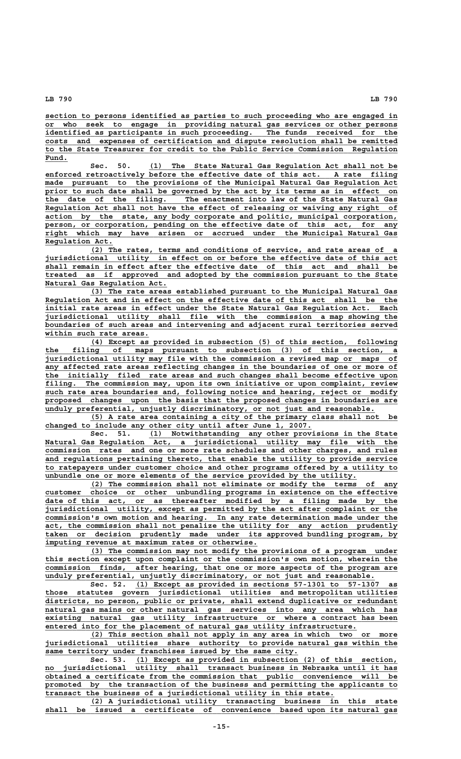**\_\_\_\_\_\_\_\_\_\_\_\_\_\_\_\_\_\_\_\_\_\_\_\_\_\_\_\_\_\_\_\_\_\_\_\_\_\_\_\_\_\_\_\_\_\_\_\_\_\_\_\_\_\_\_\_\_\_\_\_\_\_\_\_\_\_\_\_\_\_\_\_\_\_\_\_\_\_ section to persons identified as parties to such proceeding who are engaged in \_\_\_\_\_\_\_\_\_\_\_\_\_\_\_\_\_\_\_\_\_\_\_\_\_\_\_\_\_\_\_\_\_\_\_\_\_\_\_\_\_\_\_\_\_\_\_\_\_\_\_\_\_\_\_\_\_\_\_\_\_\_\_\_\_\_\_\_\_\_\_\_\_\_\_\_\_\_ or who seek to engage in providing natural gas services or other persons** identified as participants in such proceeding. The funds received for the  **\_\_\_\_\_\_\_\_\_\_\_\_\_\_\_\_\_\_\_\_\_\_\_\_\_\_\_\_\_\_\_\_\_\_\_\_\_\_\_\_\_\_\_\_\_\_\_\_\_\_\_\_\_\_\_\_\_\_\_\_\_\_\_\_\_\_\_\_\_\_\_\_\_\_\_\_\_\_ costs and expenses of certification and dispute resolution shall be remitted \_\_\_\_\_\_\_\_\_\_\_\_\_\_\_\_\_\_\_\_\_\_\_\_\_\_\_\_\_\_\_\_\_\_\_\_\_\_\_\_\_\_\_\_\_\_\_\_\_\_\_\_\_\_\_\_\_\_\_\_\_\_\_\_\_\_\_\_\_\_\_\_\_\_\_\_\_\_ to the State Treasurer for credit to the Public Service Commission Regulation Fund.\_\_\_\_\_**

 **\_\_\_\_\_\_\_\_\_\_\_\_\_\_\_\_\_\_\_\_\_\_\_\_\_\_\_\_\_\_\_\_\_\_\_\_\_\_\_\_\_\_\_\_\_\_\_\_\_\_\_\_\_\_\_ Sec. 50. (1) The State Natural Gas Regulation Act shall not be \_\_\_\_\_\_\_\_\_\_\_\_\_\_\_\_\_\_\_\_\_\_\_\_\_\_\_\_\_\_\_\_\_\_\_\_\_\_\_\_\_\_\_\_\_\_\_\_\_\_\_\_\_\_\_\_\_\_\_\_\_\_\_\_\_\_\_\_\_\_\_\_\_\_\_\_\_\_ enforced retroactively before the effective date of this act. A rate filing \_\_\_\_\_\_\_\_\_\_\_\_\_\_\_\_\_\_\_\_\_\_\_\_\_\_\_\_\_\_\_\_\_\_\_\_\_\_\_\_\_\_\_\_\_\_\_\_\_\_\_\_\_\_\_\_\_\_\_\_\_\_\_\_\_\_\_\_\_\_\_\_\_\_\_\_\_\_ made pursuant to the provisions of the Municipal Natural Gas Regulation Act \_\_\_\_\_\_\_\_\_\_\_\_\_\_\_\_\_\_\_\_\_\_\_\_\_\_\_\_\_\_\_\_\_\_\_\_\_\_\_\_\_\_\_\_\_\_\_\_\_\_\_\_\_\_\_\_\_\_\_\_\_\_\_\_\_\_\_\_\_\_\_\_\_\_\_\_\_\_ prior to such date shall be governed by the act by its terms as in effect on \_\_\_\_\_\_\_\_\_\_\_\_\_\_\_\_\_\_\_\_\_\_\_\_\_\_\_\_\_\_\_\_\_\_\_\_\_\_\_\_\_\_\_\_\_\_\_\_\_\_\_\_\_\_\_\_\_\_\_\_\_\_\_\_\_\_\_\_\_\_\_\_\_\_\_\_\_\_ the date of the filing. The enactment into law of the State Natural Gas \_\_\_\_\_\_\_\_\_\_\_\_\_\_\_\_\_\_\_\_\_\_\_\_\_\_\_\_\_\_\_\_\_\_\_\_\_\_\_\_\_\_\_\_\_\_\_\_\_\_\_\_\_\_\_\_\_\_\_\_\_\_\_\_\_\_\_\_\_\_\_\_\_\_\_\_\_\_ Regulation Act shall not have the effect of releasing or waiving any right of** action by the state, any body corporate and politic, municipal corporation, person, or corporation, pending on the effective date of this act, for any  **\_\_\_\_\_\_\_\_\_\_\_\_\_\_\_\_\_\_\_\_\_\_\_\_\_\_\_\_\_\_\_\_\_\_\_\_\_\_\_\_\_\_\_\_\_\_\_\_\_\_\_\_\_\_\_\_\_\_\_\_\_\_\_\_\_\_\_\_\_\_\_\_\_\_\_\_\_\_ right which may have arisen or accrued under the Municipal Natural Gas Regulation Act. \_\_\_\_\_\_\_\_\_\_\_\_\_\_\_**

 **\_\_\_\_\_\_\_\_\_\_\_\_\_\_\_\_\_\_\_\_\_\_\_\_\_\_\_\_\_\_\_\_\_\_\_\_\_\_\_\_\_\_\_\_\_\_\_\_\_\_\_\_\_\_\_\_\_\_\_\_\_\_\_\_\_\_\_\_ (2) The rates, terms and conditions of service, and rate areas of a \_\_\_\_\_\_\_\_\_\_\_\_\_\_\_\_\_\_\_\_\_\_\_\_\_\_\_\_\_\_\_\_\_\_\_\_\_\_\_\_\_\_\_\_\_\_\_\_\_\_\_\_\_\_\_\_\_\_\_\_\_\_\_\_\_\_\_\_\_\_\_\_\_\_\_\_\_\_ jurisdictional utility in effect on or before the effective date of this act \_\_\_\_\_\_\_\_\_\_\_\_\_\_\_\_\_\_\_\_\_\_\_\_\_\_\_\_\_\_\_\_\_\_\_\_\_\_\_\_\_\_\_\_\_\_\_\_\_\_\_\_\_\_\_\_\_\_\_\_\_\_\_\_\_\_\_\_\_\_\_\_\_\_\_\_\_\_ shall remain in effect after the effective date of this act and shall be \_\_\_\_\_\_\_\_\_\_\_\_\_\_\_\_\_\_\_\_\_\_\_\_\_\_\_\_\_\_\_\_\_\_\_\_\_\_\_\_\_\_\_\_\_\_\_\_\_\_\_\_\_\_\_\_\_\_\_\_\_\_\_\_\_\_\_\_\_\_\_\_\_\_\_\_\_\_ treated as if approved and adopted by the commission pursuant to the State \_\_\_\_\_\_\_\_\_\_\_\_\_\_\_\_\_\_\_\_\_\_\_\_\_\_\_ Natural Gas Regulation Act.**

 **\_\_\_\_\_\_\_\_\_\_\_\_\_\_\_\_\_\_\_\_\_\_\_\_\_\_\_\_\_\_\_\_\_\_\_\_\_\_\_\_\_\_\_\_\_\_\_\_\_\_\_\_\_\_\_\_\_\_\_\_\_\_\_\_\_\_\_\_ (3) The rate areas established pursuant to the Municipal Natural Gas \_\_\_\_\_\_\_\_\_\_\_\_\_\_\_\_\_\_\_\_\_\_\_\_\_\_\_\_\_\_\_\_\_\_\_\_\_\_\_\_\_\_\_\_\_\_\_\_\_\_\_\_\_\_\_\_\_\_\_\_\_\_\_\_\_\_\_\_\_\_\_\_\_\_\_\_\_\_ Regulation Act and in effect on the effective date of this act shall be the \_\_\_\_\_\_\_\_\_\_\_\_\_\_\_\_\_\_\_\_\_\_\_\_\_\_\_\_\_\_\_\_\_\_\_\_\_\_\_\_\_\_\_\_\_\_\_\_\_\_\_\_\_\_\_\_\_\_\_\_\_\_\_\_\_\_\_\_\_\_\_\_\_\_\_\_\_\_ initial rate areas in effect under the State Natural Gas Regulation Act. Each \_\_\_\_\_\_\_\_\_\_\_\_\_\_\_\_\_\_\_\_\_\_\_\_\_\_\_\_\_\_\_\_\_\_\_\_\_\_\_\_\_\_\_\_\_\_\_\_\_\_\_\_\_\_\_\_\_\_\_\_\_\_\_\_\_\_\_\_\_\_\_\_\_\_\_\_\_\_ jurisdictional utility shall file with the commission a map showing the \_\_\_\_\_\_\_\_\_\_\_\_\_\_\_\_\_\_\_\_\_\_\_\_\_\_\_\_\_\_\_\_\_\_\_\_\_\_\_\_\_\_\_\_\_\_\_\_\_\_\_\_\_\_\_\_\_\_\_\_\_\_\_\_\_\_\_\_\_\_\_\_\_\_\_\_\_\_ boundaries of such areas and intervening and adjacent rural territories served** within such rate areas.

 **\_\_\_\_\_\_\_\_\_\_\_\_\_\_\_\_\_\_\_\_\_\_\_\_\_\_\_\_\_\_\_\_\_\_\_\_\_\_\_\_\_\_\_\_\_\_\_\_\_\_\_\_\_\_\_\_\_\_\_\_\_\_\_\_\_\_\_\_ (4) Except as provided in subsection (5) of this section, following \_\_\_\_\_\_\_\_\_\_\_\_\_\_\_\_\_\_\_\_\_\_\_\_\_\_\_\_\_\_\_\_\_\_\_\_\_\_\_\_\_\_\_\_\_\_\_\_\_\_\_\_\_\_\_\_\_\_\_\_\_\_\_\_\_\_\_\_\_\_\_\_\_\_\_\_\_\_ the filing of maps pursuant to subsection (3) of this section, a \_\_\_\_\_\_\_\_\_\_\_\_\_\_\_\_\_\_\_\_\_\_\_\_\_\_\_\_\_\_\_\_\_\_\_\_\_\_\_\_\_\_\_\_\_\_\_\_\_\_\_\_\_\_\_\_\_\_\_\_\_\_\_\_\_\_\_\_\_\_\_\_\_\_\_\_\_\_ jurisdictional utility may file with the commission a revised map or maps of \_\_\_\_\_\_\_\_\_\_\_\_\_\_\_\_\_\_\_\_\_\_\_\_\_\_\_\_\_\_\_\_\_\_\_\_\_\_\_\_\_\_\_\_\_\_\_\_\_\_\_\_\_\_\_\_\_\_\_\_\_\_\_\_\_\_\_\_\_\_\_\_\_\_\_\_\_\_ any affected rate areas reflecting changes in the boundaries of one or more of \_\_\_\_\_\_\_\_\_\_\_\_\_\_\_\_\_\_\_\_\_\_\_\_\_\_\_\_\_\_\_\_\_\_\_\_\_\_\_\_\_\_\_\_\_\_\_\_\_\_\_\_\_\_\_\_\_\_\_\_\_\_\_\_\_\_\_\_\_\_\_\_\_\_\_\_\_\_ the initially filed rate areas and such changes shall become effective upon \_\_\_\_\_\_\_\_\_\_\_\_\_\_\_\_\_\_\_\_\_\_\_\_\_\_\_\_\_\_\_\_\_\_\_\_\_\_\_\_\_\_\_\_\_\_\_\_\_\_\_\_\_\_\_\_\_\_\_\_\_\_\_\_\_\_\_\_\_\_\_\_\_\_\_\_\_\_ filing. The commission may, upon its own initiative or upon complaint, review** such rate area boundaries and, following notice and hearing, reject or modify proposed changes upon the basis that the proposed changes in boundaries are  **\_\_\_\_\_\_\_\_\_\_\_\_\_\_\_\_\_\_\_\_\_\_\_\_\_\_\_\_\_\_\_\_\_\_\_\_\_\_\_\_\_\_\_\_\_\_\_\_\_\_\_\_\_\_\_\_\_\_\_\_\_\_\_\_\_\_\_\_\_\_\_\_\_ unduly preferential, unjustly discriminatory, or not just and reasonable.**

 **\_\_\_\_\_\_\_\_\_\_\_\_\_\_\_\_\_\_\_\_\_\_\_\_\_\_\_\_\_\_\_\_\_\_\_\_\_\_\_\_\_\_\_\_\_\_\_\_\_\_\_\_\_\_\_\_\_\_\_\_\_\_\_\_\_\_\_\_ (5) A rate area containing a city of the primary class shall not be** changed to include any other city until after June 1, 2007.

 **\_\_\_\_\_\_\_\_\_\_\_\_\_\_\_\_\_\_\_\_\_\_\_\_\_\_\_\_\_\_\_\_\_\_\_\_\_\_\_\_\_\_\_\_\_\_\_\_\_\_\_\_\_\_\_ Sec. 51. (1) Notwithstanding any other provisions in the State \_\_\_\_\_\_\_\_\_\_\_\_\_\_\_\_\_\_\_\_\_\_\_\_\_\_\_\_\_\_\_\_\_\_\_\_\_\_\_\_\_\_\_\_\_\_\_\_\_\_\_\_\_\_\_\_\_\_\_\_\_\_\_\_\_\_\_\_\_\_\_\_\_\_\_\_\_\_ Natural Gas Regulation Act, a jurisdictional utility may file with the \_\_\_\_\_\_\_\_\_\_\_\_\_\_\_\_\_\_\_\_\_\_\_\_\_\_\_\_\_\_\_\_\_\_\_\_\_\_\_\_\_\_\_\_\_\_\_\_\_\_\_\_\_\_\_\_\_\_\_\_\_\_\_\_\_\_\_\_\_\_\_\_\_\_\_\_\_\_ commission rates and one or more rate schedules and other charges, and rules \_\_\_\_\_\_\_\_\_\_\_\_\_\_\_\_\_\_\_\_\_\_\_\_\_\_\_\_\_\_\_\_\_\_\_\_\_\_\_\_\_\_\_\_\_\_\_\_\_\_\_\_\_\_\_\_\_\_\_\_\_\_\_\_\_\_\_\_\_\_\_\_\_\_\_\_\_\_ and regulations pertaining thereto, that enable the utility to provide service \_\_\_\_\_\_\_\_\_\_\_\_\_\_\_\_\_\_\_\_\_\_\_\_\_\_\_\_\_\_\_\_\_\_\_\_\_\_\_\_\_\_\_\_\_\_\_\_\_\_\_\_\_\_\_\_\_\_\_\_\_\_\_\_\_\_\_\_\_\_\_\_\_\_\_\_\_\_ to ratepayers under customer choice and other programs offered by a utility to** unbundle one or more elements of the service provided by the utility.

 **\_\_\_\_\_\_\_\_\_\_\_\_\_\_\_\_\_\_\_\_\_\_\_\_\_\_\_\_\_\_\_\_\_\_\_\_\_\_\_\_\_\_\_\_\_\_\_\_\_\_\_\_\_\_\_\_\_\_\_\_\_\_\_\_\_\_\_\_ (2) The commission shall not eliminate or modify the terms of any \_\_\_\_\_\_\_\_\_\_\_\_\_\_\_\_\_\_\_\_\_\_\_\_\_\_\_\_\_\_\_\_\_\_\_\_\_\_\_\_\_\_\_\_\_\_\_\_\_\_\_\_\_\_\_\_\_\_\_\_\_\_\_\_\_\_\_\_\_\_\_\_\_\_\_\_\_\_ customer choice or other unbundling programs in existence on the effective \_\_\_\_\_\_\_\_\_\_\_\_\_\_\_\_\_\_\_\_\_\_\_\_\_\_\_\_\_\_\_\_\_\_\_\_\_\_\_\_\_\_\_\_\_\_\_\_\_\_\_\_\_\_\_\_\_\_\_\_\_\_\_\_\_\_\_\_\_\_\_\_\_\_\_\_\_\_ date of this act, or as thereafter modified by a filing made by the \_\_\_\_\_\_\_\_\_\_\_\_\_\_\_\_\_\_\_\_\_\_\_\_\_\_\_\_\_\_\_\_\_\_\_\_\_\_\_\_\_\_\_\_\_\_\_\_\_\_\_\_\_\_\_\_\_\_\_\_\_\_\_\_\_\_\_\_\_\_\_\_\_\_\_\_\_\_ jurisdictional utility, except as permitted by the act after complaint or the \_\_\_\_\_\_\_\_\_\_\_\_\_\_\_\_\_\_\_\_\_\_\_\_\_\_\_\_\_\_\_\_\_\_\_\_\_\_\_\_\_\_\_\_\_\_\_\_\_\_\_\_\_\_\_\_\_\_\_\_\_\_\_\_\_\_\_\_\_\_\_\_\_\_\_\_\_\_ commission's own motion and hearing. In any rate determination made under the \_\_\_\_\_\_\_\_\_\_\_\_\_\_\_\_\_\_\_\_\_\_\_\_\_\_\_\_\_\_\_\_\_\_\_\_\_\_\_\_\_\_\_\_\_\_\_\_\_\_\_\_\_\_\_\_\_\_\_\_\_\_\_\_\_\_\_\_\_\_\_\_\_\_\_\_\_\_ act, the commission shall not penalize the utility for any action prudently** taken or decision prudently made under its approved bundling program, by  **\_\_\_\_\_\_\_\_\_\_\_\_\_\_\_\_\_\_\_\_\_\_\_\_\_\_\_\_\_\_\_\_\_\_\_\_\_\_\_\_\_\_\_\_\_\_\_ imputing revenue at maximum rates or otherwise.**

 **\_\_\_\_\_\_\_\_\_\_\_\_\_\_\_\_\_\_\_\_\_\_\_\_\_\_\_\_\_\_\_\_\_\_\_\_\_\_\_\_\_\_\_\_\_\_\_\_\_\_\_\_\_\_\_\_\_\_\_\_\_\_\_\_\_\_\_\_ (3) The commission may not modify the provisions of a program under** this section except upon complaint or the commission's own motion, wherein the  **\_\_\_\_\_\_\_\_\_\_\_\_\_\_\_\_\_\_\_\_\_\_\_\_\_\_\_\_\_\_\_\_\_\_\_\_\_\_\_\_\_\_\_\_\_\_\_\_\_\_\_\_\_\_\_\_\_\_\_\_\_\_\_\_\_\_\_\_\_\_\_\_\_\_\_\_\_\_ commission finds, after hearing, that one or more aspects of the program are \_\_\_\_\_\_\_\_\_\_\_\_\_\_\_\_\_\_\_\_\_\_\_\_\_\_\_\_\_\_\_\_\_\_\_\_\_\_\_\_\_\_\_\_\_\_\_\_\_\_\_\_\_\_\_\_\_\_\_\_\_\_\_\_\_\_\_\_\_\_\_\_\_ unduly preferential, unjustly discriminatory, or not just and reasonable.**

 **\_\_\_\_\_\_\_\_\_\_\_\_\_\_\_\_\_\_\_\_\_\_\_\_\_\_\_\_\_\_\_\_\_\_\_\_\_\_\_\_\_\_\_\_\_\_\_\_\_\_\_\_\_\_\_\_\_\_ Sec. 52. (1) Except as provided in sections 57-1301 to 57-1307 as \_\_\_\_\_\_\_\_\_\_\_\_\_\_\_\_\_\_\_\_\_\_\_\_\_\_\_\_\_\_\_\_\_\_\_\_\_\_\_\_\_\_\_\_\_\_\_\_\_\_\_\_\_\_\_\_\_\_\_\_\_\_\_\_\_\_\_\_\_\_\_\_\_\_\_\_\_\_ those statutes govern jurisdictional utilities and metropolitan utilities \_\_\_\_\_\_\_\_\_\_\_\_\_\_\_\_\_\_\_\_\_\_\_\_\_\_\_\_\_\_\_\_\_\_\_\_\_\_\_\_\_\_\_\_\_\_\_\_\_\_\_\_\_\_\_\_\_\_\_\_\_\_\_\_\_\_\_\_\_\_\_\_\_\_\_\_\_\_ districts, no person, public or private, shall extend duplicative or redundant**  $natural$  gas mains or other natural gas services into any area which has  **\_\_\_\_\_\_\_\_\_\_\_\_\_\_\_\_\_\_\_\_\_\_\_\_\_\_\_\_\_\_\_\_\_\_\_\_\_\_\_\_\_\_\_\_\_\_\_\_\_\_\_\_\_\_\_\_\_\_\_\_\_\_\_\_\_\_\_\_\_\_\_\_\_\_\_\_\_\_ existing natural gas utility infrastructure or where a contract has been \_\_\_\_\_\_\_\_\_\_\_\_\_\_\_\_\_\_\_\_\_\_\_\_\_\_\_\_\_\_\_\_\_\_\_\_\_\_\_\_\_\_\_\_\_\_\_\_\_\_\_\_\_\_\_\_\_\_\_\_\_\_\_\_\_\_\_\_\_ entered into for the placement of natural gas utility infrastructure.**

 **\_\_\_\_\_\_\_\_\_\_\_\_\_\_\_\_\_\_\_\_\_\_\_\_\_\_\_\_\_\_\_\_\_\_\_\_\_\_\_\_\_\_\_\_\_\_\_\_\_\_\_\_\_\_\_\_\_\_\_\_\_\_\_\_\_\_\_\_ (2) This section shall not apply in any area in which two or more \_\_\_\_\_\_\_\_\_\_\_\_\_\_\_\_\_\_\_\_\_\_\_\_\_\_\_\_\_\_\_\_\_\_\_\_\_\_\_\_\_\_\_\_\_\_\_\_\_\_\_\_\_\_\_\_\_\_\_\_\_\_\_\_\_\_\_\_\_\_\_\_\_\_\_\_\_\_ jurisdictional utilities share authority to provide natural gas within the \_\_\_\_\_\_\_\_\_\_\_\_\_\_\_\_\_\_\_\_\_\_\_\_\_\_\_\_\_\_\_\_\_\_\_\_\_\_\_\_\_\_\_\_\_\_\_\_\_\_\_\_\_\_\_\_ same territory under franchises issued by the same city.**

Sec. 53. (1) Except as provided in subsection (2) of this section,  **\_\_\_\_\_\_\_\_\_\_\_\_\_\_\_\_\_\_\_\_\_\_\_\_\_\_\_\_\_\_\_\_\_\_\_\_\_\_\_\_\_\_\_\_\_\_\_\_\_\_\_\_\_\_\_\_\_\_\_\_\_\_\_\_\_\_\_\_\_\_\_\_\_\_\_\_\_\_ no jurisdictional utility shall transact business in Nebraska until it has \_\_\_\_\_\_\_\_\_\_\_\_\_\_\_\_\_\_\_\_\_\_\_\_\_\_\_\_\_\_\_\_\_\_\_\_\_\_\_\_\_\_\_\_\_\_\_\_\_\_\_\_\_\_\_\_\_\_\_\_\_\_\_\_\_\_\_\_\_\_\_\_\_\_\_\_\_\_ obtained a certificate from the commission that public convenience will be \_\_\_\_\_\_\_\_\_\_\_\_\_\_\_\_\_\_\_\_\_\_\_\_\_\_\_\_\_\_\_\_\_\_\_\_\_\_\_\_\_\_\_\_\_\_\_\_\_\_\_\_\_\_\_\_\_\_\_\_\_\_\_\_\_\_\_\_\_\_\_\_\_\_\_\_\_\_ promoted by the transaction of the business and permitting the applicants to \_\_\_\_\_\_\_\_\_\_\_\_\_\_\_\_\_\_\_\_\_\_\_\_\_\_\_\_\_\_\_\_\_\_\_\_\_\_\_\_\_\_\_\_\_\_\_\_\_\_\_\_\_\_\_\_\_\_\_\_\_\_\_\_ transact the business of a jurisdictional utility in this state.**

 **\_\_\_\_\_\_\_\_\_\_\_\_\_\_\_\_\_\_\_\_\_\_\_\_\_\_\_\_\_\_\_\_\_\_\_\_\_\_\_\_\_\_\_\_\_\_\_\_\_\_\_\_\_\_\_\_\_\_\_\_\_\_\_\_\_\_\_\_ (2) A jurisdictional utility transacting business in this state \_\_\_\_\_\_\_\_\_\_\_\_\_\_\_\_\_\_\_\_\_\_\_\_\_\_\_\_\_\_\_\_\_\_\_\_\_\_\_\_\_\_\_\_\_\_\_\_\_\_\_\_\_\_\_\_\_\_\_\_\_\_\_\_\_\_\_\_\_\_\_\_\_\_\_\_\_\_ shall be issued a certificate of convenience based upon its natural gas**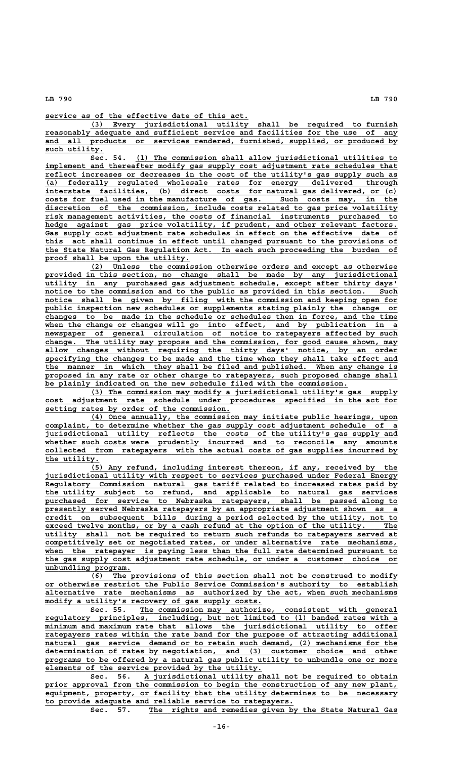**\_\_\_\_\_\_\_\_\_\_\_\_\_\_\_\_\_\_\_\_\_\_\_\_\_\_\_\_\_\_\_\_\_\_\_\_\_\_\_\_\_\_\_\_\_ service as of the effective date of this act.**

 **\_\_\_\_\_\_\_\_\_\_\_\_\_\_\_\_\_\_\_\_\_\_\_\_\_\_\_\_\_\_\_\_\_\_\_\_\_\_\_\_\_\_\_\_\_\_\_\_\_\_\_\_\_\_\_\_\_\_\_\_\_\_\_\_\_\_\_\_ (3) Every jurisdictional utility shall be required to furnish \_\_\_\_\_\_\_\_\_\_\_\_\_\_\_\_\_\_\_\_\_\_\_\_\_\_\_\_\_\_\_\_\_\_\_\_\_\_\_\_\_\_\_\_\_\_\_\_\_\_\_\_\_\_\_\_\_\_\_\_\_\_\_\_\_\_\_\_\_\_\_\_\_\_\_\_\_\_ reasonably adequate and sufficient service and facilities for the use of any \_\_\_\_\_\_\_\_\_\_\_\_\_\_\_\_\_\_\_\_\_\_\_\_\_\_\_\_\_\_\_\_\_\_\_\_\_\_\_\_\_\_\_\_\_\_\_\_\_\_\_\_\_\_\_\_\_\_\_\_\_\_\_\_\_\_\_\_\_\_\_\_\_\_\_\_\_\_ and all products or services rendered, furnished, supplied, or produced by** such utility.

 **\_\_\_\_\_\_\_\_\_\_\_\_\_\_\_\_\_\_\_\_\_\_\_\_\_\_\_\_\_\_\_\_\_\_\_\_\_\_\_\_\_\_\_\_\_\_\_\_\_\_\_\_\_\_\_\_\_\_ Sec. 54. (1) The commission shall allow jurisdictional utilities to** implement and thereafter modify gas supply cost adjustment rate schedules that reflect increases or decreases in the cost of the utility's gas supply such as  **\_\_\_\_\_\_\_\_\_\_\_\_\_\_\_\_\_\_\_\_\_\_\_\_\_\_\_\_\_\_\_\_\_\_\_\_\_\_\_\_\_\_\_\_\_\_\_\_\_\_\_\_\_\_\_\_\_\_\_\_\_\_\_\_\_\_\_\_\_\_\_\_\_\_\_\_\_\_ (a) federally regulated wholesale rates for energy delivered through \_\_\_\_\_\_\_\_\_\_\_\_\_\_\_\_\_\_\_\_\_\_\_\_\_\_\_\_\_\_\_\_\_\_\_\_\_\_\_\_\_\_\_\_\_\_\_\_\_\_\_\_\_\_\_\_\_\_\_\_\_\_\_\_\_\_\_\_\_\_\_\_\_\_\_\_\_\_ interstate facilities, (b) direct costs for natural gas delivered, or (c)** interstate facilities, (b) direct costs for natural gas delivered, or (c) costs for fuel used in the manufacture of gas. Such costs may, in the discretion of the commission, include costs related to gas price volatility  **\_\_\_\_\_\_\_\_\_\_\_\_\_\_\_\_\_\_\_\_\_\_\_\_\_\_\_\_\_\_\_\_\_\_\_\_\_\_\_\_\_\_\_\_\_\_\_\_\_\_\_\_\_\_\_\_\_\_\_\_\_\_\_\_\_\_\_\_\_\_\_\_\_\_\_\_\_\_ risk management activities, the costs of financial instruments purchased to** hedge against gas price volatility, if prudent, and other relevant factors.  **\_\_\_\_\_\_\_\_\_\_\_\_\_\_\_\_\_\_\_\_\_\_\_\_\_\_\_\_\_\_\_\_\_\_\_\_\_\_\_\_\_\_\_\_\_\_\_\_\_\_\_\_\_\_\_\_\_\_\_\_\_\_\_\_\_\_\_\_\_\_\_\_\_\_\_\_\_\_ Gas supply cost adjustment rate schedules in effect on the effective date of \_\_\_\_\_\_\_\_\_\_\_\_\_\_\_\_\_\_\_\_\_\_\_\_\_\_\_\_\_\_\_\_\_\_\_\_\_\_\_\_\_\_\_\_\_\_\_\_\_\_\_\_\_\_\_\_\_\_\_\_\_\_\_\_\_\_\_\_\_\_\_\_\_\_\_\_\_\_ this act shall continue in effect until changed pursuant to the provisions of \_\_\_\_\_\_\_\_\_\_\_\_\_\_\_\_\_\_\_\_\_\_\_\_\_\_\_\_\_\_\_\_\_\_\_\_\_\_\_\_\_\_\_\_\_\_\_\_\_\_\_\_\_\_\_\_\_\_\_\_\_\_\_\_\_\_\_\_\_\_\_\_\_\_\_\_\_\_ the State Natural Gas Regulation Act. In each such proceeding the burden of \_\_\_\_\_\_\_\_\_\_\_\_\_\_\_\_\_\_\_\_\_\_\_\_\_\_\_\_\_\_\_\_ proof shall be upon the utility.**

 **\_\_\_\_\_\_\_\_\_\_\_\_\_\_\_\_\_\_\_\_\_\_\_\_\_\_\_\_\_\_\_\_\_\_\_\_\_\_\_\_\_\_\_\_\_\_\_\_\_\_\_\_\_\_\_\_\_\_\_\_\_\_\_\_\_\_\_\_ (2) Unless the commission otherwise orders and except as otherwise \_\_\_\_\_\_\_\_\_\_\_\_\_\_\_\_\_\_\_\_\_\_\_\_\_\_\_\_\_\_\_\_\_\_\_\_\_\_\_\_\_\_\_\_\_\_\_\_\_\_\_\_\_\_\_\_\_\_\_\_\_\_\_\_\_\_\_\_\_\_\_\_\_\_\_\_\_\_ provided in this section, no change shall be made by any jurisdictional \_\_\_\_\_\_\_\_\_\_\_\_\_\_\_\_\_\_\_\_\_\_\_\_\_\_\_\_\_\_\_\_\_\_\_\_\_\_\_\_\_\_\_\_\_\_\_\_\_\_\_\_\_\_\_\_\_\_\_\_\_\_\_\_\_\_\_\_\_\_\_\_\_\_\_\_\_\_ utility in any purchased gas adjustment schedule, except after thirty days'** notice to the commission and to the public as provided in this section. Such notice shall be given by filing with the commission and keeping open for public inspection new schedules or supplements stating plainly the change or  **\_\_\_\_\_\_\_\_\_\_\_\_\_\_\_\_\_\_\_\_\_\_\_\_\_\_\_\_\_\_\_\_\_\_\_\_\_\_\_\_\_\_\_\_\_\_\_\_\_\_\_\_\_\_\_\_\_\_\_\_\_\_\_\_\_\_\_\_\_\_\_\_\_\_\_\_\_\_ changes to be made in the schedule or schedules then in force, and the time \_\_\_\_\_\_\_\_\_\_\_\_\_\_\_\_\_\_\_\_\_\_\_\_\_\_\_\_\_\_\_\_\_\_\_\_\_\_\_\_\_\_\_\_\_\_\_\_\_\_\_\_\_\_\_\_\_\_\_\_\_\_\_\_\_\_\_\_\_\_\_\_\_\_\_\_\_\_ when the change or changes will go into effect, and by publication in a \_\_\_\_\_\_\_\_\_\_\_\_\_\_\_\_\_\_\_\_\_\_\_\_\_\_\_\_\_\_\_\_\_\_\_\_\_\_\_\_\_\_\_\_\_\_\_\_\_\_\_\_\_\_\_\_\_\_\_\_\_\_\_\_\_\_\_\_\_\_\_\_\_\_\_\_\_\_ newspaper of general circulation of notice to ratepayers affected by such \_\_\_\_\_\_\_\_\_\_\_\_\_\_\_\_\_\_\_\_\_\_\_\_\_\_\_\_\_\_\_\_\_\_\_\_\_\_\_\_\_\_\_\_\_\_\_\_\_\_\_\_\_\_\_\_\_\_\_\_\_\_\_\_\_\_\_\_\_\_\_\_\_\_\_\_\_\_ change. The utility may propose and the commission, for good cause shown, may \_\_\_\_\_\_\_\_\_\_\_\_\_\_\_\_\_\_\_\_\_\_\_\_\_\_\_\_\_\_\_\_\_\_\_\_\_\_\_\_\_\_\_\_\_\_\_\_\_\_\_\_\_\_\_\_\_\_\_\_\_\_\_\_\_\_\_\_\_\_\_\_\_\_\_\_\_\_ allow changes without requiring the thirty days' notice, by an order \_\_\_\_\_\_\_\_\_\_\_\_\_\_\_\_\_\_\_\_\_\_\_\_\_\_\_\_\_\_\_\_\_\_\_\_\_\_\_\_\_\_\_\_\_\_\_\_\_\_\_\_\_\_\_\_\_\_\_\_\_\_\_\_\_\_\_\_\_\_\_\_\_\_\_\_\_\_ specifying the changes to be made and the time when they shall take effect and \_\_\_\_\_\_\_\_\_\_\_\_\_\_\_\_\_\_\_\_\_\_\_\_\_\_\_\_\_\_\_\_\_\_\_\_\_\_\_\_\_\_\_\_\_\_\_\_\_\_\_\_\_\_\_\_\_\_\_\_\_\_\_\_\_\_\_\_\_\_\_\_\_\_\_\_\_\_ the manner in which they shall be filed and published. When any change is** proposed in any rate or other charge to ratepayers, such proposed change shall  **\_\_\_\_\_\_\_\_\_\_\_\_\_\_\_\_\_\_\_\_\_\_\_\_\_\_\_\_\_\_\_\_\_\_\_\_\_\_\_\_\_\_\_\_\_\_\_\_\_\_\_\_\_\_\_\_\_\_\_\_\_\_\_\_\_\_\_ be plainly indicated on the new schedule filed with the commission.**

 **\_\_\_\_\_\_\_\_\_\_\_\_\_\_\_\_\_\_\_\_\_\_\_\_\_\_\_\_\_\_\_\_\_\_\_\_\_\_\_\_\_\_\_\_\_\_\_\_\_\_\_\_\_\_\_\_\_\_\_\_\_\_\_\_\_\_\_\_ (3) The commission may modify a jurisdictional utility's gas supply \_\_\_\_\_\_\_\_\_\_\_\_\_\_\_\_\_\_\_\_\_\_\_\_\_\_\_\_\_\_\_\_\_\_\_\_\_\_\_\_\_\_\_\_\_\_\_\_\_\_\_\_\_\_\_\_\_\_\_\_\_\_\_\_\_\_\_\_\_\_\_\_\_\_\_\_\_\_ cost adjustment rate schedule under procedures specified in the act for \_\_\_\_\_\_\_\_\_\_\_\_\_\_\_\_\_\_\_\_\_\_\_\_\_\_\_\_\_\_\_\_\_\_\_\_\_\_\_\_\_ setting rates by order of the commission.**

 **\_\_\_\_\_\_\_\_\_\_\_\_\_\_\_\_\_\_\_\_\_\_\_\_\_\_\_\_\_\_\_\_\_\_\_\_\_\_\_\_\_\_\_\_\_\_\_\_\_\_\_\_\_\_\_\_\_\_\_\_\_\_\_\_\_\_\_\_ (4) Once annually, the commission may initiate public hearings, upon \_\_\_\_\_\_\_\_\_\_\_\_\_\_\_\_\_\_\_\_\_\_\_\_\_\_\_\_\_\_\_\_\_\_\_\_\_\_\_\_\_\_\_\_\_\_\_\_\_\_\_\_\_\_\_\_\_\_\_\_\_\_\_\_\_\_\_\_\_\_\_\_\_\_\_\_\_\_ complaint, to determine whether the gas supply cost adjustment schedule of a \_\_\_\_\_\_\_\_\_\_\_\_\_\_\_\_\_\_\_\_\_\_\_\_\_\_\_\_\_\_\_\_\_\_\_\_\_\_\_\_\_\_\_\_\_\_\_\_\_\_\_\_\_\_\_\_\_\_\_\_\_\_\_\_\_\_\_\_\_\_\_\_\_\_\_\_\_\_ jurisdictional utility reflects the costs of the utility's gas supply and** whether such costs were prudently incurred and to reconcile any amounts  **\_\_\_\_\_\_\_\_\_\_\_\_\_\_\_\_\_\_\_\_\_\_\_\_\_\_\_\_\_\_\_\_\_\_\_\_\_\_\_\_\_\_\_\_\_\_\_\_\_\_\_\_\_\_\_\_\_\_\_\_\_\_\_\_\_\_\_\_\_\_\_\_\_\_\_\_\_\_ collected from ratepayers with the actual costs of gas supplies incurred by** the utility.

 **\_\_\_\_\_\_\_\_\_\_\_\_\_\_\_\_\_\_\_\_\_\_\_\_\_\_\_\_\_\_\_\_\_\_\_\_\_\_\_\_\_\_\_\_\_\_\_\_\_\_\_\_\_\_\_\_\_\_\_\_\_\_\_\_\_\_\_\_ (5) Any refund, including interest thereon, if any, received by the \_\_\_\_\_\_\_\_\_\_\_\_\_\_\_\_\_\_\_\_\_\_\_\_\_\_\_\_\_\_\_\_\_\_\_\_\_\_\_\_\_\_\_\_\_\_\_\_\_\_\_\_\_\_\_\_\_\_\_\_\_\_\_\_\_\_\_\_\_\_\_\_\_\_\_\_\_\_ jurisdictional utility with respect to services purchased under Federal Energy** Regulatory Commission natural gas tariff related to increased rates paid by  **\_\_\_\_\_\_\_\_\_\_\_\_\_\_\_\_\_\_\_\_\_\_\_\_\_\_\_\_\_\_\_\_\_\_\_\_\_\_\_\_\_\_\_\_\_\_\_\_\_\_\_\_\_\_\_\_\_\_\_\_\_\_\_\_\_\_\_\_\_\_\_\_\_\_\_\_\_\_ the utility subject to refund, and applicable to natural gas services \_\_\_\_\_\_\_\_\_\_\_\_\_\_\_\_\_\_\_\_\_\_\_\_\_\_\_\_\_\_\_\_\_\_\_\_\_\_\_\_\_\_\_\_\_\_\_\_\_\_\_\_\_\_\_\_\_\_\_\_\_\_\_\_\_\_\_\_\_\_\_\_\_\_\_\_\_\_ purchased for service to Nebraska ratepayers, shall be passed along to \_\_\_\_\_\_\_\_\_\_\_\_\_\_\_\_\_\_\_\_\_\_\_\_\_\_\_\_\_\_\_\_\_\_\_\_\_\_\_\_\_\_\_\_\_\_\_\_\_\_\_\_\_\_\_\_\_\_\_\_\_\_\_\_\_\_\_\_\_\_\_\_\_\_\_\_\_\_ presently served Nebraska ratepayers by an appropriate adjustment shown as a \_\_\_\_\_\_\_\_\_\_\_\_\_\_\_\_\_\_\_\_\_\_\_\_\_\_\_\_\_\_\_\_\_\_\_\_\_\_\_\_\_\_\_\_\_\_\_\_\_\_\_\_\_\_\_\_\_\_\_\_\_\_\_\_\_\_\_\_\_\_\_\_\_\_\_\_\_\_ credit on subsequent bills during a period selected by the utility, not to \_\_\_\_\_\_\_\_\_\_\_\_\_\_\_\_\_\_\_\_\_\_\_\_\_\_\_\_\_\_\_\_\_\_\_\_\_\_\_\_\_\_\_\_\_\_\_\_\_\_\_\_\_\_\_\_\_\_\_\_\_\_\_\_\_\_\_\_\_\_\_\_\_\_\_\_\_\_ exceed twelve months, or by a cash refund at the option of the utility. The \_\_\_\_\_\_\_\_\_\_\_\_\_\_\_\_\_\_\_\_\_\_\_\_\_\_\_\_\_\_\_\_\_\_\_\_\_\_\_\_\_\_\_\_\_\_\_\_\_\_\_\_\_\_\_\_\_\_\_\_\_\_\_\_\_\_\_\_\_\_\_\_\_\_\_\_\_\_ utility shall not be required to return such refunds to ratepayers served at \_\_\_\_\_\_\_\_\_\_\_\_\_\_\_\_\_\_\_\_\_\_\_\_\_\_\_\_\_\_\_\_\_\_\_\_\_\_\_\_\_\_\_\_\_\_\_\_\_\_\_\_\_\_\_\_\_\_\_\_\_\_\_\_\_\_\_\_\_\_\_\_\_\_\_\_\_\_ competitively set or negotiated rates, or under alternative rate mechanisms, \_\_\_\_\_\_\_\_\_\_\_\_\_\_\_\_\_\_\_\_\_\_\_\_\_\_\_\_\_\_\_\_\_\_\_\_\_\_\_\_\_\_\_\_\_\_\_\_\_\_\_\_\_\_\_\_\_\_\_\_\_\_\_\_\_\_\_\_\_\_\_\_\_\_\_\_\_\_ when the ratepayer is paying less than the full rate determined pursuant to \_\_\_\_\_\_\_\_\_\_\_\_\_\_\_\_\_\_\_\_\_\_\_\_\_\_\_\_\_\_\_\_\_\_\_\_\_\_\_\_\_\_\_\_\_\_\_\_\_\_\_\_\_\_\_\_\_\_\_\_\_\_\_\_\_\_\_\_\_\_\_\_\_\_\_\_\_\_ the gas supply cost adjustment rate schedule, or under a customer choice or unbundling program. \_\_\_\_\_\_\_\_\_\_\_\_\_\_\_\_\_\_\_**

 **\_\_\_\_\_\_\_\_\_\_\_\_\_\_\_\_\_\_\_\_\_\_\_\_\_\_\_\_\_\_\_\_\_\_\_\_\_\_\_\_\_\_\_\_\_\_\_\_\_\_\_\_\_\_\_\_\_\_\_\_\_\_\_\_\_\_\_\_ (6) The provisions of this section shall not be construed to modify \_\_\_\_\_\_\_\_\_\_\_\_\_\_\_\_\_\_\_\_\_\_\_\_\_\_\_\_\_\_\_\_\_\_\_\_\_\_\_\_\_\_\_\_\_\_\_\_\_\_\_\_\_\_\_\_\_\_\_\_\_\_\_\_\_\_\_\_\_\_\_\_\_\_\_\_\_\_ or otherwise restrict the Public Service Commission's authority to establish \_\_\_\_\_\_\_\_\_\_\_\_\_\_\_\_\_\_\_\_\_\_\_\_\_\_\_\_\_\_\_\_\_\_\_\_\_\_\_\_\_\_\_\_\_\_\_\_\_\_\_\_\_\_\_\_\_\_\_\_\_\_\_\_\_\_\_\_\_\_\_\_\_\_\_\_\_\_ alternative rate mechanisms as authorized by the act, when such mechanisms** modify a utility's recovery of gas supply costs.

 **\_\_\_\_\_\_\_\_\_\_\_\_\_\_\_\_\_\_\_\_\_\_\_\_\_\_\_\_\_\_\_\_\_\_\_\_\_\_\_\_\_\_\_\_\_\_\_\_\_\_\_\_\_\_\_\_\_ Sec. 55. The commission may authorize, consistent with general \_\_\_\_\_\_\_\_\_\_\_\_\_\_\_\_\_\_\_\_\_\_\_\_\_\_\_\_\_\_\_\_\_\_\_\_\_\_\_\_\_\_\_\_\_\_\_\_\_\_\_\_\_\_\_\_\_\_\_\_\_\_\_\_\_\_\_\_\_\_\_\_\_\_\_\_\_\_ regulatory principles, including, but not limited to (1) banded rates with a**  $minimum$  and maximum rate that allows the jurisdictional utility to offer ratepayers rates within the rate band for the purpose of attracting additional  **\_\_\_\_\_\_\_\_\_\_\_\_\_\_\_\_\_\_\_\_\_\_\_\_\_\_\_\_\_\_\_\_\_\_\_\_\_\_\_\_\_\_\_\_\_\_\_\_\_\_\_\_\_\_\_\_\_\_\_\_\_\_\_\_\_\_\_\_\_\_\_\_\_\_\_\_\_\_ natural gas service demand or to retain such demand, (2) mechanisms for the \_\_\_\_\_\_\_\_\_\_\_\_\_\_\_\_\_\_\_\_\_\_\_\_\_\_\_\_\_\_\_\_\_\_\_\_\_\_\_\_\_\_\_\_\_\_\_\_\_\_\_\_\_\_\_\_\_\_\_\_\_\_\_\_\_\_\_\_\_\_\_\_\_\_\_\_\_\_ determination of rates by negotiation, and (3) customer choice and other** programs to be offered by a natural gas public utility to unbundle one or more  **\_\_\_\_\_\_\_\_\_\_\_\_\_\_\_\_\_\_\_\_\_\_\_\_\_\_\_\_\_\_\_\_\_\_\_\_\_\_\_\_\_\_\_\_\_\_\_\_ elements of the service provided by the utility.**

Sec. 56. A jurisdictional utility shall not be required to obtain prior approval from the commission to begin the construction of any new plant, equipment, property, or facility that the utility determines to be necessary  **\_\_\_\_\_\_\_\_\_\_\_\_\_\_\_\_\_\_\_\_\_\_\_\_\_\_\_\_\_\_\_\_\_\_\_\_\_\_\_\_\_\_\_\_\_\_\_\_\_\_\_\_\_\_\_\_\_\_\_\_\_\_\_\_\_\_\_\_\_\_\_\_\_\_\_\_\_\_ equipment, property, or facility that the utility determines to be necessary \_\_\_\_\_\_\_\_\_\_\_\_\_\_\_\_\_\_\_\_\_\_\_\_\_\_\_\_\_\_\_\_\_\_\_\_\_\_\_\_\_\_\_\_\_\_\_\_\_\_\_\_\_\_\_ to provide adequate and reliable service to ratepayers.**

 **\_\_\_\_\_\_\_\_\_\_\_\_\_\_\_\_\_\_\_\_\_\_\_\_\_\_\_\_\_\_\_\_\_\_\_\_\_\_\_\_\_\_\_\_\_\_\_\_\_\_\_\_\_\_\_ Sec. 57. The rights and remedies given by the State Natural Gas**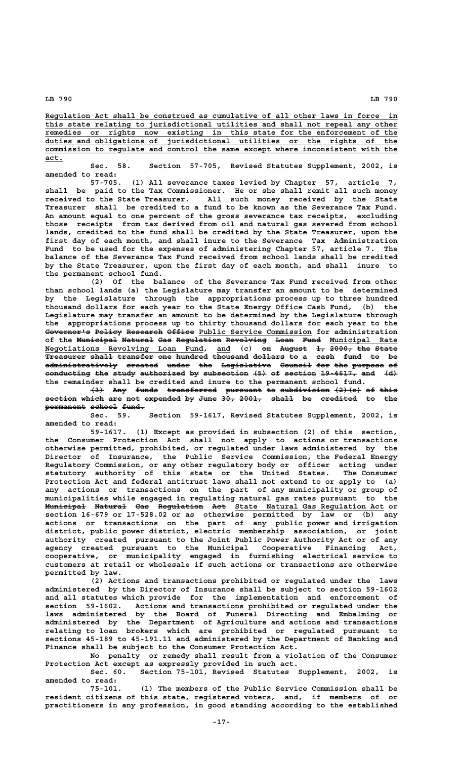**\_\_\_\_\_\_\_\_\_\_\_\_\_\_\_\_\_\_\_\_\_\_\_\_\_\_\_\_\_\_\_\_\_\_\_\_\_\_\_\_\_\_\_\_\_\_\_\_\_\_\_\_\_\_\_\_\_\_\_\_\_\_\_\_\_\_\_\_\_\_\_\_\_\_\_\_\_\_ Regulation Act shall be construed as cumulative of all other laws in force in \_\_\_\_\_\_\_\_\_\_\_\_\_\_\_\_\_\_\_\_\_\_\_\_\_\_\_\_\_\_\_\_\_\_\_\_\_\_\_\_\_\_\_\_\_\_\_\_\_\_\_\_\_\_\_\_\_\_\_\_\_\_\_\_\_\_\_\_\_\_\_\_\_\_\_\_\_\_ this state relating to jurisdictional utilities and shall not repeal any other** remedies or rights now existing in this state for the enforcement of the  **\_\_\_\_\_\_\_\_\_\_\_\_\_\_\_\_\_\_\_\_\_\_\_\_\_\_\_\_\_\_\_\_\_\_\_\_\_\_\_\_\_\_\_\_\_\_\_\_\_\_\_\_\_\_\_\_\_\_\_\_\_\_\_\_\_\_\_\_\_\_\_\_\_\_\_\_\_\_ duties and obligations of jurisdictional utilities or the rights of the \_\_\_\_\_\_\_\_\_\_\_\_\_\_\_\_\_\_\_\_\_\_\_\_\_\_\_\_\_\_\_\_\_\_\_\_\_\_\_\_\_\_\_\_\_\_\_\_\_\_\_\_\_\_\_\_\_\_\_\_\_\_\_\_\_\_\_\_\_\_\_\_\_\_\_\_\_\_ commission to regulate and control the same except where inconsistent with the act.\_\_\_\_**

**Sec. 58. Section 57-705, Revised Statutes Supplement, 2002, is amended to read:**

**57-705. (1) All severance taxes levied by Chapter 57, article 7, shall be paid to the Tax Commissioner. He or she shall remit all such money received to the State Treasurer. All such money received by the State Treasurer shall be credited to a fund to be known as the Severance Tax Fund. An amount equal to one percent of the gross severance tax receipts, excluding those receipts from tax derived from oil and natural gas severed from school lands, credited to the fund shall be credited by the State Treasurer, upon the first day of each month, and shall inure to the Severance Tax Administration Fund to be used for the expenses of administering Chapter 57, article 7. The balance of the Severance Tax Fund received from school lands shall be credited by the State Treasurer, upon the first day of each month, and shall inure to the permanent school fund.**

**(2) Of the balance of the Severance Tax Fund received from other than school lands (a) the Legislature may transfer an amount to be determined by the Legislature through the appropriations process up to three hundred thousand dollars for each year to the State Energy Office Cash Fund, (b) the Legislature may transfer an amount to be determined by the Legislature through the appropriations process up to thirty thousand dollars for each year to the** Governor<sup>1</sup>s Policy Research Office Public Service Commission for administration of the <del>Municipal Natural Gas Regulation Revolving Loan Fund</del> Municipal Rate **Negotiations Revolving Loan Fund, and (c) on August 1, 2000, the State \_\_\_\_\_\_\_\_\_\_\_\_\_\_\_\_\_\_\_\_\_\_\_\_\_\_\_\_\_\_\_\_\_\_\_ \_\_\_ —— —————— —— ————— ——— ————— Treasurer shall transfer one hundred thousand dollars to a cash fund to be ————————— ————— ———————— ——— ——————— ———————— ——————— —— — ———— ———— —— —** administratively created under the Legislative Council for the purpose of **conducting the study authorized by subsection (5) of section 19-4617, and (d) —————————— ——— ————— —————————— —— —————————— ——— —— ——————— ———————— ——— —— the remainder shall be credited and inure to the permanent school fund.**

 $\left\{\frac{3}{4}\right\}$  Any funds transferred pursuant to subdivision  $\left\{\frac{2}{6}\right\}$  of this **section which are not expended by June 30, 2001, shall be credited to the permanent school fund. ————————— —————— —————**

**Sec. 59. Section 59-1617, Revised Statutes Supplement, 2002, is amended to read:**

**59-1617. (1) Except as provided in subsection (2) of this section, the Consumer Protection Act shall not apply to actions or transactions otherwise permitted, prohibited, or regulated under laws administered by the Director of Insurance, the Public Service Commission, the Federal Energy Regulatory Commission, or any other regulatory body or officer acting under statutory authority of this state or the United States. The Consumer Protection Act and federal antitrust laws shall not extend to or apply to (a) any actions or transactions on the part of any municipality or group of municipalities while engaged in regulating natural gas rates pursuant to the Municipal Natural Gas Regulation Act State Natural Gas Regulation Act or section 16-679 or 17-528.02 or as otherwise permitted by law or (b) any actions or transactions on the part of any public power and irrigation district, public power district, electric membership association, or joint authority created pursuant to the Joint Public Power Authority Act or of any agency created pursuant to the Municipal Cooperative Financing Act, cooperative, or municipality engaged in furnishing electrical service to customers at retail or wholesale if such actions or transactions are otherwise permitted by law.**

**(2) Actions and transactions prohibited or regulated under the laws administered by the Director of Insurance shall be subject to section 59-1602 and all statutes which provide for the implementation and enforcement of section 59-1602. Actions and transactions prohibited or regulated under the laws administered by the Board of Funeral Directing and Embalming or administered by the Department of Agriculture and actions and transactions relating to loan brokers which are prohibited or regulated pursuant to sections 45-189 to 45-191.11 and administered by the Department of Banking and Finance shall be subject to the Consumer Protection Act.**

**No penalty or remedy shall result from a violation of the Consumer Protection Act except as expressly provided in such act.**

**Sec. 60. Section 75-101, Revised Statutes Supplement, 2002, is amended to read:**

**75-101. (1) The members of the Public Service Commission shall be resident citizens of this state, registered voters, and, if members of or practitioners in any profession, in good standing according to the established**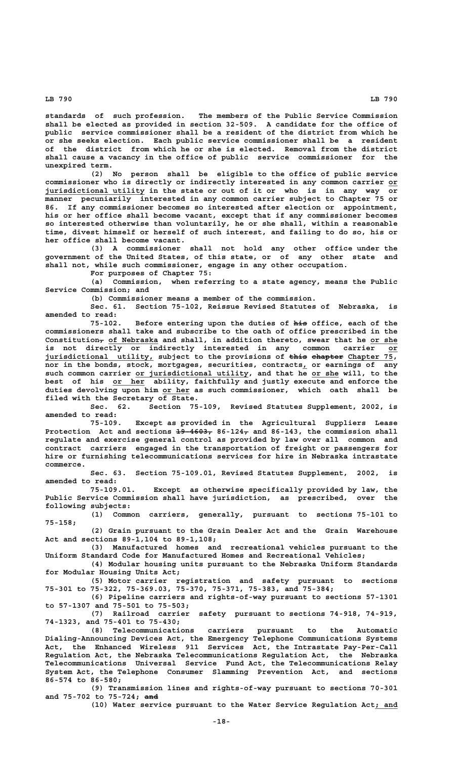**standards of such profession. The members of the Public Service Commission shall be elected as provided in section 32-509. A candidate for the office of public service commissioner shall be a resident of the district from which he or she seeks election. Each public service commissioner shall be a resident of the district from which he or she is elected. Removal from the district shall cause a vacancy in the office of public service commissioner for the unexpired term.**

**(2) No person shall be eligible to the office of public service commissioner who is directly or indirectly interested in any common carrier or\_\_ \_\_\_\_\_\_\_\_\_\_\_\_\_\_\_\_\_\_\_\_\_\_ jurisdictional utility in the state or out of it or who is in any way or manner pecuniarily interested in any common carrier subject to Chapter 75 or 86. If any commissioner becomes so interested after election or appointment, his or her office shall become vacant, except that if any commissioner becomes so interested otherwise than voluntarily, he or she shall, within a reasonable time, divest himself or herself of such interest, and failing to do so, his or her office shall become vacant.**

> **(3) A commissioner shall not hold any other office under the government of the United States, of this state, or of any other state and shall not, while such commissioner, engage in any other occupation.**

**For purposes of Chapter 75:**

**(a) Commission, when referring to a state agency, means the Public Service Commission; and**

**(b) Commissioner means a member of the commission.**

**Sec. 61. Section 75-102, Reissue Revised Statutes of Nebraska, is amended to read:**

75-102. Before entering upon the duties of his office, each of the **commissioners shall take and subscribe to the oath of office prescribed in the**  $\text{Construction}_{\tau}$  of Nebraska and shall, in addition thereto, swear that he or she is not directly or indirectly interested in any common carrier or jurisdictional utility, subject to the provisions of this chapter Chapter 75, **nor in the bonds, stock, mortgages, securities, contracts, or earnings of any \_** such common carrier or jurisdictional utility, and that he or she will, to the best of his or her ability, faithfully and justly execute and enforce the  **\_\_\_\_\_\_ duties devolving upon him or her as such commissioner, which oath shall be filed with the Secretary of State.**

**Sec. 62. Section 75-109, Revised Statutes Supplement, 2002, is amended to read:**

**75-109. Except as provided in the Agricultural Suppliers Lease** Protection Act and sections  $19-4603$ ,  $86-124$ , and  $86-143$ , the commission shall **regulate and exercise general control as provided by law over all common and contract carriers engaged in the transportation of freight or passengers for hire or furnishing telecommunications services for hire in Nebraska intrastate commerce.**

**Sec. 63. Section 75-109.01, Revised Statutes Supplement, 2002, is amended to read:**

**75-109.01. Except as otherwise specifically provided by law, the Public Service Commission shall have jurisdiction, as prescribed, over the following subjects:**

**(1) Common carriers, generally, pursuant to sections 75-101 to 75-158;**

**(2) Grain pursuant to the Grain Dealer Act and the Grain Warehouse Act and sections 89-1,104 to 89-1,108;**

**(3) Manufactured homes and recreational vehicles pursuant to the Uniform Standard Code for Manufactured Homes and Recreational Vehicles;**

**(4) Modular housing units pursuant to the Nebraska Uniform Standards for Modular Housing Units Act;**

**(5) Motor carrier registration and safety pursuant to sections 75-301 to 75-322, 75-369.03, 75-370, 75-371, 75-383, and 75-384;**

**(6) Pipeline carriers and rights-of-way pursuant to sections 57-1301 to 57-1307 and 75-501 to 75-503;**

**(7) Railroad carrier safety pursuant to sections 74-918, 74-919, 74-1323, and 75-401 to 75-430;**

**(8) Telecommunications carriers pursuant to the Automatic Dialing-Announcing Devices Act, the Emergency Telephone Communications Systems Act, the Enhanced Wireless 911 Services Act, the Intrastate Pay-Per-Call Regulation Act, the Nebraska Telecommunications Regulation Act, the Nebraska Telecommunications Universal Service Fund Act, the Telecommunications Relay System Act, the Telephone Consumer Slamming Prevention Act, and sections 86-574 to 86-580;**

**(9) Transmission lines and rights-of-way pursuant to sections 70-301 ——— and 75-702 to 75-724; and**

**(10) Water service pursuant to the Water Service Regulation Act; and \_\_\_\_\_**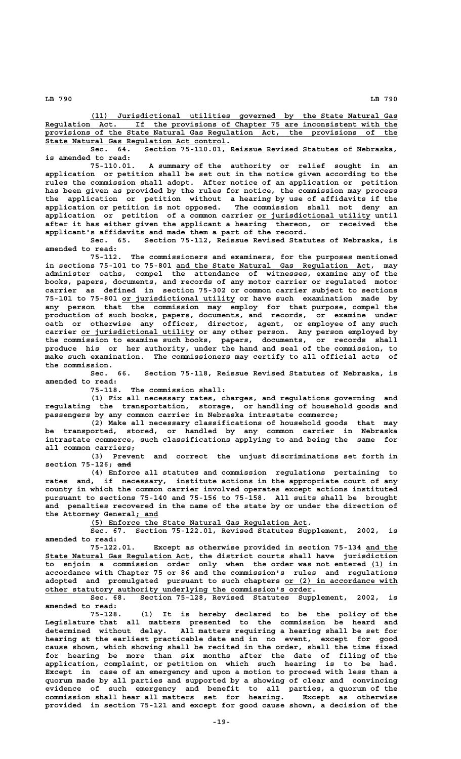**\_\_\_\_\_\_\_\_\_\_\_\_\_\_\_\_\_\_\_\_\_\_\_\_\_\_\_\_\_\_\_\_\_\_\_\_\_\_\_\_\_\_\_\_\_\_\_\_\_\_\_\_\_\_\_\_\_\_\_\_\_\_\_\_\_\_\_\_ (11) Jurisdictional utilities governed by the State Natural Gas \_\_\_\_\_\_\_\_\_\_\_\_\_\_\_\_\_\_\_\_\_\_\_\_\_\_\_\_\_\_\_\_\_\_\_\_\_\_\_\_\_\_\_\_\_\_\_\_\_\_\_\_\_\_\_\_\_\_\_\_\_\_\_\_\_\_\_\_\_\_\_\_\_\_\_\_\_\_ Regulation Act. If the provisions of Chapter 75 are inconsistent with the \_\_\_\_\_\_\_\_\_\_\_\_\_\_\_\_\_\_\_\_\_\_\_\_\_\_\_\_\_\_\_\_\_\_\_\_\_\_\_\_\_\_\_\_\_\_\_\_\_\_\_\_\_\_\_\_\_\_\_\_\_\_\_\_\_\_\_\_\_\_\_\_\_\_\_\_\_\_ provisions of the State Natural Gas Regulation Act, the provisions of the \_\_\_\_\_\_\_\_\_\_\_\_\_\_\_\_\_\_\_\_\_\_\_\_\_\_\_\_\_\_\_\_\_\_\_\_\_\_\_\_ State Natural Gas Regulation Act control.**

**Sec. 64. Section 75-110.01, Reissue Revised Statutes of Nebraska, is amended to read:**

**75-110.01. A summary of the authority or relief sought in an application or petition shall be set out in the notice given according to the rules the commission shall adopt. After notice of an application or petition has been given as provided by the rules for notice, the commission may process the application or petition without a hearing by use of affidavits if the** application or petition is not opposed. application or petition of a common carrier or jurisdictional utility until **after it has either given the applicant a hearing thereon, or received the applicant's affidavits and made them a part of the record.**

**Sec. 65. Section 75-112, Reissue Revised Statutes of Nebraska, is amended to read:**

The commissioners and examiners, for the purposes mentioned  **\_\_\_\_\_\_\_\_\_\_\_\_\_\_\_\_\_\_\_\_\_\_\_\_\_\_\_\_\_\_\_\_\_\_\_\_\_\_\_\_\_\_\_ in sections 75-101 to 75-801 and the State Natural Gas Regulation Act, may administer oaths, compel the attendance of witnesses, examine any of the books, papers, documents, and records of any motor carrier or regulated motor carrier as defined in section 75-302 or common carrier subject to sections \_\_\_\_\_\_\_\_\_\_\_\_\_\_\_\_\_\_\_\_\_\_\_\_\_ 75-101 to 75-801 or jurisdictional utility or have such examination made by any person that the commission may employ for that purpose, compel the production of such books, papers, documents, and records, or examine under oath or otherwise any officer, director, agent, or employee of any such \_\_\_\_\_\_\_\_\_\_\_\_\_\_\_\_\_\_\_\_\_\_\_\_\_ carrier or jurisdictional utility or any other person. Any person employed by the commission to examine such books, papers, documents, or records shall produce his or her authority, under the hand and seal of the commission, to make such examination. The commissioners may certify to all official acts of the commission.**

> **Sec. 66. Section 75-118, Reissue Revised Statutes of Nebraska, is amended to read:**

> > **75-118. The commission shall:**

**(1) Fix all necessary rates, charges, and regulations governing and regulating the transportation, storage, or handling of household goods and passengers by any common carrier in Nebraska intrastate commerce;**

**(2) Make all necessary classifications of household goods that may be transported, stored, or handled by any common carrier in Nebraska intrastate commerce, such classifications applying to and being the same for all common carriers;**

**(3) Prevent and correct the unjust discriminations set forth in ——— section 75-126; and**

**(4) Enforce all statutes and commission regulations pertaining to rates and, if necessary, institute actions in the appropriate court of any county in which the common carrier involved operates except actions instituted pursuant to sections 75-140 and 75-156 to 75-158. All suits shall be brought and penalties recovered in the name of the state by or under the direction of \_\_\_\_\_ the Attorney General; and**

 **\_\_\_\_\_\_\_\_\_\_\_\_\_\_\_\_\_\_\_\_\_\_\_\_\_\_\_\_\_\_\_\_\_\_\_\_\_\_\_\_\_\_\_\_\_\_\_\_ (5) Enforce the State Natural Gas Regulation Act.**

**Sec. 67. Section 75-122.01, Revised Statutes Supplement, 2002, is amended to read:**

**75-122.01. Except as otherwise provided in section 75-134 and the \_\_\_\_\_\_\_ \_\_\_\_\_\_\_\_\_\_\_\_\_\_\_\_\_\_\_\_\_\_\_\_\_\_\_\_\_\_\_\_ State Natural Gas Regulation Act, the district courts shall have jurisdiction to enjoin a commission order only when the order was not entered (1) in \_\_\_ accordance with Chapter 75 or 86 and the commission's rules and regulations** adopted and promulgated pursuant to such chapters or (2) in accordance with other statutory authority underlying the commission's order.

**Sec. 68. Section 75-128, Revised Statutes Supplement, 2002, is amended to read:**

**75-128. (1) It is hereby declared to be the policy of the Legislature that all matters presented to the commission be heard and determined without delay. All matters requiring a hearing shall be set for hearing at the earliest practicable date and in no event, except for good cause shown, which showing shall be recited in the order, shall the time fixed for hearing be more than six months after the date of filing of the application, complaint, or petition on which such hearing is to be had. Except in case of an emergency and upon a motion to proceed with less than a quorum made by all parties and supported by a showing of clear and convincing evidence of such emergency and benefit to all parties, a quorum of the commission shall hear all matters set for hearing. Except as otherwise provided in section 75-121 and except for good cause shown, a decision of the**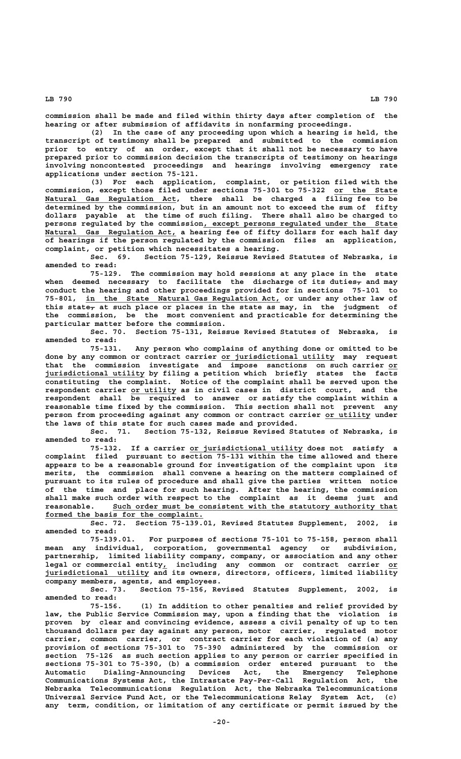**commission shall be made and filed within thirty days after completion of the hearing or after submission of affidavits in nonfarming proceedings.**

**(2) In the case of any proceeding upon which a hearing is held, the transcript of testimony shall be prepared and submitted to the commission prior to entry of an order, except that it shall not be necessary to have prepared prior to commission decision the transcripts of testimony on hearings involving noncontested proceedings and hearings involving emergency rate applications under section 75-121.**

**(3) For each application, complaint, or petition filed with the** commission, except those filed under sections 75-301 to 75-322 or the State  **\_\_\_\_\_\_\_\_\_\_\_\_\_\_\_\_\_\_\_\_\_\_\_\_\_\_\_\_\_ Natural Gas Regulation Act, there shall be charged a filing fee to be determined by the commission, but in an amount not to exceed the sum of fifty dollars payable at the time of such filing. There shall also be charged to** persons regulated by the commission, except persons regulated under the State  **\_\_\_\_\_\_\_\_\_\_\_\_\_\_\_\_\_\_\_\_\_\_\_\_\_\_\_\_\_ Natural Gas Regulation Act, a hearing fee of fifty dollars for each half day of hearings if the person regulated by the commission files an application, complaint, or petition which necessitates a hearing.**

Section 75-129, Reissue Revised Statutes of Nebraska, is **amended to read:**

**75-129. The commission may hold sessions at any place in the state** when deemed necessary to facilitate the discharge-of-its-duties<sub>7</sub> and may **conduct the hearing and other proceedings provided for in sections 75-101 to \_\_\_\_\_\_\_\_\_\_\_\_\_\_\_\_\_\_\_\_\_\_\_\_\_\_\_\_\_\_\_\_\_\_\_\_\_\_\_\_\_\_\_ 75-801, in the State Natural Gas Regulation Act, or under any other law of** this state<sub>7</sub> at such place or places in the state as may, in the judgment of **the commission, be the most convenient and practicable for determining the particular matter before the commission.**

**Sec. 70. Section 75-131, Reissue Revised Statutes of Nebraska, is amended to read:**

**75-131. Any person who complains of anything done or omitted to be \_\_\_\_\_\_\_\_\_\_\_\_\_\_\_\_\_\_\_\_\_\_\_\_\_ done by any common or contract carrier or jurisdictional utility may request that the commission investigate and impose sanctions on such carrier or\_\_ \_\_\_\_\_\_\_\_\_\_\_\_\_\_\_\_\_\_\_\_\_\_ jurisdictional utility by filing a petition which briefly states the facts constituting the complaint. Notice of the complaint shall be served upon the \_\_\_\_\_\_\_\_\_\_ respondent carrier or utility as in civil cases in district court, and the respondent shall be required to answer or satisfy the complaint within a reasonable time fixed by the commission. This section shall not prevent any** person from proceeding against any common or contract carrier or utility under

**the laws of this state for such cases made and provided.** Section 75-132, Reissue Revised Statutes of Nebraska, is **amended to read:**

 **\_\_\_\_\_\_\_\_\_\_\_\_\_\_\_\_\_\_\_\_\_\_\_\_\_ 75-132. If a carrier or jurisdictional utility does not satisfy a complaint filed pursuant to section 75-131 within the time allowed and there appears to be a reasonable ground for investigation of the complaint upon its merits, the commission shall convene a hearing on the matters complained of pursuant to its rules of procedure and shall give the parties written notice of the time and place for such hearing. After the hearing, the commission shall make such order with respect to the complaint as it deems just and** reasonable. Such order must be consistent with the statutory authority that formed the basis for the complaint.

**Sec. 72. Section 75-139.01, Revised Statutes Supplement, 2002, is amended to read:**

**75-139.01. For purposes of sections 75-101 to 75-158, person shall mean any individual, corporation, governmental agency or subdivision, partnership, limited liability company, company, or association and any other \_ \_\_ legal or commercial entity, including any common or contract carrier or \_\_\_\_\_\_\_\_\_\_\_\_\_\_\_\_\_\_\_\_\_\_\_ jurisdictional utility and its owners, directors, officers, limited liability company members, agents, and employees.**

**Sec. 73. Section 75-156, Revised Statutes Supplement, 2002, is amended to read:**

**75-156. (1) In addition to other penalties and relief provided by law, the Public Service Commission may, upon a finding that the violation is proven by clear and convincing evidence, assess a civil penalty of up to ten thousand dollars per day against any person, motor carrier, regulated motor carrier, common carrier, or contract carrier for each violation of (a) any provision of sections 75-301 to 75-390 administered by the commission or section 75-126 as such section applies to any person or carrier specified in sections 75-301 to 75-390, (b) a commission order entered pursuant to the Automatic Dialing-Announcing Devices Act, the Emergency Telephone Communications Systems Act, the Intrastate Pay-Per-Call Regulation Act, the Nebraska Telecommunications Regulation Act, the Nebraska Telecommunications Universal Service Fund Act, or the Telecommunications Relay System Act, (c) any term, condition, or limitation of any certificate or permit issued by the**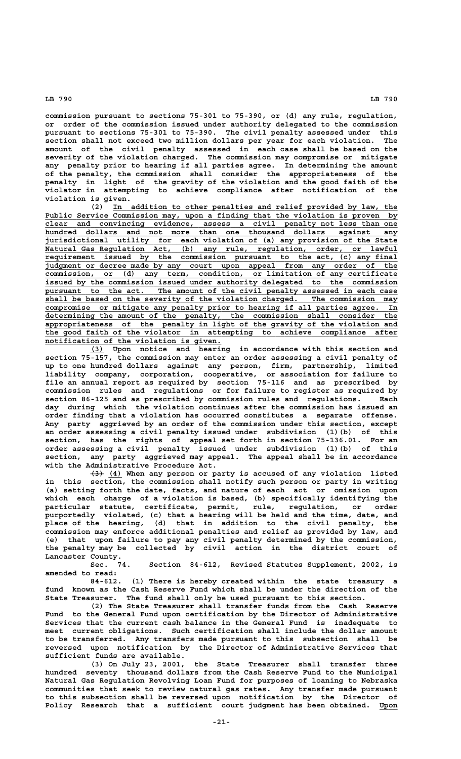**commission pursuant to sections 75-301 to 75-390, or (d) any rule, regulation, or order of the commission issued under authority delegated to the commission pursuant to sections 75-301 to 75-390. The civil penalty assessed under this section shall not exceed two million dollars per year for each violation. The amount of the civil penalty assessed in each case shall be based on the severity of the violation charged. The commission may compromise or mitigate any penalty prior to hearing if all parties agree. In determining the amount of the penalty, the commission shall consider the appropriateness of the penalty in light of the gravity of the violation and the good faith of the violator in attempting to achieve compliance after notification of the violation is given.**

 **\_\_\_\_\_\_\_\_\_\_\_\_\_\_\_\_\_\_\_\_\_\_\_\_\_\_\_\_\_\_\_\_\_\_\_\_\_\_\_\_\_\_\_\_\_\_\_\_\_\_\_\_\_\_\_\_\_\_\_\_\_\_\_ (2) In addition to other penalties and relief provided by law, the** Public Service Commission may, upon a finding that the violation is proven by  **\_\_\_\_\_\_\_\_\_\_\_\_\_\_\_\_\_\_\_\_\_\_\_\_\_\_\_\_\_\_\_\_\_\_\_\_\_\_\_\_\_\_\_\_\_\_\_\_\_\_\_\_\_\_\_\_\_\_\_\_\_\_\_\_\_\_\_\_\_\_\_\_\_\_\_\_\_\_ clear and convincing evidence, assess a civil penalty not less than one \_\_\_\_\_\_\_\_\_\_\_\_\_\_\_\_\_\_\_\_\_\_\_\_\_\_\_\_\_\_\_\_\_\_\_\_\_\_\_\_\_\_\_\_\_\_\_\_\_\_\_\_\_\_\_\_\_\_\_\_\_\_\_\_\_\_\_\_\_\_\_\_\_\_\_\_\_\_ hundred dollars and not more than one thousand dollars against any \_\_\_\_\_\_\_\_\_\_\_\_\_\_\_\_\_\_\_\_\_\_\_\_\_\_\_\_\_\_\_\_\_\_\_\_\_\_\_\_\_\_\_\_\_\_\_\_\_\_\_\_\_\_\_\_\_\_\_\_\_\_\_\_\_\_\_\_\_\_\_\_\_\_\_\_\_\_ jurisdictional utility for each violation of (a) any provision of the State \_\_\_\_\_\_\_\_\_\_\_\_\_\_\_\_\_\_\_\_\_\_\_\_\_\_\_\_\_\_\_\_\_\_\_\_\_\_\_\_\_\_\_\_\_\_\_\_\_\_\_\_\_\_\_\_\_\_\_\_\_\_\_\_\_\_\_\_\_\_\_\_\_\_\_\_\_\_ Natural Gas Regulation Act, (b) any rule, regulation, order, or lawful \_\_\_\_\_\_\_\_\_\_\_\_\_\_\_\_\_\_\_\_\_\_\_\_\_\_\_\_\_\_\_\_\_\_\_\_\_\_\_\_\_\_\_\_\_\_\_\_\_\_\_\_\_\_\_\_\_\_\_\_\_\_\_\_\_\_\_\_\_\_\_\_\_\_\_\_\_\_ requirement issued by the commission pursuant to the act, (c) any final \_\_\_\_\_\_\_\_\_\_\_\_\_\_\_\_\_\_\_\_\_\_\_\_\_\_\_\_\_\_\_\_\_\_\_\_\_\_\_\_\_\_\_\_\_\_\_\_\_\_\_\_\_\_\_\_\_\_\_\_\_\_\_\_\_\_\_\_\_\_\_\_\_\_\_\_\_\_ judgment or decree made by any court upon appeal from any order of the \_\_\_\_\_\_\_\_\_\_\_\_\_\_\_\_\_\_\_\_\_\_\_\_\_\_\_\_\_\_\_\_\_\_\_\_\_\_\_\_\_\_\_\_\_\_\_\_\_\_\_\_\_\_\_\_\_\_\_\_\_\_\_\_\_\_\_\_\_\_\_\_\_\_\_\_\_\_ commission, or (d) any term, condition, or limitation of any certificate \_\_\_\_\_\_\_\_\_\_\_\_\_\_\_\_\_\_\_\_\_\_\_\_\_\_\_\_\_\_\_\_\_\_\_\_\_\_\_\_\_\_\_\_\_\_\_\_\_\_\_\_\_\_\_\_\_\_\_\_\_\_\_\_\_\_\_\_\_\_\_\_\_\_\_\_\_\_ issued by the commission issued under authority delegated to the commission** pursuant to the act. The amount of the civil penalty assessed in each case  **\_\_\_\_\_\_\_\_\_\_\_\_\_\_\_\_\_\_\_\_\_\_\_\_\_\_\_\_\_\_\_\_\_\_\_\_\_\_\_\_\_\_\_\_\_\_\_\_\_\_\_\_\_\_\_\_\_\_\_\_\_\_\_\_\_\_\_\_\_\_\_\_\_\_\_\_\_\_ shall be based on the severity of the violation charged. The commission may \_\_\_\_\_\_\_\_\_\_\_\_\_\_\_\_\_\_\_\_\_\_\_\_\_\_\_\_\_\_\_\_\_\_\_\_\_\_\_\_\_\_\_\_\_\_\_\_\_\_\_\_\_\_\_\_\_\_\_\_\_\_\_\_\_\_\_\_\_\_\_\_\_\_\_\_\_\_ compromise or mitigate any penalty prior to hearing if all parties agree. In \_\_\_\_\_\_\_\_\_\_\_\_\_\_\_\_\_\_\_\_\_\_\_\_\_\_\_\_\_\_\_\_\_\_\_\_\_\_\_\_\_\_\_\_\_\_\_\_\_\_\_\_\_\_\_\_\_\_\_\_\_\_\_\_\_\_\_\_\_\_\_\_\_\_\_\_\_\_ determining the amount of the penalty, the commission shall consider the \_\_\_\_\_\_\_\_\_\_\_\_\_\_\_\_\_\_\_\_\_\_\_\_\_\_\_\_\_\_\_\_\_\_\_\_\_\_\_\_\_\_\_\_\_\_\_\_\_\_\_\_\_\_\_\_\_\_\_\_\_\_\_\_\_\_\_\_\_\_\_\_\_\_\_\_\_\_ appropriateness of the penalty in light of the gravity of the violation and \_\_\_\_\_\_\_\_\_\_\_\_\_\_\_\_\_\_\_\_\_\_\_\_\_\_\_\_\_\_\_\_\_\_\_\_\_\_\_\_\_\_\_\_\_\_\_\_\_\_\_\_\_\_\_\_\_\_\_\_\_\_\_\_\_\_\_\_\_\_\_\_\_\_\_\_\_\_ the good faith of the violator in attempting to achieve compliance after \_\_\_\_\_\_\_\_\_\_\_\_\_\_\_\_\_\_\_\_\_\_\_\_\_\_\_\_\_\_\_\_\_\_\_\_\_\_\_ notification of the violation is given.**

 **\_\_\_ (3) Upon notice and hearing in accordance with this section and section 75-157, the commission may enter an order assessing a civil penalty of up to one hundred dollars against any person, firm, partnership, limited liability company, corporation, cooperative, or association for failure to file an annual report as required by section 75-116 and as prescribed by commission rules and regulations or for failure to register as required by section 86-125 and as prescribed by commission rules and regulations. Each day during which the violation continues after the commission has issued an order finding that a violation has occurred constitutes a separate offense. Any party aggrieved by an order of the commission under this section, except an order assessing a civil penalty issued under subdivision (1)(b) of this section, has the rights of appeal set forth in section 75-136.01. For an order assessing a civil penalty issued under subdivision (1)(b) of this section, any party aggrieved may appeal. The appeal shall be in accordance with the Administrative Procedure Act.**

 **——— \_\_\_ (3) (4) When any person or party is accused of any violation listed in this section, the commission shall notify such person or party in writing (a) setting forth the date, facts, and nature of each act or omission upon which each charge of a violation is based, (b) specifically identifying the particular statute, certificate, permit, rule, regulation, or order purportedly violated, (c) that a hearing will be held and the time, date, and place of the hearing, (d) that in addition to the civil penalty, the commission may enforce additional penalties and relief as provided by law, and (e) that upon failure to pay any civil penalty determined by the commission, the penalty may be collected by civil action in the district court of** Lancaster County.<br>Sec. 74.

Section 84-612, Revised Statutes Supplement, 2002, is **amended to read:**

**84-612. (1) There is hereby created within the state treasury a fund known as the Cash Reserve Fund which shall be under the direction of the State Treasurer. The fund shall only be used pursuant to this section.**

**(2) The State Treasurer shall transfer funds from the Cash Reserve Fund to the General Fund upon certification by the Director of Administrative Services that the current cash balance in the General Fund is inadequate to meet current obligations. Such certification shall include the dollar amount to be transferred. Any transfers made pursuant to this subsection shall be reversed upon notification by the Director of Administrative Services that sufficient funds are available.**

**(3) On July 23, 2001, the State Treasurer shall transfer three hundred seventy thousand dollars from the Cash Reserve Fund to the Municipal Natural Gas Regulation Revolving Loan Fund for purposes of loaning to Nebraska communities that seek to review natural gas rates. Any transfer made pursuant to this subsection shall be reversed upon notification by the Director of Policy Research that a sufficient court judgment has been obtained. Upon \_\_\_\_**